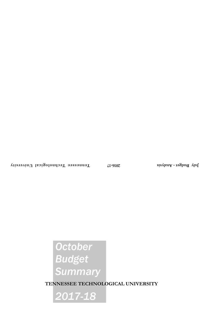# *October Budget Summary*

**TENNESSEE TECHNOLOGICAL UNIVERSITY**

*2017-18*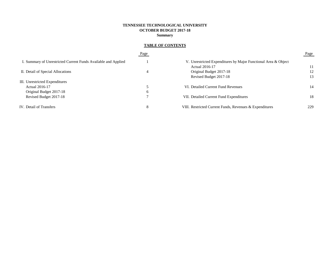# **TENNESSEE TECHNOLOGICAL UNIVERSITY OCTOBER BUDGET 2017-18 Summary**

# **TABLE OF CONTENTS**

|                                                                | Page     |                                                                | Page |
|----------------------------------------------------------------|----------|----------------------------------------------------------------|------|
| I. Summary of Unrestricted Current Funds Available and Applied |          | V. Unrestricted Expenditures by Major Functional Area & Object |      |
|                                                                |          | Actual 2016-17                                                 |      |
| II. Detail of Special Allocations                              | 4        | Original Budget 2017-18                                        | 12   |
|                                                                |          | Revised Budget 2017-18                                         | 13   |
| III. Unrestricted Expenditures                                 |          |                                                                |      |
| Actual 2016-17                                                 |          | VI. Detailed Current Fund Revenues                             | 14   |
| Original Budget 2017-18                                        | $\sigma$ |                                                                |      |
| Revised Budget 2017-18                                         |          | VII. Detailed Current Fund Expenditures                        | 18   |
| IV. Detail of Transfers                                        | 8        | VIII. Restricted Current Funds, Revenues & Expenditures        | 229  |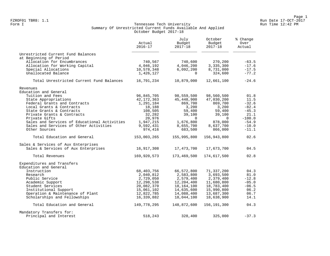#### Form I Georgian Communication of the Communication of Tennessee Tech University Communication Run Time 12:42 PM Summary Of Unrestricted Current Funds Available And Applied October Budget 2017-18

|                                              | Actual<br>$2016 - 17$   | July<br>Budget<br>$2017 - 18$ | October<br>Budget<br>$2017 - 18$ | % Change<br>Over<br>Actual |  |
|----------------------------------------------|-------------------------|-------------------------------|----------------------------------|----------------------------|--|
| Unrestricted Current Fund Balances           |                         |                               |                                  |                            |  |
| at Beginning of Period                       |                         |                               |                                  |                            |  |
| Allocation for Encumbrances                  | 740,567                 | 740,600                       | 270,200                          | $-63.5$                    |  |
| Allocation for Working Capital               | 4,046,192               | 4,046,200                     | 3,335,300                        | $-17.6$<br>$-17.5$         |  |
| Special Allocations<br>Unallocated Balance   | 10,578,348<br>1,426,127 | 6,092,200<br>$\Omega$         | 8,731,000<br>324,600             | $-77.2$                    |  |
| Total Unrestricted Current Fund Balances     | 16,791,234              | 10,879,000                    | 12,661,100                       | $-24.6$                    |  |
| Revenues                                     |                         |                               |                                  |                            |  |
| Education and General                        |                         |                               |                                  |                            |  |
| Tuition and Fees                             | 96,845,705              | 98,559,500                    | 98,560,500                       | 01.8                       |  |
| State Appropriations                         | 42, 172, 363            | 45,448,900                    | 47,030,200                       | 11.5                       |  |
| Federal Grants and Contracts                 | 1,291,184               | 869,700                       | 869,700                          | $-32.6$                    |  |
| Local Grants & Contracts                     | 18,188                  | 3,200                         | 3,200                            | $-82.4$                    |  |
| State Grants & Contracts                     | 108,505                 | 59,400                        | 59,400                           | $-45.3$                    |  |
| Private Grants & Contracts                   | 32,282                  | 39,100                        | 39,100                           | 21.1                       |  |
| Private Gifts                                | 20,976                  | $\Omega$                      | $\Omega$                         | $-100.0$                   |  |
| Sales and Services of Educational Activities | 1,947,215               | 1,676,800                     | 878,000                          | $-54.9$                    |  |
| Sales and Services of Other Activities       | 9,592,431               | 8,655,700                     | 8,637,700                        | $-10.0$                    |  |
| Other Sources                                | 974,416                 | 683,500                       | 866,000                          | $-11.1$                    |  |
| Total Education and General                  | 153,003,265             | 155,995,800                   | 156,943,800                      | 02.6                       |  |
| Sales & Services of Aux Enterprises          |                         |                               |                                  |                            |  |
| Sales & Services of Aux Enterprises          | 16,917,308              | 17,473,700                    | 17,673,700                       | 04.5                       |  |
| Total Revenues                               | 169,920,573             | 173,469,500                   | 174,617,500                      | 02.8                       |  |
| Expenditures and Transfers                   |                         |                               |                                  |                            |  |
| Education and General                        |                         |                               |                                  |                            |  |
| Instruction                                  | 68,403,756              | 66,572,800                    | 71,337,200                       | 04.3                       |  |
| Research                                     | 2,040,812               | 2,583,800                     | 3,693,500                        | 81.0                       |  |
| Public Service                               | 2,729,050               | 2,579,400                     | 2,379,400                        | $-12.8$                    |  |
| Academic Support                             | 12,298,538              | 12,204,400                    | 11,680,800                       | $-05.0$                    |  |
| Student Services                             | 20,082,370              | 18,164,100                    | 18,783,400                       | $-06.5$                    |  |
| Institutional Support                        | 15,061,102              | 14,635,600                    | 15,990,800                       | 06.2                       |  |
| Operation & Maintenance of Plant             | 12,822,785              | 14,088,400                    | 13,687,300                       | 06.7                       |  |
| Scholarships and Fellowships                 | 16,339,882              | 18,044,100                    | 18,638,900                       | 14.1                       |  |
| Total Education and General                  | 149,778,295             | 148,872,600                   | 156, 191, 300                    | 04.3                       |  |
| Mandatory Transfers for:                     |                         |                               |                                  |                            |  |
| Principal and Interest                       | 518,243                 | 328,400                       | 325,000                          | $-37.3$                    |  |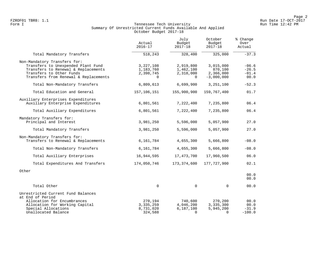### Form I Georgian Communication of the Communication of Tennessee Tech University Communication Run Time 12:42 PM Summary Of Unrestricted Current Funds Available And Applied October Budget 2017-18

|                                                                                                                                                                                | Actual<br>$2016 - 17$                             | July<br>Budget<br>$2017 - 18$                   | October<br>Budget<br>$2017 - 18$                  | % Change<br>Over<br>Actual            |  |
|--------------------------------------------------------------------------------------------------------------------------------------------------------------------------------|---------------------------------------------------|-------------------------------------------------|---------------------------------------------------|---------------------------------------|--|
| Total Mandatory Transfers                                                                                                                                                      | 518,243                                           | 328,400                                         | 325,000                                           | $-37.3$                               |  |
| Non-Mandatory Transfers for:<br>Transfers to Unexpended Plant Fund<br>Transfers to Renewal & Replacements<br>Transfers to Other Funds<br>Transfers from Renewal & Replacements | 3, 227, 108<br>1,183,760<br>2,398,745<br>$\Omega$ | 2,919,800<br>1,462,100<br>2,318,000<br>$\Omega$ | 3,015,000<br>870,100<br>2,366,000<br>$-3,000,000$ | $-06.6$<br>$-26.5$<br>$-01.4$<br>00.0 |  |
| Total Non-Mandatory Transfers                                                                                                                                                  | 6,809,613                                         | 6,699,900                                       | 3,251,100                                         | $-52.3$                               |  |
| Total Education and General                                                                                                                                                    | 157,106,151                                       | 155,900,900                                     | 159,767,400                                       | 01.7                                  |  |
| Auxiliary Enterprises Expenditures<br>Auxiliary Enterprise Expenditures<br>Total Auxiliary Expenditures                                                                        | 6,801,561<br>6,801,561                            | 7,222,400<br>7,222,400                          | 7,235,800<br>7,235,800                            | 06.4<br>06.4                          |  |
|                                                                                                                                                                                |                                                   |                                                 |                                                   |                                       |  |
| Mandatory Transfers for:<br>Principal and Interest                                                                                                                             | 3,981,250                                         | 5,596,000                                       | 5,057,900                                         | 27.0                                  |  |
| Total Mandatory Transfers                                                                                                                                                      | 3,981,250                                         | 5,596,000                                       | 5,057,900                                         | 27.0                                  |  |
| Non-Mandatory Transfers for:<br>Transfers to Renewal & Replacements                                                                                                            | 6,161,784                                         | 4,655,300                                       | 5,666,800                                         | $-08.0$                               |  |
| Total Non-Mandatory Transfers                                                                                                                                                  | 6,161,784                                         | 4,655,300                                       | 5,666,800                                         | $-08.0$                               |  |
| Total Auxiliary Enterprises                                                                                                                                                    | 16,944,595                                        | 17, 473, 700                                    | 17,960,500                                        | 06.0                                  |  |
| Total Expenditures And Transfers                                                                                                                                               | 174,050,746                                       | 173, 374, 600                                   | 177, 727, 900                                     | 02.1                                  |  |
| Other                                                                                                                                                                          |                                                   |                                                 |                                                   | 00.0<br>00.0                          |  |
| Total Other                                                                                                                                                                    | $\mathbf 0$                                       | 0                                               | $\mathbf 0$                                       | 00.0                                  |  |
| Unrestricted Current Fund Balances<br>at End of Period<br>Allocation for Encumbrances<br>Allocation for Working Capital                                                        | 270,194<br>3, 335, 259                            | 740,600<br>4,046,200                            | 270,200<br>3,335,300                              | 00.0<br>00.0                          |  |
| Special Allocations<br>Unallocated Balance                                                                                                                                     | 8,731,020<br>324,588                              | 6,187,100<br>$\Omega$                           | 5,945,200<br>$\Omega$                             | $-31.9$<br>$-100.0$                   |  |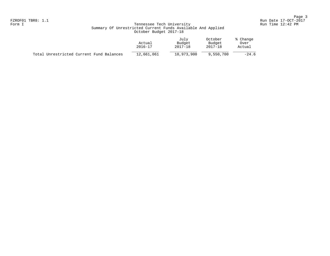## Form I Georgian Communication of the Communication of Tennessee Tech University Communication Run Time 12:42 PM Summary Of Unrestricted Current Funds Available And Applied October Budget 2017-18

|                                          | Actual<br>$2016 - 17$ | July<br>Budget<br>2017-18 | October<br>Budget<br>2017-18 | % Change<br>Over<br>Actual |
|------------------------------------------|-----------------------|---------------------------|------------------------------|----------------------------|
| Total Unrestricted Current Fund Balances | 12,661,061            | 10,973,900                | 9,550,700                    | $-24.6$                    |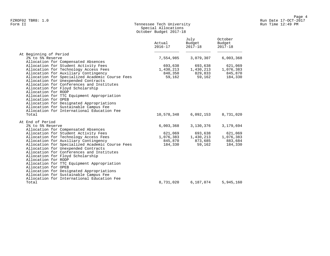## Form II Tennessee Tech University Run Time 12:49 PM Special Allocations October Budget 2017-18

|                                                                                                                                                                                                                                                                                                                                                                                                                 | Actual<br>$2016 - 17$ | July<br>Budget<br>$2017 - 18$ | October<br>Budget<br>$2017 - 18$ |
|-----------------------------------------------------------------------------------------------------------------------------------------------------------------------------------------------------------------------------------------------------------------------------------------------------------------------------------------------------------------------------------------------------------------|-----------------------|-------------------------------|----------------------------------|
| At Beginning of Period<br>2% to 5% Reserve                                                                                                                                                                                                                                                                                                                                                                      |                       |                               |                                  |
| Allocation for Compensated Absences                                                                                                                                                                                                                                                                                                                                                                             | 7,554,985             | 3,079,307                     | 6,003,368                        |
| Allocation for Student Activity Fees                                                                                                                                                                                                                                                                                                                                                                            | 693,638               | 693,638                       | 621,069                          |
| Allocation for Technology Access Fees                                                                                                                                                                                                                                                                                                                                                                           | 1,430,213             | 1,430,213                     | 1,076,383                        |
| Allocation for Auxiliary Contingency                                                                                                                                                                                                                                                                                                                                                                            | 840,350               | 829,833                       | 845,870                          |
| Allocation for Specialized Academic Course Fees<br>Allocation for Unexpended Contracts<br>Allocation for Conferences and Institutes<br>Allocation for Floyd Scholarship<br>Allocation for RODP<br>Allocation for TTC Equipment Appropriation<br>Allocation for OPEB<br>Allocation for Designated Appropriations<br>Allocation for Sustainable Campus Fee<br>Allocation for International Education Fee<br>Total | 59,162<br>10,578,348  | 59,162<br>6,092,153           | 184,330<br>8,731,020             |
|                                                                                                                                                                                                                                                                                                                                                                                                                 |                       |                               |                                  |
| At End of Period<br>2% to 5% Reserve                                                                                                                                                                                                                                                                                                                                                                            | 6,003,368             | 3,130,376                     | 3,179,694                        |
| Allocation for Compensated Absences                                                                                                                                                                                                                                                                                                                                                                             |                       |                               |                                  |
| Allocation for Student Activity Fees                                                                                                                                                                                                                                                                                                                                                                            | 621,069               | 693,638                       | 621,069                          |
| Allocation for Technology Access Fees                                                                                                                                                                                                                                                                                                                                                                           | 1,076,383             | 1,430,213                     | 1,076,383                        |
| Allocation for Auxiliary Contingency                                                                                                                                                                                                                                                                                                                                                                            | 845,870               | 873,685                       | 883,684                          |
| Allocation for Specialized Academic Course Fees<br>Allocation for Unexpended Contracts<br>Allocation for Conferences and Institutes<br>Allocation for Floyd Scholarship<br>Allocation for RODP<br>Allocation for TTC Equipment Appropriation<br>Allocation for OPEB<br>Allocation for Designated Appropriations<br>Allocation for Sustainable Campus Fee<br>Allocation for International Education Fee          | 184,330               | 59,162                        | 184,330                          |
| Total                                                                                                                                                                                                                                                                                                                                                                                                           | 8,731,020             | 6,187,074                     | 5,945,160                        |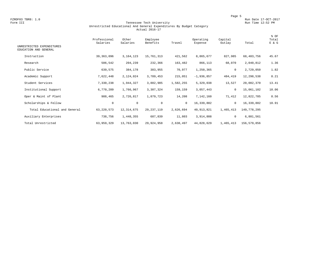FZROF03 TBR8: 1.0<br>Form III Run Date 17-OCT-2017<br>Form III Run Time 12:52 PM

#### Form III Tennessee Tech University Run Time 12:52 PM Unrestricted Educational And General Expenditures By Budget Category Actual 2016-17

| UNRESTRICTED EXPENDITURES<br>EDUCATION AND GENERAL | Professional<br>Salaries | Other<br>Salaries | Employee<br>Benefits | Travel       | Operating<br>Expense | Capital<br>Outlay | Total       | % OF<br>Total<br>E & G |
|----------------------------------------------------|--------------------------|-------------------|----------------------|--------------|----------------------|-------------------|-------------|------------------------|
|                                                    |                          |                   |                      |              |                      |                   |             |                        |
| Instruction                                        | 39, 363, 096             | 3, 164, 123       | 15,761,313           | 421,562      | 8,865,677            | 827,985           | 68,403,756  | 45.67                  |
| Research                                           | 506,542                  | 204,239           | 232,366              | 163,482      | 866,113              | 68,070            | 2,040,812   | 1.36                   |
| Public Service                                     | 639,575                  | 384,178           | 383,955              | 70,977       | 1,250,365            | 0                 | 2,729,050   | 1.82                   |
| Academic Support                                   | 7,622,448                | 2,124,024         | 3,789,453            | 215,051      | $-1,936,857$         | 484,419           | 12,298,538  | 8.21                   |
| Student Services                                   | 7,330,238                | 1,944,327         | 3,882,985            | 1,582,255    | 5,329,038            | 13,527            | 20,082,370  | 13.41                  |
| Institutional Support                              | 6,770,209                | 1,766,967         | 3,307,324            | 159,159      | 3,057,443            | $\mathbf 0$       | 15,061,102  | 10.06                  |
| Oper & Maint of Plant                              | 988,465                  | 2,726,817         | 1,879,723            | 14,208       | 7,142,160            | 71,412            | 12,822,785  | 8.56                   |
| Scholarships & Fellow                              | 0                        | $\mathbf 0$       | $\mathbf 0$          | $\mathbf{0}$ | 16,339,882           | $\mathbf 0$       | 16,339,882  | 10.91                  |
| Total Educational and General                      | 63, 220, 573             | 12, 314, 675      | 29, 237, 119         | 2,626,694    | 40, 913, 821         | 1,465,413         | 149,778,295 |                        |
| Auxiliary Enterprises                              | 738,756                  | 1,448,355         | 687,839              | 11,803       | 3,914,808            | 0                 | 6,801,561   |                        |
| Total Unrestricted                                 | 63,959,329               | 13,763,030        | 29,924,958           | 2,638,497    | 44,828,629           | 1,465,413         | 156,579,856 |                        |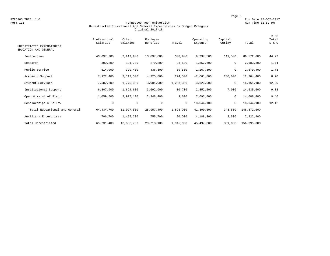FZROF03 TBR8: 1.0<br>Form III Run Date 17-OCT-2017<br>Form III Run Time 12:52 PM

#### Form III Tennessee Tech University Run Time 12:52 PM Unrestricted Educational And General Expenditures By Budget Category Original 2017-18

| UNRESTRICTED EXPENDITURES<br>EDUCATION AND GENERAL | Professional<br>Salaries | Other<br>Salaries | Employee<br>Benefits | Travel    | Operating<br>Expense | Capital<br>Outlay | Total       | % OF<br>Total<br>E & G |
|----------------------------------------------------|--------------------------|-------------------|----------------------|-----------|----------------------|-------------------|-------------|------------------------|
| Instruction                                        | 40,097,200               | 2,919,900         | 13,897,800           | 308,900   | 9,237,500            | 111,500           | 66,572,800  | 44.72                  |
| Research                                           | 300,200                  | 131,700           | 270,800              | 28,500    | 1,852,600            | 0                 | 2,583,800   | 1.74                   |
| Public Service                                     | 614,900                  | 320,400           | 436,800              | 39,500    | 1,167,800            | 0                 | 2,579,400   | 1.73                   |
| Academic Support                                   | 7,972,400                | 2,113,500         | 4,325,800            | 224,500   | $-2,661,800$         | 230,000           | 12,204,400  | 8.20                   |
| Student Services                                   | 7,582,600                | 1,770,300         | 3,984,900            | 1,203,300 | 3,623,000            | $\mathbf 0$       | 18,164,100  | 12.20                  |
| Institutional Support                              | 6,807,900                | 1,694,600         | 3,692,900            | 80,700    | 2,352,500            | 7,000             | 14,635,600  | 9.83                   |
| Oper & Maint of Plant                              | 1,059,500                | 2,977,100         | 2,348,400            | 9,600     | 7,693,800            | $\mathbf 0$       | 14,088,400  | 9.46                   |
| Scholarships & Fellow                              | $\mathbf 0$              | $\mathbf 0$       | $\mathbf 0$          | $\circ$   | 18,044,100           | $\mathbf 0$       | 18,044,100  | 12.12                  |
| Total Educational and General                      | 64, 434, 700             | 11,927,500        | 28,957,400           | 1,895,000 | 41,309,500           | 348,500           | 148,872,600 |                        |
| Auxiliary Enterprises                              | 796,700                  | 1,459,200         | 755,700              | 20,000    | 4,188,300            | 2,500             | 7,222,400   |                        |
| Total Unrestricted                                 | 65, 231, 400             | 13,386,700        | 29,713,100           | 1,915,000 | 45,497,800           | 351,000           | 156,095,000 |                        |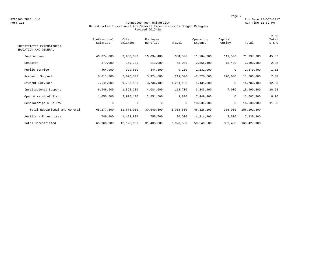FZROF03 TBR8: 1.0<br>Form III Run Date 17-OCT-2017<br>Form III Run Time 12:52 PM

#### Form III Tennessee Tech University Run Time 12:52 PM Unrestricted Educational And General Expenditures By Budget Category Revised 2017-18

| UNRESTRICTED EXPENDITURES<br>EDUCATION AND GENERAL | Professional<br>Salaries | Other<br>Salaries | Employee<br>Benefits | Travel       | Operating<br>Expense | Capital<br>Outlay | Total       | % OF<br>Total<br>E & G |
|----------------------------------------------------|--------------------------|-------------------|----------------------|--------------|----------------------|-------------------|-------------|------------------------|
| Instruction                                        | 40,674,000               | 2,938,500         | 16,094,400           | 334,500      | 11,184,300           | 111,500           | 71,337,200  | 45.67                  |
| Research                                           | 379,000                  | 159,700           | 213,000              | 58,000       | 2,865,400            | 18,400            | 3,693,500   | 2.36                   |
| Public Service                                     | 464,900                  | 329,600           | 344,800              | 9,100        | 1,231,000            | $\mathbf 0$       | 2,379,400   | 1.52                   |
| Academic Support                                   | 8,011,300                | 2,026,500         | 3,924,600            | 219,000      | $-2,720,600$         | 220,000           | 11,680,800  | 7.48                   |
| Student Services                                   | 7,644,900                | 1,703,400         | 3,736,400            | 1,264,400    | 4,434,300            | $\mathbf 0$       | 18,783,400  | 12.03                  |
| Institutional Support                              | 6,946,900                | 1,595,200         | 4,084,600            | 113,700      | 3,243,400            | 7,000             | 15,990,800  | 10.24                  |
| Oper & Maint of Plant                              | 1,056,500                | 2,920,100         | 2,251,500            | 9,800        | 7,449,400            | 0                 | 13,687,300  | 8.76                   |
| Scholarships & Fellow                              | 0                        | $\mathbf 0$       | $\mathbf{0}$         | $\mathbf{0}$ | 18,638,900           | $\mathbf{0}$      | 18,638,900  | 11.93                  |
| Total Educational and General                      | 65,177,500               | 11,673,000        | 30,649,300           | 2,008,500    | 46, 326, 100         | 356,900           | 156,191,300 |                        |
| Auxiliary Enterprises                              | 789,400                  | 1,453,800         | 755,700              | 20,000       | 4,214,400            | 2,500             | 7,235,800   |                        |
| Total Unrestricted                                 | 65,966,900               | 13,126,800        | 31,405,000           | 2,028,500    | 50,540,500           | 359,400           | 163,427,100 |                        |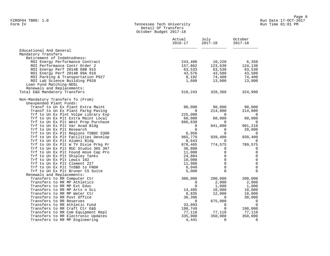#### Form IV Tennessee Tech University Run Time 01:01 PM Detail Of Transfers October Budget 2017-18

|                                                                | Actual<br>$2016 - 17$ | July<br>$2017 - 18$ | October<br>$2017 - 18$ |
|----------------------------------------------------------------|-----------------------|---------------------|------------------------|
| Educational And General                                        |                       |                     |                        |
| Mandatory Transfers                                            |                       |                     |                        |
| Retirement of Indebtedness:                                    |                       |                     |                        |
| ROI Energy Performance Contract                                | 243,480               | 10,220              | 6,350                  |
| ROI Performance Contr Order 2                                  | 157,862               | 123,630             | 124,130                |
| ROI Energy Perf 2014B 08B 915                                  | 63,533                | 63,530              | 63,530                 |
| ROI Energy Perf 2014B 09A 918                                  | 43,576                | 43,580              | 43,580                 |
| ROI Parking & Transportation P927                              | 8,192                 | 74,400              | 74,400                 |
| ROI Lab Science Building P928                                  | 1,600                 | 13,000              | 13,000                 |
| Loan Fund Matching-NDSL                                        |                       |                     |                        |
| Renewals and Replacements:                                     |                       |                     |                        |
| Total E&G Mandatory Transfers                                  | 518,243               | 328,360             | 324,990                |
| Non-Mandatory Transfers To (From)                              |                       |                     |                        |
| Unexpended Plant Funds:                                        |                       |                     |                        |
| Transf to Un Ex Plant Extra Maint                              | 90,000                | 90,000              | 90,000                 |
| Transf to Un Ex Plant Parkg Paving                             | 0                     | 214,800             | 214,800                |
| Trf to Un Ex Plnt Volpe Library Exp                            | 225,000               | $\Omega$            | 0                      |
| Trf to Un Ex Plt Extra Maint Local                             | 60,000                | 60,000              | 60,000                 |
| Trf to Un Ex Plt West Prop Purchase                            | 886,630               | $\Omega$            | $\overline{0}$         |
| Trf to Un Ex Plt Var Acad Bldg                                 | 0                     | 841,000             | 901,210                |
| Trf to Un Ex Plt Research                                      | $\Omega$              | $\Omega$            | 20,000                 |
| Trf to Un Ex Plt Regions TSBDC S300                            | 6,950                 | $\Omega$            | 0                      |
| Trf to Un Ex Plt Facilities Develop                            | 965,779               | 939,400             | 939,400                |
| Trf to Un Ex Plt Alumni Bldg                                   | 8,643                 | $\Omega$            | 0                      |
| Trf to Un Ex Plt W TV Dixie Prkg Pr                            | 878,465               | 774,575             | 789,575                |
| Trf to Un Ex Plt RUC Studio 365 367                            | 36,800                | 0                   | 0                      |
| Trf to Un Ex Plt Found move Cap Pro                            | 11,000                | $\mathbf 0$         | $\mathbf 0$            |
| Trf to Un Ex Plt Shipley Tanks                                 | 24,804                | $\Omega$            | $\mathbf 0$            |
| Trf to Un Ex Plt Lewis 102                                     | 10,000                | $\Omega$            | $\mathbf 0$            |
| Trf to Un Ex Plt Clement 227                                   | 11,988                | $\Omega$            | 0                      |
| Trf to Un Ex Plt TnSBD to FNDH                                 | 6,049                 | $\mathbf 0$         | $\mathbf 0$            |
| Trf to Un Ex Plt Bruner CS Suite<br>Renewals and Replacements: | 5,000                 | $\Omega$            | $\mathbf 0$            |
| Transfers to RR Computer Ctr                                   | 300,000               | 200,000             | 200,000                |
| Transfers to RR MP Athletics                                   | 0                     | 2,000               | 2,000                  |
| Transfers to RR MP Ext Educ                                    | $\Omega$              | 1,000               | 1,000                  |
| Transfers to RR MP Arts n Sci                                  | 14,495                | 10,000              | 10,000                 |
| Transfers to RR MP Water Ctr                                   | 8,835                 | 12,000              | 10,000                 |
| Transfers to RR Post Office                                    | 36,396                | $\Omega$            | 30,000                 |
| Transfers to RR Reserves                                       | $\mathbf{0}$          | 675,000             | $\overline{0}$         |
| Transfers to RR Athletic Fund                                  | 33,093                | $\mathbf 0$         | $\overline{0}$         |
| Transfers to RR Craft Ctr E&G                                  | 198,749               | $\Omega$            | 190,000                |
| Transfers to RR Com Equipment Repl                             | 77,110                | 77,110              | 77,110                 |
| Transfers to RR Electronic Updates                             | 335,000               | 350,000             | 350,000                |
| Transfers to RR MP Engineering                                 | 4,441                 | $\Omega$            | $\overline{0}$         |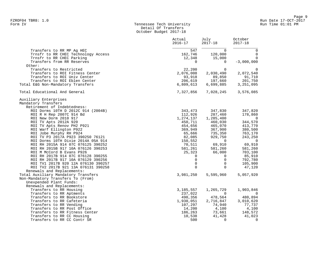## Form IV Tennessee Tech University Run Time 01:01 PM Detail Of Transfers October Budget 2017-18

|                                                                   | Actual<br>$2016 - 17$   | July<br>$2017 - 18$ | October<br>$2017 - 18$ |
|-------------------------------------------------------------------|-------------------------|---------------------|------------------------|
| Transfers to RR MP Ag HEC                                         | 547                     | $\Omega$            | $\Omega$               |
| Trnsfr to RR CHEC Technology Access                               | 162,746                 | 120,000             | $\mathbf 0$            |
| Trnsfr to RR CHEC Parking                                         | 12,348                  | 15,000              | $\mathbf 0$            |
| Transfers from RR Reserves                                        | $\Omega$                | $\mathbf{0}$        | $-3,000,000$           |
| Other:                                                            |                         |                     |                        |
| Transfers to Restricted                                           | 22,200                  | $\Omega$            | $\mathbf 0$            |
| Transfers to ROI Fitness Center                                   | 2,076,008               | 2,030,490           | 2,072,540              |
| Transfers to ROI Univ Center<br>Transfers to ROI Eblen Center     | 93,918                  | 89,850<br>197,660   | 91,710                 |
| Total E&G Non-Mandatory Transfers                                 | 206,619<br>6,809,613    | 6,699,885           | 201,750<br>3,251,095   |
|                                                                   |                         |                     |                        |
| Total Educational And General                                     | 7,327,856               | 7,028,245           | 3,576,085              |
| Auxiliary Enterprises                                             |                         |                     |                        |
| Mandatory Transfers                                               |                         |                     |                        |
| Retirement of Indebtedness:                                       |                         |                     |                        |
| ROI Dorms 10TH D 2012C 914 (2004B)                                | 343,473                 | 347,830             | 347,820                |
| ROI R H Rep 2007C 914 Bd                                          | 112,926                 | 287,460             | 178,860                |
| ROI New Dorm 2010 917                                             | 1,274,137               | 1,285,400           | $\mathbf 0$            |
| ROI TV Apts 2012A 920                                             | 450,711                 | 460,030             | 344,570                |
| ROI TV Apts Renov PH2 P921                                        | 454,656                 | 465,070             | 413,770                |
| ROI Warf Ellington P922                                           | 369,949                 | 367,900             | 380,500                |
| ROI Jobe Murphy RH P924                                           | 65,666                  | 735,350             | 763,170                |
| ROI TV P3 2017A P923 390250 76121                                 | 82,085                  | 929,750             | 243,250                |
| ROI Dorms 10TH Dixie 2014A 05A 914                                | 150,552                 | $\Omega$            | $\overline{0}$         |
| ROI RH 2015A 914 07C 076125 390252                                | 70,511                  | 69,910              | 69,910                 |
| ROI RH 2015B 917 10A 076126 390253                                | 581,261                 | 581,260             | 581,260                |
| ROI M McCord B Evans P926                                         | 25,323                  | 66,000              | 703,100                |
| ROI RH 2017B 914 07C 076128 390255                                | 0                       | $\Omega$            | 85,910                 |
| ROI RH 2017B 917 10A 076129 390256                                | 0                       | $\mathbf 0$         | 792,780                |
| ROI TV1 2017B 920 12A 076130 390257                               | $\mathbf 0$<br>$\Omega$ | $\Omega$            | 105,900                |
| ROI TV2 2017B 921 13A 076131 390258<br>Renewals and Replacements: |                         | $\Omega$            | 47,120                 |
| Total Auxiliary Mandatory Transfers                               | 3,981,250               | 5,595,960           | 5,057,920              |
| Non-Mandatory Transfers To (From)                                 |                         |                     |                        |
| Unexpended Plant Funds:                                           |                         |                     |                        |
| Renewals and Replacements:                                        |                         |                     |                        |
| Transfers to RR Housing                                           | 3,185,557               | 1,265,729           | 1,903,846              |
| Transfers to RR Aptments                                          | 237,022                 | $\Omega$            | 0                      |
| Transfers to RR Bookstore                                         | 490,356                 | 478,564             | 480,894                |
| Transfers to RR Cafeteria                                         | 1,930,051               | 2,716,847           | 3,010,620              |
| Transfers to RR Vending                                           | 107,297                 | 74,940              | 77,737                 |
| Transfers to RR Post Office                                       | 14,200                  | 4,100               | 4,100                  |
| Transfers to RR Fitness Center                                    | 186,263                 | 73,661              | 148,572                |
| Transfers to RR CC Housing                                        | 10,538                  | 41,428              | 41,023                 |
| Transfers to RR CC Contr SR                                       | 500                     | $\Omega$            | 0                      |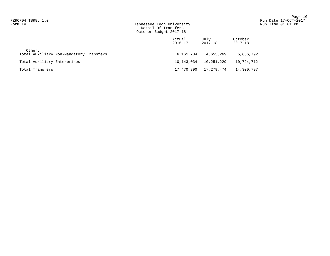## Form IV Tennessee Tech University Run Time 01:01 PM Detail Of Transfers October Budget 2017-18

|                                                   | Actual<br>$2016 - 17$ | July<br>2017-18 | October<br>2017-18 |
|---------------------------------------------------|-----------------------|-----------------|--------------------|
| Other:<br>Total Auxiliary Non-Mandatory Transfers | 6,161,784             | 4,655,269       | 5,666,792          |
| Total Auxiliary Enterprises                       | 10,143,034            | 10,251,229      | 10,724,712         |
| Total Transfers                                   | 17,470,890            | 17,279,474      | 14,300,797         |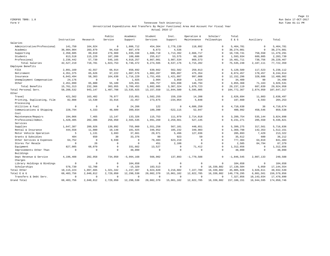Page 11 FZROF05 TBR8: 1.0 Run Date 17-OCT-2017

#### Form V Tennessee Tech University Run Time 01:11 PM Unrestricted Expenditures And Transfers By Major Functional Area And Account For Fiscal Year Actual 2016-17

|                             |              |                | Public      | Academic       | Student      | Inst.       | Operation &  | Scholar/    | Total         |             |               |
|-----------------------------|--------------|----------------|-------------|----------------|--------------|-------------|--------------|-------------|---------------|-------------|---------------|
|                             | Instruction  | Research       | Service     | Support        | Services     | Support     | Maintenance  | Fellowships | $E$ & $G$     | Auxiliary   | Total         |
| Salaries                    |              |                |             |                |              |             |              |             |               |             |               |
| Administrative/Professional | 141,750      | 164,924        | $\mathbf 0$ | 1,806,712      | 454,364      | 2,778,139   | 118,892      | $\Omega$    | 5,464,781     | $\mathbb O$ | 5,464,781     |
| Academic                    | 36,984,904   | 283,879        | 94,410      | 897,479        | 8,873        | 4,536       | $\Omega$     | $\Omega$    | 38, 274, 081  | $\circ$     | 38, 274, 081  |
| Supporting                  | 2,350,605    | 89,010         | 276,969     | 1,935,338      | 1,688,710    | 1,713,392   | 2,666,717    | $\Omega$    | 10,720,741    | 758,550     | 11, 479, 291  |
| Students                    | 813,518      | 115,229        | 107,209     | 188,686        | 255,617      | 53,575      | 60,100       | $\Omega$    | 1,593,934     | 689,805     | 2,283,739     |
| Professional                | 2,236,442    | 57,739         | 545,165     | 4,918,257      | 6,867,001    | 3,987,534   | 869,573      | $\Omega$    | 19, 481, 711  | 738,756     | 20, 220, 467  |
| Total Salaries              | 42,527,219   | 710,781        | 1,023,753   | 9,746,472      | 9,274,565    | 8,537,176   | 3,715,282    | $\Omega$    | 75, 535, 248  | 2,187,111   | 77, 722, 359  |
| Employee Benefits           |              |                |             |                |              |             |              |             |               |             |               |
| FICA                        | 2,891,169    | 42,557         | 66,914      | 658,692        | 639,662      | 562,582     | 259,013      | $\Omega$    | 5,120,589     | 117,523     | 5,238,112     |
| Retirement                  | 4, 351, 375  | 65,626         | 97,222      | 1,087,576      | 1,002,207    | 995,097     | 475,354      | $\Omega$    | 8,074,457     | 170,457     | 8,244,914     |
| Insurance                   | 6,043,494    | 58,383         | 164,630     | 1,716,229      | 1,751,455    | 1,421,097   | 997,008      | $\Omega$    | 12, 152, 296  | 328,606     | 12,480,902    |
| Unemployment Compensation   | 24,176       | $\mathbf 0$    | $\mathbf 0$ | 1,925          | 2,904        | 3,850       | 1,554        | $^{\circ}$  | 34,409        | 90          | 34,499        |
| Other                       | 2,451,099    | 65,800         | 55,189      | 325,031        | 486,757      | 324,698     | 146,794      | $\Omega$    | 3,855,368     | 71.163      | 3,926,531     |
| Total Benefits              | 15,761,313   | 232,366        | 383,955     | 3,789,453      | 3,882,985    | 3,307,324   | 1,879,723    | $\Omega$    | 29, 237, 119  | 687,839     | 29,924,958    |
| Total Personal Serv.        | 58, 288, 532 | 943,147        | 1,407,708   | 13,535,925     | 13, 157, 550 | 11,844,500  | 5,595,005    | 0           | 104, 772, 367 | 2,874,950   | 107,647,317   |
| Other                       |              |                |             |                |              |             |              |             |               |             |               |
| Travel                      | 421,562      | 163,482        | 70,977      | 215,051        | 1,582,255    | 159,159     | 14,208       | $\Omega$    | 2,626,694     | 11,803      | 2,638,497     |
| Printing, Duplicating, Film | 82,088       | 13,530         | 33,916      | 22,457         | 273,875      | $-234,054$  | 5,848        | $\mathbf 0$ | 197,660       | 6,593       | 204,253       |
| Processing                  |              |                |             |                |              |             |              |             |               |             |               |
| Utilities & Fuel            | $\mathbf 0$  | $\overline{0}$ | $\mathbf 0$ | 24,266         | 122          | $\circ$     | 4,686,250    | $\mathbf 0$ | 4,710,638     | 36          | 4,710,674     |
| Communications & Shipping   | 228,794      | 4,333          | 48,609      | 399,034        | 189,390      | $-522, 115$ | 52,947       | $\Omega$    | 400,992       | 458,546     | 859,538       |
| Cost                        |              |                |             |                |              |             |              |             |               |             |               |
| Maintenance/Repairs         | 194,066      | 7,465          | 13,147      | 133,326        | 115,753      | 111,979     | 2,714,018    | $\Omega$    | 3,289,754     | 535,144     | 3,824,898     |
| Professional/Admin.         | 1,428,405    | 202,306        | 256,950     | 2,565,535      | 1,991,269    | 2,259,661   | 527,145      | $\Omega$    | 9,231,271     | 205,550     | 9,436,821     |
| Services                    |              |                |             |                |              |             |              |             |               |             |               |
| Supplies                    | 1,647,387    | 289,926        | 139,892     | 755,060        | 1,551,258    | 567,101     | 448,651      | $\mathbf 0$ | 5,399,275     | 317.561     | 5,716,836     |
| Rental & Insurance          | 444.558      | 11,080         | 10,148      | 101,925        | 346,952      | 105,232     | 349,903      | $\mathbf 0$ | 1,369,798     | 142,353     | 1,512,151     |
| Motor Vehicle Operation     | 5            | 1,131          | 3.693       | 37,661         | 29,971       | 5,496       | 127,936      | $\mathbf 0$ | 205,893       | 7,429       | 213,322       |
| Grants & Subsidies          | 484          | 650            | 30          | 33,376         | 99           | 923         | 50           | $\Omega$    | 35,612        | 600         | 36,212        |
| Other Services & Expenses   | 64.752       | $\mathbf 0$    | 9,930       | $^{\circ}$     | 79,483       | 623,219     | $\mathbf 0$  | $\mathbf 0$ | 777,384       | 64,019      | 841,403       |
| Stores for Resale           | $\Omega$     | 26             | $\mathbf 0$ | $\Omega$       | 451          | 2,108       | $\mathbf 0$  | $\Omega$    | 2,585         | 84,794      | 87,379        |
| Equipment                   | 827,985      | 68,070         | $\mathbf 0$ | 331,662        | 13,527       | $\circ$     | 71,412       | $\mathbf 0$ | 1,312,656     | $\mathbb O$ | 1,312,656     |
| Improvements Other Than     | $\mathbf 0$  | $\overline{0}$ | $\mathbf 0$ | 48,099         | $\Omega$     | $\mathbb O$ | $\mathbf 0$  | $\Omega$    | 48,099        | $\circ$     | 48,099        |
| Buildings                   |              |                |             |                |              |             |              |             |               |             |               |
| Dept Revenue & Service      | 4,196,408    | 282,958        | 734,050     | $-5,994,168$   | 566,902      | 137,893     | $-1,770,588$ | $\Omega$    | $-1,846,545$  | 2,087,133   | 240,588       |
| Charges                     |              |                |             |                |              |             |              |             |               |             |               |
| Library Holdings & Bindings | $\mathbf 0$  | $\overline{0}$ | $\mathbf 0$ | 104,658        | $\circ$      | $\circ$     | $\mathbf 0$  | $\Omega$    | 104,658       | $\mathbb O$ | 104,658       |
| Scholarships                | 578,730      | 52,708         | $\mathbf 0$ | $-15, 329$     | 183,513      | $\circ$     | $\mathbf 0$  | 16,339,882  | 17, 139, 504  | 5,050       | 17, 144, 554  |
| Total Other                 | 10, 115, 224 | 1,097,665      | 1,321,342   | $-1, 237, 387$ | 6,924,820    | 3,216,602   | 7,227,780    | 16,339,882  | 45,005,928    | 3,926,611   | 48,932,539    |
| Total E & G                 | 68,403,756   | 2,040,812      | 2,729,050   | 12,298,538     | 20,082,370   | 15,061,102  | 12,822,785   | 16,339,882  | 149,778,295   | 6,801,561   | 156, 579, 856 |
| Transfers & Debt Serv.      | $\mathbf{0}$ | $\Omega$       | $^{\circ}$  | $\overline{0}$ | $\Omega$     | $^{\circ}$  | $\mathbf 0$  | $\Omega$    | 7,327,856     | 10,143,034  | 17,470,890    |
| Grand Total                 | 68, 403, 756 | 2,040,812      | 2.729.050   | 12,298,538     | 20,082,370   | 15,061,102  | 12,822,785   | 16,339,882  | 157, 106, 151 | 16,944,595  | 174,050,746   |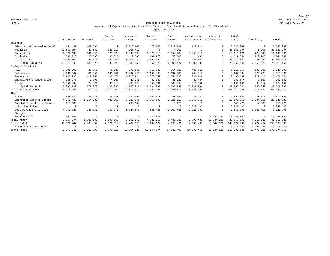Page 12 FZROF05 TBR8: 1.0 Run Date 17-OCT-2017

#### Form V Tennessee Tech University Run Time 01:11 PM Unrestricted Expenditures And Transfers By Major Functional Area And Account For Fiscal Year Original 2017-18

|                             |              |            | Public    | Academic       | Student      | Inst.          | Operation &    | Scholar/    | Total          |              |                |
|-----------------------------|--------------|------------|-----------|----------------|--------------|----------------|----------------|-------------|----------------|--------------|----------------|
|                             | Instruction  | Research   | Service   | Support        | Services     | Support        | Maintenance    | Fellowships | E & G          | Auxiliary    | Total          |
| Salaries                    |              |            |           |                |              |                |                |             |                |              |                |
| Administrative/Professional | 151,440      | 168,595    | $\Omega$  | 2,016,607      | 473,309      | 2,813,893      | 123,024        | $\Omega$    | 5,746,868      | $\mathbf 0$  | 5,746,868      |
| Academic                    | 37,659,294   | 87,581     | 123,917   | 755,412        | $^{\circ}$   | 4,000          | $\Omega$       | $\Omega$    | 38,630,204     | 1,000        | 38,631,204     |
| Supporting                  | 2,370,192    | 101,342    | 271,920   | 1,993,808      | 1,578,012    | 1,644,284      | 2,955,618      | $\Omega$    | 10,915,176     | 729,905      | 11,645,081     |
| Students                    | 549,720      | 30,390     | 48,525    | 119,700        | 192,273      | 50,308         | 21,438         | $\Omega$    | 1,012,354      | 729,285      | 1,741,639      |
| Professional                | 2,286,499    | 44,015     | 490,967   | 5,200,331      | 7,109,329    | 3,989,992      | 936,509        | $\Omega$    | 20,057,642     | 795,732      | 20,853,374     |
| Total Salaries              | 43,017,145   | 431,923    | 935,329   | 10,085,858     | 9,352,923    | 8,502,477      | 4,036,589      | 0           | 76, 362, 244   | 2,255,922    | 78,618,166     |
| Employee Benefits           |              |            |           |                |              |                |                |             |                |              |                |
| FICA                        | 2,501,608    | 48,751     | 78,630    | 778,647        | 717,282      | 664,728        | 422,711        | $\Omega$    | 5, 212, 357    | 136,035      | 5,348,392      |
| Retirement                  | 4,169,347    | 81,252     | 131,051   | 1,297,746      | 1,195,469    | 1,107,880      | 704,519        | $\Omega$    | 8,687,264      | 226,725      | 8,913,989      |
| Insurance                   | 5,837,086    | 113,753    | 183,471   | 1,816,844      | 1,673,657    | 1,551,032      | 986,326        | $\Omega$    | 12, 162, 169   | 317, 415     | 12, 479, 584   |
| Unemployment Compensation   | 138,978      | 2,708      | 4,368     | 43,258         | 39,849       | 36,929         | 23,484         | $\Omega$    | 289,574        | 7,557        | 297,131        |
| Other                       | 1,250,804    | 24,376     | 39, 315   | 389,324        | 358,641      | 332,364        | 211,356        | $\Omega$    | 2,606,180      | 68,017       | 2,674,197      |
| Total Benefits              | 13,897,823   | 270,840    | 436,835   | 4,325,819      | 3,984,898    | 3,692,933      | 2,348,396      |             | 28,957,544     | 755,749      | 29, 713, 293   |
| Total Personal Serv.        | 56,914,968   | 702,763    | 1,372,164 | 14, 411, 677   | 13, 337, 821 | 12, 195, 410   | 6,384,985      | 0           | 105, 319, 788  | 3,011,671    | 108, 331, 459  |
| Other                       |              |            |           |                |              |                |                |             |                |              |                |
| Travel                      | 308,926      | 28,540     | 39,520    | 224,450        | 1,203,310    | 80,660         | 9,640          | $\Omega$    | 1,895,046      | 20,010       | 1,915,056      |
| Operating Expense Budget    | 4,563,438    | 1,564,236  | 420,562   | 3,383,041      | 2,765,103    | 3,521,919      | 3,978,560      | $\Omega$    | 20,196,859     | 1,844,861    | 22,041,720     |
| Capital Expenditure Budget  | 111,500      | $\Omega$   |           | 230,000        | $\Omega$     | 6,970          | $\Omega$       |             | 348,470        | 2,500        | 350,970        |
| Utilities & Fuel            |              | $\Omega$   |           | 0              | $\Omega$     | $\Omega$       | 5,943,480      | $\Omega$    | 5,943,480      | $^{\circ}$   | 5,943,480      |
| Dept Revenue & Service      | 4, 251, 230  | 288,360    | 747,270   | $-6,044,840$   | 588,440      | $-1, 169, 468$ | $-2, 228, 200$ | $\cap$      | $-3, 567, 208$ | 2,343,410    | $-1, 223, 798$ |
| Charges                     |              |            |           |                |              |                |                |             |                |              |                |
| Scholarships                | 422,880      | $\circ$    | $\Omega$  | $^{\circ}$     | 269,500      | $^{\circ}$     | $\mathbf 0$    | 18,044,121  | 18,736,501     | 0            | 18,736,501     |
| Total Other                 | 9,657,974    | 1,881,136  | 1,207,352 | $-2, 207, 349$ | 4,826,353    | 2,440,081      | 7,703,480      | 18,044,121  | 43, 553, 148   | 4,210,781    | 47,763,929     |
| Total E & G                 | 66,572,942   | 2,583,899  | 2,579,516 | 12,204,328     | 18, 164, 174 | 14,635,491     | 14,088,465     | 18,044,121  | 148,872,936    | 7,222,452    | 156,095,388    |
| Transfers & Debt Serv.      | $\Omega$     | $^{\circ}$ |           | $^{\circ}$     | $\Omega$     | $\Omega$       | $^{\circ}$     | $\Omega$    | 7,028,245      | 10, 251, 229 | 17, 279, 474   |
| Grand Total                 | 66, 572, 942 | 2,583,899  | 2,579,516 | 12, 204, 328   | 18, 164, 174 | 14,635,491     | 14,088,465     | 18,044,121  | 155,901,181    | 17, 473, 681 | 173, 374, 862  |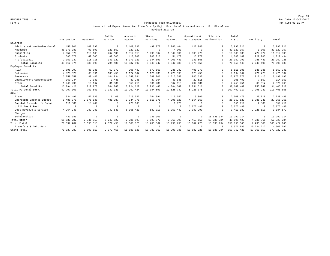Page 13 FZROF05 TBR8: 1.0 Run Date 17-OCT-2017

#### Form V Tennessee Tech University Run Time 01:11 PM Unrestricted Expenditures And Transfers By Major Functional Area And Account For Fiscal Year Revised 2017-18

|                             |              |            | Public    | Academic       | Student    | Inst.          | Operation &  | Scholar/    | Total         |             |                |
|-----------------------------|--------------|------------|-----------|----------------|------------|----------------|--------------|-------------|---------------|-------------|----------------|
|                             | Instruction  | Research   | Service   | Support        | Services   | Support        | Maintenance  | Fellowships | E & G         | Auxiliary   | Total          |
| Salaries                    |              |            |           |                |            |                |              |             |               |             |                |
| Administrative/Professional | 150,906      | 168,392    |           | 2,108,037      | 499,977    | 2,842,464      | 122,940      | $\Omega$    | 5,892,716     | $\mathbf 0$ | 5,892,716      |
| Academic                    | 38, 171, 183 | 93,893     | 123,552   | 729,329        | $^{\circ}$ | 4,000          | $\Omega$     | $\Omega$    | 39, 121, 957  | 1,000       | 39, 122, 957   |
| Supporting                  | 2,352,878    | 110,185    | 267,109   | 1,912,813      | 1,499,567  | 1,544,006      | 2,903,275    | $\Omega$    | 10,589,833    | 724,472     | 11, 314, 305   |
| Students                    | 585,670      | 49,505     | 62,505    | 113,700        | 203,813    | 51,178         | 16,778       | $\Omega$    | 1,083,149     | 729,285     | 1,812,434      |
| Professional                | 2,351,937    | 116,715    | 341,322   | 5, 173, 923    | 7,144,890  | 4,100,440      | 933,566      | $\Omega$    | 20, 162, 793  | 788,433     | 20,951,226     |
| Total Salaries              | 43, 612, 574 | 538,690    | 794,488   | 10,037,802     | 9,348,247  | 8,542,088      | 3,976,559    | $\Omega$    | 76,850,448    | 2,243,190   | 79,093,638     |
| Employee Benefits           |              |            |           |                |            |                |              |             |               |             |                |
| FICA                        | 2,896,997    | 38,335     | 62,072    | 706,432        | 672,560    | 735,237        | 405,273      | $\Omega$    | 5,516,906     | 136,035     | 5,652,941      |
| Retirement                  | 4,828,328    | 63,891     | 103,453   | 1,177,387      | 1,120,933  | 1,225,395      | 675,455      | $\Omega$    | 9,194,842     | 226,725     | 9,421,567      |
| Insurance                   | 6,759,659    | 89,447     | 144,834   | 1,648,341      | 1,569,306  | 1,715,553      | 945,637      | $\Omega$    | 12,872,777    | 317, 415    | 13,190,192     |
| Unemployment Compensation   | 160,944      | 2,130      | 3,448     | 39,246         | 37,364     | 40,846         | 22,515       |             | 306,493       | 7,557       | 314,050        |
| Other                       | 1,448,498    | 19,167     | 31,036    | 353,216        | 336,280    | 367,618        | 202,636      | $\Omega$    | 2,758,451     | 68,017      | 2,826,468      |
| Total Benefits              | 16,094,426   | 212,970    | 344,843   | 3,924,622      | 3,736,443  | 4,084,649      | 2, 251, 516  |             | 30,649,469    | 755,749     | 31, 405, 218   |
| Total Personal Serv.        | 59,707,000   | 751,660    | 1,139,331 | 13,962,424     | 13,084,690 | 12,626,737     | 6,228,075    | $\Omega$    | 107,499,917   | 2,998,939   | 110,498,856    |
| Other                       |              |            |           |                |            |                |              |             |               |             |                |
| Travel                      | 334,496      | 57,989     | 9,100     | 219,046        | 1,264,391  | 113,657        | 9,800        |             | 2,008,479     | 20,010      | 2,028,489      |
| Operating Expense Budget    | 6,488,171    | 2,576,135  | 481,387   | 3, 344, 776    | 3,618,071  | 4,396,820      | 4,164,160    | $\Omega$    | 25,069,520    | 1,985,741   | 27,055,261     |
| Capital Expenditure Budget  | 111,500      | 18,449     |           | 220,000        | $\Omega$   | 6,970          | $\Omega$     |             | 356,919       | 2,500       | 359,419        |
| Utilities & Fuel            | $\Omega$     | $^{\circ}$ |           | $\mathbf 0$    |            | $^{\circ}$     | 5,372,480    | $\Omega$    | 5,372,480     | $^{\circ}$  | 5,372,480      |
| Dept Revenue & Service      | 4, 264, 740  | 289,280    | 749,640   | $-6,065,420$   | 589,310    | $-1, 153, 449$ | $-2,087,290$ | $\Omega$    | $-3,413,189$  | 2,228,610   | $-1, 184, 579$ |
| Charges                     |              |            |           |                |            |                |              |             |               |             |                |
| Scholarships                | 431,380      | $^{\circ}$ | $\Omega$  | $\Omega$       | 226,900    | $^{\circ}$     | $\circ$      | 18,638,934  | 19,297,214    | $\Omega$    | 19,297,214     |
| Total Other                 | 11,630,287   | 2,941,853  | 1,240,127 | $-2, 281, 598$ | 5,698,672  | 3,363,998      | 7,459,150    | 18,638,934  | 48,691,423    | 4,236,861   | 52,928,284     |
| Total E & G                 | 71,337,287   | 3,693,513  | 2,379,458 | 11,680,826     | 18,783,362 | 15,990,735     | 13,687,225   | 18,638,934  | 156, 191, 340 | 7,235,800   | 163, 427, 140  |
| Transfers & Debt Serv.      | $^{\circ}$   | $^{\circ}$ |           | $\mathbf 0$    | $\Omega$   | $\overline{0}$ | $\Omega$     | $\Omega$    | 3,576,085     | 10,724,712  | 14,300,797     |
| Grand Total                 | 71, 337, 287 | 3,693,513  | 2,379,458 | 11,680,826     | 18,783,362 | 15,990,735     | 13,687,225   | 18,638,934  | 159, 767, 425 | 17,960,512  | 177, 727, 937  |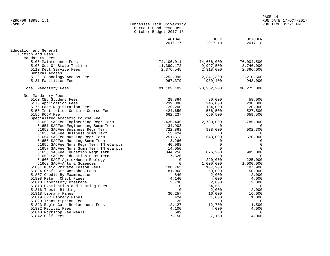| FZROF06 TBR8: 1.1                                                                                                                                                                                                           |                                                                              |                     |                               | RUN DATE 17-OCT-2017 |  |
|-----------------------------------------------------------------------------------------------------------------------------------------------------------------------------------------------------------------------------|------------------------------------------------------------------------------|---------------------|-------------------------------|----------------------|--|
| Form VI                                                                                                                                                                                                                     | Tennessee Tech University<br>Current Fund Revenues<br>October Budget 2017-18 |                     | RUN TIME 01:21 PM             |                      |  |
|                                                                                                                                                                                                                             | ACTUAL<br>$2016 - 17$                                                        | JULY<br>$2017 - 18$ | <b>OCTOBER</b><br>$2017 - 18$ |                      |  |
| Education and General                                                                                                                                                                                                       |                                                                              |                     |                               |                      |  |
| Tuition and Fees                                                                                                                                                                                                            |                                                                              |                     |                               |                      |  |
| Mandatory Fees                                                                                                                                                                                                              |                                                                              |                     |                               |                      |  |
| 5100 Maintenance Fees                                                                                                                                                                                                       | 74,106,011                                                                   | 74,656,000          | 76,004,500                    |                      |  |
| 5105 Out-Of-State Tuition                                                                                                                                                                                                   | 11,399,172                                                                   | 9,997,500           | 8,746,000                     |                      |  |
| 5110 Debt Service Fees                                                                                                                                                                                                      | 2,376,545                                                                    | 2,318,000           | 2,366,000                     |                      |  |
| General Access                                                                                                                                                                                                              |                                                                              |                     |                               |                      |  |
| 5120 Technology Access Fee                                                                                                                                                                                                  | 2,252,995                                                                    | 2,341,300           | 2,210,500                     |                      |  |
| 5131 Facilities Fee                                                                                                                                                                                                         | 967,379                                                                      | 939,400             | 948,000                       |                      |  |
| Total Mandatory Fees                                                                                                                                                                                                        | 91,102,102                                                                   | 90,252,200          | 90,275,000                    |                      |  |
| Non-Mandatory Fees                                                                                                                                                                                                          |                                                                              |                     |                               |                      |  |
|                                                                                                                                                                                                                             |                                                                              | 90,000              | 58,000                        |                      |  |
| 1-Mandatory rees<br>5160 CEU Student Fees<br>5170 Application Fees<br>5175 Late Registration Fees<br>5155 Institution On-Line Course Fee (424,650<br>5156 Institution On-Line Course Fee (424,650<br>5156 POD Ree (662,237) |                                                                              | 246,000             | 238,000                       |                      |  |
|                                                                                                                                                                                                                             |                                                                              |                     | 120,000                       |                      |  |
|                                                                                                                                                                                                                             |                                                                              | 134,000<br>556,500  | 527,500                       |                      |  |
|                                                                                                                                                                                                                             |                                                                              | 659,500             | 659,500                       |                      |  |
|                                                                                                                                                                                                                             |                                                                              |                     |                               |                      |  |
|                                                                                                                                                                                                                             |                                                                              | 2,780,000           | 2,785,000                     |                      |  |
|                                                                                                                                                                                                                             |                                                                              |                     |                               |                      |  |
|                                                                                                                                                                                                                             |                                                                              | 0<br>938,000        | 0<br>902,300                  |                      |  |
|                                                                                                                                                                                                                             |                                                                              | $\overline{a}$      | $\Omega$                      |                      |  |
|                                                                                                                                                                                                                             |                                                                              | $543,000$           | 570,000                       |                      |  |
|                                                                                                                                                                                                                             |                                                                              | $\overline{0}$      | $\mathbf 0$                   |                      |  |
|                                                                                                                                                                                                                             |                                                                              | $\Omega$            | $\Omega$                      |                      |  |
|                                                                                                                                                                                                                             |                                                                              | $\Omega$            | $\Omega$                      |                      |  |
|                                                                                                                                                                                                                             |                                                                              | 876,200             | 985,000                       |                      |  |
|                                                                                                                                                                                                                             |                                                                              | $\overline{0}$      | $\Omega$                      |                      |  |
|                                                                                                                                                                                                                             |                                                                              | 220,000             | 225,000                       |                      |  |
|                                                                                                                                                                                                                             |                                                                              | 1,000,000           | 1,000,000                     |                      |  |
|                                                                                                                                                                                                                             |                                                                              | 107,900             | 107,900                       |                      |  |
|                                                                                                                                                                                                                             |                                                                              | 50,000              | 50,000                        |                      |  |
|                                                                                                                                                                                                                             |                                                                              | 2,000               | 2,000                         |                      |  |
|                                                                                                                                                                                                                             |                                                                              | 4,000               | 4,000                         |                      |  |
|                                                                                                                                                                                                                             |                                                                              | 2,800               | 2,800                         |                      |  |
|                                                                                                                                                                                                                             |                                                                              | 54,551              | $\sim$ 0                      |                      |  |
|                                                                                                                                                                                                                             |                                                                              | 2,000               | 2,000                         |                      |  |
|                                                                                                                                                                                                                             |                                                                              | 16,000              | 16,000                        |                      |  |
|                                                                                                                                                                                                                             |                                                                              | 1,000               | 1,000                         |                      |  |
|                                                                                                                                                                                                                             |                                                                              | $\overline{0}$      | $\Omega$                      |                      |  |
|                                                                                                                                                                                                                             |                                                                              | 12,700              | 11,500                        |                      |  |
|                                                                                                                                                                                                                             |                                                                              | 4,000               | 4,000                         |                      |  |
| 51840 Workshop Fee Meals                                                                                                                                                                                                    | 589                                                                          | $\overline{0}$      | $\mathbf 0$                   |                      |  |
| 51842 Golf Fees                                                                                                                                                                                                             | 7,150                                                                        | 7,150               | 14,000                        |                      |  |

PAGE 14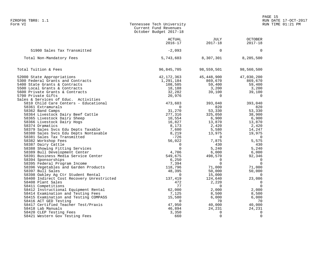FZROF06 TBR8: 1.1 RUN DATE 17-OCT-2017 Form VI Tennessee Tech University RUN TIME 01:21 PM Current Fund Revenues October Budget 2017-18 ACTUAL JULY OCTOBER 2016-17 2017-18 2017-18 51900 Sales Tax Transmitted -2,093 0 0 Total Non-Mandatory Fees 2012 12:00 12:00 13:00 5,743,603 8,307,301 8,285,500 Total Tuition & Fees 96,845,705 98,559,501 98,560,500 52000 State Appropriations 42,172,363 45,448,900 47,030,200 5300 Federal Grants and Contracts 1,291,184 869,670 869,670 5400 State Grants & Contracts 108,505 59,400 59,400 5500 Local Grants & Contracts 18,188 3,200 3,200 5600 Private Grants & Contracts 32,282 39,100 39,100 5700 Private Gifts 20,976 0 0 Sales & Services of Educ. Activities 5810 Child Care Centers - Educational 473,603 393,040 393,040 58361 Extramurals 0 820 820 58362 Band Camps 31,270 53,330 53,330 58364 Livestock Dairy Beef Cattle 277,316 325,050 38,900 58365 Livestock Dairy Sheep 10,554 6,900 6,900 58366 Livestock Dairy Hogs 16,827 13,870 13,870 58374 Dramatics 8,173 2,420 2,420 58379 Sales Svcs Edu Depts Taxable 7,600 5,580 14,247 58380 Sales Svcs Edu Depts Nontaxable 8,219 13,975 19,975 58381 Sales Tax Transmitted -726 0 0 58382 Workshop Fees 56,022 7,875 5,575 58387 Dairy Cattle 0 430 430 58388 Showing Fitting Services 0 5,240 5,240 58389 Bull Development Center 4,706 6,000 6,000 58391 Business Media Service Center 549,675 498,570 92,346 58394 Sponsorships 6,250 0 0 58395 Federal Program Income 7,394 0 0 58396 Vegetables and Garden Products 118,796 71,000 71,000 58397 Bull Sales 48,395 50,000 50,000 58398 Oakley Ag Ctr Student Rental 0 15,000 0 58400 Indirect Cost Recovery Unrestricted 137,419 124,640 23,086 58408 Plant Sales 472 2,220 0 58411 Competitions 77 0 0 58412 Instructional Equipment Rental 62,000 2,000 2,000 58414 Examination and Testing Fees 7,125 8,500 8,500 58415 Examination and Testing COMPASS 15,580 6,000 6,000 58416 ACT GED Testing 0 70 70 58417 Certified Teacher Test/Praxis 47,950 40,000 40,000 58418 Lab Manuals 46,894 24,231 24,231 58420 CLEP Testing Fees 3,350 0 0 58421 Western Gov Testing Fees 660 0 0

en and the set of the set of the set of the set of the set of the set of the set of the set of the set of the set of the set of the set of the set of the set of the set of the set of the set of the set of the set of the se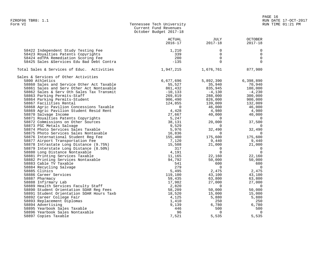| Tennessee Tech University |
|---------------------------|
| Current Fund Revenues     |
| October Budget 2017-18    |
|                           |

|                                                                                   | <b>ACTUAL</b><br>$2016 - 17$ | <b>JULY</b><br>$2017 - 18$ | <b>OCTOBER</b><br>$2017 - 18$ |
|-----------------------------------------------------------------------------------|------------------------------|----------------------------|-------------------------------|
|                                                                                   |                              |                            |                               |
| 58422 Independent Study Testing Fee                                               | 1,210                        | $\Omega$                   | 0                             |
| 58423 Royalties Patents Copyrights                                                | 339                          | $\mathbf 0$                | $\mathbf 0$                   |
| 58424 edTPA Remediation Scoring Fee<br>58425 Sales & Services Edu Bad Debt Contra | 200<br>$-135$                | $\mathbf 0$<br>$\Omega$    | $\mathbf 0$<br>$\Omega$       |
|                                                                                   |                              |                            |                               |
| Total Sales & Services of Educ. Activities                                        | 1,947,215                    | 1,676,761                  | 877,980                       |
| Sales & Services of Other Activities                                              |                              |                            |                               |
| 5800 Athletics                                                                    | 6,677,696                    | 5,892,390                  | 6,398,890                     |
| 58860 Sales and Service Other Act Taxable                                         | 55,527                       | 35,940                     | 70,940                        |
| 58861 Sales and Serv Other Act Nontaxable                                         | 861,432                      | 835,945                    | 180,000                       |
| 58862 Sales & Serv Oth Sales Tax Transmit                                         | $-10, 133$                   | $-4,130$                   | $-4,230$                      |
| 58863 Parking Permits-Staff                                                       | 269,819                      | 288,000                    | 300,000                       |
| 58864 Parking Permits-Student                                                     | 906,490                      | 826,000                    | 900,000                       |
| 58867 Facilities Rental                                                           | 124,855                      | 139,009                    | 132,009                       |
| 58868 Agric Pavilion Concessions Taxable                                          | $\mathbf 0$                  | 46,000                     | 46,000                        |
| 58869 Agric Pavilion Student Resid Rent                                           | 4,428                        | 4,980                      | 4,980                         |
| 58870 Salvage Income                                                              | 27,667                       | 40,000                     | 40,000                        |
| 58871 Royalties Patents Copyrights                                                | 5,247                        | 0                          | $\overline{0}$                |
| 58872 Commissions on Other Sources                                                | 38,131                       | 20,000                     | 37,500                        |
| 58873 PSC Metals Salvage                                                          | 9,529                        | $\Omega$                   | $\Omega$                      |
| 58874 Photo Services Sales Taxable                                                | 5,976                        | 32,490                     | 32,490                        |
| 58875 Photo Services Sales Nontaxable                                             | 16,836                       | $\Omega$                   | $\overline{0}$                |
| 58876 International Student Req Fee                                               | 155,400                      | 175,600                    | 175,600                       |
| 58877 Airport Transportation Fee                                                  | 7,120                        | 9,440                      | 9,440                         |
| 58878 Intrastate Long Distance (9.75%)                                            | 15,508                       | 21,000                     | 21,000                        |
| 58879 Interstate Long Distance (8.50%)                                            | 317                          | 0                          | $\overline{0}$                |
| 58880 Long Distance Nontaxable                                                    | 4,191                        | $\Omega$                   | $\overline{0}$                |
| 58881 Printing Services Taxable                                                   | 11,165                       | 22,160                     | 22,160                        |
| 58882 Printing Services Nontaxable                                                | 94,792                       | 50,000                     | 50,000                        |
| 58883 Cable TV Taxable                                                            | 541                          | 600                        | 600                           |
| 58884 Recycling Salvage                                                           | 279                          | $\mathbf 0$                | $\overline{0}$                |
| 58885 Clinics                                                                     | 5,495                        | 2,475                      | 2,475                         |
| 58886 Career Services                                                             | 119,100                      | 43,100                     | 43,100                        |
| 58887 Pharmacy                                                                    | 59,435                       | 63,800                     | 63,800                        |
| 58888 Infirmary Lab                                                               | 17,982                       | 27,000                     | 27,000                        |
| 58889 Health Services Faculty Staff                                               | 2,820                        | $\mathbf 0$                | $\overline{0}$                |
| 58890 Student Orientation SOAR Req Fees                                           | 58,209                       | 50,000                     | 50,000                        |
| 58891 Student Orientation SOAR Hours Taxb                                         | 18,520                       | 15,000                     | 15,000                        |
| 58892 Career College Fair                                                         | 4,125                        | 5,880                      | 5,880                         |
| 58893 Replacement Diplomas                                                        | 1,410                        | 250                        | 250                           |
| 58894 Advertising                                                                 | 9,139                        | 6,780                      | 6,780                         |
| 58895 Yearbook Sales Taxable                                                      | 446                          | 500                        | 500                           |
| 58896 Yearbook Sales Nontaxable                                                   | 96                           | $\mathbf 0$                | $\overline{0}$                |
| 58897 Copies Taxable                                                              | 7,521                        | 5,535                      | 5,535                         |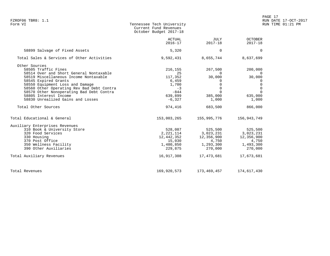| FZROF06 TBR8: 1.1<br>Form VI                                                                                                                                                                                                                                                                                                                                      | Tennessee Tech University<br>Current Fund Revenues<br>October Budget 2017-18                   |                                                                                                        |                                                                                   | LAGE II<br>RUN DATE 17-OCT-2017<br>RUN TIME 01:21 PM |  |
|-------------------------------------------------------------------------------------------------------------------------------------------------------------------------------------------------------------------------------------------------------------------------------------------------------------------------------------------------------------------|------------------------------------------------------------------------------------------------|--------------------------------------------------------------------------------------------------------|-----------------------------------------------------------------------------------|------------------------------------------------------|--|
|                                                                                                                                                                                                                                                                                                                                                                   | ACTUAL<br>$2016 - 17$                                                                          | JULY<br>$2017 - 18$                                                                                    | <b>OCTOBER</b><br>$2017 - 18$                                                     |                                                      |  |
| 58899 Salvage of Fixed Assets                                                                                                                                                                                                                                                                                                                                     | 5,320                                                                                          | $\Omega$                                                                                               |                                                                                   | 0                                                    |  |
| Total Sales & Services of Other Activities                                                                                                                                                                                                                                                                                                                        | 9,592,431                                                                                      | 8,655,744                                                                                              | 8,637,699                                                                         |                                                      |  |
| Other Sources<br>58505 Traffic Fines<br>58514 Over and Short General Nontaxable<br>58519 Miscellaneous Income Nontaxable<br>58545 Expired Grants<br>58550 Equipment Loss and Damage<br>58560 Other Operating Rev Bad Debt Contra<br>58570 Other Nonoperating Bad Debt Contra<br>58805 Interest Income<br>58830 Unrealized Gains and Losses<br>Total Other Sources | 216,155<br>25<br>117,352<br>6,459<br>1,700<br>$-3$<br>$-844$<br>639,899<br>$-6,327$<br>974,416 | 267,500<br>$\Omega$<br>30,000<br>$\Omega$<br>$\overline{0}$<br>$\Omega$<br>385,000<br>1,000<br>683,500 | 200,000<br>$\overline{\phantom{0}}$<br>30,000<br>635,000<br>1,000<br>866,000      | 0<br>$\Omega$<br>$\mathbf 0$<br>$\Omega$             |  |
| Total Educational & General                                                                                                                                                                                                                                                                                                                                       | 153,003,265                                                                                    | 155,995,776                                                                                            | 156,943,749                                                                       |                                                      |  |
| Auxiliary Enterprises Revenues<br>310 Book & University Store<br>320 Food Services<br>330 Housing<br>370 Post Office<br>350 Wellness Facility<br>390 Other Auxiliaries<br>Total Auxiliary Revenues                                                                                                                                                                | 528,087<br>2,221,114<br>12,442,352<br>15,030<br>1,480,850<br>229,875<br>16,917,308             | 525,500<br>3,023,231<br>12,356,900<br>4,750<br>1,293,300<br>270,000<br>17,473,681                      | 525,500<br>3,023,231<br>12,356,900<br>4,750<br>1,493,300<br>270,000<br>17,673,681 |                                                      |  |
| Total Revenues                                                                                                                                                                                                                                                                                                                                                    | 169,920,573                                                                                    | 173,469,457                                                                                            | 174,617,430                                                                       |                                                      |  |

PAGE 17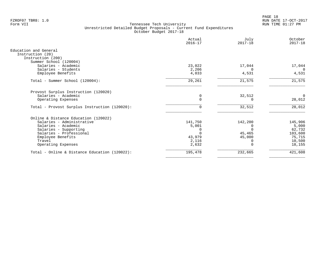PAGE 18 FZROF07 TBR8: 1.0 RUN DATE 17-OCT-2017

|                                                                                          | Actual<br>$2016 - 17$ | July<br>$2017 - 18$ | October<br>$2017 - 18$ |
|------------------------------------------------------------------------------------------|-----------------------|---------------------|------------------------|
| Education and General<br>Instruction (20)<br>Instruction (200)<br>Summer School (120004) |                       |                     |                        |
| Salaries - Academic                                                                      | 23,022                | 17,044              | 17,044                 |
| Salaries - Students                                                                      | 2,206                 | $\cap$              | $\Omega$               |
| Employee Benefits                                                                        | 4,033                 | 4,531               | 4,531                  |
| Total - Summer School (120004):                                                          | 29,261                | 21,575              | 21,575                 |
| Provost Surplus Instruction (120020)                                                     |                       |                     |                        |
| Salaries - Academic                                                                      | 0                     | 32,512              | $\Omega$               |
| Operating Expenses                                                                       | $\Omega$              |                     | 28,012                 |
| Total - Provost Surplus Instruction (120020):                                            | 0                     | 32,512              | 28,012                 |
| Online & Distance Education (120022)                                                     |                       |                     |                        |
| Salaries - Administrative                                                                | 141,750               | 142,200             | 145,906                |
| Salaries - Academic                                                                      | 5,001                 |                     | 5,000                  |
| Salaries - Supporting                                                                    |                       |                     | 62,732                 |
| Salaries - Professional                                                                  |                       | 45,465              | 103,600                |
| Employee Benefits                                                                        | 43,979                | 45,000              | 75,715                 |
| Travel<br>Operating Expenses                                                             | 2,116<br>2,632        |                     | 10,500<br>18,155       |
| Total - Online & Distance Education (120022):                                            | 195,478               | 232,665             | 421,608                |
|                                                                                          |                       |                     |                        |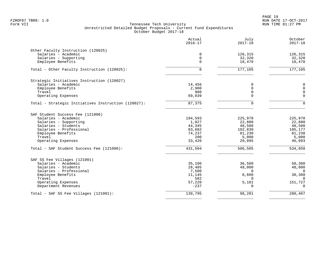PAGE 19 FZROF07 TBR8: 1.0 RUN DATE 17-OCT-2017

|                                                     | Actual<br>$2016 - 17$ | July<br>$2017 - 18$ | October<br>$2017 - 18$ |
|-----------------------------------------------------|-----------------------|---------------------|------------------------|
| Other Faculty Instruction (120025)                  |                       |                     |                        |
| Salaries - Academic                                 | 0                     | 126,315             | 126,315                |
| Salaries - Supporting                               | 0                     | 32,320              | 32,320                 |
| Employee Benefits                                   | $\Omega$              | 18,470              | 18,470                 |
| Total - Other Faculty Instruction (120025):         | $\Omega$              | 177,105             | 177,105                |
| Strategic Initiatives Instruction (120027)          |                       |                     |                        |
| Salaries - Academic                                 | 14,456                | 0                   | 0                      |
| Employee Benefits                                   | 2,900                 | $\Omega$            | $\mathbf 0$            |
| Travel                                              | 980                   | $\Omega$            | $\mathbf 0$            |
| Operating Expenses                                  | 69,039                | $\Omega$            | $\Omega$               |
| Total - Strategic Initiatives Instruction (120027): | 87,375                | $\Omega$            | $\Omega$               |
| SAF Student Success Fee (121000)                    |                       |                     |                        |
| Salaries - Academic                                 | 194,593               | 225,970             | 225,970                |
| Salaries - Supporting                               | 1,027                 | 22,880              | 22,880                 |
| Salaries - Students                                 | 44,345                | 48,500              | 48,500                 |
| Salaries - Professional                             | 83,682                | 102,830             | 105,177                |
| Employee Benefits                                   | 74,237                | 81,230              | 81,230                 |
| Travel<br>Operating Expenses                        | 200<br>33,420         | 5,000<br>20,095     | 5,000<br>46,093        |
|                                                     |                       |                     |                        |
| Total - SAF Student Success Fee (121000):           | 431,504               | 506,505             | 534,850                |
| SAF SS Fee Villages (121001)                        |                       |                     |                        |
| Salaries - Academic                                 | 35,100                | 36,500              | 50,300                 |
| Salaries - Students                                 | 28,485                | 48,000              | 48,000                 |
| Salaries - Professional                             | 7,500                 | $\mathbf 0$         | $\mathbf 0$            |
| Employee Benefits<br>Travel                         | 11,145<br>582         | 8,600<br>$\Omega$   | 30,380                 |
| Operating Expenses                                  | 57,220                | 5,181               | 0<br>151,727           |
| Department Revenues                                 | $-237$                | $\Omega$            | $\Omega$               |
| Total - SAF SS Fee Villages (121001):               | 139,795               | 98,281              | 280,407                |
|                                                     |                       |                     |                        |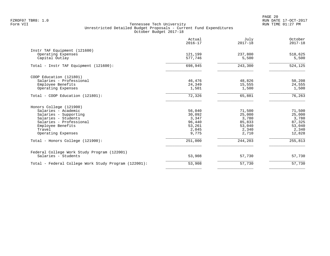PAGE 20 FZROF07 TBR8: 1.0 RUN DATE 17-OCT-2017

|                                                                         | Actual<br>$2016 - 17$ | July<br>$2017 - 18$ | October<br>$2017 - 18$ |
|-------------------------------------------------------------------------|-----------------------|---------------------|------------------------|
| Instr TAF Equipment (121600)<br>Operating Expenses<br>Capital Outlay    | 121,199<br>577,746    | 237,800<br>5,500    | 518,625<br>5,500       |
| Total - Instr TAF Equipment (121600):                                   | 698,945               | 243,300             | 524,125                |
| COOP Education (121801)<br>Salaries - Professional<br>Employee Benefits | 46,476<br>24,349      | 48,826<br>15,555    | 50,208<br>24,555       |
| Operating Expenses                                                      | 1,501                 | 1,500               | 1,500                  |
| Total - COOP Education (121801):                                        | 72,326                | 65,881              | 76,263                 |
| Honors College (121900)                                                 |                       |                     |                        |
| Salaries - Academic                                                     | 56,040                | 71,500              | 71,500                 |
| Salaries - Supporting                                                   | 30,092                | 25,000              | 25,000                 |
| Salaries - Students                                                     | 3,347<br>96,440       | 3,780               | 3,780                  |
| Salaries - Professional<br>Employee Benefits                            | 53,261                | 85,833<br>53,040    | 87,325<br>53,040       |
| Travel                                                                  | 2,045                 | 2,340               | 2,340                  |
| Operating Expenses                                                      | 9,775                 | 2,710               | 12,828                 |
| Total - Honors College (121900):                                        | 251,000               | 244,203             | 255,813                |
| Federal College Work Study Program (122001)                             |                       |                     |                        |
| Salaries - Students                                                     | 53,908                | 57,730              | 57,730                 |
| Total - Federal College Work Study Program (122001):                    | 53,908                | 57,730              | 57,730                 |
|                                                                         |                       |                     |                        |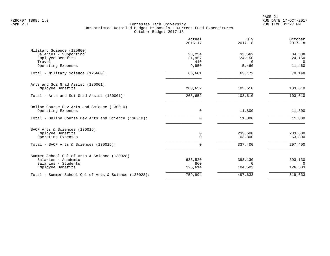PAGE 21 FZROF07 TBR8: 1.0 RUN DATE 17-OCT-2017

|                                                                                                                 | Actual<br>$2016 - 17$     | July<br>$2017 - 18$            | October<br>$2017 - 18$         |
|-----------------------------------------------------------------------------------------------------------------|---------------------------|--------------------------------|--------------------------------|
| Military Science (125600)<br>Salaries - Supporting<br>Employee Benefits<br>Travel                               | 33,254<br>21,957<br>440   | 33,562<br>24,150<br>$\cap$     | 34,538<br>24,150<br>$\Omega$   |
| Operating Expenses                                                                                              | 9,950                     | 5,460                          | 11,460                         |
| Total - Military Science (125600):                                                                              | 65,601                    | 63,172                         | 70,148                         |
| Arts and Sci Grad Assist (130001)<br>Employee Benefits                                                          | 268,652                   | 103,610                        | 103,610                        |
| Total - Arts and Sci Grad Assist (130001):                                                                      | 268,652                   | 103,610                        | 103,610                        |
| Online Course Dev Arts and Science (130010)<br>Operating Expenses                                               | 0                         | 11,800                         | 11,800                         |
| Total - Online Course Dev Arts and Science (130010):                                                            | 0                         | 11,800                         | 11,800                         |
| SACF Arts & Sciences (130016)<br>Employee Benefits<br>Operating Expenses                                        | 0<br>$\Omega$             | 233,600<br>103,800             | 233,600<br>63,800              |
| Total - SACF Arts & Sciences (130016):                                                                          | $\Omega$                  | 337,400                        | 297,400                        |
| Summer School Col of Arts & Science (130028)<br>Salaries - Academic<br>Salaries - Students<br>Employee Benefits | 633,520<br>860<br>125,614 | 393,130<br>$\Omega$<br>104,503 | 393,130<br>$\Omega$<br>126,503 |
| Total - Summer School Col of Arts & Science (130028):                                                           | 759,994                   | 497,633                        | 519,633                        |
|                                                                                                                 |                           |                                |                                |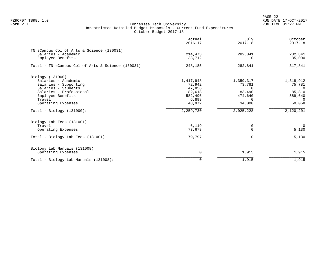PAGE 22 FZROF07 TBR8: 1.0 RUN DATE 17-OCT-2017

|                                                                                                                                                                                                        | Actual<br>$2016 - 17$                                                              | July<br>$2017 - 18$                                                                     | October<br>$2017 - 18$                                                                  |
|--------------------------------------------------------------------------------------------------------------------------------------------------------------------------------------------------------|------------------------------------------------------------------------------------|-----------------------------------------------------------------------------------------|-----------------------------------------------------------------------------------------|
| TN eCampus Col of Arts & Science (130031)<br>Salaries - Academic<br>Employee Benefits                                                                                                                  | 214,473<br>33,712                                                                  | 282,841<br>$\Omega$                                                                     | 282,841<br>35,000                                                                       |
| Total - TN eCampus Col of Arts & Science (130031):                                                                                                                                                     | 248,185                                                                            | 282,841                                                                                 | 317,841                                                                                 |
| Biology (131000)<br>Salaries - Academic<br>Salaries - Supporting<br>Salaries - Students<br>Salaries - Professional<br>Employee Benefits<br>Travel<br>Operating Expenses<br>$Total - Biology (131000):$ | 1,417,948<br>72,942<br>47,856<br>82,618<br>582,496<br>6,898<br>48,972<br>2,259,730 | 1,359,317<br>73,781<br>$\Omega$<br>83,490<br>474,640<br>$\Omega$<br>34,000<br>2,025,228 | 1,318,912<br>75,781<br>$\Omega$<br>85,810<br>589,640<br>$\Omega$<br>50,058<br>2,120,201 |
|                                                                                                                                                                                                        |                                                                                    |                                                                                         |                                                                                         |
| Biology Lab Fees (131001)<br>Travel<br>Operating Expenses                                                                                                                                              | 6,119<br>73,678                                                                    | 0<br>$\Omega$                                                                           | $\mathbf 0$<br>5,130                                                                    |
| Total - Biology Lab Fees (131001):                                                                                                                                                                     | 79,797                                                                             | $\Omega$                                                                                | 5,130                                                                                   |
| Biology Lab Manuals (131008)<br>Operating Expenses                                                                                                                                                     | $\mathbf 0$                                                                        | 1,915                                                                                   | 1,915                                                                                   |
| Total - Biology Lab Manuals (131008):                                                                                                                                                                  | 0                                                                                  | 1,915                                                                                   | 1,915                                                                                   |
|                                                                                                                                                                                                        |                                                                                    |                                                                                         |                                                                                         |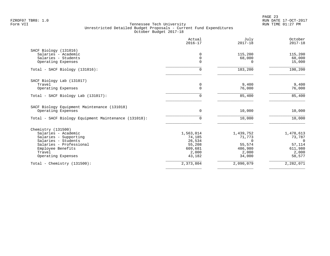PAGE 23 FZROF07 TBR8: 1.0 RUN DATE 17-OCT-2017

| Actual<br>$2016 - 17$ | July<br>$2017 - 18$                                                         | October<br>$2017 - 18$                                                        |
|-----------------------|-----------------------------------------------------------------------------|-------------------------------------------------------------------------------|
|                       |                                                                             |                                                                               |
| $\Omega$              | 115,200                                                                     | 115,200                                                                       |
|                       |                                                                             | 68,000                                                                        |
|                       |                                                                             | 15,000                                                                        |
| $\Omega$              | 183,200                                                                     | 198,200                                                                       |
|                       |                                                                             |                                                                               |
| 0                     |                                                                             | 9,400                                                                         |
|                       |                                                                             | 76,000                                                                        |
|                       | 85,400                                                                      | 85,400                                                                        |
|                       |                                                                             |                                                                               |
| 0                     | 10,000                                                                      | 10,000                                                                        |
| 0                     | 10,000                                                                      | 10,000                                                                        |
|                       |                                                                             |                                                                               |
| 1,563,014             | 1,439,752                                                                   | 1,478,613                                                                     |
| 74,185                | 71,773                                                                      | 73,787                                                                        |
|                       |                                                                             | $\Omega$                                                                      |
|                       |                                                                             | 57,114                                                                        |
|                       |                                                                             | 611,980                                                                       |
|                       |                                                                             | 2,000                                                                         |
|                       |                                                                             | 58,577                                                                        |
| 2,373,804             | 2,090,079                                                                   | 2,282,071                                                                     |
|                       | 0<br>$\Omega$<br>$\Omega$<br>26,534<br>55,208<br>609,681<br>2,000<br>43,182 | 68,000<br>$\Omega$<br>9,400<br>76,000<br>55,574<br>486,980<br>2,000<br>34,000 |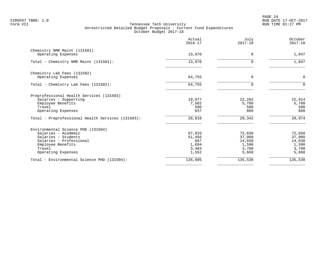PAGE 24 FZROF07 TBR8: 1.0 RUN DATE 17-OCT-2017

|                                                                                                                                                                  | Actual<br>$2016 - 17$                              | July<br>$2017 - 18$                                   | October<br>$2017 - 18$                                |
|------------------------------------------------------------------------------------------------------------------------------------------------------------------|----------------------------------------------------|-------------------------------------------------------|-------------------------------------------------------|
| Chemistry NMR Maint (131501)<br>Operating Expenses                                                                                                               | 13,976                                             | $\Omega$                                              | 1,847                                                 |
|                                                                                                                                                                  |                                                    |                                                       |                                                       |
| Total - Chemistry NMR Maint (131501):                                                                                                                            | 13,976                                             | $\Omega$                                              | 1,847                                                 |
| Chemistry Lab Fees (131502)<br>Operating Expenses                                                                                                                | 64,755                                             | $\mathbf 0$                                           | 0                                                     |
| Total - Chemistry Lab Fees (131502):                                                                                                                             | 64,755                                             | $\Omega$                                              | $\Omega$                                              |
| Preprofessional Health Services (131503)<br>Salaries - Supporting<br>Employee Benefits<br>Travel<br>Operating Expenses                                           | 19,977<br>7,502<br>500<br>837                      | 22,282<br>5,700<br>500<br>860                         | 22,914<br>5,700<br>500<br>860                         |
| Total - Preprofessional Health Services (131503):                                                                                                                | 28,816                                             | 29,342                                                | 29,974                                                |
| Environmental Science PHD (131504)<br>Salaries - Academic<br>Salaries - Students<br>Salaries - Professional<br>Employee Benefits<br>Travel<br>Operating Expenses | 67,833<br>51,456<br>667<br>1,694<br>3,403<br>1,552 | 72,650<br>37,900<br>14,030<br>1,590<br>3,700<br>5,660 | 72,650<br>37,900<br>14,030<br>1,590<br>3,700<br>5,660 |
| Total - Environmental Science PHD (131504):                                                                                                                      | 126,605                                            | 135,530                                               | 135,530                                               |
|                                                                                                                                                                  |                                                    |                                                       |                                                       |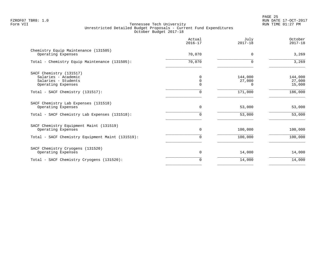PAGE 25 FZROF07 TBR8: 1.0 RUN DATE 17-OCT-2017

| 3,269<br>3,269              |
|-----------------------------|
|                             |
|                             |
| 144,000<br>27,000<br>15,000 |
| 186,000                     |
| 53,000                      |
| 53,000                      |
| 100,000                     |
| 100,000                     |
| 14,000                      |
| 14,000                      |
|                             |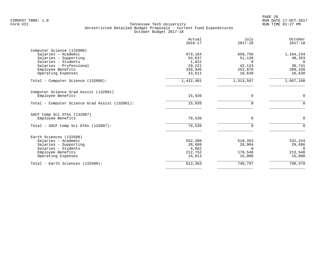|                                                | Actual<br>$2016 - 17$ | July<br>$2017 - 18$ | October<br>$2017 - 18$ |
|------------------------------------------------|-----------------------|---------------------|------------------------|
| Computer Science (132000)                      |                       |                     |                        |
| Salaries - Academic                            | 973,164               | 950,756             | 1,164,234              |
| Salaries - Supporting                          | 54,637                | 51,128              | 48,353                 |
| Salaries - Students                            | 1,822                 | $\Omega$            | $\Omega$               |
| Salaries - Professional                        | 29,221                | 42,123              | 38,741                 |
| Employee Benefits                              | 339,946               | 252,870             | 399,150                |
| Operating Expenses                             | 33,611                | 16,630              | 16,630                 |
| Total - Computer Science (132000):             | 1,432,401             | 1,313,507           | 1,667,108              |
| Computer Science Grad Assist (132001)          |                       |                     |                        |
| Employee Benefits                              | 15,920                | $\mathbf 0$         | 0                      |
| Total - Computer Science Grad Assist (132001): | 15,920                | $\mathbf 0$         | $\mathbf 0$            |
| SACF Comp Sci GTAs (132007)                    |                       |                     |                        |
| Employee Benefits                              | 79,539                | $\Omega$            | $\mathbf 0$            |
| Total - SACF Comp Sci GTAs (132007):           | 79,539                | $\Omega$            | $\Omega$               |
| Earth Sciences (132500)                        |                       |                     |                        |
| Salaries - Academic                            | 552,388               | 518,353             | 532,244                |
| Salaries - Supporting                          | 28,668                | 28,904              | 29,686                 |
| Salaries - Students                            | 4,662                 | $\Omega$            | $\Omega$               |
| Employee Benefits                              | 212,752               | 178,540             | 213,540                |
| Operating Expenses                             | 14,913                | 15,000              | 15,000                 |
| Total - Earth Sciences (132500):               | 813,383               | 740,797             | 790,470                |
|                                                |                       |                     |                        |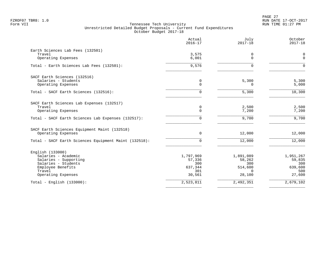|                                                       | Actual<br>$2016 - 17$ | July<br>$2017 - 18$ | October<br>$2017 - 18$ |
|-------------------------------------------------------|-----------------------|---------------------|------------------------|
| Earth Sciences Lab Fees (132501)<br>Travel            |                       |                     |                        |
| Operating Expenses                                    | 3,575<br>6,001        | 0<br>$\Omega$       | 0<br>$\mathbf 0$       |
| Total - Earth Sciences Lab Fees (132501):             | 9,576                 | $\Omega$            | $\Omega$               |
| SACF Earth Sciences (132516)                          |                       |                     |                        |
| Salaries - Students<br>Operating Expenses             | 0<br>0                | 5,300<br>0          | 5,300<br>5,000         |
| Total - SACF Earth Sciences (132516):                 | $\Omega$              | 5,300               | 10,300                 |
| SACF Earth Sciences Lab Expenses (132517)             |                       |                     |                        |
| Travel<br>Operating Expenses                          | 0<br>$\Omega$         | 2,500<br>7,200      | 2,500<br>7,200         |
| Total - SACF Earth Sciences Lab Expenses (132517):    | $\Omega$              | 9,700               | 9,700                  |
| SACF Earth Sciences Equipment Maint (132518)          |                       |                     |                        |
| Operating Expenses                                    | 0                     | 12,000              | 12,000                 |
| Total - SACF Earth Sciences Equipment Maint (132518): | $\Omega$              | 12,000              | 12,000                 |
| English (133000)                                      |                       |                     |                        |
| Salaries - Academic<br>Salaries - Supporting          | 1,797,969<br>57,336   | 1,891,089<br>58,262 | 1,951,267<br>59,835    |
| Salaries - Students                                   | 300                   | 300                 | 300                    |
| Employee Benefits                                     | 637,344               | 514,600             | 639,600                |
| Travel<br>Operating Expenses                          | 301<br>30,561         | $\Omega$<br>28,100  | 500<br>27,600          |
| Total - English $(133000)$ :                          | 2,523,811             | 2,492,351           | 2,679,102              |
|                                                       |                       |                     |                        |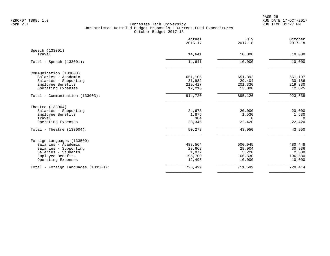|                                     | Actual<br>$2016 - 17$ | July<br>$2017 - 18$ | October<br>$2017 - 18$ |
|-------------------------------------|-----------------------|---------------------|------------------------|
| Speech (133001)                     |                       |                     |                        |
| Travel                              | 14,641                | 10,000              | 10,000                 |
| Total - Speech $(133001)$ :         | 14,641                | 10,000              | 10,000                 |
| Communication (133003)              |                       |                     |                        |
| Salaries - Academic                 | 651,105               | 651,392             | 661,197                |
| Salaries - Supporting               | 31,982                | 29,404              | 30,186                 |
| Employee Benefits                   | 219,417               | 201,330             | 219,330                |
| Operating Expenses                  | 12,216                | 13,000              | 12,825                 |
| Total - Communication (133003):     | 914,720               | 895,126             | 923,538                |
| Theatre (133004)                    |                       |                     |                        |
| Salaries - Supporting               | 24,673                | 20,000              | 20,000                 |
| Employee Benefits                   | 1,875                 | 1,530               | 1,530                  |
| Travel                              | 384                   | $\Omega$            | $\Omega$               |
| Operating Expenses                  | 23,346                | 22,420              | 22,420                 |
| Total - Theatre $(133004)$ :        | 50,278                | 43,950              | 43,950                 |
| Foreign Languages (133500)          |                       |                     |                        |
| Salaries - Academic                 | 488,564               | 500,945             | 480,448                |
| Salaries - Supporting               | 28,668                | 28,904              | 30,936                 |
| Salaries - Students                 | 1,072                 | 5,220               | 2,500                  |
| Employee Benefits                   | 195,700               | 166,530             | 196,530                |
| Operating Expenses                  | 12,495                | 10,000              | 10,000                 |
| Total - Foreign Languages (133500): | 726,499               | 711,599             | 720,414                |
|                                     |                       |                     |                        |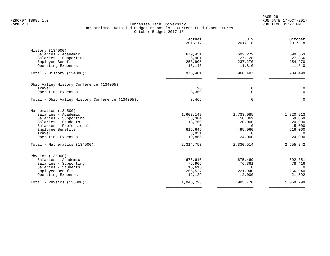PAGE 29 FZROF07 TBR8: 1.0 RUN DATE 17-OCT-2017

|                                                  | Actual<br>$2016 - 17$ | July<br>$2017 - 18$ | October<br>$2017 - 18$ |
|--------------------------------------------------|-----------------------|---------------------|------------------------|
| History (134000)                                 |                       |                     |                        |
| Salaries - Academic                              | 679,451               | 692,279             | 690,553                |
| Salaries - Supporting                            | 26,901                | 27,128              | 27,866                 |
| Employee Benefits                                | 253,906               | 237,270             | 254,270                |
| Operating Expenses                               | 16,143                | 11,810              | 11,810                 |
| Total - History $(134000)$ :                     | 976,401               | 968,487             | 984,499                |
| Ohio Valley History Conference (134005)          |                       |                     |                        |
| Travel                                           | 96                    | 0                   | $\pmb{0}$              |
| Operating Expenses                               | 3,369                 | $\mathbf 0$         | $\mathbf 0$            |
| Total - Ohio Valley History Conference (134005): | 3,465                 | $\Omega$            | $\Omega$               |
| Mathematics (134500)                             |                       |                     |                        |
| Salaries - Academic                              | 1,603,148             | 1,733,085           | 1,820,913              |
| Salaries - Supporting                            | 58,384                | 58,369              | 59,869                 |
| Salaries - Students                              | 13,760                | 20,000              | 20,000                 |
| Salaries - Professional                          | $\mathbf 0$           | $\Omega$            | 15,000                 |
| Employee Benefits                                | 615,645               | 495,060             | 616,060                |
| Travel                                           | 3,951                 | $\Omega$            | $\Omega$               |
| Operating Expenses                               | 19,865                | 24,000              | 24,000                 |
| Total - Mathematics (134500):                    | 2, 314, 753           | 2,330,514           | 2,555,842              |
| Physics (135000)                                 |                       |                     |                        |
| Salaries - Academic                              | 676,616               | 675,469             | 692,351                |
| Salaries - Supporting                            | 75,906                | 76,361              | 78,416                 |
| Salaries - Students                              | 15,615                | $\Omega$            | $\Omega$               |
| Employee Benefits                                | 266,527               | 221,940             | 266,940                |
| Operating Expenses                               | 12,129                | 12,000              | 21,592                 |
| Total - Physics $(135000)$ :                     | 1,046,793             | 985,770             | 1,059,299              |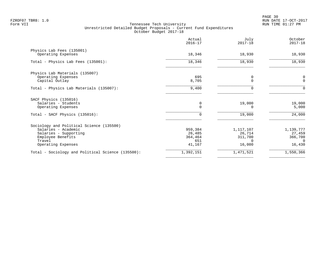|                                                                                                                                               | Actual<br>$2016 - 17$                         | July<br>$2017 - 18$                                  | October<br>$2017 - 18$                             |
|-----------------------------------------------------------------------------------------------------------------------------------------------|-----------------------------------------------|------------------------------------------------------|----------------------------------------------------|
| Physics Lab Fees (135001)<br>Operating Expenses                                                                                               | 18,346                                        | 18,930                                               | 18,930                                             |
| Total - Physics Lab Fees (135001):                                                                                                            | 18,346                                        | 18,930                                               | 18,930                                             |
| Physics Lab Materials (135007)<br>Operating Expenses<br>Capital Outlay                                                                        | 695<br>8,705                                  | 0<br>O                                               | $\mathsf 0$<br>$\mathbf 0$                         |
| Total - Physics Lab Materials (135007):                                                                                                       | 9,400                                         | 0                                                    | $\Omega$                                           |
| SACF Physics (135016)<br>Salaries - Students<br>Operating Expenses                                                                            | 0<br>$\Omega$                                 | 19,000<br>0                                          | 19,000<br>5,000                                    |
| Total - SACF Physics (135016):                                                                                                                | $\Omega$                                      | 19,000                                               | 24,000                                             |
| Sociology and Political Science (135500)<br>Salaries - Academic<br>Salaries - Supporting<br>Employee Benefits<br>Travel<br>Operating Expenses | 959,384<br>26,485<br>364,464<br>651<br>41,167 | 1,117,107<br>26,714<br>311,700<br>$\Omega$<br>16,000 | 1,139,777<br>27,459<br>366,700<br>$\cap$<br>16,430 |
| Total - Sociology and Political Science (135500):                                                                                             | 1,392,151                                     | 1,471,521                                            | 1,550,366                                          |
|                                                                                                                                               |                                               |                                                      |                                                    |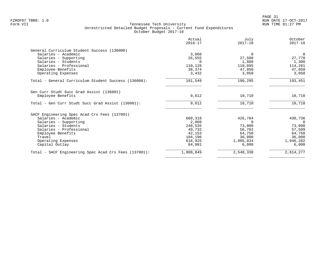| Actual<br>$2016 - 17$ | July<br>$2017 - 18$                             | October<br>$2017 - 18$                          |
|-----------------------|-------------------------------------------------|-------------------------------------------------|
|                       |                                                 |                                                 |
| 3,060                 | $\Omega$                                        | $\Omega$                                        |
| 26,555                | 27,500                                          | 27,770                                          |
| $\Omega$              | 1,800                                           | 1,300                                           |
| 110,128               | 110,895                                         | 114,281                                         |
| 38,374                | 47,050                                          | 47,050                                          |
|                       |                                                 | 3,050                                           |
| 181,549               | 190,295                                         | 193,451                                         |
| 9,612                 | 10,710                                          | 10,710                                          |
| 9,612                 | 10,710                                          | 10,710                                          |
|                       |                                                 |                                                 |
| 660,318               | 426,784                                         | 430,736                                         |
| 2,009                 | 0                                               | $\Omega$                                        |
| 248,535               | 73,000                                          | 73,000                                          |
| 49,732                | 56,762                                          | 57,509                                          |
|                       |                                                 | 64,750                                          |
|                       |                                                 | 36,000                                          |
|                       |                                                 | 1,946,282                                       |
|                       |                                                 | 6,000                                           |
| 1,808,849             | 2,548,330                                       | 2,614,277                                       |
|                       | 3,432<br>42,153<br>104,196<br>616,925<br>84,981 | 3,050<br>64,750<br>36,000<br>1,885,034<br>6,000 |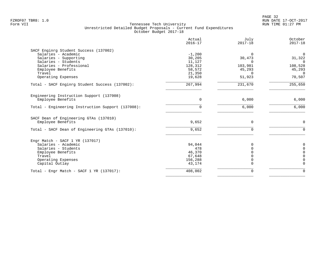|                                                   | Actual<br>$2016 - 17$ | July<br>$2017 - 18$ | October<br>$2017 - 18$ |
|---------------------------------------------------|-----------------------|---------------------|------------------------|
| SACF Enginrg Student Success (137002)             |                       |                     |                        |
| Salaries - Academic                               | $-1,200$              | $\Omega$            | $\mathbf 0$            |
| Salaries - Supporting                             | 30,205                | 30,473              | 31,322                 |
| Salaries - Students                               | 11,127                |                     | $\Omega$               |
| Salaries - Professional                           | 128,312               | 103,981             | 108,528                |
| Employee Benefits                                 | 58,572                | 45,293              | 45,293                 |
| Travel                                            | 21,350                |                     | $\Omega$               |
| Operating Expenses                                | 19,628                | 51,923              | 70,507                 |
| Total - SACF Enginrg Student Success (137002):    | 267,994               | 231,670             | 255,650                |
| Engineering Instruction Support (137008)          |                       |                     |                        |
| Employee Benefits                                 | $\Omega$              | 6,000               | 6,000                  |
| Total - Engineering Instruction Support (137008): | $\Omega$              | 6,000               | 6,000                  |
| SACF Dean of Engineering GTAs (137010)            |                       |                     |                        |
| Employee Benefits                                 | 9,652                 | $\mathbf 0$         | $\mathbf 0$            |
| Total - SACF Dean of Engineering GTAs (137010):   | 9,652                 | $\Omega$            | $\Omega$               |
| Engr Match - SACF $1$ YR (137017)                 |                       |                     |                        |
| Salaries - Academic                               | 94,044                |                     | 0                      |
| Salaries - Students                               | 478                   |                     | $\mathbf 0$            |
| Employee Benefits                                 | 46,370                |                     | $\Omega$               |
| Travel                                            | 67,648                |                     | $\Omega$               |
| Operating Expenses                                | 156,288               |                     | $\Omega$               |
| Capital Outlay                                    | 43,174                | $\Omega$            | $\mathbf 0$            |
| Total - Engr Match - SACF $1$ YR (137017):        | 408,002               | $\Omega$            | $\Omega$               |
|                                                   |                       |                     |                        |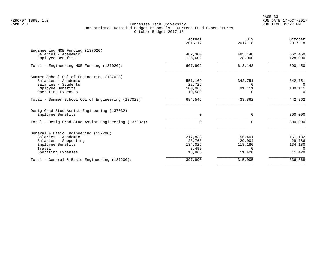|                                                      | Actual<br>$2016 - 17$ | July<br>$2017 - 18$ | October<br>$2017 - 18$ |
|------------------------------------------------------|-----------------------|---------------------|------------------------|
| Engineering MOE Funding (137020)                     |                       |                     |                        |
| Salaries - Academic                                  | 482,300               | 485,148             | 562,450                |
| Employee Benefits                                    | 125,602               | 128,000             | 128,000                |
| Total - Engineering MOE Funding (137020):            | 607,902               | 613,148             | 690,450                |
| Summer School Col of Engineering (137028)            |                       |                     |                        |
| Salaries - Academic                                  | 551,169               | 342,751             | 342,751                |
| Salaries - Students                                  | 22,725                | $\Omega$            | $\Omega$               |
| Employee Benefits                                    | 100,063               | 91,111              | 100,111                |
| Operating Expenses                                   | 10,589                | ∩                   | $\Omega$               |
| Total - Summer School Col of Engineering (137028):   | 684,546               | 433,862             | 442,862                |
| Desig Grad Stud Assist-Engineering (137032)          |                       |                     |                        |
| Employee Benefits                                    | $\Omega$              | $\Omega$            | 300,000                |
| Total - Desig Grad Stud Assist-Engineering (137032): | $\Omega$              | 0                   | 300,000                |
| General & Basic Engineering (137200)                 |                       |                     |                        |
| Salaries - Academic                                  | 217,833               | 156,401             | 161,182                |
| Salaries - Supporting                                | 28,768                | 29,004              | 29,786                 |
| Employee Benefits                                    | 134,025               | 118,180             | 134,180                |
| Travel                                               | 3,499                 | $\Omega$            | $\Omega$               |
| Operating Expenses                                   | 13,865                | 11,420              | 11,420                 |
| Total - General & Basic Engineering (137200):        | 397,990               | 315,005             | 336,568                |
|                                                      |                       |                     |                        |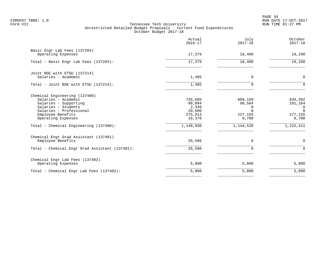PAGE 34 FZROF07 TBR8: 1.0 RUN DATE 17-OCT-2017

|                                                                                                                                                                                                                      | Actual<br>$2016 - 17$                                                  | July<br>$2017 - 18$                                                 | October<br>$2017 - 18$                                                            |
|----------------------------------------------------------------------------------------------------------------------------------------------------------------------------------------------------------------------|------------------------------------------------------------------------|---------------------------------------------------------------------|-----------------------------------------------------------------------------------|
| Basic Engr Lab Fees (137203)<br>Operating Expenses                                                                                                                                                                   | 17,379                                                                 | 18,400                                                              | 19,290                                                                            |
| Total - Basic Engr Lab Fees (137203):                                                                                                                                                                                | 17,379                                                                 | 18,400                                                              | 19,290                                                                            |
| Joint BSE with ETSU (137214)<br>Salaries - Academic                                                                                                                                                                  | 1,485                                                                  | 0                                                                   | $\mathbf 0$                                                                       |
| Total - Joint BSE with ETSU (137214):                                                                                                                                                                                | 1,485                                                                  | $\Omega$                                                            | $\Omega$                                                                          |
| Chemical Engineering (137400)<br>Salaries - Academic<br>Salaries - Supporting<br>Salaries - Students<br>Salaries - Professional<br>Employee Benefits<br>Operating Expenses<br>Total - Chemical Engineering (137400): | 735,605<br>98,094<br>2,340<br>20,600<br>275,913<br>16,378<br>1,148,930 | 809,169<br>98,504<br>0<br>$\Omega$<br>227,155<br>9,700<br>1,144,528 | 834,392<br>101,164<br>$\overline{0}$<br>$\Omega$<br>277,155<br>9,700<br>1,222,411 |
| Chemical Engr Grad Assistant (137401)<br>Employee Benefits                                                                                                                                                           | 35,596                                                                 | $\mathbf 0$                                                         | 0                                                                                 |
| Total - Chemical Engr Grad Assistant (137401):                                                                                                                                                                       | 35,596                                                                 | $\mathbf 0$                                                         | $\mathbf 0$                                                                       |
| Chemical Engr Lab Fees (137402)<br>Operating Expenses                                                                                                                                                                | 5,800                                                                  | 5,800                                                               | 5,800                                                                             |
| Total - Chemical Engr Lab Fees (137402):                                                                                                                                                                             | 5,800                                                                  | 5,800                                                               | 5,800                                                                             |
|                                                                                                                                                                                                                      |                                                                        |                                                                     |                                                                                   |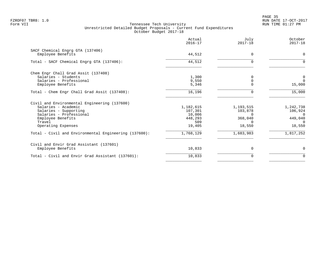en and the state of the state of the state of the state of the state of the state of the state of the state of the state of the state of the state of the state of the state of the state of the state of the state of the sta FZROF07 TBR8: 1.0 RUN DATE 17-OCT-2017

|                                                                                                                                                                              | Actual<br>$2016 - 17$                                      | July<br>$2017 - 18$                       | October<br>$2017 - 18$                                            |
|------------------------------------------------------------------------------------------------------------------------------------------------------------------------------|------------------------------------------------------------|-------------------------------------------|-------------------------------------------------------------------|
| SACF Chemical Engrg GTA (137406)<br>Employee Benefits                                                                                                                        | 44,512                                                     | $\Omega$                                  | $\Omega$                                                          |
| Total - SACF Chemical Engrg GTA (137406):                                                                                                                                    | 44,512                                                     | 0                                         | $\Omega$                                                          |
| Chem Engr Chall Grad Assit (137408)<br>Salaries - Students<br>Salaries - Professional<br>Employee Benefits                                                                   | 1,300<br>9,550<br>5,346                                    | <sup>0</sup><br>$\Omega$                  | 0<br>$\Omega$<br>15,000                                           |
| Total - Chem Engr Chall Grad Assit (137408):                                                                                                                                 | 16,196                                                     | $\Omega$                                  | 15,000                                                            |
| Civil and Environmental Engineering (137600)<br>Salaries - Academic<br>Salaries - Supporting<br>Salaries - Professional<br>Employee Benefits<br>Travel<br>Operating Expenses | 1,182,615<br>107,301<br>10,006<br>448,293<br>509<br>19,405 | 1,193,515<br>103,878<br>368,040<br>18,550 | 1,242,738<br>106,924<br>$\Omega$<br>449,040<br>$\Omega$<br>18,550 |
| Total - Civil and Environmental Engineering (137600):                                                                                                                        | 1,768,129                                                  | 1,683,983                                 | 1,817,252                                                         |
| Civil and Envir Grad Assistant (137601)<br>Employee Benefits                                                                                                                 | 10,833                                                     | 0                                         | $\mathbf 0$                                                       |
| Total - Civil and Envir Grad Assistant (137601):                                                                                                                             | 10,833                                                     | 0                                         | 0                                                                 |
|                                                                                                                                                                              |                                                            |                                           |                                                                   |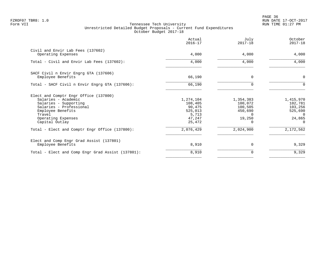en and the state of the state of the state of the state of the state of the state of the state of the state of the state of the state of the state of the state of the state of the state of the state of the state of the sta FZROF07 TBR8: 1.0 RUN DATE 17-OCT-2017

|                                                                                                                                                                                                                                           | Actual<br>$2016 - 17$                                                               | July<br>$2017 - 18$                                                           | October<br>$2017 - 18$                                                                    |
|-------------------------------------------------------------------------------------------------------------------------------------------------------------------------------------------------------------------------------------------|-------------------------------------------------------------------------------------|-------------------------------------------------------------------------------|-------------------------------------------------------------------------------------------|
| Civil and Envir Lab Fees (137602)<br>Operating Expenses                                                                                                                                                                                   | 4,000                                                                               | 4,000                                                                         | 4,000                                                                                     |
| Total - Civil and Envir Lab Fees (137602):                                                                                                                                                                                                | 4,000                                                                               | 4,000                                                                         | 4,000                                                                                     |
| SACF Civil n Envir Engrg GTA (137606)<br>Employee Benefits                                                                                                                                                                                | 66,190                                                                              | $\Omega$                                                                      | $\mathbf 0$                                                                               |
| Total - SACF Civil n Envir Engrg GTA (137606):                                                                                                                                                                                            | 66,190                                                                              |                                                                               | $\Omega$                                                                                  |
| Elect and Comptr Engr Office (137800)<br>Salaries - Academic<br>Salaries - Supporting<br>Salaries - Professional<br>Employee Benefits<br>Travel<br>Operating Expenses<br>Capital Outlay<br>Total - Elect and Comptr Engr Office (137800): | 1,274,104<br>108,405<br>90,475<br>525,013<br>5,713<br>47,247<br>25,472<br>2,076,429 | 1,354,383<br>100,072<br>100,505<br>450,690<br>$\Omega$<br>19,250<br>2,024,900 | 1,415,970<br>102,781<br>103,256<br>525,690<br>$\Omega$<br>24,865<br>$\Omega$<br>2,172,562 |
|                                                                                                                                                                                                                                           |                                                                                     |                                                                               |                                                                                           |
| Elect and Comp Engr Grad Assist (137801)<br>Employee Benefits                                                                                                                                                                             | 8,910                                                                               | $\Omega$                                                                      | 9,329                                                                                     |
| Total - Elect and Comp Engr Grad Assist (137801):                                                                                                                                                                                         | 8,910                                                                               | 0                                                                             | 9,329                                                                                     |
|                                                                                                                                                                                                                                           |                                                                                     |                                                                               |                                                                                           |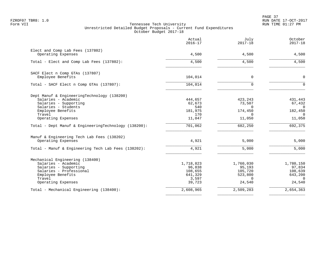PAGE 37 FZROF07 TBR8: 1.0 RUN DATE 17-OCT-2017

|                                                        | Actual<br>$2016 - 17$ | July<br>$2017 - 18$ | October<br>$2017 - 18$ |
|--------------------------------------------------------|-----------------------|---------------------|------------------------|
| Elect and Comp Lab Fees (137802)<br>Operating Expenses | 4,500                 | 4,500               | 4,500                  |
| Total - Elect and Comp Lab Fees (137802):              | 4,500                 | 4,500               | 4,500                  |
| SACF Elect n Comp GTAs (137807)                        |                       |                     |                        |
| Employee Benefits                                      | 104,014               | 0                   | $\mathbf 0$            |
| Total - SACF Elect n Comp GTAs (137807):               | 104,014               | $\Omega$            | $\Omega$               |
| Dept Manuf & EngineeringTechnology (138200)            |                       |                     |                        |
| Salaries - Academic<br>Salaries - Supporting           | 444,657<br>62,673     | 423,243<br>73,507   | 431,443<br>67,432      |
| Salaries - Students                                    | 540                   | $\Omega$            | $\Omega$               |
| Employee Benefits                                      | 181,975               | 174,450             | 182,450                |
| Travel                                                 | 170                   | $\Omega$            | $\Omega$               |
| Operating Expenses                                     | 11,047                | 11,050              | 11,050                 |
| Total - Dept Manuf & EngineeringTechnology (138200):   | 701,062               | 682,250             | 692,375                |
| Manuf & Engineering Tech Lab Fees (138202)             |                       |                     |                        |
| Operating Expenses                                     | 4,921                 | 5,000               | 5,000                  |
| Total - Manuf & Engineering Tech Lab Fees (138202):    | 4,921                 | 5,000               | 5,000                  |
| Mechanical Engineering (138400)                        |                       |                     |                        |
| Salaries - Academic                                    | 1,718,823             | 1,760,030           | 1,780,150              |
| Salaries - Supporting<br>Salaries - Professional       | 96,838                | 95,193              | 97,834                 |
| Employee Benefits                                      | 108,655<br>641,329    | 105,720<br>523,800  | 108,639<br>643,200     |
| Travel                                                 | 3,597                 | $\Omega$            | $\Omega$               |
| Operating Expenses                                     | 39,723                | 24,540              | 24,540                 |
| Total - Mechanical Engineering (138400):               | 2,608,965             | 2,509,283           | 2,654,363              |
|                                                        |                       |                     |                        |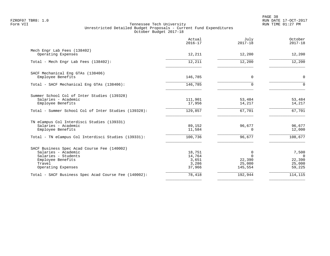PAGE 38 FZROF07 TBR8: 1.0 RUN DATE 17-OCT-2017

|                                                                                                                                                 | Actual<br>$2016 - 17$                        | July<br>$2017 - 18$                          | October<br>$2017 - 18$                          |
|-------------------------------------------------------------------------------------------------------------------------------------------------|----------------------------------------------|----------------------------------------------|-------------------------------------------------|
| Mech Engr Lab Fees (138402)<br>Operating Expenses                                                                                               | 12,211                                       | 12,200                                       | 12,200                                          |
| Total - Mech Engr Lab Fees (138402):                                                                                                            | 12,211                                       | 12,200                                       | 12,200                                          |
| SACF Mechanical Eng GTAs (138406)<br>Employee Benefits                                                                                          | 146,785                                      | $\Omega$                                     | $\Omega$                                        |
| Total - SACF Mechanical Eng GTAs (138406):                                                                                                      | 146,785                                      | $\Omega$                                     | $\Omega$                                        |
| Summer School Col of Inter Studies (139328)<br>Salaries - Academic<br>Employee Benefits<br>Total - Summer School Col of Inter Studies (139328): | 111,901<br>17,956<br>129,857                 | 53,484<br>14,217<br>67,701                   | 53,484<br>14,217<br>67,701                      |
| TN eCampus Col Interdisci Studies (139331)<br>Salaries - Academic<br>Employee Benefits                                                          | 89,152<br>11,584                             | 96,677<br>$\Omega$                           | 96,677<br>12,000                                |
| Total - TN eCampus Col Interdisci Studies (139331):                                                                                             | 100,736                                      | 96,677                                       | 108,677                                         |
| SACF Business Spec Acad Course Fee (140002)<br>Salaries - Academic<br>Salaries - Students<br>Employee Benefits<br>Travel<br>Operating Expenses  | 18,751<br>14,764<br>3,651<br>3,286<br>37,966 | 0<br>$\Omega$<br>22,390<br>25,000<br>145,554 | 7,500<br>$\Omega$<br>22,390<br>25,000<br>59,225 |
| Total - SACF Business Spec Acad Course Fee (140002):                                                                                            | 78,418                                       | 192,944                                      | 114,115                                         |
|                                                                                                                                                 |                                              |                                              |                                                 |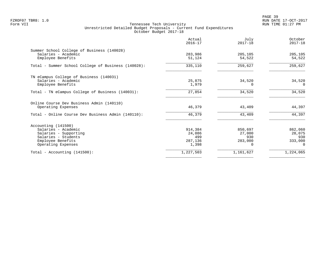PAGE 39 FZROF07 TBR8: 1.0 RUN DATE 17-OCT-2017

|                                                                   | Actual<br>$2016 - 17$ | July<br>$2017 - 18$ | October<br>$2017 - 18$ |
|-------------------------------------------------------------------|-----------------------|---------------------|------------------------|
| Summer School College of Business (140028)<br>Salaries - Academic | 283,986               |                     | 205,105                |
| Employee Benefits                                                 | 51,124                | 205,105<br>54,522   | 54,522                 |
| Total - Summer School College of Business (140028):               | 335,110               | 259,627             | 259,627                |
| TN eCampus College of Business (140031)                           |                       |                     |                        |
| Salaries - Academic                                               | 25,875                | 34,520              | 34,520                 |
| Employee Benefits                                                 | 1,979                 | 0                   | $\Omega$               |
| Total - TN eCampus College of Business (140031):                  | 27,854                | 34,520              | 34,520                 |
| Online Course Dev Business Admin (140110)                         |                       |                     |                        |
| Operating Expenses                                                | 46,379                | 43,409              | 44,397                 |
| Total - Online Course Dev Business Admin (140110):                | 46,379                | 43,409              | 44,397                 |
| Accounting (141500)                                               |                       |                     |                        |
| Salaries - Academic                                               | 914,384               | 850,697             | 862,060                |
| Salaries - Supporting                                             | 24,086                | 27,000              | 28,075                 |
| Salaries - Students                                               | 499                   | 930                 | 930                    |
| Employee Benefits                                                 | 287,136               | 283,000             | 333,000<br>$\Omega$    |
| Operating Expenses                                                | 1,398                 |                     |                        |
| Total - Accounting $(141500)$ :                                   | 1,227,503             | 1,161,627           | 1,224,065              |
|                                                                   |                       |                     |                        |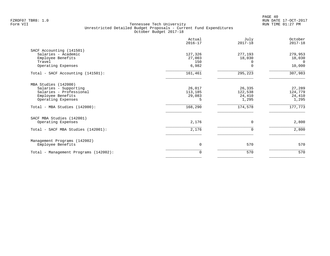PAGE 40 FZROF07 TBR8: 1.0 RUN DATE 17-OCT-2017

|                                                                                                                     | Actual<br>$2016 - 17$             | July<br>$2017 - 18$                  | October<br>$2017 - 18$               |
|---------------------------------------------------------------------------------------------------------------------|-----------------------------------|--------------------------------------|--------------------------------------|
| SACF Accounting (141501)<br>Salaries - Academic<br>Employee Benefits<br>Travel<br>Operating Expenses                | 127,326<br>27,003<br>150<br>6,982 | 277,193<br>18,030                    | 279,953<br>18,030<br>- 0<br>10,000   |
| Total - SACF Accounting (141501):                                                                                   | 161,461                           | 295,223                              | 307,983                              |
| MBA Studies (142000)<br>Salaries - Supporting<br>Salaries - Professional<br>Employee Benefits<br>Operating Expenses | 26,017<br>113,185<br>29,083<br>5  | 26,335<br>122,538<br>24,410<br>1,295 | 27,289<br>124,779<br>24,410<br>1,295 |
| Total - MBA Studies (142000):                                                                                       | 168,290                           | 174,578                              | 177,773                              |
| SACF MBA Studies (142001)<br>Operating Expenses<br>Total - SACF MBA Studies (142001):                               | 2,176<br>2,176                    | $\Omega$<br>$\Omega$                 | 2,800<br>2,800                       |
| Management Programs (142002)<br>Employee Benefits                                                                   | 0                                 | 570                                  | 570                                  |
| Total - Management Programs (142002):                                                                               | 0                                 | 570                                  | 570                                  |
|                                                                                                                     |                                   |                                      |                                      |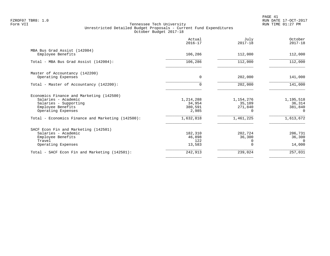PAGE 41 FZROF07 TBR8: 1.0 RUN DATE 17-OCT-2017

|                                                                                                                                     | Actual<br>$2016 - 17$                   | July<br>$2017 - 18$                 | October<br>$2017 - 18$                     |
|-------------------------------------------------------------------------------------------------------------------------------------|-----------------------------------------|-------------------------------------|--------------------------------------------|
| MBA Bus Grad Assist (142004)<br>Employee Benefits                                                                                   | 106,286                                 | 112,000                             | 112,000                                    |
| Total - MBA Bus Grad Assist (142004):                                                                                               | 106,286                                 | 112,000                             | 112,000                                    |
| Master of Accountancy (142200)<br>Operating Expenses                                                                                | $\Omega$                                | 202,000                             | 141,000                                    |
| Total - Master of Accountancy (142200):                                                                                             | 0                                       | 202,000                             | 141,000                                    |
| Economics Finance and Marketing (142500)<br>Salaries - Academic<br>Salaries - Supporting<br>Employee Benefits<br>Operating Expenses | 1,214,288<br>34,954<br>380,591<br>2,985 | 1,154,276<br>35,109<br>271,840<br>0 | 1,195,518<br>36,314<br>381,840<br>$\Omega$ |
| Total - Economics Finance and Marketing (142500):                                                                                   | 1,632,818                               | 1,461,225                           | 1,613,672                                  |
| SACF Econ Fin and Marketing (142501)<br>Salaries - Academic<br>Employee Benefits<br>Travel<br>Operating Expenses                    | 182,310<br>46,898<br>122<br>13,583      | 202,724<br>36,300                   | 206,731<br>36,300<br>$\cap$<br>14,000      |
| Total - SACF Econ Fin and Marketing (142501):                                                                                       | 242,913                                 | 239,024                             | 257,031                                    |
|                                                                                                                                     |                                         |                                     |                                            |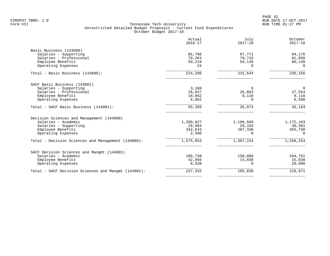PAGE 42 FZROF07 TBR8: 1.0 RUN DATE 17-OCT-2017

|                                                     | Actual<br>$2016 - 17$ | July<br>$2017 - 18$ | October<br>$2017 - 18$ |
|-----------------------------------------------------|-----------------------|---------------------|------------------------|
| Basic Business (143000)<br>Salaries - Supporting    | 85,790                | 97,771              | 94,176                 |
| Salaries - Professional                             | 79,264                | 79,743              | 81,850                 |
| Employee Benefits                                   | 59,218                | 54,130              | 60,130                 |
| Operating Expenses                                  | 24                    | $\Omega$            | $\Omega$               |
| Total - Basic Business (143000):                    | 224,296               | 231,644             | 236,156                |
| SACF Basic Business (143001)                        |                       |                     |                        |
| Salaries - Supporting                               | 3,108                 | 0                   | $\overline{0}$         |
| Salaries - Professional                             | 26,637                | 26,863              | 27,554                 |
| Employee Benefits                                   | 18,662                | 9,110               | 9,110                  |
| Operating Expenses                                  | 6,862                 | 0                   | 6,500                  |
| Total - SACF Basic Business (143001):               | 55,269                | 35,973              | 43,164                 |
| Decision Sciences and Management (144000)           |                       |                     |                        |
| Salaries - Academic                                 | 1,200,827             | 1,190,569           | 1,172,163              |
| Salaries - Supporting                               | 29,084                | 29,325              | 30,361                 |
| Employee Benefits                                   | 342,643               | 287,330             | 355,730                |
| Operating Expenses                                  | 2,500                 | $\Omega$            | $\Omega$               |
| Total - Decision Sciences and Management (144000):  | 1,575,054             | 1,507,224           | 1,558,254              |
| SACF Decision Sciences and Mangmt (144001)          |                       |                     |                        |
| Salaries - Academic                                 | 186,738               | 150,006             | 184,751                |
| Employee Benefits                                   | 42,056                | 15,830              | 15,830                 |
| Operating Expenses                                  | 8,538                 | $\Omega$            | 10,090                 |
| Total - SACF Decision Sciences and Mangmt (144001): | 237,332               | 165,836             | 210,671                |
|                                                     |                       |                     |                        |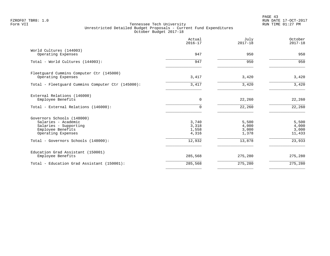PAGE 43 FZROF07 TBR8: 1.0 RUN DATE 17-OCT-2017

|                                                   | Actual<br>$2016 - 17$ | July<br>$2017 - 18$ | October<br>$2017 - 18$ |
|---------------------------------------------------|-----------------------|---------------------|------------------------|
| World Cultures (144003)<br>Operating Expenses     | 947                   | 950                 | 950                    |
|                                                   |                       |                     |                        |
| Total - World Cultures (144003):                  | 947                   | 950                 | 950                    |
| Fleetquard Cummins Computer Ctr (145000)          |                       |                     |                        |
| Operating Expenses                                | 3,417                 | 3,420               | 3,420                  |
| Total - Fleetquard Cummins Computer Ctr (145000): | 3,417                 | 3,420               | 3,420                  |
| External Relations (146000)                       |                       |                     |                        |
| Employee Benefits                                 | $\overline{0}$        | 22,260              | 22,260                 |
| Total - External Relations (146000):              | $\Omega$              | 22,260              | 22,260                 |
| Governors Schools (148000)                        |                       |                     |                        |
| Salaries - Academic                               | 3,740                 | 5,500               | 5,500                  |
| Salaries - Supporting                             | 3,318                 | 4,000               | 4,000                  |
| Employee Benefits                                 | 1,558                 | 3,000               | 3,000                  |
| Operating Expenses                                | 4,316                 | 1,378               | 11,433                 |
| Total - Governors Schools (148000):               | 12,932                | 13,878              | 23,933                 |
| Education Grad Assistant (150001)                 |                       |                     |                        |
| Employee Benefits                                 | 285,568               | 275,280             | 275,280                |
| Total - Education Grad Assistant (150001):        | 285,568               | 275,280             | 275,280                |
|                                                   |                       |                     |                        |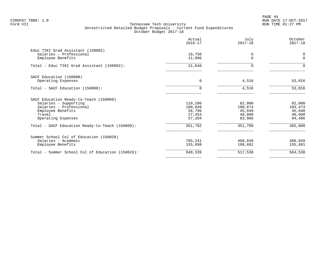PAGE 44 FZROF07 TBR8: 1.0 RUN DATE 17-OCT-2017

|                                                                                   | Actual<br>$2016 - 17$ | July<br>$2017 - 18$ | October<br>$2017 - 18$     |
|-----------------------------------------------------------------------------------|-----------------------|---------------------|----------------------------|
| Educ TIKI Grad Assistant (150002)<br>Salaries - Professional<br>Employee Benefits | 10,750<br>11,096      | 0<br>$\Omega$       | $\mathbf 0$<br>$\mathbf 0$ |
| Total - Educ TIKI Grad Assistant (150002):                                        | 21,846                | 0                   | $\Omega$                   |
| SACF Education (150008)                                                           |                       |                     |                            |
| Operating Expenses                                                                | $\mathbf 0$           | 4,516               | 53,016                     |
| Total - SACF Education (150008):                                                  | $\Omega$              | 4,516               | 53,016                     |
| SACF Education Ready-to-Teach (150009)                                            |                       |                     |                            |
| Salaries - Supporting                                                             | 110,280               | 82,000              | 82,000                     |
| Salaries - Professional                                                           | 100,049<br>56,796     | 100,674<br>45,040   | 103,474<br>45,040          |
| Employee Benefits<br>Travel                                                       | 27,453                | 40,000              | 40,000                     |
| Operating Expenses                                                                | 57,204                | 83,986              | 94,486                     |
| Total - SACF Education Ready-to-Teach (150009):                                   | 351,782               | 351,700             | 365,000                    |
| Summer School Col of Education (150028)                                           |                       |                     |                            |
| Salaries - Academic                                                               | 785,241               | 408,849             | 408,849                    |
| Employee Benefits                                                                 | 155,098               | 108,681             | 155,681                    |
| Total - Summer School Col of Education (150028):                                  | 940,339               | 517,530             | 564,530                    |
|                                                                                   |                       |                     |                            |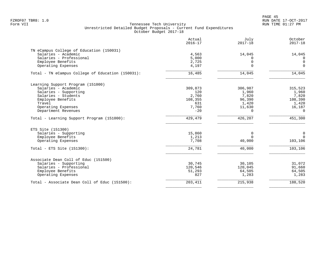PAGE 45 FZROF07 TBR8: 1.0 RUN DATE 17-OCT-2017

|                                                   | Actual<br>$2016 - 17$ | July<br>$2017 - 18$  | October<br>$2017 - 18$ |
|---------------------------------------------------|-----------------------|----------------------|------------------------|
| TN eCampus College of Education (150031)          |                       |                      |                        |
| Salaries - Academic                               | 4,563                 | 14,045               | 14,045                 |
| Salaries - Professional                           | 5,000                 | $\Omega$<br>$\Omega$ | $\Omega$<br>$\Omega$   |
| Employee Benefits<br>Operating Expenses           | 2,725<br>4,197        | $\Omega$             | $\mathbf 0$            |
| Total - TN eCampus College of Education (150031): | 16,485                | 14,045               | 14,045                 |
| Learning Support Program (151000)                 |                       |                      |                        |
| Salaries - Academic                               | 309,873               | 306,987              | 315,523                |
| Salaries - Supporting                             | 120                   | 1,960                | 1,960                  |
| Salaries - Students                               | 2,760                 | 7,820                | 7,820                  |
| Employee Benefits                                 | 108,355               | 96,390               | 108,390                |
| Travel                                            | 631                   | 1,420                | 1,420                  |
| Operating Expenses                                | 7,760                 | 11,630               | 16,187                 |
| Department Revenues                               | $-20$                 | $\Omega$             | $\Omega$               |
| Total - Learning Support Program (151000):        | 429,479               | 426,207              | 451,300                |
| ETS Site (151300)                                 |                       |                      |                        |
| Salaries - Supporting                             | 15,860                | $\mathbf 0$          | $\mathbf 0$            |
| Employee Benefits                                 | 1,213                 | $\Omega$             | $\Omega$               |
| Operating Expenses                                | 7,708                 | 40,000               | 103,106                |
| Total - ETS Site $(151300)$ :                     | 24,781                | 40,000               | 103,106                |
| Associate Dean Coll of Educ (151500)              |                       |                      |                        |
| Salaries - Supporting                             | 30,745                | 30,105               | 31,072                 |
| Salaries - Professional                           | 120,546               | 120,045              | 91,660                 |
| Employee Benefits                                 | 51,293                | 64,505               | 64,505                 |
| Operating Expenses                                | 827                   | 1,283                | 1,283                  |
| Total - Associate Dean Coll of Educ (151500):     | 203,411               | 215,938              | 188,520                |
|                                                   |                       |                      |                        |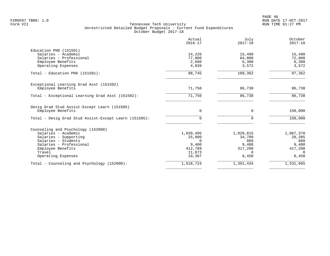PAGE 46 FZROF07 TBR8: 1.0 RUN DATE 17-OCT-2017

|                                                                   | Actual<br>$2016 - 17$ | July<br>$2017 - 18$ | October<br>$2017 - 18$ |
|-------------------------------------------------------------------|-----------------------|---------------------|------------------------|
| Education PHD (151501)                                            |                       |                     |                        |
| Salaries - Academic                                               | 14,226                | 15,490              | 15,490                 |
| Salaries - Professional                                           | 77,000                | 84,000              | 72,000                 |
| Employee Benefits                                                 | 2,680                 | 6,300               | 6,300                  |
| Operating Expenses                                                | 4,839                 | 3,572               | 3,572                  |
| Total - Education PHD (151501):                                   | 98,745                | 109,362             | 97, 362                |
| Exceptional Learning Grad Asst (151502)                           |                       |                     |                        |
| Employee Benefits                                                 | 71,750                | 86,730              | 86,730                 |
| Total - Exceptional Learning Grad Asst (151502):                  | 71,750                | 86,730              | 86,730                 |
| Desig Grad Stud Assist-Except Learn (151505)<br>Employee Benefits | $\mathbf 0$           | 0                   | 150,000                |
|                                                                   |                       |                     |                        |
| Total - Desig Grad Stud Assist-Except Learn (151505):             | $\Omega$              | $\Omega$            | 150,000                |
| Counseling and Psychology (152000)                                |                       |                     |                        |
| Salaries - Academic                                               | 1,039,495             | 1,020,815           | 1,067,370              |
| Salaries - Supporting                                             | 25,800                | 34,709              | 28,385                 |
| Salaries - Students                                               |                       | 860                 | 860                    |
| Salaries - Professional                                           | 9,400                 | 9.400               | 9,400                  |
| Employee Benefits                                                 | 412,789               | 317,200             | 417,200                |
| Travel                                                            | 11,873                | $\Omega$            | $\Omega$               |
| Operating Expenses                                                | 19,367                | 8,450               | 8,450                  |
| Total - Counseling and Psychology (152000):                       | 1,518,724             | 1,391,434           | 1,531,665              |
|                                                                   |                       |                     |                        |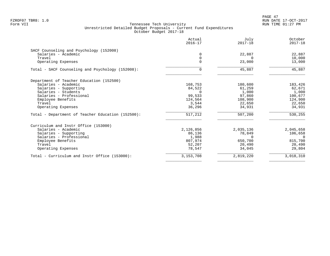PAGE 47 FZROF07 TBR8: 1.0 RUN DATE 17-OCT-2017

|                                                   | Actual<br>$2016 - 17$ | July<br>$2017 - 18$ | October<br>$2017 - 18$ |
|---------------------------------------------------|-----------------------|---------------------|------------------------|
| SACF Counseling and Psychology (152008)           |                       |                     |                        |
| Salaries - Academic                               |                       | 22,887              | 22,887                 |
| Travel                                            | $\Omega$              | $\cap$              | 10,000                 |
| Operating Expenses                                |                       | 23,000              | 13,000                 |
| Total - SACF Counseling and Psychology (152008):  | 0                     | 45,887              | 45,887                 |
| Department of Teacher Education (152500)          |                       |                     |                        |
| Salaries - Academic                               | 168,753               | 180,600             | 183,426                |
| Salaries - Supporting                             | 84,522                | 61,259              | 62,671                 |
| Salaries - Students                               |                       | 1,000               | 1,000                  |
| Salaries - Professional                           | 99,533                | 97,860              | 100,677                |
| Employee Benefits                                 | 124,564               | 108,900             | 124,900                |
| Travel                                            | 3,544                 | 22,650              | 22,650                 |
| Operating Expenses                                | 36,296                | 34,931              | 34,931                 |
| Total - Department of Teacher Education (152500): | 517,212               | 507,200             | 530,255                |
| Curriculum and Instr Office (153000)              |                       |                     |                        |
| Salaries - Academic                               | 2,126,856             | 2,035,136           | 2,045,658              |
| Salaries - Supporting                             | 86,136                | 78,849              | 106,658                |
| Salaries - Professional                           | 1,988                 | <sup>n</sup>        | $\Omega$               |
| Employee Benefits                                 | 807,974               | 650,700             | 815,700                |
| Travel                                            | 52,207                | 20,490              | 20,490                 |
| Operating Expenses                                | 78,547                | 34,045              | 29,804                 |
| Total - Curriculum and Instr Office (153000):     | 3, 153, 708           | 2,819,220           | 3,018,310              |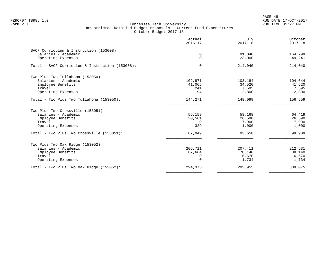PAGE 48 FZROF07 TBR8: 1.0 RUN DATE 17-OCT-2017

|                                                 | Actual<br>$2016 - 17$ | July<br>$2017 - 18$ | October<br>$2017 - 18$ |
|-------------------------------------------------|-----------------------|---------------------|------------------------|
| SACF Curriculum & Instruction (153008)          |                       |                     |                        |
| Salaries - Academic                             | 0                     | 91,040              | 164,799                |
| Operating Expenses                              | $\Omega$              | 123,000             | 49,241                 |
| Total - SACF Curriculum & Instruction (153008): | $\Omega$              | 214,040             | 214,040                |
| Two Plus Two Tullahoma (153050)                 |                       |                     |                        |
| Salaries - Academic                             | 102,871               | 103,184             | 104,644                |
| Employee Benefits                               | 41,065                | 34,520              | 41,520                 |
| Travel                                          | 241                   | 7,595               | 7,595                  |
| Operating Expenses                              | 94                    | 2,800               | 2,800                  |
| Total - Two Plus Two Tullahoma (153050):        | 144,271               | 148,099             | 156,559                |
| Two Plus Two Crossville (153051)                |                       |                     |                        |
| Salaries - Academic                             | 56,159                | 58,168              | 64,419                 |
| Employee Benefits                               | 30,561                | 26,590              | 26,590                 |
| Travel                                          | $\Omega$              | 7,900               | 7,900                  |
| Operating Expenses                              | 329                   | 1,000               | 1,000                  |
| Total - Two Plus Two Crossville (153051):       | 87,049                | 93,658              | 99,909                 |
| Two Plus Two Oak Ridge (153052)                 |                       |                     |                        |
| Salaries - Academic                             | 206,711               | 207,411             | 212,531                |
| Employee Benefits                               | 87,664                | 78,140              | 88,140                 |
| Travel                                          | 0                     | 6,670               | 6,670                  |
| Operating Expenses                              | $\Omega$              | 1,734               | 1,734                  |
| Total - Two Plus Two Oak Ridge (153052):        | 294,375               | 293,955             | 309,075                |
|                                                 |                       |                     |                        |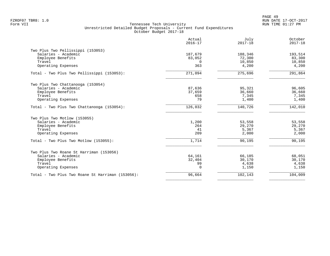|                                                  | Actual<br>$2016 - 17$ | July<br>$2017 - 18$ | October<br>$2017 - 18$ |
|--------------------------------------------------|-----------------------|---------------------|------------------------|
| Two Plus Two Pellissippi (153053)                |                       |                     |                        |
| Salaries - Academic                              | 187,679               | 188,346             | 193,514                |
| Employee Benefits                                | 83,052                | 72,300              | 83,300                 |
| Travel                                           | $\Omega$              | 10,850              | 10,850                 |
| Operating Expenses                               | 363                   | 4,200               | 4,200                  |
| Total - Two Plus Two Pellissippi (153053):       | 271,094               | 275,696             | 291,864                |
| Two Plus Two Chattanooga (153054)                |                       |                     |                        |
| Salaries - Academic                              | 87,636                | 95,321              | 96,605                 |
| Employee Benefits                                | 37,659                | 36,660              | 36,660                 |
| Travel                                           | 658                   | 7,345               | 7,345                  |
| Operating Expenses                               | 79                    | 1,400               | 1,400                  |
| Total - Two Plus Two Chattanooga (153054):       | 126,032               | 140,726             | 142,010                |
| Two Plus Two Motlow (153055)                     |                       |                     |                        |
| Salaries - Academic                              | 1,200                 | 53,558              | 53,558                 |
| Employee Benefits                                | 264                   | 29,270              | 29,270                 |
| Travel                                           | 41                    | 5,367               | 5,367                  |
| Operating Expenses                               | 209                   | 2,000               | 2,000                  |
| Total - Two Plus Two Motlow (153055):            | 1,714                 | 90,195              | 90,195                 |
| Two Plus Two Roane St Harriman (153056)          |                       |                     |                        |
| Salaries - Academic                              | 64,161                | 66,185              | 68,051                 |
| Employee Benefits                                | 32,404                | 30,170              | 30,170                 |
| Travel                                           | 99                    | 4,638               | 4,638                  |
| Operating Expenses                               | $\Omega$              | 1,150               | 1,150                  |
| Total - Two Plus Two Roane St Harriman (153056): | 96,664                | 102,143             | 104,009                |
|                                                  |                       |                     |                        |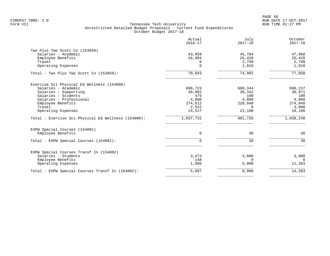|                                                                                                                                                                                                                                                          | Actual<br>$2016 - 17$                                                        | July<br>$2017 - 18$                                                           | October<br>$2017 - 18$                                                       |
|----------------------------------------------------------------------------------------------------------------------------------------------------------------------------------------------------------------------------------------------------------|------------------------------------------------------------------------------|-------------------------------------------------------------------------------|------------------------------------------------------------------------------|
| Two Plus Two Scott Co (153059)<br>Salaries - Academic<br>Employee Benefits<br>Travel<br>Operating Expenses                                                                                                                                               | 43,059<br>26,984<br>0<br>0                                                   | 45,704<br>25,420<br>2,768<br>1,010                                            | 47,860<br>25,420<br>2,768<br>1,010                                           |
| Total - Two Plus Two Scott Co (153059):                                                                                                                                                                                                                  | 70,043                                                                       | 74,902                                                                        | 77,058                                                                       |
| Exercise Sci Physical Ed Wellness (154000)<br>Salaries - Academic<br>Salaries - Supporting<br>Salaries - Students<br>Salaries - Professional<br>Employee Benefits<br>Travel<br>Operating Expenses<br>Total - Exercise Sci Physical Ed Wellness (154000): | 690,723<br>40,082<br>475<br>4,800<br>274,612<br>2,522<br>24,517<br>1,037,731 | 688,344<br>38,342<br>100<br>4,000<br>228,840<br>$\Omega$<br>22,100<br>981,726 | 698,237<br>38,971<br>100<br>4,000<br>274,840<br>3,000<br>19,100<br>1,038,248 |
| EXPW Special Courses (154001)<br>Employee Benefits                                                                                                                                                                                                       | $\mathbf 0$                                                                  | 30                                                                            | 30                                                                           |
| Total - EXPW Special Courses (154001):                                                                                                                                                                                                                   | $\Omega$                                                                     | 30                                                                            | 30                                                                           |
| EXPW Special Courses Transf In (154002)<br>Salaries - Students<br>Employee Benefits<br>Operating Expenses                                                                                                                                                | 3,473<br>148<br>1,986                                                        | 3,000<br>$\Omega$<br>5,000                                                    | 3,000<br>$\Omega$<br>11,393                                                  |
| Total - EXPW Special Courses Transf In (154002):                                                                                                                                                                                                         | 5,607                                                                        | 8,000                                                                         | 14,393                                                                       |
|                                                                                                                                                                                                                                                          |                                                                              |                                                                               |                                                                              |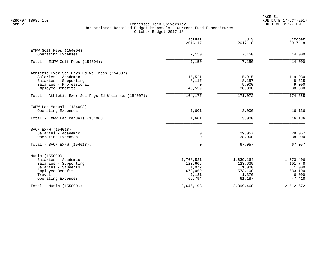| 7,150<br>7,150<br>115,521<br>8,117<br>$\Omega$ | 7,150<br>7,150<br>115,915 | 14,000<br>14,000          |
|------------------------------------------------|---------------------------|---------------------------|
|                                                |                           |                           |
|                                                |                           |                           |
|                                                |                           |                           |
|                                                |                           |                           |
|                                                |                           | 119,030                   |
|                                                | 8,157                     | 8,325                     |
| 40,539                                         | 9,000<br>38,000           | 9,000<br>38,000           |
| 164,177                                        | 171,072                   | 174, 355                  |
|                                                |                           |                           |
| 1,601                                          | 3,000                     | 16,136                    |
| 1,601                                          | 3,000                     | 16,136                    |
|                                                |                           |                           |
| 0                                              | 29,057                    | 29,057                    |
| $\Omega$                                       | 38,000                    | 38,000                    |
| $\Omega$                                       | 67,057                    | 67,057                    |
|                                                |                           |                           |
| 1,768,521                                      | 1,639,164                 | 1,673,406                 |
| 123,606                                        | 123,639                   | 101,748                   |
|                                                |                           | 1,000                     |
|                                                |                           | 683,100                   |
| 66,794                                         | 61,187                    | 6,000<br>47,418           |
| 2,646,193                                      | 2,399,460                 | 2,512,672                 |
|                                                | 1,072<br>679,069<br>7,131 | 1,000<br>573,100<br>1,370 |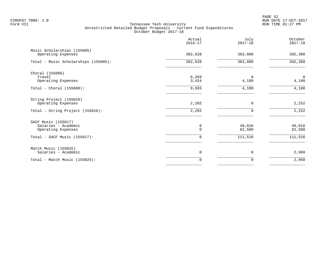PAGE 52 FZROF07 TBR8: 1.0 RUN DATE 17-OCT-2017

|                                                   | Actual<br>$2016 - 17$ | July<br>$2017 - 18$ | October<br>$2017 - 18$  |
|---------------------------------------------------|-----------------------|---------------------|-------------------------|
| Music Scholarships (155005)<br>Operating Expenses | 382,628               | 383,880             | 392,380                 |
| Total - Music Scholarships (155005):              | 382,628               | 383,880             | 392,380                 |
| Choral (155008)                                   |                       |                     |                         |
| Travel<br>Operating Expenses                      | 6,269<br>3,424        | $\Omega$<br>4,180   | $\overline{0}$<br>4,180 |
| Total - Choral $(155008)$ :                       | 9,693                 | 4,180               | 4,180                   |
| String Project (155016)<br>Operating Expenses     | 2,202                 | 0                   | 2,252                   |
| Total - String Project (155016):                  | 2,202                 | $\Omega$            | 2,252                   |
| SACF Music (155017)                               |                       |                     |                         |
| Salaries - Academic<br>Operating Expenses         | 0<br>$\Omega$         | 49,016<br>62,500    | 49,016<br>62,500        |
| Total - SACF Music $(155017)$ :                   | $\Omega$              | 111,516             | 111,516                 |
| Match Music (155025)                              |                       |                     |                         |
| Salaries - Academic                               | 0                     | 0                   | 2,960                   |
| Total - Match Music (155025):                     | $\mathbf 0$           | 0                   | 2,960                   |
|                                                   |                       |                     |                         |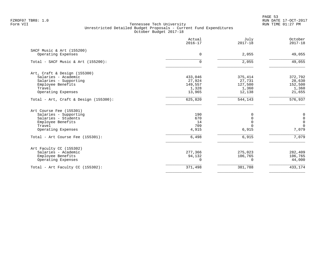PAGE 53 FZROF07 TBR8: 1.0 RUN DATE 17-OCT-2017

|                                          | Actual<br>$2016 - 17$ | July<br>$2017 - 18$ | October<br>$2017 - 18$                        |
|------------------------------------------|-----------------------|---------------------|-----------------------------------------------|
| SACF Music & Art (155200)                |                       |                     |                                               |
| Operating Expenses                       | $\mathbf 0$           | 2,055               | 49,055                                        |
| Total - SACF Music & Art $(155200)$ :    | 0                     | 2,055               | 49,055                                        |
| Art, Craft & Design (155300)             |                       |                     |                                               |
| Salaries - Academic                      | 433,046               | 375,414             | 372,792                                       |
| Salaries - Supporting                    | 27,924                | 27,731              | 28,630                                        |
| Employee Benefits                        | 149,557               | 127,500             | 152,500                                       |
| Travel                                   | 1,328                 | 1,360               | 1,360                                         |
| Operating Expenses                       | 13,965                | 12,138              | 21,655                                        |
| Total - Art, Craft & Design $(155300)$ : | 625,820               | 544,143             | 576,937                                       |
| Art Course Fee (155301)                  |                       |                     |                                               |
| Salaries - Supporting                    | 190                   | 0                   | $\pmb{0}$                                     |
| Salaries - Students                      | 670                   | $\mathbf 0$         | $\begin{smallmatrix}0\\0\\0\end{smallmatrix}$ |
| Employee Benefits                        | 14                    | $\Omega$            |                                               |
| Travel                                   | 709                   | $\Omega$            | $\Omega$                                      |
| Operating Expenses                       | 4,915                 | 6,915               | 7,079                                         |
| Total - Art Course Fee (155301):         | 6,498                 | 6,915               | 7,079                                         |
| Art Faculty CC (155302)                  |                       |                     |                                               |
| Salaries - Academic                      | 277,366               | 275,023             | 282,409                                       |
| Employee Benefits                        | 94,132                | 106,765             | 106,765                                       |
| Operating Expenses                       | $\Omega$              | 0                   | 44,000                                        |
| Total - Art Faculty CC (155302):         | 371,498               | 381,788             | 433,174                                       |
|                                          |                       |                     |                                               |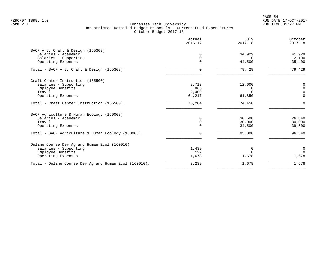|                                                       | Actual<br>$2016 - 17$   | July<br>$2017 - 18$ | October<br>$2017 - 18$ |
|-------------------------------------------------------|-------------------------|---------------------|------------------------|
| SACF Art, Craft & Design (155308)                     |                         |                     |                        |
| Salaries - Academic                                   | $\Omega$                | 34,929              | 41,929                 |
| Salaries - Supporting<br>Operating Expenses           | $\mathbf 0$<br>$\Omega$ | $\Omega$<br>44,500  | 2,100<br>35,400        |
| Total - SACF Art, Craft & Design (155308):            | $\Omega$                | 79,429              | 79,429                 |
| Craft Center Instruction (155500)                     |                         |                     |                        |
| Salaries - Supporting                                 | 8,713                   | 12,600              | 0                      |
| Employee Benefits                                     | 865                     | $\Omega$            | $\Omega$               |
| Travel                                                | 2,409                   | $\Omega$            | $\Omega$               |
| Operating Expenses                                    | 64,217                  | 61,850              | $\Omega$               |
| Total - Craft Center Instruction (155500):            | 76,204                  | 74,450              | $\Omega$               |
| SACF Agriculture & Human Ecology (160008)             |                         |                     |                        |
| Salaries - Academic                                   | 0                       | 30,500              | 26,840                 |
| Travel                                                | 0                       | 30,000              | 30,000                 |
| Operating Expenses                                    | 0                       | 34,500              | 39,500                 |
| Total - SACF Agriculture & Human Ecology (160008):    | 0                       | 95,000              | 96,340                 |
| Online Course Dev Ag and Human Ecol (160010)          |                         |                     |                        |
| Salaries - Supporting                                 | 1,439                   | 0                   | $\mathbf 0$            |
| Employee Benefits                                     | 122                     | $\Omega$            | $\Omega$               |
| Operating Expenses                                    | 1,678                   | 1,678               | 1,678                  |
| Total - Online Course Dev Ag and Human Ecol (160010): | 3,239                   | 1,678               | 1,678                  |
|                                                       |                         |                     |                        |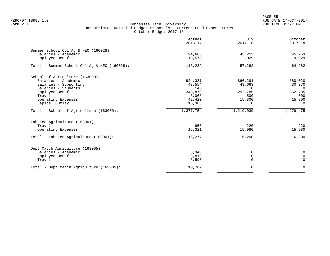en and the state of the state of the state of the state of the state of the state of the state of the state of the state of the state of the state of the state of the state of the state of the state of the state of the sta FZROF07 TBR8: 1.0 RUN DATE 17-OCT-2017

|                                                            | Actual<br>$2016 - 17$ | July<br>$2017 - 18$ | October<br>$2017 - 18$ |
|------------------------------------------------------------|-----------------------|---------------------|------------------------|
| Summer School Col Aq & HEC (160028)<br>Salaries - Academic | 94,666                | 45,253              | 45,253                 |
| Employee Benefits                                          | 18,573                | 12,029              | 19,029                 |
| Total - Summer School Col Aq & HEC (160028):               | 113,239               | 57,282              | 64,282                 |
| School of Agriculture (163000)                             |                       |                     |                        |
| Salaries - Academic                                        | 924,331               | 866,291             | 880,020                |
| Salaries - Supporting                                      | 43,554                | 43,663              | 30,370                 |
| Salaries - Students                                        | 145                   | $\Omega$            | $\Omega$               |
| Employee Benefits                                          | 348,878               | 292,785             | 352,785                |
| Travel                                                     | 3,063                 | 500                 | 500                    |
| Operating Expenses                                         | 42,420                | 15,800              | 15,800                 |
| Capital Outlay                                             | 15,363                | $\Omega$            | $\Omega$               |
| Total - School of Agriculture (163000):                    | 1,377,754             | 1,219,039           | 1,279,475              |
| Lab Fee Agriculture (163001)                               |                       |                     |                        |
| Travel                                                     | 956                   | 220                 | 220                    |
| Operating Expenses                                         | 15,321                | 15,980              | 15,980                 |
| Total - Lab Fee Agriculture (163001):                      | 16,277                | 16,200              | 16,200                 |
| Dept Match Agriculture (163005)                            |                       |                     |                        |
| Salaries - Academic                                        | 3,348                 | 0                   | 0                      |
| Employee Benefits                                          | 3,818                 | 0                   | $\mathbf 0$            |
| Travel                                                     | 3,596                 | $\mathbf 0$         | $\mathbf 0$            |
| Total - Dept Match Agriculture (163005):                   | 10,762                | 0                   | $\mathbf 0$            |
|                                                            |                       |                     |                        |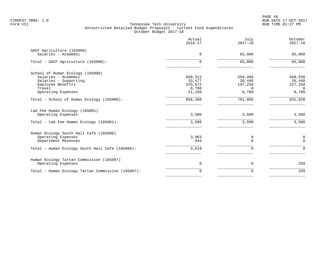|                                                   | Actual<br>$2016 - 17$ | July<br>$2017 - 18$ | October<br>$2017 - 18$ |
|---------------------------------------------------|-----------------------|---------------------|------------------------|
| SACF Agriculture (163008)<br>Salaries - Academic  | $\Omega$              | 65,000              | 65,000                 |
| Total - SACF Agriculture (163008):                | 0                     | 65,000              | 65,000                 |
| School of Human Ecology (165000)                  |                       |                     |                        |
| Salaries - Academic                               | 569,312               | 559,486             | 568,550                |
| Salaries - Supporting                             | 33,477                | 26,440              | 26,440                 |
| Employee Benefits                                 | 225,572               | 197,250             | 227,250                |
| Travel                                            | 6,798                 | $\Omega$            | $\Omega$               |
| Operating Expenses                                | 21,150                | 8,780               | 8,780                  |
| Total - School of Human Ecology (165000):         | 856,309               | 791,956             | 831,020                |
| Lab Fee Human Ecology (165001)                    |                       |                     |                        |
| Operating Expenses                                | 3,500                 | 3,500               | 3,500                  |
| Total - Lab Fee Human Ecology (165001):           | 3,500                 | 3,500               | 3,500                  |
| Human Ecology South Hall Cafe (165006)            |                       |                     |                        |
| Operating Expenses                                | 3,963                 | 0                   | 0                      |
| Department Revenues                               | $-344$                | $\Omega$            | $\mathbf 0$            |
| Total - Human Ecology South Hall Cafe (165006):   | 3,619                 | $\mathbf 0$         | $\mathbf 0$            |
| Human Ecology Tartan Commission (165007)          |                       |                     |                        |
| Operating Expenses                                | $\mathbf 0$           | $\mathbf 0$         | 339                    |
| Total - Human Ecology Tartan Commission (165007): | $\Omega$              | $\mathbf 0$         | 339                    |
|                                                   |                       |                     |                        |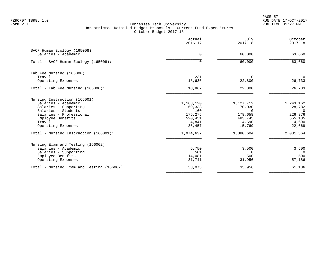PAGE 57 FZROF07 TBR8: 1.0 RUN DATE 17-OCT-2017

|                                                                                                                                                                                     | Actual<br>$2016 - 17$                                               | July<br>$2017 - 18$                                                      | October<br>$2017 - 18$                                                   |
|-------------------------------------------------------------------------------------------------------------------------------------------------------------------------------------|---------------------------------------------------------------------|--------------------------------------------------------------------------|--------------------------------------------------------------------------|
| SACF Human Ecology (165008)<br>Salaries - Academic                                                                                                                                  | $\mathbf 0$                                                         | 60,000                                                                   | 63,660                                                                   |
| Total - SACF Human Ecology (165008):                                                                                                                                                | 0                                                                   | 60,000                                                                   | 63,660                                                                   |
| Lab Fee Nursing (166000)<br>Travel<br>Operating Expenses                                                                                                                            | 231<br>18,636                                                       | $\Omega$<br>22,800                                                       | $\mathbf 0$<br>26,733                                                    |
| Total - Lab Fee Nursing (166000):                                                                                                                                                   | 18,867                                                              | 22,800                                                                   | 26,733                                                                   |
| Nursing Instruction (166001)<br>Salaries - Academic<br>Salaries - Supporting<br>Salaries - Students<br>Salaries - Professional<br>Employee Benefits<br>Travel<br>Operating Expenses | 1,168,120<br>69,333<br>160<br>175,275<br>520,451<br>4,841<br>36,457 | 1,127,712<br>70,030<br>$\Omega$<br>178,658<br>483,745<br>4,690<br>15,769 | 1,243,162<br>28,782<br>$\Omega$<br>226,876<br>555,185<br>4,690<br>22,669 |
| Total - Nursing Instruction (166001):                                                                                                                                               | 1,974,637                                                           | 1,880,604                                                                | 2,081,364                                                                |
| Nursing Exam and Testing (166002)<br>Salaries - Academic<br>Salaries - Supporting<br>Employee Benefits<br>Operating Expenses                                                        | 6,750<br>501<br>14,081<br>31,741                                    | 3,500<br>$\Omega$<br>500<br>31,956                                       | 3,500<br>$\Omega$<br>500<br>57,186                                       |
| Total - Nursing Exam and Testing (166002):                                                                                                                                          | 53,073                                                              | 35,956                                                                   | 61,186                                                                   |
|                                                                                                                                                                                     |                                                                     |                                                                          |                                                                          |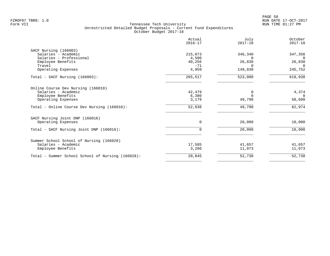|                                                   | Actual<br>$2016 - 17$ | July<br>$2017 - 18$ | October<br>$2017 - 18$ |
|---------------------------------------------------|-----------------------|---------------------|------------------------|
| SACF Nursing (166003)                             |                       |                     |                        |
| Salaries - Academic                               | 215,873               | 346,340             | 347,356                |
| Salaries - Professional                           | 4,500                 | $\Omega$            | $\Omega$               |
| Employee Benefits<br>Travel                       | 40,256<br>$-71$       | 26,830              | 26,830<br>$\Omega$     |
| Operating Expenses                                | 4,959                 | 149,830             | 245,752                |
| Total - SACF Nursing (166003):                    | 265,517               | 523,000             | 619,938                |
| Online Course Dev Nursing (166010)                |                       |                     |                        |
| Salaries - Academic                               | 42,479                | 0                   | 4,374                  |
| Employee Benefits                                 | 6,380                 | $\Omega$            | $\Omega$               |
| Operating Expenses                                | 3,179                 | 49,790              | 58,600                 |
| Total - Online Course Dev Nursing (166010):       | 52,038                | 49,790              | 62,974                 |
| SACF Nursing Joint DNP (166016)                   |                       |                     |                        |
| Operating Expenses                                | $\mathbf 0$           | 20,000              | 10,000                 |
| Total - SACF Nursing Joint DNP (166016):          | $\mathbf 0$           | 20,000              | 10,000                 |
| Summer School School of Nursing (166028)          |                       |                     |                        |
| Salaries - Academic                               | 17,585                | 41,657              | 41,657                 |
| Employee Benefits                                 | 3,260                 | 11,073              | 11,073                 |
| Total - Summer School School of Nursing (166028): | 20,845                | 52,730              | 52,730                 |
|                                                   |                       |                     |                        |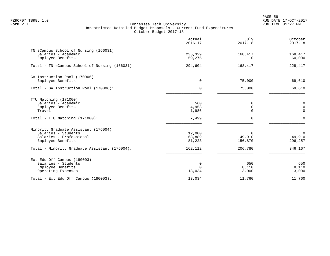PAGE 59 FZROF07 TBR8: 1.0 RUN DATE 17-OCT-2017

|                                                                                                                                                              | Actual<br>$2016 - 17$                 | July<br>$2017 - 18$                         | October<br>$2017 - 18$                         |
|--------------------------------------------------------------------------------------------------------------------------------------------------------------|---------------------------------------|---------------------------------------------|------------------------------------------------|
| TN eCampus School of Nursing (166031)<br>Salaries - Academic<br>Employee Benefits                                                                            | 235,329<br>59,275                     | 168,417<br>$\Omega$                         | 168,417<br>60,000                              |
| Total - TN eCampus School of Nursing (166031):                                                                                                               | 294,604                               | 168,417                                     | 228,417                                        |
| GA Instruction Pool (170006)<br>Employee Benefits                                                                                                            | 0                                     | 75,000                                      | 69,610                                         |
| Total - GA Instruction Pool (170006):                                                                                                                        | $\Omega$                              | 75,000                                      | 69,610                                         |
| TTU Matching (171000)<br>Salaries - Academic<br>Employee Benefits<br>Travel<br>Total - TTU Matching (171000):                                                | 560<br>4,953<br>1,986<br>7,499        | 0<br>$\mathbf 0$<br>$\Omega$<br>$\mathbf 0$ | 0<br>$\mathbf 0$<br>$\Omega$<br>$\Omega$       |
| Minority Graduate Assistant (176004)<br>Salaries - Students<br>Salaries - Professional<br>Employee Benefits<br>Total - Minority Graduate Assistant (176004): | 12,000<br>68,889<br>81,223<br>162,112 | 0<br>49,910<br>156,870<br>206,780           | $\overline{0}$<br>49,910<br>296,257<br>346,167 |
| Ext Edu Off Campus (180003)<br>Salaries - Students<br>Employee Benefits<br>Operating Expenses                                                                | 0<br>$\Omega$<br>13,034               | 650<br>8,110<br>3,000                       | 650<br>8,110<br>3,000                          |
| Total - Ext Edu Off Campus (180003):                                                                                                                         | 13,034                                | 11,760                                      | 11,760                                         |
|                                                                                                                                                              |                                       |                                             |                                                |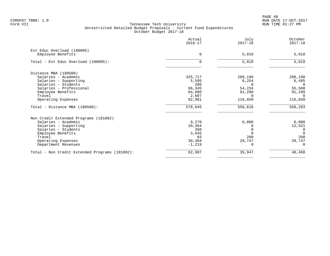PAGE 60 FZROF07 TBR8: 1.0 RUN DATE 17-OCT-2017

|                                                 | Actual<br>$2016 - 17$ | July<br>$2017 - 18$ | October<br>$2017 - 18$   |
|-------------------------------------------------|-----------------------|---------------------|--------------------------|
| Ext Educ Overload (180005)<br>Employee Benefits | $\Omega$              | 5,010               | 5,010                    |
| Total - Ext Educ Overload (180005):             | 0                     | 5,010               | 5,010                    |
| Distance MBA (180500)                           |                       |                     |                          |
| Salaries - Academic                             | 325,717               | 288,190             | 288,190                  |
| Salaries - Supporting                           | 5,595                 | 6,254               | 6,485                    |
| Salaries - Students<br>Salaries - Professional  | 200<br>66,345         | $\Omega$<br>54,234  | $\overline{0}$<br>55,588 |
| Employee Benefits                               | 84,600                | 91,290              | 91,290                   |
| Travel                                          | 2,607                 | $\Omega$            | $\Omega$                 |
| Operating Expenses                              | 92,981                | 116,650             | 116,650                  |
| Total - Distance MBA (180500):                  | 578,045               | 556,618             | 558,203                  |
| Non Credit Extended Programs (181002)           |                       |                     |                          |
| Salaries - Academic                             | 9,270                 | 6,000               | 6,000                    |
| Salaries - Supporting                           | 20,364                |                     | 12,521                   |
| Salaries - Students                             | 360                   |                     | 0                        |
| Employee Benefits                               | 3,645                 |                     | $\Omega$                 |
| Travel                                          | 83                    | 200                 | 200                      |
| Operating Expenses                              | 30,484                | 29,747              | 29,747                   |
| Department Revenues                             | $-1,219$              |                     | $\Omega$                 |
| Total - Non Credit Extended Programs (181002):  | 62,987                | 35,947              | 48,468                   |
|                                                 |                       |                     |                          |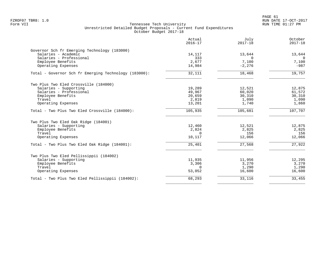| Actual<br>$2016 - 17$ | July<br>$2017 - 18$                                                                                                         | October<br>$2017 - 18$                                                                                          |
|-----------------------|-----------------------------------------------------------------------------------------------------------------------------|-----------------------------------------------------------------------------------------------------------------|
|                       |                                                                                                                             |                                                                                                                 |
|                       |                                                                                                                             | 13,644                                                                                                          |
|                       |                                                                                                                             | $\Omega$                                                                                                        |
| 14,984                | $-2,276$                                                                                                                    | 7,100<br>$-987$                                                                                                 |
|                       |                                                                                                                             | 19,757                                                                                                          |
|                       |                                                                                                                             |                                                                                                                 |
|                       |                                                                                                                             |                                                                                                                 |
|                       |                                                                                                                             | 12,875                                                                                                          |
| 49,967                | 60,020                                                                                                                      | 61,572                                                                                                          |
|                       |                                                                                                                             | 30,310                                                                                                          |
|                       | 1,090                                                                                                                       | 1,090                                                                                                           |
| 13,201                | 1,740                                                                                                                       | 1,860                                                                                                           |
| 105,935               | 105,681                                                                                                                     | 107,707                                                                                                         |
|                       |                                                                                                                             |                                                                                                                 |
|                       |                                                                                                                             | 12,875                                                                                                          |
|                       |                                                                                                                             | 2,825                                                                                                           |
|                       |                                                                                                                             | 156                                                                                                             |
| 10,117                | 12,066                                                                                                                      | 12,066                                                                                                          |
| 25,401                | 27,568                                                                                                                      | 27,922                                                                                                          |
|                       |                                                                                                                             |                                                                                                                 |
|                       |                                                                                                                             | 12,295                                                                                                          |
|                       |                                                                                                                             | 3,270                                                                                                           |
|                       |                                                                                                                             | 1,290                                                                                                           |
| 53,052                | 16,600                                                                                                                      | 16,600                                                                                                          |
| 68,293                | 33,116                                                                                                                      | 33,455                                                                                                          |
|                       | 14,117<br>333<br>2,677<br>32,111<br>19,289<br>20,659<br>2,819<br>12,460<br>2,824<br>$\Omega$<br>11,935<br>3,306<br>$\Omega$ | 13,644<br>$\Omega$<br>7,100<br>18,468<br>12,521<br>30,310<br>12,521<br>2,825<br>156<br>11,956<br>3,270<br>1,290 |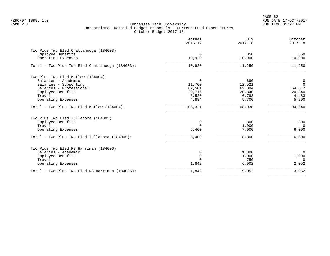PAGE 62 FZROF07 TBR8: 1.0 RUN DATE 17-OCT-2017

|                                                             | Actual<br>$2016 - 17$ | July<br>$2017 - 18$ | October<br>$2017 - 18$        |
|-------------------------------------------------------------|-----------------------|---------------------|-------------------------------|
| Two Plus Two Eled Chattanooga (184003)<br>Employee Benefits | $\mathbf 0$           | 350                 | 350                           |
| Operating Expenses                                          | 10,920                | 10,900              | 10,900                        |
| Total - Two Plus Two Eled Chattanooga (184003):             | 10,920                | 11,250              | 11,250                        |
| Two Plus Two Eled Motlow (184004)                           |                       |                     |                               |
| Salaries - Academic                                         | $\mathbf 0$           | 690                 | $\mathbf 0$<br>$\overline{0}$ |
| Salaries - Supporting<br>Salaries - Professional            | 11,700<br>62,501      | 12,521<br>62,894    | 64,617                        |
| Employee Benefits                                           | 20,716                | 20,340              | 20,340                        |
| Travel                                                      | 3,520                 | 6,793               | 4,483                         |
| Operating Expenses                                          | 4,884                 | 5,700               | 5,200                         |
| Total - Two Plus Two Eled Motlow (184004):                  | 103,321               | 108,938             | 94,640                        |
| Two Plus Two Eled Tullahoma (184005)                        |                       |                     |                               |
| Employee Benefits                                           | 0                     | 300                 | 300                           |
| Travel                                                      | $\Omega$              | 1,000               | $\overline{0}$                |
| Operating Expenses                                          | 5,400                 | 7,000               | 6,000                         |
| Total - Two Plus Two Eled Tullahoma (184005):               | 5,400                 | 8,300               | 6,300                         |
| Two Plus Two Eled RS Harriman (184006)                      |                       |                     |                               |
| Salaries - Academic                                         | 0                     | 1,300               | $\overline{0}$                |
| Employee Benefits                                           | 0                     | 1,000               | 1,000                         |
| Travel                                                      | $\Omega$              | 750                 | $\Omega$                      |
| Operating Expenses                                          | 1,842                 | 6,002               | 2,052                         |
| Total - Two Plus Two Eled RS Harriman (184006):             | 1,842                 | 9,052               | 3,052                         |
|                                                             |                       |                     |                               |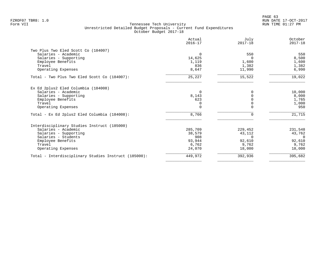PAGE 63 FZROF07 TBR8: 1.0 RUN DATE 17-OCT-2017

|                                                      | Actual<br>$2016 - 17$ | July<br>$2017 - 18$ | October<br>$2017 - 18$ |
|------------------------------------------------------|-----------------------|---------------------|------------------------|
| Two Plus Two Eled Scott Co (184007)                  |                       |                     |                        |
| Salaries - Academic                                  | $\Omega$              | 550                 | 550                    |
| Salaries - Supporting                                | 14,625                | $\Omega$            | 8,500                  |
| Employee Benefits                                    | 1,119                 | 1,600               | 1,600                  |
| Travel                                               | 836                   | 1,382               | 1,382                  |
| Operating Expenses                                   | 8,647                 | 11,990              | 6,990                  |
| Total - Two Plus Two Eled Scott Co (184007):         | 25,227                | 15,522              | 19,022                 |
| Ex Ed 2plus2 Eled Columbia (184008)                  |                       |                     |                        |
| Salaries - Academic                                  | $\Omega$              | O                   | 10,000                 |
| Salaries - Supporting                                | 8,143                 |                     | 8,000                  |
| Employee Benefits                                    | 623                   |                     | 1,765                  |
| Travel                                               | $\Omega$              |                     | 1,000                  |
| Operating Expenses                                   |                       |                     | 950                    |
| Total - Ex Ed 2plus2 Eled Columbia (184008):         | 8,766                 | U                   | 21,715                 |
| Interdisciplinary Studies Instruct (185000)          |                       |                     |                        |
| Salaries - Academic                                  | 285,709               | 229,452             | 231,548                |
| Salaries - Supporting                                | 38,579                | 43,112              | 43,762                 |
| Salaries - Students                                  | 908                   | $\Omega$            | $\Omega$               |
| Employee Benefits                                    | 93,944                | 92,610              | 92,610                 |
| Travel                                               | 6,762                 | 9,762               | 9,762                  |
| Operating Expenses                                   | 24,070                | 18,000              | 18,000                 |
| Total - Interdisciplinary Studies Instruct (185000): | 449,972               | 392,936             | 395,682                |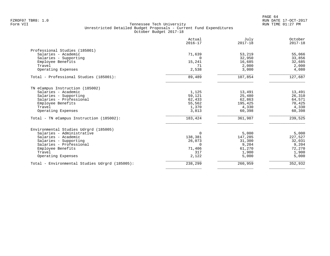PAGE 64 FZROF07 TBR8: 1.0 RUN DATE 17-OCT-2017

|                                                | Actual<br>$2016 - 17$ | July<br>$2017 - 18$ | October<br>$2017 - 18$ |
|------------------------------------------------|-----------------------|---------------------|------------------------|
| Professional Studies (185001)                  |                       |                     |                        |
| Salaries - Academic                            | 71,639                | 53,219              | 55,066                 |
| Salaries - Supporting                          | $\Omega$              | 32,950              | 33,856                 |
| Employee Benefits                              | 15,241                | 16,685              | 32,685                 |
| Travel                                         | 71                    | 2,000               | 2,000                  |
| Operating Expenses                             | 2,538                 | 3,000               | 4,080                  |
| Total - Professional Studies (185001):         | 89,489                | 107,854             | 127,687                |
| TN eCampus Instruction (185002)                |                       |                     |                        |
| Salaries - Academic                            | 1,125                 | 13,491              | 13,491                 |
| Salaries - Supporting                          | 59,121                | 25,480              | 26,310                 |
| Salaries - Professional                        | 62,433                | 62,863              | 64,571                 |
| Employee Benefits                              | 55,562                | 195,425             | 70,425                 |
| Travel                                         | 1,370                 | 4,330               | 4,330                  |
| Operating Expenses                             | 3,813                 | 60,398              | 60,398                 |
| Total - TN eCampus Instruction (185002):       | 183,424               | 361,987             | 239,525                |
| Environmental Studies Udrgrd (185005)          |                       |                     |                        |
| Salaries - Administrative                      | $\Omega$              | 5,000               | 5,000                  |
| Salaries - Academic                            | 138,381               | 147,285             | 227,527                |
| Salaries - Supporting                          | 26,073                | 31,300              | 32,031                 |
| Salaries - Professional                        | $\Omega$              | 9,204               | 9,204                  |
| Employee Benefits                              | 71,406                | 61,270              | 72,270                 |
| Travel                                         | 317                   | 1,900               | 1,900                  |
| Operating Expenses                             | 2,122                 | 5,000               | 5,000                  |
| Total - Environmental Studies Udrgrd (185005): | 238,299               | 260,959             | 352,932                |
|                                                |                       |                     |                        |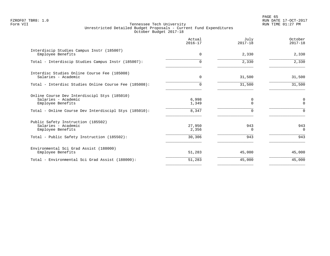PAGE 65 FZROF07 TBR8: 1.0 RUN DATE 17-OCT-2017

|                                                                                          | Actual<br>$2016 - 17$ | July<br>$2017 - 18$ | October<br>$2017 - 18$ |
|------------------------------------------------------------------------------------------|-----------------------|---------------------|------------------------|
| Interdiscip Studies Campus Instr (185007)<br>Employee Benefits                           | $\Omega$              | 2,330               | 2,330                  |
| Total - Interdiscip Studies Campus Instr (185007):                                       | $\Omega$              | 2,330               | 2,330                  |
| Interdisc Studies Online Course Fee (185008)<br>Salaries - Academic                      | 0                     | 31,500              | 31,500                 |
| Total - Interdisc Studies Online Course Fee (185008):                                    | $\Omega$              | 31,500              | 31,500                 |
| Online Course Dev Interdiscipl Stys (185010)<br>Salaries - Academic<br>Employee Benefits | 6,998<br>1,349        | 0<br>$\Omega$       | 0<br>$\Omega$          |
| Total - Online Course Dev Interdiscipl Stys (185010):                                    | 8,347                 |                     | ∩                      |
| Public Safety Instruction (185502)<br>Salaries - Academic<br>Employee Benefits           | 27,950<br>2,356       | 943<br>0            | 943<br>$\Omega$        |
| Total - Public Safety Instruction (185502):                                              | 30,306                | 943                 | 943                    |
| Environmental Sci Grad Assist (188000)<br>Employee Benefits                              | 51,283                | 45,000              | 45,000                 |
| Total - Environmental Sci Grad Assist (188000):                                          | 51,283                | 45,000              | 45,000                 |
|                                                                                          |                       |                     |                        |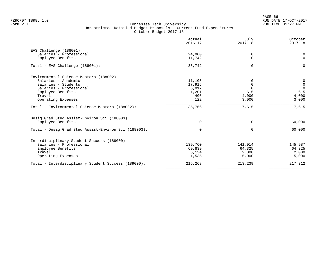|                                                      | Actual<br>$2016 - 17$ | July<br>$2017 - 18$ | October<br>$2017 - 18$ |
|------------------------------------------------------|-----------------------|---------------------|------------------------|
| EVS Challenge (188001)                               |                       |                     |                        |
| Salaries - Professional                              | 24,000                | 0                   | 0                      |
| Employee Benefits                                    | 11,742                | $\Omega$            | $\mathbf 0$            |
| Total - EVS Challenge (188001):                      | 35,742                | $\Omega$            | $\Omega$               |
| Environmental Science Masters (188002)               |                       |                     |                        |
| Salaries - Academic                                  | 11,105                |                     | 0                      |
| Salaries - Students                                  | 17,915                |                     | $\mathbb O$            |
| Salaries - Professional                              | 5,017                 |                     | $\overline{0}$         |
| Employee Benefits                                    | 1,201                 | 615                 | 615                    |
| Travel                                               | 406                   | 4,000               | 4,000                  |
| Operating Expenses                                   | 122                   | 3,000               | 3,000                  |
| Total - Environmental Science Masters (188002):      | 35,766                | 7,615               | 7,615                  |
| Desig Grad Stud Assist-Environ Sci (188003)          |                       |                     |                        |
| Employee Benefits                                    | $\Omega$              | $\Omega$            | 60,000                 |
| Total - Desig Grad Stud Assist-Environ Sci (188003): | $\Omega$              | $\Omega$            | 60,000                 |
| Interdisciplinary Student Success (189000)           |                       |                     |                        |
| Salaries - Professional                              | 139,760               | 141,914             | 145,987                |
| Employee Benefits                                    | 69,839                | 64,325              | 64,325                 |
| Travel                                               | 5,134                 | 2,000               | 2,000                  |
| Operating Expenses                                   | 1,535                 | 5,000               | 5,000                  |
| Total - Interdisciplinary Student Success (189000):  | 216,268               | 213,239             | 217,312                |
|                                                      |                       |                     |                        |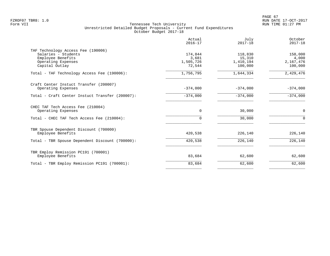PAGE 67 FZROF07 TBR8: 1.0 RUN DATE 17-OCT-2017

|                                                                                                                        | Actual<br>$2016 - 17$                   | July<br>$2017 - 18$                       | October<br>$2017 - 18$                   |
|------------------------------------------------------------------------------------------------------------------------|-----------------------------------------|-------------------------------------------|------------------------------------------|
| TAF Technology Access Fee (190006)<br>Salaries - Students<br>Employee Benefits<br>Operating Expenses<br>Capital Outlay | 174,844<br>3,681<br>1,505,726<br>72,544 | 118,830<br>15,310<br>1,410,194<br>100,000 | 158,000<br>4,000<br>2,167,476<br>100,000 |
| Total - TAF Technology Access Fee (190006):                                                                            | 1,756,795                               | 1,644,334                                 | 2,429,476                                |
| Craft Center Instuct Transfer (200007)<br>Operating Expenses                                                           | $-374,000$                              | $-374,000$                                | $-374,000$                               |
| Total - Craft Center Instuct Transfer (200007):                                                                        | $-374,000$                              | $-374,000$                                | $-374,000$                               |
| CHEC TAF Tech Access Fee (210004)<br>Operating Expenses                                                                | $\mathbf 0$                             | 30,000                                    | $\mathbf 0$                              |
| Total - CHEC TAF Tech Access Fee (210004):                                                                             | $\Omega$                                | 30,000                                    | $\Omega$                                 |
| TBR Spouse Dependent Discount (700000)<br>Employee Benefits                                                            | 420,538                                 | 226,140                                   | 226,140                                  |
| Total - TBR Spouse Dependent Discount (700000):                                                                        | 420,538                                 | 226,140                                   | 226,140                                  |
| TBR Employ Remission PC191 (700001)<br>Employee Benefits                                                               | 83,684                                  | 62,600                                    | 62,600                                   |
| Total - TBR Employ Remission PC191 (700001):                                                                           | 83,684                                  | 62,600                                    | 62,600                                   |
|                                                                                                                        |                                         |                                           |                                          |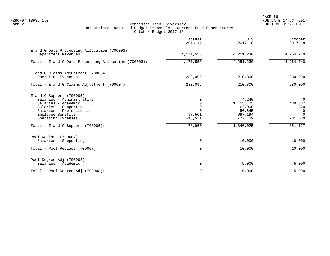PAGE 68 FZROF07 TBR8: 1.0 RUN DATE 17-OCT-2017

|                                                                                                                                                                                                                       | Actual<br>$2016 - 17$                                            | July<br>$2017 - 18$                                                         | October<br>$2017 - 18$                                         |
|-----------------------------------------------------------------------------------------------------------------------------------------------------------------------------------------------------------------------|------------------------------------------------------------------|-----------------------------------------------------------------------------|----------------------------------------------------------------|
| E and G Data Processing Allocation (700003)<br>Department Revenues                                                                                                                                                    | 4, 171, 558                                                      | 4,251,230                                                                   | 4,264,740                                                      |
| Total - E and G Data Processing Allocation (700003):                                                                                                                                                                  | 4,171,558                                                        | 4, 251, 230                                                                 | 4,264,740                                                      |
| E and G Claims Adjustment (700004)<br>Operating Expenses                                                                                                                                                              | 280,095                                                          | 210,800                                                                     | 280,090                                                        |
| Total - E and G Claims Adjustment (700004):                                                                                                                                                                           | 280,095                                                          | 210,800                                                                     | 280,090                                                        |
| $E$ and G Support (700005)<br>Salaries - Administrative<br>Salaries - Academic<br>Salaries - Supporting<br>Salaries - Professional<br>Employee Benefits<br>Operating Expenses<br>Total - E and G Support $(700005)$ : | 0<br>0<br>$\mathbf 0$<br>$\cap$<br>97,501<br>$-18,551$<br>78,950 | 4,240<br>1,103,105<br>62,000<br>56,645<br>697,194<br>$-77,159$<br>1,846,025 | 0<br>430,837<br>1,820<br>0<br>$\Omega$<br>$-81,530$<br>351,127 |
| Pool Reclass (700007)<br>Salaries - Supporting<br>Total - Pool Reclass (700007):                                                                                                                                      | $\mathbf 0$<br>0                                                 | 10,000<br>10,000                                                            | 10,000<br>10,000                                               |
| Pool Degree Adj (700008)<br>Salaries - Academic                                                                                                                                                                       | $\mathbf 0$                                                      | 5,000                                                                       | 5,000                                                          |
| Total - Pool Degree Adj (700008):                                                                                                                                                                                     | 0                                                                | 5,000                                                                       | 5,000                                                          |
|                                                                                                                                                                                                                       |                                                                  |                                                                             |                                                                |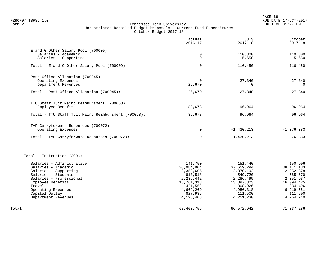PAGE 69 FZROF07 TBR8: 1.0 RUN DATE 17-OCT-2017

|                                                     | Actual<br>$2016 - 17$ | July<br>$2017 - 18$   | October<br>$2017 - 18$ |
|-----------------------------------------------------|-----------------------|-----------------------|------------------------|
| E and G Other Salary Pool (700009)                  |                       |                       |                        |
| Salaries - Academic                                 | 0                     | 110,800               | 110,800                |
| Salaries - Supporting                               | $\Omega$              | 5,650                 | 5,650                  |
| Total - E and G Other Salary Pool (700009):         | $\Omega$              | 116,450               | 116,450                |
| Post Office Allocation (700045)                     |                       |                       |                        |
| Operating Expenses                                  | $\Omega$              | 27,340                | 27,340                 |
| Department Revenues                                 | 26,670                | 0                     | 0                      |
| Total - Post Office Allocation (700045):            | 26,670                | 27,340                | 27,340                 |
| TTU Staff Tuit Maint Reimbursment (700068)          |                       |                       |                        |
| Employee Benefits                                   | 89,678                | 96,964                | 96,964                 |
| Total - TTU Staff Tuit Maint Reimbursment (700068): | 89,678                | 96,964                | 96,964                 |
| TAF Carryforward Resources (700072)                 |                       |                       |                        |
| Operating Expenses                                  | $\mathbf 0$           | $-1,430,213$          | $-1,076,383$           |
| Total - TAF Carryforward Resources (700072):        | $\Omega$              | $-1,430,213$          | $-1,076,383$           |
| Total - Instruction (200):                          |                       |                       |                        |
| Salaries - Administrative                           | 141,750               | 151,440               | 150,906                |
| Salaries - Academic                                 | 36,984,904            | 37,659,294            | 38, 171, 183           |
| Salaries - Supporting                               | 2,350,605             | 2,370,192             | 2,352,878              |
| Salaries - Students                                 | 813,518               | 549,720               | 585,670                |
| Salaries - Professional                             | 2,236,442             | 2,286,499             | 2,351,937              |
| Employee Benefits<br>Travel                         | 15,761,313<br>421,562 | 13,897,823<br>308,926 | 16,094,425<br>334,496  |
| Operating Expenses                                  | 4,669,269             | 4,986,318             | 6,919,551              |
| Capital Outlay                                      | 827,985               | 111,500               | 111,500                |
| Department Revenues                                 | 4,196,408             | 4,251,230             | 4, 264, 740            |
| Total                                               | 68,403,756            | 66, 572, 942          | 71,337,286             |
|                                                     |                       |                       |                        |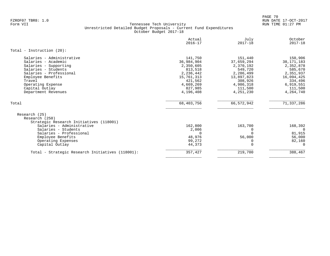PAGE 70 FZROF07 TBR8: 1.0 RUN DATE 17-OCT-2017

|                                                                                                                                                                                                                          | Actual<br>$2016 - 17$                                                                                                    | July<br>$2017 - 18$                                                                                                      | October<br>$2017 - 18$                                                                                                     |
|--------------------------------------------------------------------------------------------------------------------------------------------------------------------------------------------------------------------------|--------------------------------------------------------------------------------------------------------------------------|--------------------------------------------------------------------------------------------------------------------------|----------------------------------------------------------------------------------------------------------------------------|
| Total - Instruction $(20)$ :                                                                                                                                                                                             |                                                                                                                          |                                                                                                                          |                                                                                                                            |
| Salaries - Administrative<br>Salaries - Academic<br>Salaries - Supporting<br>Salaries - Students<br>Salaries - Professional<br>Employee Benefits<br>Travel<br>Operating Expense<br>Capital Outlay<br>Department Revenues | 141,750<br>36,984,904<br>2,350,605<br>813,518<br>2,236,442<br>15,761,313<br>421,562<br>4,669,269<br>827,985<br>4,196,408 | 151,440<br>37,659,294<br>2,370,192<br>549,720<br>2,286,499<br>13,897,823<br>308,926<br>4,986,318<br>111,500<br>4,251,230 | 150,906<br>38, 171, 183<br>2,352,878<br>585,670<br>2,351,937<br>16,094,425<br>334,496<br>6,919,551<br>111,500<br>4,264,740 |
| Total                                                                                                                                                                                                                    | 68,403,756                                                                                                               | 66,572,942                                                                                                               | 71,337,286                                                                                                                 |
| Research (25)<br>Research (250)<br>Strategic Research Initiatives (118001)<br>Salaries - Administrative<br>Salaries - Students<br>Salaries - Professional<br>Employee Benefits<br>Operating Expenses<br>Capital Outlay   | 162,800<br>2,006<br>$\Omega$<br>48,976<br>99,272<br>44,373                                                               | 163,700<br>0<br>56,000<br>$\Omega$<br>$\Omega$                                                                           | 168,392<br>81,915<br>56,000<br>82,160<br>$\cap$                                                                            |
| Total - Strategic Research Initiatives (118001):                                                                                                                                                                         | 357,427                                                                                                                  | 219,700                                                                                                                  | 388,467                                                                                                                    |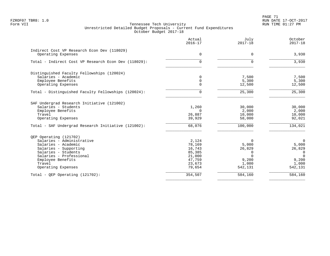PAGE 71 FZROF07 TBR8: 1.0 RUN DATE 17-OCT-2017

| Actual<br>$2016 - 17$ | July<br>$2017 - 18$                                                                                                      | October<br>$2017 - 18$                                                                                                |
|-----------------------|--------------------------------------------------------------------------------------------------------------------------|-----------------------------------------------------------------------------------------------------------------------|
|                       |                                                                                                                          | 3,930                                                                                                                 |
|                       |                                                                                                                          |                                                                                                                       |
| 0                     | $\Omega$                                                                                                                 | 3,930                                                                                                                 |
|                       |                                                                                                                          |                                                                                                                       |
| $\Omega$              |                                                                                                                          | 7,500                                                                                                                 |
|                       |                                                                                                                          | 5,300                                                                                                                 |
|                       |                                                                                                                          | 12,500                                                                                                                |
| 0                     | 25,300                                                                                                                   | 25,300                                                                                                                |
|                       |                                                                                                                          |                                                                                                                       |
| 1,260                 | 30,000                                                                                                                   | 30,000                                                                                                                |
|                       |                                                                                                                          | 2,000                                                                                                                 |
|                       |                                                                                                                          | 10,000                                                                                                                |
|                       |                                                                                                                          | 92,021                                                                                                                |
| 68,076                | 100,000                                                                                                                  | 134,021                                                                                                               |
|                       |                                                                                                                          |                                                                                                                       |
| 2,124                 | $\Omega$                                                                                                                 | $\Omega$                                                                                                              |
|                       |                                                                                                                          | 5,000                                                                                                                 |
|                       |                                                                                                                          | 26,829                                                                                                                |
|                       |                                                                                                                          | 0<br>$\Omega$                                                                                                         |
|                       |                                                                                                                          | 9,200                                                                                                                 |
| 23,673                | 1,000                                                                                                                    | 1,000                                                                                                                 |
| 79,654                | 542,131                                                                                                                  | 542,131                                                                                                               |
| 354,507               | 584,160                                                                                                                  | 584,160                                                                                                               |
|                       | $\mathbf 0$<br>$\mathbf 0$<br>$\Omega$<br>$\Omega$<br>26,887<br>39,929<br>78,169<br>16,743<br>85,385<br>21,000<br>47,759 | $\Omega$<br>7,500<br>5,300<br>12,500<br>2,000<br>10,000<br>58,000<br>5,000<br>26,829<br>$\Omega$<br>$\Omega$<br>9,200 |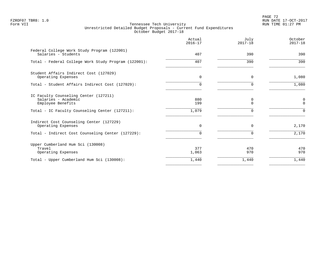PAGE 72 FZROF07 TBR8: 1.0 RUN DATE 17-OCT-2017

|                                                                                                                                     | Actual<br>$2016 - 17$ | July<br>$2017 - 18$ | October<br>$2017 - 18$        |
|-------------------------------------------------------------------------------------------------------------------------------------|-----------------------|---------------------|-------------------------------|
| Federal College Work Study Program (122001)<br>Salaries - Students                                                                  | 407                   | 390                 | 390                           |
| Total - Federal College Work Study Program (122001):                                                                                | 407                   | 390                 | 390                           |
| Student Affairs Indirect Cost (127029)<br>Operating Expenses                                                                        | $\mathbf 0$           | $\mathbf 0$         | 1,080                         |
| Total - Student Affairs Indirect Cost (127029):                                                                                     | $\Omega$              | $\Omega$            | 1,080                         |
| IC Faculty Counseling Center (127211)<br>Salaries - Academic<br>Employee Benefits<br>Total - IC Faculty Counseling Center (127211): | 880<br>199<br>1,079   | 0<br>$\Omega$       | 0<br>$\Omega$<br><sup>n</sup> |
| Indirect Cost Counseling Center (127229)<br>Operating Expenses                                                                      | $\mathbf 0$           | $\mathbf 0$         | 2,170                         |
| Total - Indirect Cost Counseling Center (127229):                                                                                   | 0                     | $\Omega$            | 2,170                         |
| Upper Cumberland Hum Sci (130008)<br>Travel<br>Operating Expenses                                                                   | 377<br>1,063          | 470<br>970          | 470<br>970                    |
| Total - Upper Cumberland Hum Sci (130008):                                                                                          | 1,440                 | 1,440               | 1,440                         |
|                                                                                                                                     |                       |                     |                               |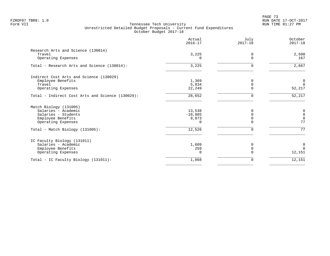PAGE 73 FZROF07 TBR8: 1.0 RUN DATE 17-OCT-2017

|                                                                                    | Actual<br>$2016 - 17$                | July<br>$2017 - 18$ | October<br>$2017 - 18$ |
|------------------------------------------------------------------------------------|--------------------------------------|---------------------|------------------------|
| Research Arts and Science (130014)                                                 |                                      |                     |                        |
| Travel                                                                             | 3,225                                | 0                   | 2,500                  |
| Operating Expenses                                                                 |                                      | $\Omega$            | 167                    |
| Total - Research Arts and Science (130014):                                        | 3,225                                |                     | 2,667                  |
| Indirect Cost Arts and Science (130029)                                            |                                      |                     |                        |
| Employee Benefits                                                                  | 1,369                                |                     | $\overline{0}$         |
| Travel                                                                             | 5,034                                | U                   | $\overline{0}$         |
| Operating Expenses                                                                 | 22,249                               |                     | 52,217                 |
| Total - Indirect Cost Arts and Science (130029):                                   | 28,652                               | U                   | 52,217                 |
| Match Biology (131005)                                                             |                                      |                     |                        |
| Salaries - Academic                                                                | 13,538                               | 0                   | $\pmb{0}$              |
| Salaries - Students                                                                | $-10,885$                            |                     | $\mathbb O$            |
|                                                                                    |                                      |                     | $\mathbf 0$            |
|                                                                                    |                                      |                     | 77                     |
| Total - Match Biology (131005):                                                    | 12,526                               | $\Omega$            | 77                     |
| IC Faculty Biology (131011)                                                        |                                      |                     |                        |
| Salaries - Academic                                                                | 1,609                                | 0                   | $\overline{0}$         |
|                                                                                    |                                      |                     | $\Omega$               |
|                                                                                    |                                      |                     | 12,151                 |
| Total - IC Faculty Biology (131011):                                               | 1,868                                | 0                   | 12,151                 |
| Employee Benefits<br>Operating Expenses<br>Employee Benefits<br>Operating Expenses | 9,873<br>$\Omega$<br>259<br>$\Omega$ | $\Omega$            |                        |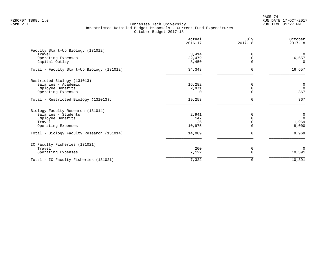PAGE 74 FZROF07 TBR8: 1.0 RUN DATE 17-OCT-2017

|                                            | Actual<br>$2016 - 17$ | July<br>$2017 - 18$ | October<br>$2017 - 18$ |
|--------------------------------------------|-----------------------|---------------------|------------------------|
| Faculty Start-Up Biology (131012)          |                       |                     |                        |
| Travel                                     | 3,414                 | 0                   | $\overline{0}$         |
| Operating Expenses                         | 22,479                | 0                   | 16,657                 |
| Capital Outlay                             | 8,450                 | $\Omega$            | $\Omega$               |
| Total - Faculty Start-Up Biology (131012): | 34,343                | 0                   | 16,657                 |
| Restricted Biology (131013)                |                       |                     |                        |
| Salaries - Academic                        | 16,282                | 0                   | $\overline{0}$         |
| Employee Benefits                          | 2,971                 | $\mathbf 0$         | $\mathbf 0$            |
| Operating Expenses                         | $\Omega$              | $\Omega$            | 367                    |
| Total - Restricted Biology (131013):       | 19,253                | $\Omega$            | $\frac{1}{367}$        |
| Biology Faculty Research (131014)          |                       |                     |                        |
| Salaries - Students                        | 2,941                 | $\Omega$            | $\mathbf 0$            |
| Employee Benefits                          | 147                   | $\Omega$            | $\mathbf 0$            |
| Travel                                     | 26                    |                     | 1,969                  |
| Operating Expenses                         | 10,975                | $\Omega$            | 8,000                  |
| Total - Biology Faculty Research (131014): | 14,089                | $\Omega$            | 9,969                  |
| IC Faculty Fisheries (131021)              |                       |                     |                        |
| Travel                                     | 200                   | 0                   | $\Omega$               |
| Operating Expenses                         | 7,122                 | $\Omega$            | 10,391                 |
| Total - IC Faculty Fisheries (131021):     | 7,322                 | 0                   | 10,391                 |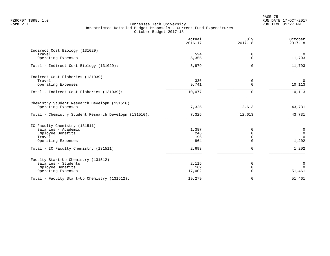|                                                                    | Actual<br>$2016 - 17$ | July<br>$2017 - 18$     | October<br>$2017 - 18$   |
|--------------------------------------------------------------------|-----------------------|-------------------------|--------------------------|
| Indirect Cost Biology (131029)<br>Travel                           | 524                   | 0                       | $\mathbf{0}$             |
| Operating Expenses                                                 | 5,355                 | $\Omega$                | 11,793                   |
| Total - Indirect Cost Biology (131029):                            | 5,879                 | $\Omega$                | 11,793                   |
| Indirect Cost Fisheries (131039)                                   |                       |                         |                          |
| Travel<br>Operating Expenses                                       | 336<br>9,741          | 0<br>$\mathbf 0$        | $\overline{0}$<br>10,113 |
| Total - Indirect Cost Fisheries (131039):                          | 10,077                | $\Omega$                | 10,113                   |
| Chemistry Student Research Developm (131510)<br>Operating Expenses | 7,325                 | 12,613                  | 43,731                   |
| Total - Chemistry Student Research Developm (131510):              | 7,325                 | 12,613                  | 43,731                   |
|                                                                    |                       |                         |                          |
| IC Faculty Chemistry (131511)<br>Salaries - Academic               | 1,387                 | 0                       | $\mathsf 0$              |
| Employee Benefits                                                  | 246                   | $\Omega$                | $\mathbf 0$              |
| Travel<br>Operating Expenses                                       | 196<br>864            | $\mathbf 0$<br>$\Omega$ | $\Omega$<br>1,202        |
| Total - IC Faculty Chemistry (131511):                             | 2,693                 | $\mathbf 0$             | 1,202                    |
| Faculty Start-Up Chemistry (131512)                                |                       |                         |                          |
| Salaries - Students                                                | 2,115                 | 0                       | $\mathbf 0$              |
| Employee Benefits<br>Operating Expenses                            | 162<br>17,002         | $\mathbf 0$<br>$\Omega$ | $\Omega$<br>51,461       |
| Total - Faculty Start-Up Chemistry (131512):                       | 19,279                | 0                       | 51,461                   |
|                                                                    |                       |                         |                          |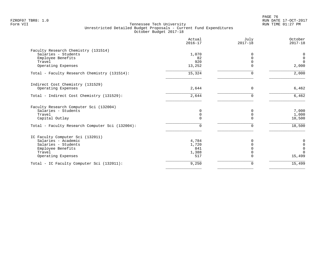en and the set of the set of the set of the set of the set of the set of the set of the set of the set of the set of the set of the set of the set of the set of the set of the set of the set of the set of the set of the se FZROF07 TBR8: 1.0 RUN DATE 17-OCT-2017

|                                                 | Actual<br>$2016 - 17$ | July<br>$2017 - 18$ | October<br>$2017 - 18$ |
|-------------------------------------------------|-----------------------|---------------------|------------------------|
| Faculty Research Chemistry (131514)             |                       |                     |                        |
| Salaries - Students                             | 1,070                 | $\Omega$            | 0                      |
| Employee Benefits                               | 82                    | $\Omega$            | $\mathbf 0$            |
| Travel                                          | 920                   | $\Omega$            | $\mathbf 0$            |
| Operating Expenses                              | 13,252                | ∩                   | 2,000                  |
| Total - Faculty Research Chemistry (131514):    | 15,324                | ∩                   | 2,000                  |
| Indirect Cost Chemistry (131529)                |                       |                     |                        |
| Operating Expenses                              | 2,644                 | 0                   | 6,462                  |
| Total - Indirect Cost Chemistry (131529):       | 2,644                 | 0                   | 6,462                  |
| Faculty Research Computer Sci (132004)          |                       |                     |                        |
| Salaries - Students                             | 0                     | 0                   | 7,000                  |
| Travel                                          | $\mathbf 0$           | $\mathbf 0$         | 1,000                  |
| Capital Outlay                                  | $\Omega$              | $\Omega$            | 10,500                 |
| Total - Faculty Research Computer Sci (132004): | 0                     | $\Omega$            | 18,500                 |
| IC Faculty Computer Sci (132011)                |                       |                     |                        |
| Salaries - Academic                             | 4,784                 |                     | 0                      |
| Salaries - Students                             | 1,720                 | $\Omega$            | $\mathsf 0$            |
| Employee Benefits                               | 841                   | $\cap$              | $\mathbf 0$            |
| Travel                                          | 1,388                 | $\Omega$            | $\Omega$               |
| Operating Expenses                              | 517                   |                     | 15,499                 |
| Total - IC Faculty Computer Sci (132011):       | 9,250                 | 0                   | 15,499                 |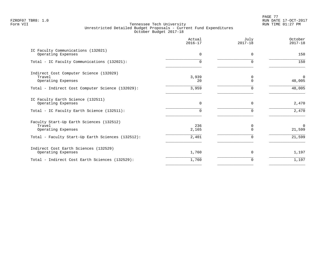PAGE 77 FZROF07 TBR8: 1.0 RUN DATE 17-OCT-2017

|                                                                          | Actual<br>$2016 - 17$ | July<br>$2017 - 18$ | October<br>$2017 - 18$   |
|--------------------------------------------------------------------------|-----------------------|---------------------|--------------------------|
| IC Faculty Communications (132021)<br>Operating Expenses                 | $\Omega$              | 0                   | 150                      |
| Total - IC Faculty Communications (132021):                              | 0                     | $\Omega$            | 150                      |
| Indirect Cost Computer Science (132029)<br>Travel<br>Operating Expenses  | 3,939<br>20           | 0<br>$\Omega$       | $\overline{0}$<br>48,005 |
| Total - Indirect Cost Computer Science (132029):                         | 3,959                 | 0                   | 48,005                   |
| IC Faculty Earth Science (132511)<br>Operating Expenses                  | $\Omega$              | $\Omega$            | 2,470                    |
| Total - IC Faculty Earth Science (132511):                               | 0                     |                     | 2,470                    |
| Faculty Start-Up Earth Sciences (132512)<br>Travel<br>Operating Expenses | 236<br>2,165          | 0<br>$\Omega$       | $\mathbf 0$<br>21,599    |
| Total - Faculty Start-Up Earth Sciences (132512):                        | 2,401                 | $\Omega$            | 21,599                   |
| Indirect Cost Earth Sciences (132529)<br>Operating Expenses              | 1,760                 | 0                   | 1,197                    |
| Total - Indirect Cost Earth Sciences (132529):                           | 1,760                 | $\Omega$            | 1,197                    |
|                                                                          |                       |                     |                          |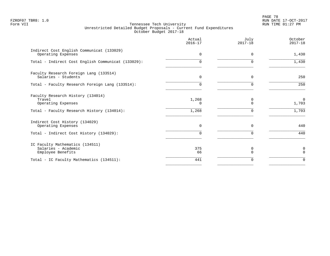PAGE 78 FZROF07 TBR8: 1.0 RUN DATE 17-OCT-2017

|                                                                             | Actual<br>$2016 - 17$ | July<br>$2017 - 18$       | October<br>$2017 - 18$ |
|-----------------------------------------------------------------------------|-----------------------|---------------------------|------------------------|
| Indirect Cost English Communicat (133029)<br>Operating Expenses             | $\Omega$              | $\Omega$                  | 1,430                  |
| Total - Indirect Cost English Communicat (133029):                          | 0                     | $\Omega$                  | 1,430                  |
| Faculty Research Foreign Lang (133514)<br>Salaries - Students               | $\mathbf 0$           | 0                         | 250                    |
| Total - Faculty Research Foreign Lang (133514):                             | $\Omega$              | 0                         | 250                    |
| Faculty Research History (134014)<br>Travel<br>Operating Expenses           | 1,268<br>U            | $\Omega$<br>$\Omega$<br>∩ | $\mathbf 0$<br>1,703   |
| Total - Faculty Research History (134014):                                  | 1,268                 |                           | 1,703                  |
| Indirect Cost History (134029)<br>Operating Expenses                        | $\mathbf 0$           | 0                         | 440                    |
| Total - Indirect Cost History (134029):                                     | $\Omega$              | $\Omega$                  | 440                    |
| IC Faculty Mathematics (134511)<br>Salaries - Academic<br>Employee Benefits | 375<br>66             | 0<br>$\cap$               | 0<br>$\Omega$          |
| Total - IC Faculty Mathematics (134511):                                    | 441                   | 0                         | $\Omega$               |
|                                                                             |                       |                           |                        |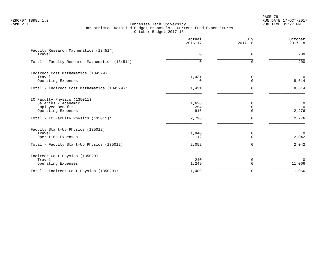PAGE 79 FZROF07 TBR8: 1.0 RUN DATE 17-OCT-2017

|                                                 | Actual<br>$2016 - 17$ | July<br>$2017 - 18$ | October<br>$2017 - 18$     |
|-------------------------------------------------|-----------------------|---------------------|----------------------------|
| Faculty Research Mathematics (134514)<br>Travel | $\Omega$              | 0                   | 200                        |
| Total - Faculty Research Mathematics (134514):  | $\Omega$              | $\Omega$            | 200                        |
| Indirect Cost Mathematics (134529)              |                       |                     |                            |
| Travel<br>Operating Expenses                    | 1,431<br>0            | 0<br>$\Omega$       | $\mathbf 0$<br>8,614       |
| Total - Indirect Cost Mathematics (134529):     | 1,431                 | $\Omega$            | 8,614                      |
| IC Faculty Physics (135011)                     |                       |                     |                            |
| Salaries - Academic<br>Employee Benefits        | 1,626<br>254          | 0<br>$\mathbf 0$    | $\mathbf 0$<br>$\mathbf 0$ |
| Operating Expenses                              | 916                   | $\Omega$            | 2,276                      |
| Total - IC Faculty Physics (135011):            | 2,796                 | 0                   | 2,276                      |
| Faculty Start-Up Physics (135012)               |                       |                     |                            |
| Travel                                          | 1,940                 | 0                   | $\mathbf 0$                |
| Operating Expenses                              | 112                   | $\Omega$            | 2,042                      |
| Total - Faculty Start-Up Physics (135012):      | 2,052                 | 0                   | 2,042                      |
| Indirect Cost Physics (135029)                  |                       |                     |                            |
| Travel<br>Operating Expenses                    | 240<br>1,249          | 0<br>$\mathbf 0$    | $\mathbf 0$<br>11,066      |
| Total - Indirect Cost Physics (135029):         | 1,489                 | $\mathbf 0$         | 11,066                     |
|                                                 |                       |                     |                            |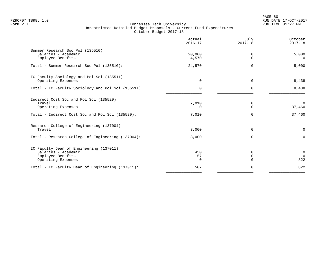|                                                                                                                           | Actual<br>$2016 - 17$      | July<br>$2017 - 18$          | October<br>$2017 - 18$       |
|---------------------------------------------------------------------------------------------------------------------------|----------------------------|------------------------------|------------------------------|
| Summer Research Soc Pol (135510)<br>Salaries - Academic<br>Employee Benefits                                              | 20,000<br>4,570            | $\Omega$<br>$\Omega$         | 5,000<br>$\Omega$            |
| Total - Summer Research Soc Pol (135510):                                                                                 | 24,570                     | $\Omega$                     | 5,000                        |
| IC Faculty Sociology and Pol Sci (135511)<br>Operating Expenses                                                           | $\mathbf 0$                | $\mathbf 0$                  | 8,438                        |
| Total - IC Faculty Sociology and Pol Sci (135511):                                                                        | 0                          | $\Omega$                     | 8,438                        |
| Indirect Cost Soc and Pol Sci (135529)<br>Travel<br>Operating Expenses<br>Total - Indirect Cost Soc and Pol Sci (135529): | 7,010<br>$\Omega$<br>7,010 | 0<br>$\Omega$<br>$\Omega$    | $\Omega$<br>37,460<br>37,460 |
| Research College of Engineering (137004)<br>Travel                                                                        | 3,000                      | $\Omega$                     | $\mathbf 0$                  |
| Total - Research College of Engineering (137004):                                                                         | 3,000                      | $\Omega$                     | $\Omega$                     |
| IC Faculty Dean of Engineering (137011)<br>Salaries - Academic<br>Employee Benefits<br>Operating Expenses                 | 450<br>57<br>0             | 0<br>$\mathbf 0$<br>$\Omega$ | 0<br>$\Omega$<br>822         |
| Total - IC Faculty Dean of Engineering (137011):                                                                          | 507                        | 0                            | 822                          |
|                                                                                                                           |                            |                              |                              |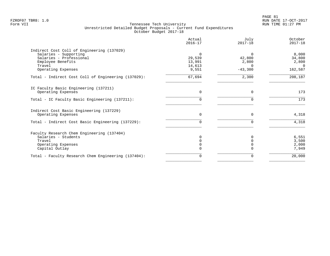| Actual<br>$2016 - 17$ | July<br>$2017 - 18$                              | October<br>$2017 - 18$                           |
|-----------------------|--------------------------------------------------|--------------------------------------------------|
|                       |                                                  |                                                  |
| $\Omega$              | $\Omega$                                         | 8,000                                            |
|                       |                                                  | 34,800                                           |
|                       |                                                  | 2,800<br>$\Omega$                                |
| 9,551                 | $-43,300$                                        | 162,587                                          |
|                       |                                                  |                                                  |
|                       |                                                  | 208,187                                          |
|                       |                                                  |                                                  |
| $\Omega$              | $\Omega$                                         | 173                                              |
| $\Omega$              | $\Omega$                                         | 173                                              |
|                       |                                                  |                                                  |
|                       |                                                  |                                                  |
|                       |                                                  | 4,318                                            |
| O.                    |                                                  | 4,318                                            |
|                       |                                                  |                                                  |
| 0                     |                                                  | 6,551                                            |
|                       |                                                  | 3,500                                            |
|                       |                                                  | 2,000                                            |
|                       |                                                  | 7,949                                            |
| 0                     |                                                  | 20,000                                           |
|                       | 29,539<br>13,991<br>14,613<br>67,694<br>$\Omega$ | 42,800<br>2,800<br>$\Omega$<br>2,300<br>$\Omega$ |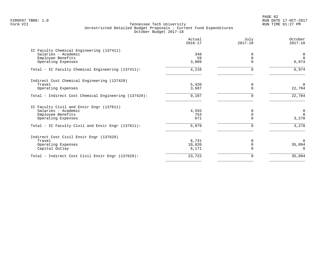PAGE 82 FZROF07 TBR8: 1.0 RUN DATE 17-OCT-2017

| Actual<br>$2016 - 17$ | July<br>$2017 - 18$          | October<br>$2017 - 18$ |
|-----------------------|------------------------------|------------------------|
|                       |                              |                        |
| 348                   | $\Omega$                     | 0                      |
| 59                    | $\Omega$                     | $\mathbf 0$            |
| 3,809                 | $\mathbf 0$                  | 6,974                  |
| 4,216                 | $\Omega$                     | 6,974                  |
|                       |                              |                        |
|                       | 0                            | $\Omega$               |
|                       | $\Omega$                     | 22,784                 |
| 9,107                 | 0                            | 22,784                 |
|                       |                              |                        |
| 4,555                 | $\Omega$                     | $\mathbf 0$            |
|                       | 0                            | $\Omega$               |
|                       |                              | 3,278                  |
| 5,979                 | 0                            | 3,278                  |
|                       |                              |                        |
| 6,731                 | $\Omega$                     | $\Omega$               |
| 10,820                | 0                            | 35,094                 |
| 6,171                 |                              | $\Omega$               |
| 23,722                | $\Omega$                     | 35,094                 |
|                       | 5,420<br>3,687<br>753<br>671 | $\Omega$               |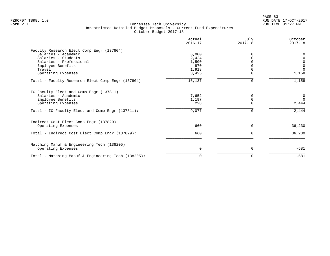|                                                     | Actual<br>$2016 - 17$ | July<br>$2017 - 18$ | October<br>$2017 - 18$ |
|-----------------------------------------------------|-----------------------|---------------------|------------------------|
| Faculty Research Elect Comp Engr (137804)           |                       |                     |                        |
| Salaries - Academic                                 | 6,000                 |                     |                        |
| Salaries - Students                                 | 2,424                 | $\Omega$            | $\Omega$               |
| Salaries - Professional                             | 1,500                 |                     | 0                      |
| Employee Benefits                                   | 870                   |                     | $\mathbf 0$            |
| Travel                                              | 1,918                 |                     | $\Omega$               |
| Operating Expenses                                  | 3,425                 | $\Omega$            | 1,158                  |
| Total - Faculty Research Elect Comp Engr (137804):  | 16,137                | $\Omega$            | 1,158                  |
| IC Faculty Elect and Comp Engr (137811)             |                       |                     |                        |
| Salaries - Academic                                 | 7,652                 | <sup>0</sup>        | $\mathsf{O}$           |
| Employee Benefits                                   | 1,197                 | $\mathbf 0$         | $\Omega$               |
| Operating Expenses                                  | 228                   | $\Omega$            | 2,444                  |
| Total - IC Faculty Elect and Comp Engr (137811):    | 9,077                 | $\Omega$            | 2,444                  |
| Indirect Cost Elect Comp Engr (137829)              |                       |                     |                        |
| Operating Expenses                                  | 660                   | 0                   | 36,230                 |
| Total - Indirect Cost Elect Comp Engr (137829):     | 660                   | $\Omega$            | 36,230                 |
| Matching Manuf & Engineering Tech (138205)          |                       |                     |                        |
| Operating Expenses                                  | 0                     | 0                   | $-581$                 |
| Total - Matching Manuf & Engineering Tech (138205): | $\Omega$              | $\Omega$            | $-581$                 |
|                                                     |                       |                     |                        |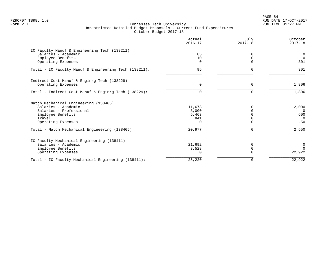PAGE 84 FZROF07 TBR8: 1.0 RUN DATE 17-OCT-2017

|                                                       | Actual<br>$2016 - 17$ | July<br>$2017 - 18$ | October<br>$2017 - 18$ |
|-------------------------------------------------------|-----------------------|---------------------|------------------------|
| IC Faculty Manuf & Engineering Tech (138211)          |                       |                     |                        |
| Salaries - Academic                                   | 85                    | 0                   | $\mathbf 0$            |
| Employee Benefits                                     | 10                    | $\Omega$            | $\Omega$               |
| Operating Expenses                                    | $\Omega$              |                     | 301                    |
| Total - IC Faculty Manuf & Engineering Tech (138211): | 95                    |                     | 301                    |
| Indirect Cost Manuf & Enginrg Tech (138229)           |                       |                     |                        |
| Operating Expenses                                    | $\Omega$              | $\Omega$            | 1,806                  |
| Total - Indirect Cost Manuf & Enginrg Tech (138229):  | $\Omega$              | U                   | 1,806                  |
| Match Mechanical Engineering (138405)                 |                       |                     |                        |
| Salaries - Academic                                   | 11,673                |                     | 2,000                  |
| Salaries - Professional                               | 3,000                 |                     | $\Omega$               |
| Employee Benefits                                     | 5,463                 |                     | 600                    |
| Travel                                                | 841                   |                     | $\overline{0}$         |
| Operating Expenses                                    | $\Omega$              |                     | $-50$                  |
| Total - Match Mechanical Engineering (138405):        | 20,977                | U                   | 2,550                  |
| IC Faculty Mechanical Engineering (138411)            |                       |                     |                        |
| Salaries - Academic                                   | 21,692                | O                   | $\mathbf 0$            |
| Employee Benefits                                     | 3,528                 | $\Omega$            | $\Omega$               |
| Operating Expenses                                    | $\Omega$              |                     | 22,922                 |
| Total - IC Faculty Mechanical Engineering (138411):   | 25,220                | 0                   | 22,922                 |
|                                                       |                       |                     |                        |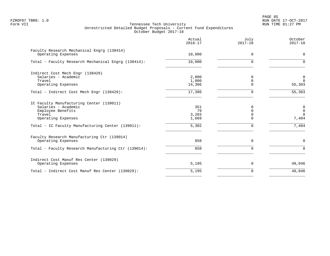PAGE 85 FZROF07 TBR8: 1.0 RUN DATE 17-OCT-2017

|                                                                                                                                                                           | Actual<br>$2016 - 17$                             | July<br>$2017 - 18$                               | October<br>$2017 - 18$                                      |
|---------------------------------------------------------------------------------------------------------------------------------------------------------------------------|---------------------------------------------------|---------------------------------------------------|-------------------------------------------------------------|
| Faculty Research Mechanical Engrg (138414)<br>Operating Expenses                                                                                                          | 10,000                                            | $\mathbf 0$                                       | $\mathbf 0$                                                 |
| Total - Faculty Research Mechanical Engrg (138414):                                                                                                                       | 10,000                                            | $\Omega$                                          | $\Omega$                                                    |
| Indirect Cost Mech Engr (138429)<br>Salaries - Academic<br>Travel<br>Operating Expenses                                                                                   | 2,000<br>1,000<br>14,306                          | $\Omega$<br>$\mathbf 0$<br>$\Omega$               | $\mathbf 0$<br>$\Omega$<br>55,303                           |
| Total - Indirect Cost Mech Engr (138429):                                                                                                                                 | 17,306                                            | $\mathbf 0$                                       | 55,303                                                      |
| IC Faculty Manufacturing Center (139011)<br>Salaries - Academic<br>Employee Benefits<br>Travel<br>Operating Expenses<br>Total - IC Faculty Manufacturing Center (139011): | 351<br>79<br>3,203<br>1,669<br>$\overline{5,302}$ | $\Omega$<br>$\Omega$<br>$\Omega$<br>$\Omega$<br>0 | $\mathbf 0$<br>$\overline{0}$<br>$\Omega$<br>7,404<br>7,404 |
| Faculty Research Manufacturing Ctr (139014)<br>Operating Expenses                                                                                                         | 858                                               | $\mathbf 0$                                       | $\mathbf 0$                                                 |
| Total - Faculty Research Manufacturing Ctr (139014):                                                                                                                      | 858                                               | $\mathbf 0$                                       | $\mathbf 0$                                                 |
| Indirect Cost Manuf Res Center (139029)<br>Operating Expenses                                                                                                             | 5,195                                             | $\mathbf 0$                                       | 49,046                                                      |
| Total - Indirect Cost Manuf Res Center (139029):                                                                                                                          | 5,195                                             | $\mathbf 0$                                       | 49,046                                                      |
|                                                                                                                                                                           |                                                   |                                                   |                                                             |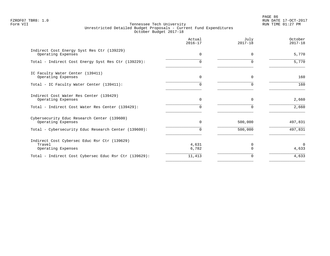PAGE 86 FZROF07 TBR8: 1.0 RUN DATE 17-OCT-2017

|                                                                              | Actual<br>$2016 - 17$ | July<br>$2017 - 18$ | October<br>$2017 - 18$ |
|------------------------------------------------------------------------------|-----------------------|---------------------|------------------------|
| Indirect Cost Energy Syst Res Ctr (139229)<br>Operating Expenses             | $\Omega$              | 0                   | 5,770                  |
| Total - Indirect Cost Energy Syst Res Ctr (139229):                          | U                     | ∩                   | 5,770                  |
| IC Faculty Water Center (139411)<br>Operating Expenses                       | $\Omega$              | $\Omega$            | 160                    |
| Total - IC Faculty Water Center (139411):                                    | <sup>n</sup>          | $\Omega$            | 160                    |
| Indirect Cost Water Res Center (139429)<br>Operating Expenses                | $\mathbf 0$           | 0                   | 2,660                  |
| Total - Indirect Cost Water Res Center (139429):                             | <sup>n</sup>          | $\Omega$            | 2,660                  |
| Cybersecurity Educ Research Center (139600)<br>Operating Expenses            | 0                     | 500,000             | 497,831                |
| Total - Cybersecurity Educ Research Center (139600):                         | $\Omega$              | 500,000             | 497,831                |
| Indirect Cost Cybersec Educ Rsr Ctr (139629)<br>Travel<br>Operating Expenses | 4,631<br>6,782        | 0                   | $\Omega$<br>4,633      |
| Total - Indirect Cost Cybersec Educ Rsr Ctr (139629):                        | 11,413                | 0                   | 4,633                  |
|                                                                              |                       |                     |                        |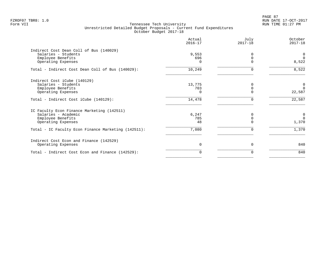PAGE 87 FZROF07 TBR8: 1.0 RUN DATE 17-OCT-2017

|                                                     | Actual<br>$2016 - 17$ | July<br>$2017 - 18$ | October<br>$2017 - 18$ |
|-----------------------------------------------------|-----------------------|---------------------|------------------------|
| Indirect Cost Dean Coll of Bus (140029)             |                       |                     |                        |
| Salaries - Students                                 | 9,553                 | $\Omega$            | 0                      |
| Employee Benefits                                   | 696                   | $\Omega$            | $\Omega$               |
| Operating Expenses                                  | $\cap$                | $\Omega$            | 8,522                  |
| Total - Indirect Cost Dean Coll of Bus (140029):    | 10,249                | 0                   | 8,522                  |
| Indirect Cost iCube (140129)                        |                       |                     |                        |
| Salaries - Students                                 | 13,775                | 0                   | $\mathbf 0$            |
| Employee Benefits                                   | 703                   | $\Omega$            | $\Omega$               |
| Operating Expenses                                  |                       |                     | 22,587                 |
| Total - Indirect Cost iCube (140129):               | 14,478                | 0                   | 22,587                 |
| IC Faculty Econ Finance Marketing (142511)          |                       |                     |                        |
| Salaries - Academic                                 | 6,247                 |                     | 0                      |
| Employee Benefits                                   | 785                   |                     | $\Omega$               |
| Operating Expenses                                  | 48                    |                     | 1,370                  |
| Total - IC Faculty Econ Finance Marketing (142511): | 7,080                 | 0                   | 1,370                  |
| Indirect Cost Econ and Finance (142529)             |                       |                     |                        |
| Operating Expenses                                  | $\Omega$              | $\Omega$            | 840                    |
| Total - Indirect Cost Econ and Finance (142529):    |                       | 0                   | 840                    |
|                                                     |                       |                     |                        |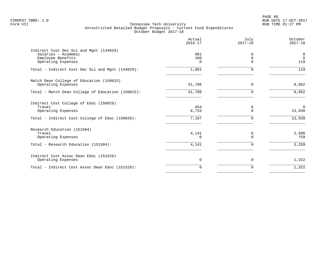|                                                                                                                           | Actual<br>$2016 - 17$ | July<br>$2017 - 18$     | October<br>$2017 - 18$          |
|---------------------------------------------------------------------------------------------------------------------------|-----------------------|-------------------------|---------------------------------|
| Indirect Cost Dec Sci and Mgnt (144029)<br>Salaries - Academic<br>Employee Benefits                                       | 901<br>160            | $\Omega$<br>$\mathbf 0$ | $\mathbf 0$<br>$\Omega$         |
| Operating Expenses                                                                                                        | $\Omega$              | $\Omega$                | 119                             |
| Total - Indirect Cost Dec Sci and Mgnt (144029):                                                                          | 1,061                 | $\Omega$                | 119                             |
| Match Dean College of Education (150015)<br>Operating Expenses                                                            | 51,708                | 0                       | 8,962                           |
| Total - Match Dean College of Education (150015):                                                                         | 51,708                | $\Omega$                | 8,962                           |
| Indirect Cost College of Educ (150029)<br>Travel<br>Operating Expenses<br>Total - Indirect Cost College of Educ (150029): | 454<br>6,733<br>7,187 | 0<br>$\Omega$<br>∩      | $\mathbf 0$<br>13,930<br>13,930 |
| Research Education (151504)<br>Travel<br>Operating Expenses                                                               | 4,141<br>U            | 0<br>$\Omega$           | 2,500<br>759                    |
| Total - Research Education (151504):                                                                                      | 4,141                 | 0                       | 3,259                           |
| Indirect Cost Assoc Dean Educ (151529)<br>Operating Expenses                                                              | $\mathbf 0$           | 0                       | 1,322                           |
| Total - Indirect Cost Assoc Dean Educ (151529):                                                                           | $\Omega$              | 0                       | 1,322                           |
|                                                                                                                           |                       |                         |                                 |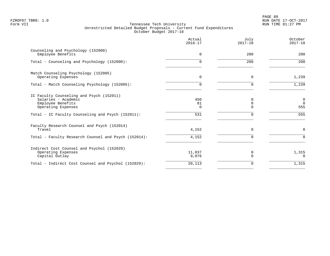PAGE 89 FZROF07 TBR8: 1.0 RUN DATE 17-OCT-2017

|                                                                                                            | Actual<br>$2016 - 17$ | July<br>$2017 - 18$ | October<br>$2017 - 18$                  |
|------------------------------------------------------------------------------------------------------------|-----------------------|---------------------|-----------------------------------------|
| Counseling and Psychology (152000)<br>Employee Benefits                                                    | 0                     | 200                 | 200                                     |
| Total - Counseling and Psychology (152000):                                                                | $\Omega$              | 200                 | 200                                     |
| Match Counseling Psychology (152005)<br>Operating Expenses                                                 | 0                     | $\Omega$            | 1,239                                   |
| Total - Match Counseling Psychology (152005):                                                              | $\Omega$              |                     | 1,239                                   |
| IC Faculty Counseling and Psych (152011)<br>Salaries - Academic<br>Employee Benefits<br>Operating Expenses | 450<br>81<br>0        | 0<br>O<br>O         | $\overline{0}$<br>$\overline{0}$<br>555 |
| Total - IC Faculty Counseling and Psych (152011):                                                          | 531                   | $\Omega$            | 555                                     |
| Faculty Research Counsel and Psych (152014)<br>Travel                                                      | 4,152                 | $\Omega$            | $\mathbf 0$                             |
| Total - Faculty Research Counsel and Psych (152014):                                                       | 4,152                 | $\Omega$            | $\Omega$                                |
| Indirect Cost Counsel and Psychol (152029)<br>Operating Expenses<br>Capital Outlay                         | 11,037<br>9,076       | 0<br>$\Omega$       | 1,315<br>$\Omega$                       |
| Total - Indirect Cost Counsel and Psychol (152029):                                                        | 20,113                | O                   | 1,315                                   |
|                                                                                                            |                       |                     |                                         |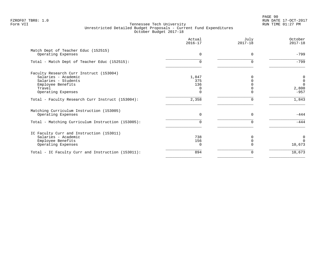PAGE 90 FZROF07 TBR8: 1.0 RUN DATE 17-OCT-2017

|                                                           | Actual<br>$2016 - 17$ | July<br>$2017 - 18$ | October<br>$2017 - 18$ |
|-----------------------------------------------------------|-----------------------|---------------------|------------------------|
| Match Dept of Teacher Educ (152515)<br>Operating Expenses | $\Omega$              | $\Omega$            | $-799$                 |
| Total - Match Dept of Teacher Educ (152515):              |                       |                     | $-799$                 |
| Faculty Research Curr Instruct (153004)                   |                       |                     |                        |
| Salaries - Academic                                       | 1,847                 |                     | 0                      |
| Salaries - Students                                       | 375                   |                     | $\overline{0}$         |
| Employee Benefits                                         | 136                   |                     | $\Omega$               |
| Travel                                                    | $\Omega$              |                     | 2,800                  |
| Operating Expenses                                        |                       |                     | $-957$                 |
| Total - Faculty Research Curr Instruct (153004):          | 2,358                 |                     | 1,843                  |
| Matching Curriculum Instruction (153005)                  |                       |                     |                        |
| Operating Expenses                                        | $\Omega$              | $\Omega$            | $-444$                 |
| Total - Matching Curriculum Instruction (153005):         | $\cap$                | U                   | $-444$                 |
| IC Faculty Curr and Instruction (153011)                  |                       |                     |                        |
| Salaries - Academic                                       | 738                   |                     | $\mathbf 0$            |
| Employee Benefits                                         | 156                   |                     | $\Omega$               |
| Operating Expenses                                        | $\Omega$              |                     | 10,673                 |
| Total - IC Faculty Curr and Instruction (153011):         | 894                   |                     | 10,673                 |
|                                                           |                       |                     |                        |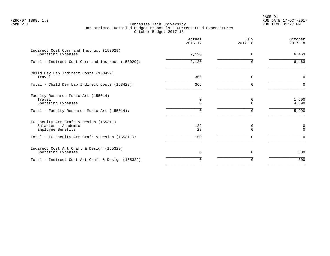PAGE 91 FZROF07 TBR8: 1.0 RUN DATE 17-OCT-2017

|                                                                                                                                       | Actual<br>$2016 - 17$        | July<br>$2017 - 18$                 | October<br>$2017 - 18$              |
|---------------------------------------------------------------------------------------------------------------------------------------|------------------------------|-------------------------------------|-------------------------------------|
| Indirect Cost Curr and Instruct (153029)<br>Operating Expenses                                                                        | 2,120                        | $\Omega$                            | 6,463                               |
| Total - Indirect Cost Curr and Instruct (153029):                                                                                     | 2,120                        | $\Omega$                            | 6,463                               |
| Child Dev Lab Indirect Costs (153429)<br>Travel                                                                                       | 366                          | 0                                   | $\mathsf{O}$                        |
| Total - Child Dev Lab Indirect Costs (153429):                                                                                        | 366                          | 0                                   | $\Omega$                            |
| Faculty Research Music Art (155014)<br>Travel<br>Operating Expenses<br>Total - Faculty Research Music Art (155014):                   | $\mathbf 0$<br>$\Omega$<br>U | 0<br>$\Omega$<br>∩                  | 1,600<br>4,390<br>5,990             |
| IC Faculty Art Craft & Design (155311)<br>Salaries - Academic<br>Employee Benefits<br>Total - IC Faculty Art Craft & Design (155311): | 122<br>28<br>150             | $\mathbf 0$<br>$\Omega$<br>$\Omega$ | $\mathbf 0$<br>$\Omega$<br>$\Omega$ |
| Indirect Cost Art Craft & Design (155329)<br>Operating Expenses                                                                       | $\Omega$                     | $\Omega$                            | 300                                 |
| Total - Indirect Cost Art Craft & Design (155329):                                                                                    | $\Omega$                     | 0                                   | 300                                 |
|                                                                                                                                       |                              |                                     |                                     |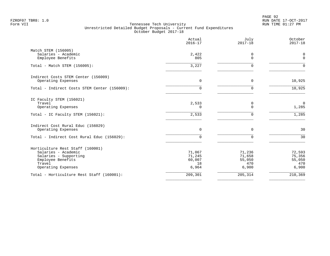PAGE 92 FZROF07 TBR8: 1.0 RUN DATE 17-OCT-2017

|                                                                                                                                       | Actual<br>$2016 - 17$                     | July<br>$2017 - 18$                        | October<br>$2017 - 18$                     |
|---------------------------------------------------------------------------------------------------------------------------------------|-------------------------------------------|--------------------------------------------|--------------------------------------------|
| Match STEM (156005)<br>Salaries - Academic<br>Employee Benefits                                                                       | 2,422<br>805                              | 0<br>$\Omega$                              | 0<br>$\mathbf 0$                           |
| Total - Match STEM (156005):                                                                                                          | 3,227                                     | <sup>n</sup>                               | $\Omega$                                   |
| Indirect Costs STEM Center (156009)<br>Operating Expenses                                                                             | $\Omega$                                  | $\mathbf 0$                                | 10,925                                     |
| Total - Indirect Costs STEM Center (156009):                                                                                          | U                                         |                                            | 10,925                                     |
| IC Faculty STEM (156021)<br>Travel<br>Operating Expenses                                                                              | 2,533<br>0                                | $\mathbf 0$<br>$\Omega$                    | $\overline{0}$<br>1,285                    |
| Total - IC Faculty STEM (156021):                                                                                                     | 2,533                                     | $\Omega$                                   | 1,285                                      |
| Indirect Cost Rural Educ (156029)<br>Operating Expenses                                                                               | $\Omega$                                  | $\Omega$                                   | 30                                         |
| Total - Indirect Cost Rural Educ (156029):                                                                                            | $\Omega$                                  | $\Omega$                                   | 30                                         |
| Horticulture Rest Staff (160001)<br>Salaries - Academic<br>Salaries - Supporting<br>Employee Benefits<br>Travel<br>Operating Expenses | 71,067<br>71,245<br>60,007<br>18<br>6,964 | 71,236<br>71,658<br>55,050<br>470<br>6,900 | 72,593<br>75,356<br>55,050<br>470<br>6,900 |
| Total - Horticulture Rest Staff (160001):                                                                                             | 209,301                                   | 205,314                                    | 210,369                                    |
|                                                                                                                                       |                                           |                                            |                                            |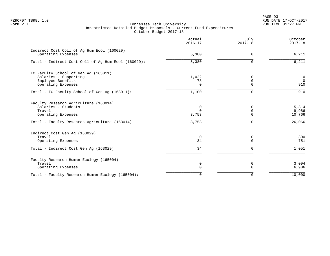|                                                                  | Actual<br>$2016 - 17$ | July<br>$2017 - 18$ | October<br>$2017 - 18$ |
|------------------------------------------------------------------|-----------------------|---------------------|------------------------|
| Indirect Cost Coll of Ag Hum Ecol (160029)<br>Operating Expenses | 5,380                 | $\Omega$            | 6,211                  |
| Total - Indirect Cost Coll of Ag Hum Ecol (160029):              | 5,380                 | ∩                   | 6,211                  |
| IC Faculty School of Gen Ag (163011)                             |                       |                     |                        |
| Salaries - Supporting                                            | 1,022                 | 0                   | $\mathsf 0$            |
| Employee Benefits                                                | 78                    | 0                   | $\overline{0}$         |
| Operating Expenses                                               | $\Omega$              | $\Omega$            | 910                    |
| Total - IC Faculty School of Gen Aq (163011):                    | 1,100                 | $\Omega$            | 910                    |
| Faculty Research Agriculture (163014)                            |                       |                     |                        |
| Salaries - Students                                              | 0                     | $\Omega$            | 5,314                  |
| Travel                                                           | 0                     | $\mathbf 0$         | 9,986                  |
| Operating Expenses                                               | 3,753                 | $\Omega$            | 10,766                 |
| Total - Faculty Research Agriculture (163014):                   | 3,753                 | $\Omega$            | 26,066                 |
| Indirect Cost Gen Aq (163029)                                    |                       |                     |                        |
| Travel                                                           | $\mathbf 0$           | 0                   | 300                    |
| Operating Expenses                                               | 34                    | $\Omega$            | 751                    |
| Total - Indirect Cost Gen Aq (163029):                           | 34                    | $\Omega$            | 1,051                  |
| Faculty Research Human Ecology (165004)                          |                       |                     |                        |
| Travel                                                           | 0                     | 0                   | 3,094                  |
| Operating Expenses                                               | 0                     | $\Omega$            | 6,906                  |
| Total - Faculty Research Human Ecology (165004):                 | $\Omega$              | 0                   | 10,000                 |
|                                                                  |                       |                     |                        |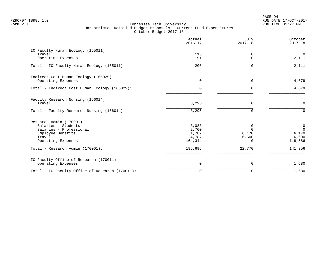PAGE 94 FZROF07 TBR8: 1.0 RUN DATE 17-OCT-2017

|                                                                                                                                | Actual<br>$2016 - 17$                        | July<br>$2017 - 18$                   | October<br>$2017 - 18$                                   |
|--------------------------------------------------------------------------------------------------------------------------------|----------------------------------------------|---------------------------------------|----------------------------------------------------------|
| IC Faculty Human Ecology (165011)<br>Travel<br>Operating Expenses                                                              | 115<br>91                                    | 0                                     | $\overline{0}$<br>2,111                                  |
| Total - IC Faculty Human Ecology (165011):                                                                                     | 206                                          |                                       | 2,111                                                    |
| Indirect Cost Human Ecology (165029)<br>Operating Expenses                                                                     | $\overline{0}$                               | 0                                     | 4,679                                                    |
| Total - Indirect Cost Human Ecology (165029):                                                                                  | $\Omega$                                     | U                                     | 4,679                                                    |
| Faculty Research Nursing (166014)<br>Travel                                                                                    | 3,295                                        | $\Omega$                              | $\mathbf 0$                                              |
| Total - Faculty Research Nursing (166014):                                                                                     | 3,295                                        | U                                     | $\Omega$                                                 |
| Research Admin (170001)<br>Salaries - Students<br>Salaries - Professional<br>Employee Benefits<br>Travel<br>Operating Expenses | 3,083<br>2,700<br>1,782<br>24,787<br>164,344 | 0<br>$\Omega$<br>6,170<br>16,600<br>0 | $\overline{0}$<br>$\Omega$<br>6,170<br>16,600<br>118,586 |
| Total - Research Admin (170001):                                                                                               | 196,696                                      | 22,770                                | 141,356                                                  |
| IC Faculty Office of Research (170011)<br>Operating Expenses                                                                   | $\overline{0}$                               | 0                                     | 1,680                                                    |
| Total - IC Faculty Office of Research (170011):                                                                                | $\Omega$                                     | $\Omega$                              | 1,680                                                    |
|                                                                                                                                |                                              |                                       |                                                          |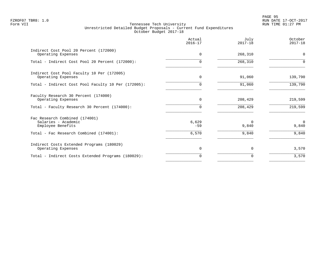PAGE 95 FZROF07 TBR8: 1.0 RUN DATE 17-OCT-2017

|                                                                            | Actual<br>$2016 - 17$ | July<br>$2017 - 18$ | October<br>$2017 - 18$ |
|----------------------------------------------------------------------------|-----------------------|---------------------|------------------------|
| Indirect Cost Pool 20 Percent (172000)<br>Operating Expenses               | $\Omega$              | 268,310             | $\mathbf 0$            |
| Total - Indirect Cost Pool 20 Percent (172000):                            | O.                    | 268,310             |                        |
| Indirect Cost Pool Faculty 10 Per (172005)<br>Operating Expenses           | $\Omega$              | 91,060              | 139,790                |
| Total - Indirect Cost Pool Faculty 10 Per (172005):                        | 0                     | 91,060              | 139,790                |
| Faculty Research 30 Percent (174000)<br>Operating Expenses                 | $\mathbf 0$           | 208,429             | 219,599                |
| Total - Faculty Research 30 Percent (174000):                              | $\Omega$              | 208,429             | 219,599                |
| Fac Research Combined (174001)<br>Salaries - Academic<br>Employee Benefits | 6,629<br>$-59$        | $\Omega$<br>9,840   | $\Omega$<br>9,840      |
| Total - Fac Research Combined (174001):                                    | 6,570                 | 9,840               | 9,840                  |
| Indirect Costs Extended Programs (180029)<br>Operating Expenses            | 0                     | $\Omega$            | 3,570                  |
| Total - Indirect Costs Extended Programs (180029):                         | $\Omega$              | $\Omega$            | 3,570                  |
|                                                                            |                       |                     |                        |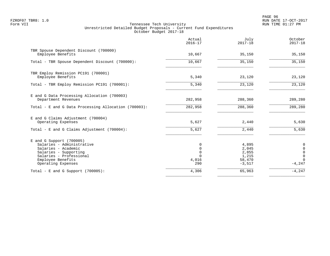PAGE 96 FZROF07 TBR8: 1.0 RUN DATE 17-OCT-2017

|                                                                                                                                                                               | Actual<br>$2016 - 17$                                       | July<br>$2017 - 18$                                    | October<br>$2017 - 18$                                                        |
|-------------------------------------------------------------------------------------------------------------------------------------------------------------------------------|-------------------------------------------------------------|--------------------------------------------------------|-------------------------------------------------------------------------------|
| TBR Spouse Dependent Discount (700000)<br>Employee Benefits                                                                                                                   | 10,667                                                      | 35,150                                                 | 35,150                                                                        |
| Total - TBR Spouse Dependent Discount (700000):                                                                                                                               | 10,667                                                      | 35,150                                                 | 35,150                                                                        |
| TBR Employ Remission PC191 (700001)<br>Employee Benefits                                                                                                                      | 5,340                                                       | 23,120                                                 | 23,120                                                                        |
| Total - TBR Employ Remission PC191 (700001):                                                                                                                                  | 5,340                                                       | 23,120                                                 | 23,120                                                                        |
| E and G Data Processing Allocation (700003)<br>Department Revenues                                                                                                            | 282,958                                                     | 288,360                                                | 289,280                                                                       |
| Total - E and G Data Processing Allocation (700003):                                                                                                                          | 282,958                                                     | 288,360                                                | 289,280                                                                       |
| E and G Claims Adjustment (700004)<br>Operating Expenses                                                                                                                      | 5,627                                                       | 2,440                                                  | 5,630                                                                         |
| Total - E and G Claims Adjustment $(700004)$ :                                                                                                                                | 5,627                                                       | 2,440                                                  | 5,630                                                                         |
| $E$ and G Support (700005)<br>Salaries - Administrative<br>Salaries - Academic<br>Salaries - Supporting<br>Salaries - Professional<br>Employee Benefits<br>Operating Expenses | 0<br>$\mathbf 0$<br>$\mathbf 0$<br>$\Omega$<br>4,016<br>290 | 4,895<br>2,045<br>2,855<br>1,215<br>58,470<br>$-3,517$ | 0<br>$\mathbf 0$<br>$\overline{0}$<br>$\overline{0}$<br>$\Omega$<br>$-4, 247$ |
| Total - E and G Support $(700005)$ :                                                                                                                                          | 4,306                                                       | 65,963                                                 | $-4, 247$                                                                     |
|                                                                                                                                                                               |                                                             |                                                        |                                                                               |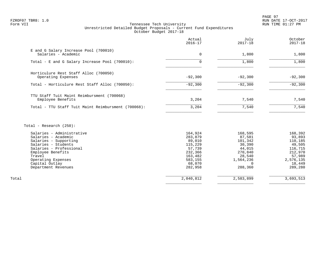PAGE 97 FZROF07 TBR8: 1.0 RUN DATE 17-OCT-2017

# Form VII Tennessee Tech University RUN TIME 01:27 PM Unrestricted Detailed Budget Proposals - Current Fund Expenditures October Budget 2017-18

|                                                                 | Actual<br>$2016 - 17$ | July<br>$2017 - 18$ | October<br>$2017 - 18$ |
|-----------------------------------------------------------------|-----------------------|---------------------|------------------------|
| E and G Salary Increase Pool (700010)<br>Salaries - Academic    | 0                     | 1,800               | 1,800                  |
| Total - E and G Salary Increase Pool (700010):                  | $\Omega$              | 1,800               | 1,800                  |
| Horticulure Rest Staff Alloc (700050)<br>Operating Expenses     | $-92,300$             | $-92,300$           | $-92,300$              |
| Total - Horticulure Rest Staff Alloc (700050):                  | $-92,300$             | $-92,300$           | $-92,300$              |
| TTU Staff Tuit Maint Reimbursment (700068)<br>Employee Benefits | 3,204                 | 7,540               | 7,540                  |
| Total - TTU Staff Tuit Maint Reimbursment (700068):             | 3,204                 | 7,540               | 7,540                  |

Total - Research (250):

| Salaries - Administrative | 164,924   | 168,595   | 168,392   |
|---------------------------|-----------|-----------|-----------|
| Salaries - Academic       | 283,879   | 87,581    | 93,893    |
| Salaries - Supporting     | 89,010    | 101,342   | 110,185   |
| Salaries - Students       | 115,229   | 30,390    | 49,505    |
| Salaries - Professional   | 57,739    | 44,015    | 116,715   |
| Employee Benefits         | 232,366   | 270,840   | 212,970   |
| Travel                    | 163,482   | 28,540    | 57,989    |
| Operating Expenses        | 583,155   | 1,564,236 | 2,576,135 |
| Capital Outlay            | 68,070    |           | 18,449    |
| Department Revenues       | 282,958   | 288,360   | 289,280   |
|                           |           |           |           |
| Total                     | 2,040,812 | 2,583,899 | 3,693,513 |
|                           |           |           |           |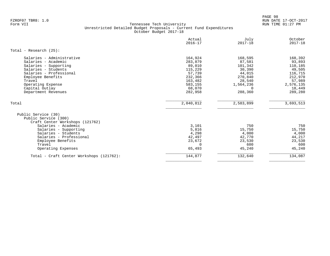PAGE 98 FZROF07 TBR8: 1.0 RUN DATE 17-OCT-2017

|                                                                                                                                                                                                                                       | Actual<br>$2016 - 17$                                                                                   | July<br>$2017 - 18$                                                                                       | October<br>$2017 - 18$                                                                                   |
|---------------------------------------------------------------------------------------------------------------------------------------------------------------------------------------------------------------------------------------|---------------------------------------------------------------------------------------------------------|-----------------------------------------------------------------------------------------------------------|----------------------------------------------------------------------------------------------------------|
| Total - Research $(25)$ :                                                                                                                                                                                                             |                                                                                                         |                                                                                                           |                                                                                                          |
| Salaries - Administrative<br>Salaries - Academic<br>Salaries - Supporting<br>Salaries - Students<br>Salaries - Professional<br>Employee Benefits<br>Travel<br>Operating Expense<br>Capital Outlay<br>Department Revenues              | 164,924<br>283,879<br>89,010<br>115,229<br>57,739<br>232,366<br>163,482<br>583,155<br>68,070<br>282,958 | 168,595<br>87,581<br>101,342<br>30,390<br>44,015<br>270,840<br>28,540<br>1,564,236<br>$\Omega$<br>288,360 | 168,392<br>93,893<br>110,185<br>49,505<br>116,715<br>212,970<br>57,989<br>2,576,135<br>18,449<br>289,280 |
| Total                                                                                                                                                                                                                                 | 2,040,812                                                                                               | 2,583,899                                                                                                 | 3,693,513                                                                                                |
| Public Service (30)<br>Public Service (300)<br>Craft Center Workshops (121762)<br>Salaries - Academic<br>Salaries - Supporting<br>Salaries - Students<br>Salaries - Professional<br>Employee Benefits<br>Travel<br>Operating Expenses | 3,101<br>5,816<br>4,298<br>42,497<br>23,672<br>$\Omega$<br>65,493                                       | 750<br>15,750<br>4,000<br>42,770<br>23,530<br>600<br>45,240                                               | 750<br>15,750<br>4,000<br>44,217<br>23,530<br>600<br>45,240                                              |
| Total - Craft Center Workshops (121762):                                                                                                                                                                                              | 144,877                                                                                                 | 132,640                                                                                                   | 134,087                                                                                                  |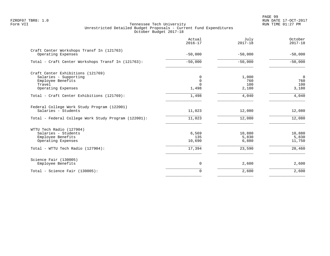|                                                                                                                                 | Actual<br>$2016 - 17$            | July<br>$2017 - 18$                | October<br>$2017 - 18$                           |
|---------------------------------------------------------------------------------------------------------------------------------|----------------------------------|------------------------------------|--------------------------------------------------|
| Craft Center Workshops Transf In (121763)<br>Operating Expenses                                                                 | $-50,000$                        | $-50,000$                          | $-50,000$                                        |
| Total - Craft Center Workshops Transf In (121763):                                                                              | $-50,000$                        | $-50,000$                          | $-50,000$                                        |
| Craft Center Exhibitions (121769)<br>Salaries - Supporting<br>Employee Benefits<br>Travel<br>Operating Expenses                 | 0<br>0<br>$\Omega$<br>1,498      | 1,000<br>760<br>100<br>2,180       | $\overline{0}$<br>760<br>100<br>3,180            |
| Total - Craft Center Exhibitions (121769):                                                                                      | 1,498                            | 4,040                              | 4,040                                            |
| Federal College Work Study Program (122001)<br>Salaries - Students                                                              | 11,023                           | 12,080                             | 12,080                                           |
| Total - Federal College Work Study Program (122001):                                                                            | 11,023                           | 12,080                             | 12,080                                           |
| WTTU Tech Radio (127904)<br>Salaries - Students<br>Employee Benefits<br>Operating Expenses<br>Total - WTTU Tech Radio (127904): | 6,569<br>135<br>10,690<br>17,394 | 10,880<br>5,830<br>6,880<br>23,590 | 10,880<br>5,830<br>11,750<br>$\overline{28,460}$ |
|                                                                                                                                 |                                  |                                    |                                                  |
| Science Fair (130005)<br>Employee Benefits                                                                                      | 0                                | 2,600                              | 2,600                                            |
| Total - Science Fair (130005):                                                                                                  | 0                                | 2,600                              | 2,600                                            |
|                                                                                                                                 |                                  |                                    |                                                  |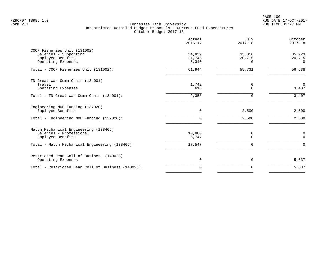PAGE 100 FZROF07 TBR8: 1.0 RUN DATE 17-OCT-2017

|                                                                                                    | Actual<br>$2016 - 17$     | July<br>$2017 - 18$          | October<br>$2017 - 18$       |
|----------------------------------------------------------------------------------------------------|---------------------------|------------------------------|------------------------------|
| COOP Fisheries Unit (131002)<br>Salaries - Supporting<br>Employee Benefits<br>Operating Expenses   | 34,859<br>21,745<br>5,340 | 35,016<br>20,715<br>$\Omega$ | 35,923<br>20,715<br>$\Omega$ |
| Total - COOP Fisheries Unit (131002):                                                              | 61,944                    | 55,731                       | 56,638                       |
| TN Great War Comm Chair (134001)<br>Travel<br>Operating Expenses                                   | 1,742<br>616              | 0<br>$\Omega$                | $\overline{0}$<br>3,407      |
| Total - TN Great War Comm Chair (134001):                                                          | 2,358                     | $\Omega$                     | 3,407                        |
| Engineering MOE Funding (137020)<br>Employee Benefits<br>Total - Engineering MOE Funding (137020): | 0<br>0                    | 2,500<br>2,500               | 2,500<br>2,500               |
| Match Mechanical Engineering (138405)<br>Salaries - Professional                                   | 10,800                    | 0                            | 0                            |
| Employee Benefits<br>Total - Match Mechanical Engineering (138405):                                | 6,747<br>17,547           | $\Omega$<br>$\Omega$         | $\Omega$<br>$\mathbf 0$      |
| Restricted Dean Coll of Business (140023)<br>Operating Expenses                                    | $\mathbf 0$               | $\mathbf 0$                  | 5,637                        |
| Total - Restricted Dean Coll of Business (140023):                                                 | $\Omega$                  | $\Omega$                     | 5,637                        |
|                                                                                                    |                           |                              |                              |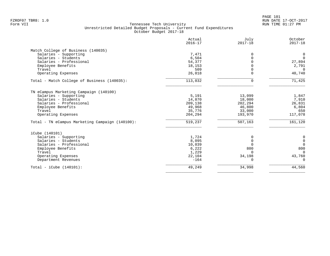|                                                 | Actual<br>$2016 - 17$ | July<br>$2017 - 18$ | October<br>$2017 - 18$ |
|-------------------------------------------------|-----------------------|---------------------|------------------------|
| Match College of Business (140035)              |                       |                     |                        |
| Salaries - Supporting                           | 7,471                 | 0                   | 0                      |
| Salaries - Students                             | 6,504                 | $\Omega$            | $\mathbf 0$            |
| Salaries - Professional                         | 54,377                | $\Omega$            | 27,894                 |
| Employee Benefits                               | 18,153                | $\Omega$            | 2,791                  |
| Travel                                          | 509                   | $\Omega$            | $\Omega$               |
| Operating Expenses                              | 26,018                | $\Omega$            | 40,740                 |
| Total - Match College of Business (140035):     | 113,032               | $\Omega$            | 71,425                 |
| TN eCampus Marketing Campaign (140100)          |                       |                     |                        |
| Salaries - Supporting                           | 5,191                 | 13,099              | 1,847                  |
| Salaries - Students                             | 14,870                | 18,000              | 7,910                  |
| Salaries - Professional                         | 209,138               | 202,294             | 26,831                 |
| Employee Benefits                               | 49,968                | 46,800              | 6,804                  |
| Travel                                          | 35,776                | 33,000              | 650                    |
| Operating Expenses                              | 204,294               | 193,970             | 117,078                |
| Total - TN eCampus Marketing Campaign (140100): | 519,237               | 507,163             | 161,120                |
| iCube (140101)                                  |                       |                     |                        |
| Salaries - Supporting                           | 1,724                 | 0                   | 0                      |
| Salaries - Students                             | 8,095                 | $\mathbf 0$         | $\mathbf 0$            |
| Salaries - Professional                         | 10,039                | $\Omega$            | $\mathbf 0$            |
| Employee Benefits                               | 6,222                 | 800                 | 800                    |
| Travel                                          | 1,229                 | $\Omega$            | $\Omega$               |
| Operating Expenses                              | 22,104                | 34,198              | 43,760                 |
| Department Revenues                             | $-164$                | $\Omega$            | $\Omega$               |
| Total - iCube $(140101)$ :                      | 49,249                | 34,998              | 44,560                 |
|                                                 |                       |                     |                        |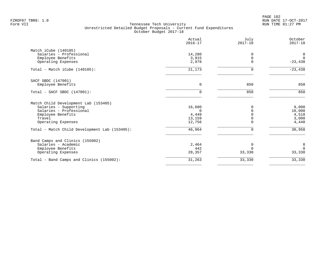PAGE 102 FZROF07 TBR8: 1.0 RUN DATE 17-OCT-2017

|                                               | Actual<br>$2016 - 17$ | July<br>$2017 - 18$ | October<br>$2017 - 18$ |
|-----------------------------------------------|-----------------------|---------------------|------------------------|
| Match iCube (140105)                          |                       |                     |                        |
| Salaries - Professional                       | 14,280                | 0                   | 0                      |
| Employee Benefits                             | 3,915                 | $\mathbf 0$         | $\overline{0}$         |
| Operating Expenses                            | 2,978                 | $\Omega$            | $-23,438$              |
| Total - Match iCube (140105):                 | 21,173                | $\Omega$            | $-23,438$              |
| SACF SBDC (147001)                            |                       |                     |                        |
| Employee Benefits                             | $\Omega$              | 850                 | 850                    |
| Total - SACF SBDC (147001):                   | $\Omega$              | 850                 | 850                    |
| Match Child Development Lab (153405)          |                       |                     |                        |
| Salaries - Supporting                         | 16,600                |                     | 9,000                  |
| Salaries - Professional                       | ∩                     | $\Omega$            | 10,000                 |
| Employee Benefits                             | 4,449                 |                     | 4,518                  |
| Travel                                        | 13,159                |                     | 3,000                  |
| Operating Expenses                            | 12,756                | $\Omega$            | 4,440                  |
| Total - Match Child Development Lab (153405): | 46,964                | 0                   | 30,958                 |
| Band Camps and Clinics (155002)               |                       |                     |                        |
| Salaries - Academic                           | 2,464                 | 0                   | $\mathbf 0$            |
| Employee Benefits                             | 442                   | $\Omega$            | $\Omega$               |
| Operating Expenses                            | 28,357                | 33,330              | 33,330                 |
| Total - Band Camps and Clinics (155002):      | 31,263                | 33,330              | 33,330                 |
|                                               |                       |                     |                        |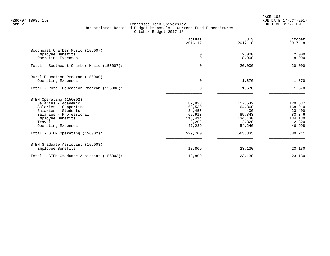PAGE 103 FZROF07 TBR8: 1.0 RUN DATE 17-OCT-2017

|                                              | Actual<br>$2016 - 17$ | July<br>$2017 - 18$ | October<br>$2017 - 18$ |
|----------------------------------------------|-----------------------|---------------------|------------------------|
| Southeast Chamber Music (155007)             |                       |                     |                        |
| Employee Benefits<br>Operating Expenses      | 0<br>$\Omega$         | 2,000<br>18,000     | 2,000<br>18,000        |
| Total - Southeast Chamber Music (155007):    | 0                     | 20,000              | 20,000                 |
| Rural Education Program (156000)             |                       |                     |                        |
| Operating Expenses                           | 0                     | 1,670               | 1,670                  |
| Total - Rural Education Program (156000):    | $\Omega$              | 1,670               | 1,670                  |
| STEM Operating (156002)                      |                       |                     |                        |
| Salaries - Academic                          | 87,938                | 117,542             | 120,637                |
| Salaries - Supporting<br>Salaries - Students | 169,539<br>34,455     | 164,860<br>400      | 168,910<br>23,400      |
| Salaries - Professional                      | 62,913                | 89,843              | 83,346                 |
| Employee Benefits                            | 118,414               | 134,130             | 134,130                |
| Travel                                       | 9,202                 | 2,820               | 2,820                  |
| Operating Expenses                           | 47,239                | 54,240              | 46,998                 |
| Total - STEM Operating (156002):             | 529,700               | 563,835             | 580,241                |
| STEM Graduate Assistant (156003)             |                       |                     |                        |
| Employee Benefits                            | 18,809                | 23,130              | 23,130                 |
| Total - STEM Graduate Assistant (156003):    | 18,809                | 23,130              | 23,130                 |
|                                              |                       |                     |                        |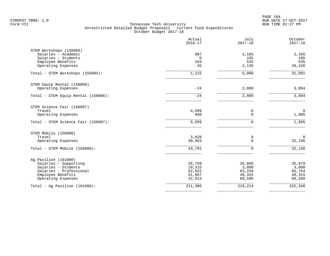PAGE 104 FZROF07 TBR8: 1.0 RUN DATE 17-OCT-2017

|                                     | Actual<br>$2016 - 17$ | July<br>$2017 - 18$ | October<br>$2017 - 18$ |
|-------------------------------------|-----------------------|---------------------|------------------------|
| STEM Workshops (156004)             |                       |                     |                        |
| Salaries - Academic                 | 907                   | 2,165               | 2,165                  |
| Salaries - Students                 | 0                     | 165                 | 165                    |
| Employee Benefits                   | 163                   | 535                 | 535                    |
| Operating Expenses                  | 45                    | 2,135               | 28,226                 |
| Total - STEM Workshops (156004):    | 1,115                 | 5,000               | 31,091                 |
| STEM Equip Rental (156006)          |                       |                     |                        |
| Operating Expenses                  | $-24$                 | 2,000               | 3,804                  |
| Total - STEM Equip Rental (156006): | $-24$                 | 2,000               | 3,804                  |
| STEM Science Fair (156007)          |                       |                     |                        |
| Travel                              | 4,999                 | 0                   | $\mathbf 0$            |
| Operating Expenses                  | 660                   | $\mathbf 0$         | 1,885                  |
| Total - STEM Science Fair (156007): | 5,659                 | $\mathbf 0$         | 1,885                  |
| STEM Mobile (156008)                |                       |                     |                        |
| Travel                              | 3,828                 | 0                   | $\overline{0}$         |
| Operating Expenses                  | 39,963                | $\Omega$            | 32,156                 |
| Total - STEM Mobile (156008):       | 43,791                | 0                   | 32,156                 |
| Ag Pavilion (161000)                |                       |                     |                        |
| Salaries - Supporting               | 35,769                | 35,050              | 35,679                 |
| Salaries - Students                 | 19,315                | 3,000               | 3,000                  |
| Salaries - Professional             | 62,622                | 63,259              | 65,764                 |
| Employee Benefits                   | 51,667                | 48,315              | 48,315                 |
| Operating Expenses                  | 42,013                | 69,590              | 69,590                 |
| Total - Aq Pavilion $(161000)$ :    | 211,386               | 219,214             | 222,348                |
|                                     |                       |                     |                        |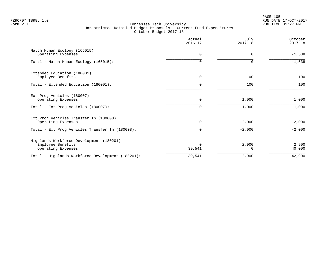|                                                                                     | Actual<br>$2016 - 17$ | July<br>$2017 - 18$ | October<br>$2017 - 18$ |
|-------------------------------------------------------------------------------------|-----------------------|---------------------|------------------------|
| Match Human Ecology (165015)<br>Operating Expenses                                  | $\Omega$              | $\Omega$            | $-1,538$               |
| Total - Match Human Ecology (165015):                                               | 0                     | $\Omega$            | $-1,538$               |
| Extended Education (180001)<br>Employee Benefits                                    | $\Omega$              | 100                 | 100                    |
| Total - Extended Education (180001):                                                | 0                     | 100                 | 100                    |
| Ext Prog Vehicles (180007)<br>Operating Expenses                                    | 0                     | 1,000               | 1,000                  |
| Total - Ext Prog Vehicles (180007):                                                 | 0                     | 1,000               | 1,000                  |
| Ext Prog Vehicles Transfer In (180008)<br>Operating Expenses                        | $\Omega$              | $-2,000$            | $-2,000$               |
| Total - Ext Prog Vehicles Transfer In (180008):                                     | 0                     | $-2,000$            | $-2,000$               |
| Highlands Workforce Development (180201)<br>Employee Benefits<br>Operating Expenses | $\Omega$<br>39,541    | 2,900               | 2,900<br>40,000        |
| Total - Highlands Workforce Development (180201):                                   | 39,541                | 2,900               | 42,900                 |
|                                                                                     |                       |                     |                        |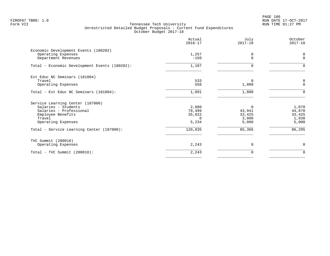PAGE 106 FZROF07 TBR8: 1.0 RUN DATE 17-OCT-2017

|                                                                                   | Actual<br>$2016 - 17$ | July<br>$2017 - 18$ | October<br>$2017 - 18$ |
|-----------------------------------------------------------------------------------|-----------------------|---------------------|------------------------|
| Economic Development Events (180202)<br>Operating Expenses<br>Department Revenues | 1,257<br>$-150$       | 0<br>$\Omega$       | 0<br>$\mathbf 0$       |
| Total - Economic Development Events (180202):                                     | 1,107                 | 0                   | $\Omega$               |
| Ext Educ NC Seminars (181004)                                                     |                       |                     |                        |
| Travel                                                                            | 533                   | 0                   | 0                      |
| Operating Expenses                                                                | 558                   | 1,800               | $\mathbf 0$            |
| Total - Ext Educ NC Seminars (181004):                                            | 1,091                 | 1,800               | $\Omega$               |
| Service Learning Center (187000)                                                  |                       |                     |                        |
| Salaries - Students                                                               | 2,080                 | 0                   | 1,070                  |
| Salaries - Professional                                                           | 78,499                | 43,941              | 44,870                 |
| Employee Benefits                                                                 | 35,022                | 33,425              | 33,425                 |
| Travel                                                                            | $\Omega$              | 3,000               | 1,930                  |
| Operating Expenses                                                                | 5,234                 | 5,000               | 5,000                  |
| Total - Service Learning Center (187000):                                         | 120,835               | 85,366              | 86,295                 |
| TVC Summit (200018)                                                               |                       |                     |                        |
| Operating Expenses                                                                | 2,243                 | $\Omega$            | $\mathbf 0$            |
| $Total - TVC Summit (200018):$                                                    | 2,243                 | 0                   | 0                      |
|                                                                                   |                       |                     |                        |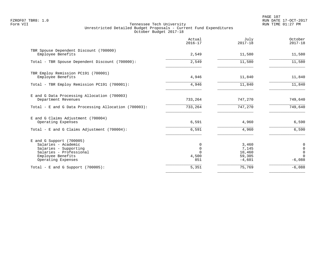PAGE 107 FZROF07 TBR8: 1.0 RUN DATE 17-OCT-2017

|                                                                                                                                                  | Actual<br>$2016 - 17$            | July<br>$2017 - 18$                            | October<br>$2017 - 18$                                                         |
|--------------------------------------------------------------------------------------------------------------------------------------------------|----------------------------------|------------------------------------------------|--------------------------------------------------------------------------------|
| TBR Spouse Dependent Discount (700000)<br>Employee Benefits                                                                                      | 2,549                            | 11,580                                         | 11,580                                                                         |
| Total - TBR Spouse Dependent Discount (700000):                                                                                                  | 2,549                            | 11,580                                         | 11,580                                                                         |
| TBR Employ Remission PC191 (700001)<br>Employee Benefits                                                                                         | 4,946                            | 11,840                                         | 11,840                                                                         |
| Total - TBR Employ Remission PC191 (700001):                                                                                                     | 4,946                            | 11,840                                         | 11,840                                                                         |
| E and G Data Processing Allocation (700003)<br>Department Revenues                                                                               | 733,264                          | 747,270                                        | 749,640                                                                        |
| Total - E and G Data Processing Allocation (700003):                                                                                             | 733,264                          | 747,270                                        | 749,640                                                                        |
| E and G Claims Adjustment (700004)<br>Operating Expenses                                                                                         | 6,591                            | 4,960                                          | 6,590                                                                          |
| Total - E and G Claims Adjustment $(700004)$ :                                                                                                   | 6,591                            | 4,960                                          | 6,590                                                                          |
| $E$ and G Support (700005)<br>Salaries - Academic<br>Salaries - Supporting<br>Salaries - Professional<br>Employee Benefits<br>Operating Expenses | 0<br>$\mathbf 0$<br>4,500<br>851 | 3,460<br>7,145<br>10,460<br>59,305<br>$-4,601$ | $\boldsymbol{0}$<br>$\mathsf{O}\xspace$<br>$\mathsf 0$<br>$\Omega$<br>$-6,088$ |
| Total - E and G Support $(700005)$ :                                                                                                             | 5,351                            | 75,769                                         | $-6,088$                                                                       |
|                                                                                                                                                  |                                  |                                                |                                                                                |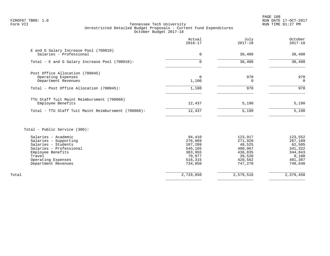PAGE 108 FZROF07 TBR8: 1.0 RUN DATE 17-OCT-2017

# Form VII Tennessee Tech University RUN TIME 01:27 PM Unrestricted Detailed Budget Proposals - Current Fund Expenditures October Budget 2017-18

|                                                                                                                                                                            | Actual<br>$2016 - 17$                                                              | July<br>$2017 - 18$                                                                | October<br>$2017 - 18$                                                            |
|----------------------------------------------------------------------------------------------------------------------------------------------------------------------------|------------------------------------------------------------------------------------|------------------------------------------------------------------------------------|-----------------------------------------------------------------------------------|
| E and G Salary Increase Pool (700010)<br>Salaries - Professional                                                                                                           | 0                                                                                  | 38,400                                                                             | 38,400                                                                            |
| Total - E and G Salary Increase Pool (700010):                                                                                                                             | $\Omega$                                                                           | 38,400                                                                             | 38,400                                                                            |
| Post Office Allocation (700045)<br>Operating Expenses<br>Department Revenues                                                                                               | $\Omega$<br>1,100                                                                  | 970<br>0                                                                           | 970<br>$\Omega$                                                                   |
| Total - Post Office Allocation (700045):                                                                                                                                   | 1,100                                                                              | 970                                                                                | 970                                                                               |
| TTU Staff Tuit Maint Reimbursment (700068)<br>Employee Benefits<br>Total - TTU Staff Tuit Maint Reimbursment (700068):                                                     | 12,437<br>12,437                                                                   | 5,190<br>5,190                                                                     | 5,190<br>5,190                                                                    |
| Total - Public Service (300):                                                                                                                                              |                                                                                    |                                                                                    |                                                                                   |
| Salaries - Academic<br>Salaries - Supporting<br>Salaries - Students<br>Salaries - Professional<br>Employee Benefits<br>Travel<br>Operating Expenses<br>Department Revenues | 94,410<br>276,969<br>107,209<br>545,165<br>383,955<br>70,977<br>516,315<br>734,050 | 123,917<br>271,920<br>48,525<br>490,967<br>436,835<br>39,520<br>420,562<br>747,270 | 123,552<br>267,109<br>62,505<br>341,322<br>344,843<br>9,100<br>481,387<br>749,640 |
| Total                                                                                                                                                                      | 2,729,050                                                                          | 2,579,516                                                                          | 2,379,458                                                                         |

 $\overline{\phantom{a}}$  , and the contract of the contract of the contract of the contract of the contract of the contract of the contract of the contract of the contract of the contract of the contract of the contract of the contrac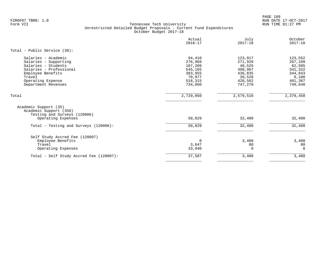PAGE 109 FZROF07 TBR8: 1.0 RUN DATE 17-OCT-2017

|                                                                                                                                                                           | Actual<br>$2016 - 17$                                                              | July<br>$2017 - 18$                                                                | October<br>$2017 - 18$                                                            |
|---------------------------------------------------------------------------------------------------------------------------------------------------------------------------|------------------------------------------------------------------------------------|------------------------------------------------------------------------------------|-----------------------------------------------------------------------------------|
| Total - Public Service (30):                                                                                                                                              |                                                                                    |                                                                                    |                                                                                   |
| Salaries - Academic<br>Salaries - Supporting<br>Salaries - Students<br>Salaries - Professional<br>Employee Benefits<br>Travel<br>Operating Expense<br>Department Revenues | 94,410<br>276,969<br>107,209<br>545,165<br>383,955<br>70,977<br>516,315<br>734,050 | 123,917<br>271,920<br>48,525<br>490,967<br>436,835<br>39,520<br>420,562<br>747,270 | 123,552<br>267,109<br>62,505<br>341,322<br>344,843<br>9,100<br>481,387<br>749,640 |
| Total                                                                                                                                                                     | 2,729,050                                                                          | 2,579,516                                                                          | 2,379,458                                                                         |
| Academic Support (35)<br>Academic Support (350)<br>Testing and Surveys (120006)                                                                                           |                                                                                    |                                                                                    |                                                                                   |
| Operating Expenses                                                                                                                                                        | 50,829                                                                             | 32,400                                                                             | 32,400                                                                            |
| Total - Testing and Surveys (120006):                                                                                                                                     | 50,829                                                                             | 32,400                                                                             | 32,400                                                                            |
| Self Study Accred Fee (120007)<br>Employee Benefits<br>Travel<br>Operating Expenses                                                                                       | 0<br>3,647<br>33,940                                                               | 3,400<br>80<br>$\Omega$                                                            | 3,400<br>80<br>$\Omega$                                                           |
| Total - Self Study Accred Fee (120007):                                                                                                                                   | 37,587                                                                             | 3,480                                                                              | 3,480                                                                             |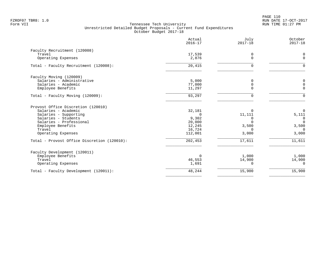|                                             | Actual<br>$2016 - 17$ | July<br>$2017 - 18$ | October<br>$2017 - 18$ |
|---------------------------------------------|-----------------------|---------------------|------------------------|
| Faculty Recruitment (120008)                |                       |                     |                        |
| Travel                                      | 17,539                | 0                   | 0                      |
| Operating Expenses                          | 2,876                 | $\Omega$            | $\mathbf 0$            |
| Total - Faculty Recruitment (120008):       | 20,415                | $\Omega$            | 0                      |
| Faculty Moving (120009)                     |                       |                     |                        |
| Salaries - Administrative                   | 5,000                 | $\Omega$            | 0                      |
| Salaries - Academic                         | 77,000                | $\Omega$            | 0                      |
| Employee Benefits                           | 11,297                | ∩                   | $\mathbf 0$            |
| Total - Faculty Moving (120009):            | 93,297                | $\Omega$            | $\Omega$               |
| Provost Office Discretion (120010)          |                       |                     |                        |
| Salaries - Academic                         | 32,181                |                     | $\mathbf 0$            |
| Salaries - Supporting                       | $\Omega$              | 11,111              | 5,111                  |
| Salaries - Students                         | 9,302                 | $\Omega$            | $\overline{0}$         |
| Salaries - Professional                     | 20,000                | $\cap$              | $\Omega$               |
| Employee Benefits                           | 12,245                | 3,500               | 3,500                  |
| Travel<br>Operating Expenses                | 16,724<br>112,001     | $\Omega$<br>3,000   | $\Omega$<br>3,000      |
| Total - Provost Office Discretion (120010): | 202,453               | 17,611              | 11,611                 |
| Faculty Development (120011)                |                       |                     |                        |
| Employee Benefits                           | $\Omega$              | 1,000               | 1,000                  |
| Travel                                      | 46,553                | 14,900              | 14,900                 |
| Operating Expenses                          | 1,691                 | $\Omega$            | $\Omega$               |
| Total - Faculty Development (120011):       | 48,244                | 15,900              | 15,900                 |
|                                             |                       |                     |                        |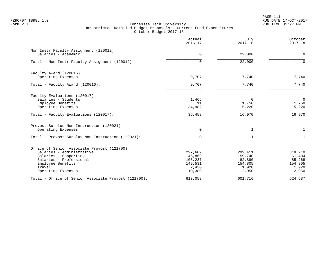PAGE 111 FZROF07 TBR8: 1.0 RUN DATE 17-OCT-2017

| Actual<br>$2016 - 17$                                      | July<br>$2017 - 18$                                      | October<br>$2017 - 18$                                   |
|------------------------------------------------------------|----------------------------------------------------------|----------------------------------------------------------|
| 0                                                          | 22,000                                                   | $\mathbf 0$                                              |
| $\Omega$                                                   | 22,000                                                   | $\Omega$                                                 |
| 9,707                                                      | 7,740                                                    | 7,740                                                    |
| 9,707                                                      | 7,740                                                    | 7,740                                                    |
| 1,465<br>11<br>34,982                                      | $\Omega$<br>1,750<br>15,220                              | $\overline{0}$<br>1,750<br>15,220                        |
| 36,458                                                     | 16,970                                                   | 16,970                                                   |
| $\Omega$                                                   | $\mathbf{1}$                                             | $\mathbf{1}$                                             |
| $\Omega$                                                   | $\mathbf{1}$                                             |                                                          |
| 297,602<br>46,869<br>106,237<br>149,531<br>2,430<br>10,389 | 299,411<br>59,740<br>82,890<br>154,805<br>1,920<br>2,950 | 318,210<br>61,484<br>85,268<br>154,805<br>1,920<br>2,950 |
| 613,058                                                    | 601,716                                                  | 624,637                                                  |
|                                                            |                                                          |                                                          |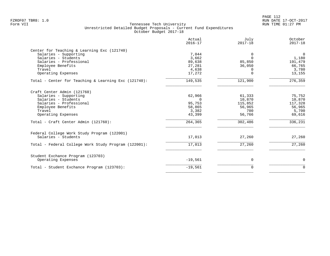PAGE 112 FZROF07 TBR8: 1.0 RUN DATE 17-OCT-2017

|                                                                                                                                                                                                     | Actual<br>$2016 - 17$                                                | July<br>$2017 - 18$                                               | October<br>$2017 - 18$                                              |
|-----------------------------------------------------------------------------------------------------------------------------------------------------------------------------------------------------|----------------------------------------------------------------------|-------------------------------------------------------------------|---------------------------------------------------------------------|
| Center for Teaching & Learning Exc (121740)<br>Salaries - Supporting<br>Salaries - Students<br>Salaries - Professional<br>Employee Benefits<br>Travel<br>Operating Expenses                         | 7,044<br>3,662<br>89,638<br>27,281<br>4,638<br>17,272                | $\Omega$<br>$\Omega$<br>85,850<br>36,050<br>$\Omega$<br>$\Omega$  | $\Omega$<br>1,180<br>191,479<br>66,765<br>3,780<br>13,155           |
| Total - Center for Teaching & Learning Exc (121740):                                                                                                                                                | 149,535                                                              | 121,900                                                           | 276, 359                                                            |
| Craft Center Admin (121760)<br>Salaries - Supporting<br>Salaries - Students<br>Salaries - Professional<br>Employee Benefits<br>Travel<br>Operating Expenses<br>Total - Craft Center Admin (121760): | 62,966<br>$\Omega$<br>95,753<br>58,865<br>3,382<br>43,399<br>264,365 | 61,333<br>10,870<br>115,852<br>56,965<br>700<br>56,766<br>302,486 | 75,752<br>10,870<br>117,328<br>56,965<br>5,700<br>69,616<br>336,231 |
| Federal College Work Study Program (122001)<br>Salaries - Students                                                                                                                                  | 17,013                                                               | 27,260                                                            | 27,260                                                              |
| Total - Federal College Work Study Program (122001):                                                                                                                                                | 17,013                                                               | 27,260                                                            | 27,260                                                              |
| Student Exchance Program (123703)<br>Operating Expenses                                                                                                                                             | $-19,561$                                                            | $\mathbf 0$                                                       | $\mathbf 0$                                                         |
| Total - Student Exchance Program (123703):                                                                                                                                                          | $-19,561$                                                            | $\mathbf 0$                                                       | $\Omega$                                                            |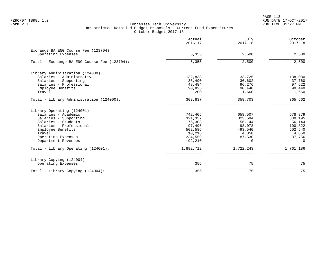PAGE 113 FZROF07 TBR8: 1.0 RUN DATE 17-OCT-2017

|                                                           | Actual<br>$2016 - 17$ | July<br>$2017 - 18$ | October<br>$2017 - 18$ |
|-----------------------------------------------------------|-----------------------|---------------------|------------------------|
| Exchange BA ENG Course Fee (123704)<br>Operating Expenses | 5,355                 | 2,500               | 2,500                  |
| Total - Exchange BA ENG Course Fee (123704):              | 5,355                 | 2,500               | 2,500                  |
| Library Administration (124000)                           |                       |                     |                        |
| Salaries - Administrative                                 | 132,838               | 133,725             | 138,080                |
| Salaries - Supporting                                     | 36,490                | 36,602              | 37,760                 |
| Salaries - Professional                                   | 48,484                | 96,276              | 97,622                 |
| Employee Benefits                                         | 90,825                | 90,440              | 90,440                 |
| Travel                                                    | 200                   | 1,660               | 1,660                  |
| Total - Library Administration (124000):                  | 308,837               | 358,703             | 365,562                |
| Library Operating (124001)                                |                       |                     |                        |
| Salaries - Academic                                       | 742,405               | 658,507             | 678,879                |
| Salaries - Supporting                                     | 321,357               | 323,594             | 330,195                |
| Salaries - Students                                       | 76,303                | 56,144              | 56,144                 |
| Salaries - Professional                                   | 97,496                | 98,078              | 100,822                |
| Employee Benefits                                         | 502,586               | 493,540             | 502,540                |
| Travel                                                    | 10,216                | 4,850               | 4,850                  |
| Operating Expenses                                        | 234,559               | 87,530              | 87,756                 |
| Department Revenues                                       | $-92,210$             | $\Omega$            | $\Omega$               |
| Total - Library Operating (124001):                       | 1,892,712             | 1,722,243           | 1,761,186              |
| Library Copying (124004)                                  |                       |                     |                        |
| Operating Expenses                                        | 356                   | 75                  | 75                     |
| Total - Library Copying (124004):                         | 356                   | 75                  | 75                     |
|                                                           |                       |                     |                        |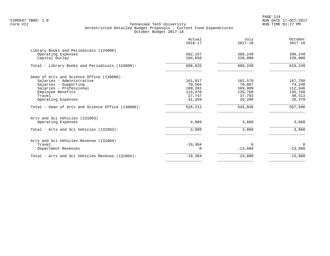PAGE 114 FZROF07 TBR8: 1.0 RUN DATE 17-OCT-2017

| Actual<br>$2016 - 17$ | July<br>$2017 - 18$                                 | October<br>$2017 - 18$       |
|-----------------------|-----------------------------------------------------|------------------------------|
|                       |                                                     |                              |
| 104,658               | 220,000                                             | 399,249<br>220,000           |
| 606,825               | 609,249                                             | 619,249                      |
|                       |                                                     |                              |
|                       |                                                     | 167,750                      |
|                       |                                                     | 74,248                       |
| 109,283               | 109,909                                             | 112,946                      |
| 115,476               | 135,760                                             | 135,760                      |
|                       | 37,793                                              | 40,513                       |
| 41,284                | 26,200                                              | 26,379                       |
| 526,211               | 543,048                                             | 557,596                      |
|                       |                                                     |                              |
| 4,889                 | 3,860                                               | 3,860                        |
| 4,889                 | 3,860                                               | 3,860                        |
|                       |                                                     |                              |
|                       | $\Omega$                                            | $\Omega$                     |
| $\Omega$              | $-13,860$                                           | $-13,860$                    |
| $-19,384$             | $-13,860$                                           | $-13,860$                    |
|                       | 502,167<br>161,917<br>70,504<br>27,747<br>$-19,384$ | 389,249<br>162,579<br>70,807 |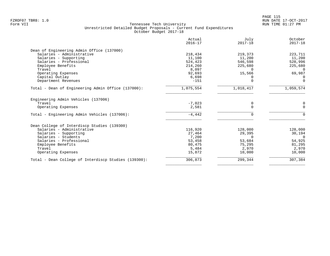|                                                      | Actual<br>$2016 - 17$ | July<br>$2017 - 18$ | October<br>$2017 - 18$ |
|------------------------------------------------------|-----------------------|---------------------|------------------------|
| Dean of Engineering Admin Office (137000)            |                       |                     |                        |
| Salaries - Administrative                            | 218,434               | 219,373             | 223,711                |
| Salaries - Supporting                                | 11,100                | 11,200              | 11,200                 |
| Salaries - Professional                              | 524,423               | 546,598             | 528,996                |
| Employee Benefits                                    | 214,260               | 225,680             | 225,680                |
| Travel                                               | 8,097                 | <sup>n</sup>        | $\Omega$               |
| Operating Expenses                                   | 92,693                | 15,566              | 69,987                 |
| Capital Outlay                                       | 6,698                 |                     | $\Omega$               |
| Department Revenues                                  | $-151$                | O                   | $\Omega$               |
| Total - Dean of Engineering Admin Office (137000):   | 1,075,554             | 1,018,417           | 1,059,574              |
| Engineering Admin Vehicles (137006)                  |                       |                     |                        |
| Travel                                               | $-7,023$              | 0                   | 0                      |
| Operating Expenses                                   | 2,581                 | $\Omega$            | $\Omega$               |
| Total - Engineering Admin Vehicles (137006):         | $-4,442$              |                     | $\Omega$               |
| Dean College of Interdiscp Studies (139300)          |                       |                     |                        |
| Salaries - Administrative                            | 116,920               | 128,000             | 128,000                |
| Salaries - Supporting                                | 27,464                | 29,395              | 30,194                 |
| Salaries - Students                                  | 7,200                 | $\Omega$            | $\Omega$               |
| Salaries - Professional                              | 53,458                | 53,684              | 54,925                 |
| Employee Benefits                                    | 80,475                | 75,295              | 81,295                 |
| Travel                                               | 5,484                 | 2,970               | 2,970                  |
| Operating Expenses                                   | 15,872                | 10,000              | 10,000                 |
| Total - Dean College of Interdiscp Studies (139300): | 306,873               | 299,344             | 307,384                |
|                                                      |                       |                     |                        |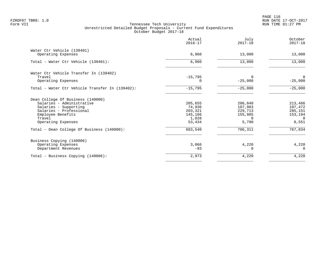PAGE 116 FZROF07 TBR8: 1.0 RUN DATE 17-OCT-2017

|                                                 | Actual<br>$2016 - 17$ | July<br>$2017 - 18$ | October<br>$2017 - 18$ |
|-------------------------------------------------|-----------------------|---------------------|------------------------|
| Water Ctr Vehicle (139401)                      |                       |                     |                        |
| Operating Expenses                              | 6,960                 | 13,000              | 13,000                 |
| Total - Water Ctr Vehicle (139401):             | 6,960                 | 13,000              | 13,000                 |
| Water Ctr Vehicle Transfer In (139402)          |                       |                     |                        |
| Travel                                          | $-15,795$             | $\Omega$            | $\overline{0}$         |
| Operating Expenses                              | 0                     | $-25,000$           | $-25,000$              |
| Total - Water Ctr Vehicle Transfer In (139402): | $-15,795$             | $-25,000$           | $-25,000$              |
| Dean College Of Business (140000)               |                       |                     |                        |
| Salaries - Administrative                       | 205,655               | 206,840             | 213,466                |
| Salaries - Supporting                           | 74,936                | 107,983             | 107,472                |
| Salaries - Professional                         | 203,321               | 229,713             | 285,151                |
| Employee Benefits                               | 145,166               | 155,985             | 153,194                |
| Travel                                          | 1,028                 | $\Omega$            | $\Omega$               |
| Operating Expenses                              | 53,434                | 5,790               | 8,551                  |
| Total - Dean College Of Business (140000):      | 683,540               | 706,311             | 767,834                |
| Business Copying (140006)                       |                       |                     |                        |
| Operating Expenses                              | 3,066                 | 4,220               | 4,220                  |
| Department Revenues                             | $-93$                 | O                   | $\Omega$               |
| Total - Business Copying (140006):              | 2,973                 | 4,220               | 4,220                  |
|                                                 |                       |                     |                        |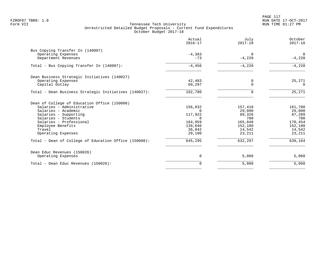|                                                       | Actual<br>$2016 - 17$ | July<br>$2017 - 18$  | October<br>$2017 - 18$ |
|-------------------------------------------------------|-----------------------|----------------------|------------------------|
| Bus Copying Transfer In (140007)                      |                       |                      |                        |
| Operating Expenses<br>Department Revenues             | $-4,383$<br>$-73$     | $\Omega$<br>$-4,220$ | 0<br>$-4,220$          |
| Total - Bus Copying Transfer In (140007):             | $-4,456$              | $-4,220$             | $-4,220$               |
| Dean Business Strategic Initiatives (140027)          |                       |                      |                        |
| Operating Expenses<br>Capital Outlay                  | 42,483<br>60,297      | 0<br>$\Omega$        | 25,271<br>$\Omega$     |
| Total - Dean Business Strategic Initiatives (140027): | 102,780               | $\Omega$             | 25,271                 |
| Dean of College of Education Office (150000)          |                       |                      |                        |
| Salaries - Administrative                             | 156,832               | 157,410              | 161,708                |
| Salaries - Academic                                   | $\Omega$              | 29,000               | 29,000                 |
| Salaries - Supporting                                 | 117,922               | 89,326               | 87,289                 |
| Salaries - Students                                   | $\Omega$              | 780                  | 780                    |
| Salaries - Professional<br>Employee Benefits          | 164,959<br>139,640    | 165,848<br>152,180   | 170,454<br>152,180     |
| Travel                                                | 36,842                | 14,542               | 14,542                 |
| Operating Expenses                                    | 29,100                | 23,211               | 23,211                 |
| Total - Dean of College of Education Office (150000): | 645,295               | 632,297              | 639,164                |
| Dean Educ Revenues (150026)                           |                       |                      |                        |
| Operating Expenses                                    | 0                     | 5,060                | 5,060                  |
| Total - Dean Educ Revenues (150026):                  | $\Omega$              | 5,060                | 5,060                  |
|                                                       |                       |                      |                        |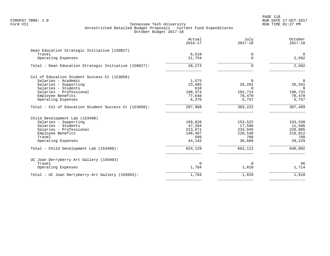|                                                       | Actual<br>$2016 - 17$ | July<br>$2017 - 18$ | October<br>$2017 - 18$ |
|-------------------------------------------------------|-----------------------|---------------------|------------------------|
| Dean Education Strategic Initiative (150027)          |                       |                     |                        |
| Travel                                                | 6,519                 | 0                   | $\overline{0}$         |
| Operating Expenses                                    | 21,754                | $\Omega$            | 2,502                  |
| Total - Dean Education Strategic Initiative (150027): | 28,273                | $\Omega$            | 2,502                  |
| Col of Education Student Success Ct (153058)          |                       |                     |                        |
| Salaries - Academic                                   | 1,575                 | $\Omega$            | $\Omega$               |
| Salaries - Supporting                                 | 23,485                | 26,281              | 26,541                 |
| Salaries - Students                                   | 610                   | $\Omega$            | $\Omega$               |
| Salaries - Professional                               | 188,374               | 192,714             | 196,731                |
| Employee Benefits                                     | 77,648                | 78,470              | 78,470                 |
| Operating Expenses                                    | 6,276                 | 5,757               | 5,757                  |
| Total - Col of Education Student Success Ct (153058): | 297,968               | 303,222             | 307,499                |
| Child Development Lab (153400)                        |                       |                     |                        |
| Salaries - Supporting                                 | 169,826               | 153,522             | 153,530                |
| Salaries - Students                                   | 47,284                | 17,586              | 11,586                 |
| Salaries - Professional                               | 213,871               | 233,045             | 228,885                |
| Employee Benefits                                     | 148,407               | 220,530             | 216,012                |
| Travel                                                | 599                   | 760                 | 760                    |
| Operating Expenses                                    | 44,142                | 36,669              | 29,229                 |
| Total - Child Development Lab (153400):               | 624,129               | 662,112             | 640,002                |
| UC Joan Derryberry Art Gallery (155003)               |                       |                     |                        |
| Travel                                                | 0                     | 0                   | 96                     |
| Operating Expenses                                    | 1,784                 | 1,810               | 1,714                  |
| Total - UC Joan Derryberry Art Gallery (155003):      | 1,784                 | 1,810               | 1,810                  |
|                                                       |                       |                     |                        |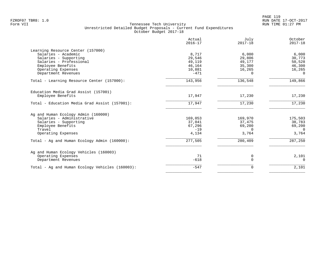|                                                                                                                                                                                | Actual<br>$2016 - 17$                                   | July<br>$2017 - 18$                                       | October<br>$2017 - 18$                                    |
|--------------------------------------------------------------------------------------------------------------------------------------------------------------------------------|---------------------------------------------------------|-----------------------------------------------------------|-----------------------------------------------------------|
| Learning Resource Center (157000)<br>Salaries - Academic<br>Salaries - Supporting<br>Salaries - Professional<br>Employee Benefits<br>Operating Expenses<br>Department Revenues | 8,717<br>29,546<br>49,119<br>46,164<br>10,881<br>$-471$ | 6,000<br>29,806<br>49,177<br>35,300<br>16,265<br>$\Omega$ | 6,000<br>30,773<br>50,528<br>46,300<br>16,265<br>$\Omega$ |
| Total - Learning Resource Center (157000):                                                                                                                                     | 143,956                                                 | 136,548                                                   | 149,866                                                   |
| Education Media Grad Assist (157001)<br>Employee Benefits                                                                                                                      | 17,947                                                  | 17,230                                                    | 17,230                                                    |
| Total - Education Media Grad Assist (157001):                                                                                                                                  | 17,947                                                  | 17,230                                                    | 17,230                                                    |
| Ag and Human Ecology Admin (160000)<br>Salaries - Administrative<br>Salaries - Supporting<br>Employee Benefits<br>Travel<br>Operating Expenses                                 | 169,053<br>37,041<br>67,296<br>$-19$<br>4,134           | 169,970<br>37,475<br>69,200<br>$\Omega$<br>3,764          | 175,503<br>38,783<br>69,200<br>$\Omega$<br>3,764          |
| Total - Ag and Human Ecology Admin (160000):                                                                                                                                   | 277,505                                                 | 280,409                                                   | 287,250                                                   |
| Ag and Human Ecology Vehicles (160003)<br>Operating Expenses<br>Department Revenues                                                                                            | 71<br>$-618$                                            | 0<br>$\Omega$                                             | 2,101<br>$\Omega$                                         |
| Total - Ag and Human Ecology Vehicles (160003):                                                                                                                                | $-547$                                                  | 0                                                         | 2,101                                                     |
|                                                                                                                                                                                |                                                         |                                                           |                                                           |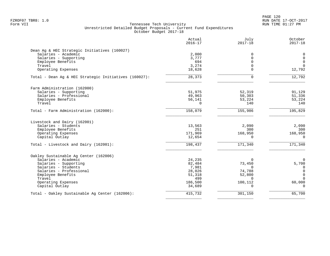|                                                       | Actual<br>$2016 - 17$ | July<br>$2017 - 18$ | October<br>$2017 - 18$ |
|-------------------------------------------------------|-----------------------|---------------------|------------------------|
| Dean Ag & HEC Strategic Initiatives (160027)          |                       |                     |                        |
| Salaries - Academic                                   | 2,000                 | 0                   | 0                      |
| Salaries - Supporting                                 | 3,777                 | $\Omega$            | $\mathbf 0$            |
| Employee Benefits                                     | 694                   | $\Omega$            | $\mathbf 0$            |
| Travel                                                | 3,274                 |                     | $\mathbf 0$            |
| Operating Expenses                                    | 18,628                | $\cap$              | 12,792                 |
| Total - Dean Ag & HEC Strategic Initiatives (160027): | 28,373                | $\Omega$            | 12,792                 |
| Farm Administration (162000)                          |                       |                     |                        |
| Salaries - Supporting                                 | 51,975                | 52,319              | 91,129                 |
| Salaries - Professional                               | 49,963                | 50,303              | 51,336                 |
| Employee Benefits                                     | 56,141                | 53,224              | 53,224                 |
| Travel                                                | $\Omega$              | 140                 | 140                    |
| Total - Farm Administration (162000):                 | 158,079               | 155,986             | 195,829                |
| Livestock and Dairy (162001)                          |                       |                     |                        |
| Salaries - Students                                   | 13,563                | 2,090               | 2,090                  |
| Employee Benefits                                     | 251                   | 300                 | 300                    |
| Operating Expenses                                    | 171,969               | 168,950             | 168,950                |
| Capital Outlay                                        | 12,654                | $\Omega$            | $\Omega$               |
| Total - Livestock and Dairy (162001):                 | 198,437               | 171,340             | 171,340                |
| Oakley Sustainable Aq Center (162006)                 |                       |                     |                        |
| Salaries - Academic                                   | 24,235                | $\mathbf 0$         | $\mathbf 0$            |
| Salaries - Supporting                                 | 82,484                | 73,450              | 5,700                  |
| Salaries - Students                                   | 7,981                 | $\Omega$            | $\mathbf 0$            |
| Salaries - Professional                               | 28,026                | 74,788              | $\mathbf 0$            |
| Employee Benefits                                     | 51,318                | 52,800              | $\mathbf 0$            |
| Travel                                                | 499                   | $\Omega$            | $\Omega$               |
| Operating Expenses<br>Capital Outlay                  | 186,500<br>34,689     | 100,112<br>$\Omega$ | 60,000<br>$\cap$       |
| Total - Oakley Sustainable Ag Center (162006):        | 415,732               | 301,150             | 65,700                 |
|                                                       |                       |                     |                        |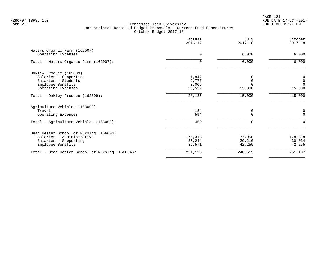PAGE 121 FZROF07 TBR8: 1.0 RUN DATE 17-OCT-2017

|                                                                                                                    | Actual<br>$2016 - 17$             | July<br>$2017 - 18$         | October<br>$2017 - 18$                 |
|--------------------------------------------------------------------------------------------------------------------|-----------------------------------|-----------------------------|----------------------------------------|
| Waters Organic Farm (162007)<br>Operating Expenses                                                                 | $\Omega$                          | 6,000                       | 6,000                                  |
| Total - Waters Organic Farm (162007):                                                                              | $\Omega$                          | 6,000                       | 6,000                                  |
| Oakley Produce (162009)<br>Salaries - Supporting<br>Salaries - Students<br>Employee Benefits<br>Operating Expenses | 1,847<br>2,777<br>3,009<br>20,552 | $\mathbf 0$<br>15,000       | 0<br>$\mathbf 0$<br>$\Omega$<br>15,000 |
| Total - Oakley Produce (162009):                                                                                   | 28,185                            | 15,000                      | 15,000                                 |
| Agriculture Vehicles (163002)<br>Travel<br>Operating Expenses<br>Total - Agriculture Vehicles (163002):            | $-134$<br>594<br>460              | 0<br>$\Omega$<br>$\Omega$   | 0<br>$\Omega$<br>$\Omega$              |
| Dean Hester School of Nursing (166004)<br>Salaries - Administrative<br>Salaries - Supporting<br>Employee Benefits  | 176,313<br>35,244<br>39,571       | 177,050<br>29,210<br>42,255 | 178,818<br>30,034<br>42,255            |
| Total - Dean Hester School of Nursing (166004):                                                                    | 251,128                           | 248,515                     | 251,107                                |
|                                                                                                                    |                                   |                             |                                        |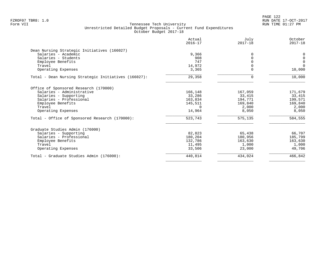|                                                      | Actual<br>$2016 - 17$ | July<br>$2017 - 18$ | October<br>$2017 - 18$ |
|------------------------------------------------------|-----------------------|---------------------|------------------------|
| Dean Nursing Strategic Initiatives (166027)          |                       |                     |                        |
| Salaries - Academic                                  | 9,366                 |                     | 0                      |
| Salaries - Students                                  | 908                   |                     | $\mathbf 0$            |
| Employee Benefits                                    | 747                   |                     | $\overline{0}$         |
| Travel                                               | 14,972                |                     | $\Omega$               |
| Operating Expenses                                   | 3,365                 |                     | 10,000                 |
| Total - Dean Nursing Strategic Initiatives (166027): | 29,358                | U                   | 10,000                 |
| Office of Sponsored Research (170000)                |                       |                     |                        |
| Salaries - Administrative                            | 166,148               | 167,059             | 171,679                |
| Salaries - Supporting                                | 33,286                | 33,415              | 33,415                 |
| Salaries - Professional                              | 163,834               | 194,771             | 199,571                |
| Employee Benefits                                    | 145,511               | 169,840             | 169,840                |
| Travel                                               | $\Omega$              | 2,000               | 2,000                  |
| Operating Expenses                                   | 14,964                | 8,050               | 8,050                  |
| Total - Office of Sponsored Research (170000):       | 523,743               | 575,135             | 584,555                |
| Graduate Studies Admin (176000)                      |                       |                     |                        |
| Salaries - Supporting                                | 82,823                | 65,438              | 66,707                 |
| Salaries - Professional                              | 180,204               | 180,956             | 185,799                |
| Employee Benefits                                    | 132,786               | 163,630             | 163,630                |
| Travel                                               | 11,495                | 1,000               | 1,000                  |
| Operating Expenses                                   | 33,506                | 23,000              | 49,706                 |
| Total - Graduate Studies Admin (176000):             | 440,814               | 434,024             | 466,842                |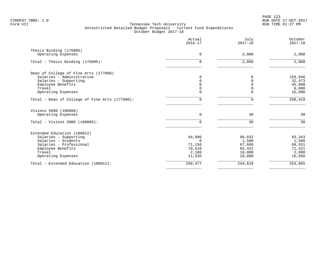|                                                | Actual<br>$2016 - 17$ | July<br>$2017 - 18$ | October<br>$2017 - 18$ |
|------------------------------------------------|-----------------------|---------------------|------------------------|
| Thesis Binding (176005)                        |                       |                     |                        |
| Operating Expenses                             | $\Omega$              | 2,000               | 2,000                  |
| Total - Thesis Binding (176005):               | $\Omega$              | 2,000               | 2,000                  |
| Dean of College of Fine Arts (177000)          |                       |                     |                        |
| Salaries - Administrative                      | 0                     | 0                   | 159,946                |
| Salaries - Supporting                          | $\Omega$              |                     | 32,473                 |
| Employee Benefits                              | $\Omega$              |                     | 45,000                 |
| Travel                                         | $\Omega$              |                     | 6,000                  |
| Operating Expenses                             | $\Omega$              |                     | 15,000                 |
| Total - Dean of College of Fine Arts (177000): | $\Omega$              | $\Omega$            | 258,419                |
| Visions 5000 (180006)                          |                       |                     |                        |
| Operating Expenses                             | $\Omega$              | 30                  | 30                     |
| Total - Visions 5000 (180006):                 | $\Omega$              | 30                  | 30                     |
| Extended Education (180012)                    |                       |                     |                        |
| Salaries - Supporting                          | 94,996                | 90,032              | 93,343                 |
| Salaries - Students                            | $\Omega$              | 1,500               | 1,500                  |
| Salaries - Professional                        | 71,150                | 67,666              | 69,551                 |
| Employee Benefits                              | 70,610                | 65,421              | 71,421                 |
| Travel                                         | 2,186                 | 10,000              | 2,000                  |
| Operating Expenses                             | 11,535                | 10,000              | 16,050                 |
| Total - Extended Education (180012):           | 250,477               | 244,619             | 253,865                |
|                                                |                       |                     |                        |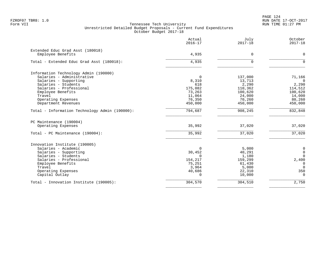PAGE 124 FZROF07 TBR8: 1.0 RUN DATE 17-OCT-2017

|                                                       | Actual<br>$2016 - 17$ | July<br>$2017 - 18$ | October<br>$2017 - 18$ |
|-------------------------------------------------------|-----------------------|---------------------|------------------------|
| Extended Educ Grad Asst (180018)<br>Employee Benefits | 4,935                 | $\mathbf 0$         | $\mathbf 0$            |
|                                                       |                       |                     |                        |
| Total - Extended Educ Grad Asst (180018):             | $\overline{4,935}$    | $\Omega$            | $\Omega$               |
| Information Technology Admin (190000)                 |                       |                     |                        |
| Salaries - Administrative                             | $\Omega$              | 137,000             | 71,166                 |
| Salaries - Supporting                                 | 8,310                 | 13,713              | $\Omega$               |
| Salaries - Students                                   | 618                   | 2,290               | 2,290                  |
| Salaries - Professional                               | 175,082               | 110,362             | 114,512                |
| Employee Benefits                                     | 73,263                | 100,620             | 100,620                |
| Travel                                                | 11,064                | 24,000              | 14,000                 |
| Operating Expenses                                    | 76,350                | 70,260              | 80,260                 |
| Department Revenues                                   | 450,000               | 450,000             | 450,000                |
| Total - Information Technology Admin (190000):        | 794,687               | 908,245             | 832,848                |
| PC Maintenance (190004)                               |                       |                     |                        |
| Operating Expenses                                    | 35,992                | 37,020              | 37,020                 |
| Total - PC Maintenance (190004):                      | 35,992                | 37,020              | 37,020                 |
| Innovation Institute (190005)                         |                       |                     |                        |
| Salaries - Academic                                   | $\Omega$              | 5,000               | 0                      |
| Salaries - Supporting                                 | 30,452                | 40,291              | $\mathbf 0$            |
| Salaries - Students                                   | $\Omega$              | 1,180               | $\Omega$               |
| Salaries - Professional                               | 154,217               | 159,299             | 2,400                  |
| Employee Benefits                                     | 75,251                | 61,430              | $\Omega$               |
| Travel                                                | 3,964                 | 5,000               | $\Omega$               |
| Operating Expenses                                    | 40,686                | 22,310              | 350                    |
| Capital Outlay                                        | $\cap$                | 10,000              | $\Omega$               |
| Total - Innovation Institute (190005):                | 304,570               | 304,510             | 2,750                  |
|                                                       |                       |                     |                        |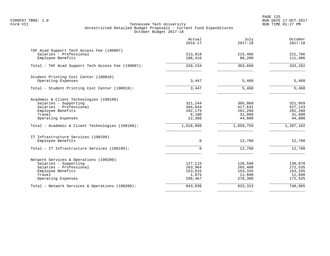PAGE 125 FZROF07 TBR8: 1.0 RUN DATE 17-OCT-2017

|                                                                      | Actual<br>$2016 - 17$ | July<br>$2017 - 18$ | October<br>$2017 - 18$ |
|----------------------------------------------------------------------|-----------------------|---------------------|------------------------|
| TAF Acad Support Tech Access Fee (190007)<br>Salaries - Professional | 213,818               | 215,466             | 221,796                |
| Employee Benefits                                                    | 106,416               | 88,200              | 111,486                |
| Total - TAF Acad Support Tech Access Fee (190007):                   | 320,234               | 303,666             | 333,282                |
| Student Printing Cost Center (190010)                                |                       |                     |                        |
| Operating Expenses                                                   | 3,447                 | 5,460               | 5,460                  |
| Total - Student Printing Cost Center (190010):                       | 3,447                 | 5,460               | 5,460                  |
| Academic & Client Technologies (190100)                              |                       |                     |                        |
| Salaries - Supporting                                                | 321,244               | 305,068             | 321,959                |
| Salaries - Professional<br>Employee Benefits                         | 384,844<br>282,175    | 417,631<br>261,260  | 527,143<br>282,260     |
| Travel                                                               | 6,180                 | 31,000              | 31,000                 |
| Operating Expenses                                                   | 22,366                | 44,800              | 44,800                 |
| Total - Academic & Client Technologies (190100):                     | 1,016,809             | 1,059,759           | 1,207,162              |
| IT Infrastructure Services (190199)                                  |                       |                     |                        |
| Employee Benefits                                                    | $\Omega$              | 12,700              | 12,700                 |
| Total - IT Infrastructure Services (190199):                         | $\Omega$              | 12,700              | 12,700                 |
| Network Services & Operations (190200)                               |                       |                     |                        |
| Salaries - Supporting                                                | 127, 115              | 126,598             | 130,070                |
| Salaries - Professional                                              | 263,964               | 265,480             | 272,535                |
| Employee Benefits<br>Travel                                          | 153,615<br>1,875      | 153,335<br>11,600   | 153,335<br>11,600      |
| Operating Expenses                                                   | 296,467               | 276,300             | 172,525                |
| Total - Network Services & Operations (190200):                      | 843,036               | 833,313             | 740,065                |
|                                                                      |                       |                     |                        |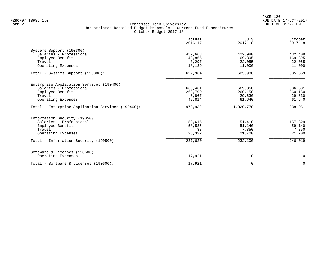|                                                   | Actual<br>$2016 - 17$ | July<br>$2017 - 18$ | October<br>$2017 - 18$ |
|---------------------------------------------------|-----------------------|---------------------|------------------------|
| Systems Support (190300)                          |                       |                     |                        |
| Salaries - Professional                           | 452,663               | 422,980             | 432,409                |
| Employee Benefits                                 | 148,865               | 169,895             | 169,895                |
| Travel                                            | 3,297                 | 22,055              | 22,055                 |
| Operating Expenses                                | 18,139                | 11,000              | 11,000                 |
| Total - Systems Support (190300):                 | 622,964               | 625,930             | 635, 359               |
| Enterprise Application Services (190400)          |                       |                     |                        |
| Salaries - Professional                           | 665,461               | 669,350             | 686,631                |
| Employee Benefits                                 | 263,790               | 260,150             | 260,150                |
| Travel                                            | 6,867                 | 29,630              | 29,630                 |
| Operating Expenses                                | 42,814                | 61,640              | 61,640                 |
| Total - Enterprise Application Services (190400): | 978,932               | 1,020,770           | 1,038,051              |
| Information Security (190500)                     |                       |                     |                        |
| Salaries - Professional                           | 150,615               | 151,410             | 157,329                |
| Employee Benefits                                 | 58,585                | 51,140              | 59,140                 |
| Travel                                            | 88                    | 7,850               | 7,850                  |
| Operating Expenses                                | 28,332                | 21,700              | 21,700                 |
| Total - Information Security (190500):            | 237,620               | 232,100             | 246,019                |
| Software & Licenses (190600)                      |                       |                     |                        |
| Operating Expenses                                | 17,921                | 0                   | 0                      |
| Total - Software & Licenses (190600):             | 17,921                | $\Omega$            | $\Omega$               |
|                                                   |                       |                     |                        |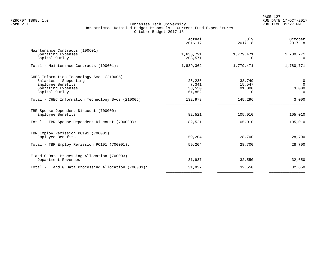|                                                                                                                                 | Actual<br>$2016 - 17$               | July<br>$2017 - 18$                        | October<br>$2017 - 18$             |
|---------------------------------------------------------------------------------------------------------------------------------|-------------------------------------|--------------------------------------------|------------------------------------|
| Maintenance Contracts (190601)<br>Operating Expenses<br>Capital Outlay                                                          | 1,635,791<br>203,571                | 1,779,471<br>0                             | 1,780,771<br>$\Omega$              |
| Total - Maintenance Contracts (190601):                                                                                         | 1,839,362                           | 1,779,471                                  | 1,780,771                          |
| CHEC Information Technology Svcs (210005)<br>Salaries - Supporting<br>Employee Benefits<br>Operating Expenses<br>Capital Outlay | 25,235<br>7,341<br>38,550<br>61,852 | 38,749<br>15,547<br>91,000<br><sup>n</sup> | 0<br>$\Omega$<br>3,000<br>$\Omega$ |
| Total - CHEC Information Technology Svcs (210005):                                                                              | 132,978                             | 145,296                                    | 3,000                              |
| TBR Spouse Dependent Discount (700000)<br>Employee Benefits<br>Total - TBR Spouse Dependent Discount (700000):                  | 82,521<br>82,521                    | 105,010<br>105,010                         | 105,010<br>105,010                 |
| TBR Employ Remission PC191 (700001)<br>Employee Benefits                                                                        | 59,204                              | 28,700                                     | 28,700                             |
| Total - TBR Employ Remission PC191 (700001):                                                                                    | 59,204                              | 28,700                                     | 28,700                             |
| E and G Data Processing Allocation (700003)<br>Department Revenues                                                              | 31,937                              | 32,550                                     | 32,650                             |
| Total - E and G Data Processing Allocation (700003):                                                                            | 31,937                              | 32,550                                     | 32,650                             |
|                                                                                                                                 |                                     |                                            |                                    |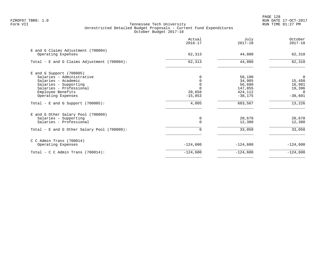PAGE 128 FZROF07 TBR8: 1.0 RUN DATE 17-OCT-2017

|                                                          | Actual<br>$2016 - 17$ | July<br>$2017 - 18$ | October<br>$2017 - 18$ |
|----------------------------------------------------------|-----------------------|---------------------|------------------------|
| E and G Claims Adjustment (700004)<br>Operating Expenses | 62,313                | 44,080              | 62,310                 |
| Total - E and G Claims Adjustment (700004):              | 62,313                | 44,080              | 62,310                 |
| $E$ and G Support (700005)                               |                       |                     |                        |
| Salaries - Administrative                                |                       | 58,190              | 0                      |
| Salaries - Academic                                      |                       | 34,905              | 15,450                 |
| Salaries - Supporting                                    |                       | 56,680              | 16,981                 |
| Salaries - Professional                                  |                       | 147,855             | 19,396                 |
| Employee Benefits                                        | 20,658                | 424,112             | $\Omega$               |
| Operating Expenses                                       | $-15,853$             | $-38,175$           | $-38,601$              |
| Total - E and G Support $(700005)$ :                     | 4,805                 | 683,567             | 13,226                 |
| E and G Other Salary Pool (700009)                       |                       |                     |                        |
| Salaries - Supporting                                    |                       | 20,670              | 20,670                 |
| Salaries - Professional                                  | $\Omega$              | 12,380              | 12,380                 |
| Total - E and G Other Salary Pool (700009):              | 0                     | 33,050              | 33,050                 |
| $C$ C Admin Trans (700014)                               |                       |                     |                        |
| Operating Expenses                                       | $-124,600$            | $-124,600$          | $-124,600$             |
| Total - C C Admin Trans $(700014)$ :                     | $-124,600$            | $-124,600$          | $-124,600$             |
|                                                          |                       |                     |                        |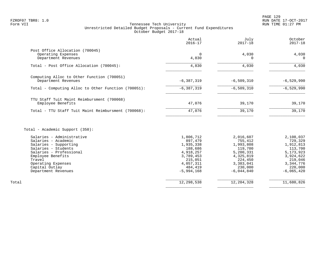|                                                                 | Actual<br>$2016 - 17$ | July<br>$2017 - 18$ | October<br>$2017 - 18$ |
|-----------------------------------------------------------------|-----------------------|---------------------|------------------------|
| Post Office Allocation (700045)                                 |                       |                     |                        |
| Operating Expenses<br>Department Revenues                       | $\Omega$<br>4,830     | 4,030<br>0          | 4,030<br>$\Omega$      |
| Total - Post Office Allocation (700045):                        | 4,830                 | 4,030               | 4,030                  |
| Computing Alloc to Other Function (700051)                      |                       |                     |                        |
| Department Revenues                                             | $-6, 387, 319$        | $-6,509,310$        | $-6,529,990$           |
| Total - Computing Alloc to Other Function (700051):             | $-6, 387, 319$        | $-6, 509, 310$      | $-6, 529, 990$         |
| TTU Staff Tuit Maint Reimbursment (700068)<br>Employee Benefits | 47,076                | 39,170              | 39,170                 |
| Total - TTU Staff Tuit Maint Reimbursment (700068):             | 47,076                | 39,170              | 39,170                 |
| Total - Academic Support (350):                                 |                       |                     |                        |
| Salaries - Administrative                                       | 1,806,712             | 2,016,607           | 2,108,037              |
| Salaries - Academic                                             | 897,479               | 755,412             | 729,329                |
| Salaries - Supporting                                           | 1,935,338             | 1,993,808           | 1,912,813              |
| Salaries - Students                                             | 188,686               | 119,700             | 113,700                |
| Salaries - Professional                                         | 4,918,257             | 5,200,331           | 5, 173, 923            |
| Employee Benefits                                               | 3,789,453             | 4,325,819           | 3,924,622              |
| Travel                                                          | 215,051               | 224,450             | 219,046                |
| Operating Expenses                                              | 4,057,311             | 3,383,041           | 3, 344, 776            |
| Capital Outlay                                                  | 484,419               | 230,000             | 220,000                |
| Department Revenues                                             | $-5,994,168$          | $-6,044,840$        | $-6,065,420$           |

| Total | 12,298,538 | 12,204,328 | 11,680,826 |
|-------|------------|------------|------------|
|       |            |            |            |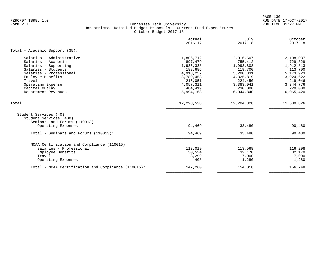PAGE 130 FZROF07 TBR8: 1.0 RUN DATE 17-OCT-2017

|                                                                                 | Actual<br>$2016 - 17$ | July<br>$2017 - 18$ | October<br>$2017 - 18$ |
|---------------------------------------------------------------------------------|-----------------------|---------------------|------------------------|
| Total - Academic Support (35):                                                  |                       |                     |                        |
| Salaries - Administrative                                                       | 1,806,712             | 2,016,607           | 2,108,037              |
| Salaries - Academic                                                             | 897,479               | 755,412             | 729,329                |
| Salaries - Supporting                                                           | 1,935,338             | 1,993,808           | 1,912,813              |
| Salaries - Students                                                             | 188,686               | 119,700             | 113,700                |
| Salaries - Professional                                                         | 4,918,257             | 5,200,331           | 5, 173, 923            |
| Employee Benefits                                                               | 3,789,453             | 4,325,819           | 3,924,622              |
| Travel                                                                          | 215,051               | 224,450             | 219,046                |
| Operating Expense                                                               | 4,057,311             | 3,383,041           | 3, 344, 776            |
| Capital Outlay                                                                  | 484,419               | 230,000             | 220,000                |
| Department Revenues                                                             | $-5,994,168$          | $-6,044,840$        | $-6,065,420$           |
| Total                                                                           | 12,298,538            | 12, 204, 328        | 11,680,826             |
| Student Services (40)<br>Student Services (400)<br>Seminars and Forums (110013) |                       |                     |                        |
| Operating Expenses                                                              | 94,469                | 33,480              | 90,480                 |
|                                                                                 |                       |                     |                        |
| Total - Seminars and Forums (110013):                                           | 94,469                | 33,480              | 90,480                 |
| NCAA Certification and Compliance (110015)                                      |                       |                     |                        |
| Salaries - Professional                                                         | 113,019               | 113,568             | 116,298                |
| Employee Benefits                                                               | 30,534                | 32,170              | 32,170                 |
| Travel                                                                          | 3,299                 | 7,000               | 7,000                  |
| Operating Expenses                                                              | 408                   | 1,280               | 1,280                  |
| Total - NCAA Certification and Compliance (110015):                             | 147,260               | 154,018             | 156,748                |
|                                                                                 |                       |                     |                        |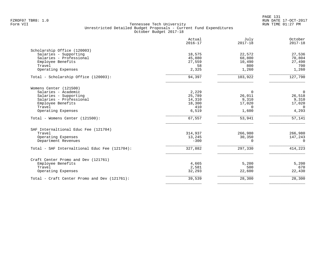|                                               | Actual<br>$2016 - 17$ | July<br>$2017 - 18$ | October<br>$2017 - 18$ |
|-----------------------------------------------|-----------------------|---------------------|------------------------|
| Scholarship Office (120003)                   |                       |                     |                        |
| Salaries - Supporting                         | 18,575                | 22,572              | 27,536                 |
| Salaries - Professional                       | 45,880                | 68,800              | 70,804                 |
| Employee Benefits                             | 27,559                | 10,490              | 27,490                 |
| Travel                                        | 58                    | 800                 | 700                    |
| Operating Expenses                            | 2,325                 | 1,260               | 1,260                  |
| Total - Scholarship Office (120003):          | 94,397                | 103,922             | 127,790                |
| Womens Center (121500)                        |                       |                     |                        |
| Salaries - Academic                           | 2,229                 | 0                   | $\mathbf 0$            |
| Salaries - Supporting                         | 25,789                | 26,011              | 26,518                 |
| Salaries - Professional                       | 14,310                | 9,310               | 9,310                  |
| Employee Benefits                             | 18,300                | 17,020              | 17,020                 |
| Travel                                        | 410                   | $\Omega$            | $\Omega$               |
| Operating Expenses                            | 6,519                 | 1,600               | 4,293                  |
| Total - Womens Center (121500):               | 67, 557               | 53,941              | 57,141                 |
| SAF Internaltional Educ Fee (121704)          |                       |                     |                        |
| Travel                                        | 314,937               | 266,980             | 266,980                |
| Operating Expenses                            | 13,245                | 30,350              | 147,243                |
| Department Revenues                           | $-300$                | $\Omega$            | $\Omega$               |
| Total - SAF Internaltional Educ Fee (121704): | 327,882               | 297,330             | 414,223                |
| Craft Center Promo and Dev (121761)           |                       |                     |                        |
| Employee Benefits                             | 4,665                 | 5,200               | 5,200                  |
| Travel                                        | 2,581                 | 500                 | 670                    |
| Operating Expenses                            | 32,293                | 22,600              | 22,430                 |
| Total - Craft Center Promo and Dev (121761):  | 39,539                | 28,300              | 28,300                 |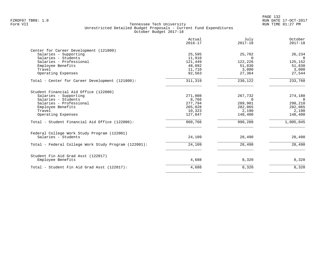|                                                      | Actual<br>$2016 - 17$ | July<br>$2017 - 18$ | October<br>$2017 - 18$ |
|------------------------------------------------------|-----------------------|---------------------|------------------------|
| Center for Career Development (121800)               |                       |                     |                        |
| Salaries - Supporting                                | 25,595                | 25,702              | 26,234                 |
| Salaries - Students                                  | 11,910                | $\Omega$            | $\mathbf{0}$           |
| Salaries - Professional<br>Employee Benefits         | 121,449<br>48,092     | 122,226<br>51,830   | 125,152<br>51,830      |
| Travel                                               | 11,710                | 3,000               | 3,000                  |
| Operating Expenses                                   | 92,563                | 27,364              | 27,544                 |
| Total - Center for Career Development (121800):      | 311,319               | 230,122             | 233,760                |
| Student Financial Aid Office (122000)                |                       |                     |                        |
| Salaries - Supporting                                | 271,008               | 267,732             | 274,180                |
| Salaries - Students                                  | 8,766                 | $\Omega$            | $\Omega$               |
| Salaries - Professional                              | 277,794               | 289,901             | 298,210                |
| Employee Benefits                                    | 265,028               | 282,065             | 282,065                |
| Travel                                               | 10,323                | 2,190               | 2,190                  |
| Operating Expenses                                   | 127,847               | 148,400             | 148,400                |
| Total - Student Financial Aid Office (122000):       | 960,766               | 990,288             | 1,005,045              |
| Federal College Work Study Program (122001)          |                       |                     |                        |
| Salaries - Students                                  | 24,109                | 28,490              | 28,490                 |
| Total - Federal College Work Study Program (122001): | 24,109                | 28,490              | 28,490                 |
| Student Fin Aid Grad Asst (122017)                   |                       |                     |                        |
| Employee Benefits                                    | 4,688                 | 8,320               | 8,320                  |
| Total - Student Fin Aid Grad Asst (122017):          | 4,688                 | 8,320               | 8,320                  |
|                                                      |                       |                     |                        |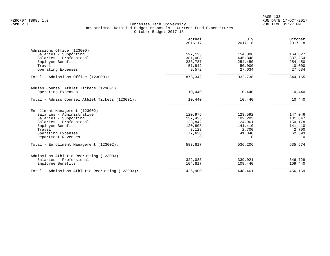PAGE 133 FZROF07 TBR8: 1.0 RUN DATE 17-OCT-2017

|                                                  | Actual<br>$2016 - 17$ | July<br>$2017 - 18$ | October<br>$2017 - 18$ |
|--------------------------------------------------|-----------------------|---------------------|------------------------|
| Admissions Office (123000)                       |                       |                     |                        |
| Salaries - Supporting                            | 197,133               | 154,806             | 164,827                |
| Salaries - Professional                          | 381,008               | 445,848             | 387,254                |
| Employee Benefits                                | 233,787               | 254,450             | 254,450                |
| Travel                                           | 51,842                | 50,000              | 10,000                 |
| Operating Expenses                               | 9,572                 | 27,634              | 27,634                 |
| Total - Admissions Office (123000):              | 873,342               | 932,738             | 844,165                |
| Admiss Counsel Athlet Tickets (123001)           |                       |                     |                        |
| Operating Expenses                               | 10,440                | 10,440              | 10,440                 |
| Total - Admiss Counsel Athlet Tickets (123001):  | 10,440                | 10,440              | 10,440                 |
| Enrollment Management (123002)                   |                       |                     |                        |
| Salaries - Administrative                        | 120,975               | 123,592             | 147,046                |
| Salaries - Supporting                            | 137,435               | 102,203             | 131,847                |
| Salaries - Professional                          | 123,842               | 124,961             | 150,178                |
| Employee Benefits                                | 120,808               | 141,410             | 141,410                |
| Travel                                           | 3,128                 | 2,700               | 2,700                  |
| Operating Expenses                               | 77,638                | 41,340              | 62,393                 |
| Department Revenues                              | $-9$                  | $\Omega$            | $\Omega$               |
| Total - Enrollment Management (123002):          | 583,817               | 536,206             | 635,574                |
| Admissions Athletic Recruiting (123003)          |                       |                     |                        |
| Salaries - Professional                          | 322,083               | 339,021             | 346,729                |
| Employee Benefits                                | 104,817               | 109,440             | 109,440                |
| Total - Admissions Athletic Recruiting (123003): | 426,900               | 448,461             | 456, 169               |
|                                                  |                       |                     |                        |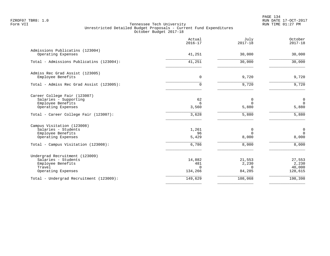PAGE 134 FZROF07 TBR8: 1.0 RUN DATE 17-OCT-2017

|                                                       | Actual<br>$2016 - 17$ | July<br>$2017 - 18$ | October<br>$2017 - 18$ |
|-------------------------------------------------------|-----------------------|---------------------|------------------------|
| Admissions Publicatins (123004)<br>Operating Expenses | 41,251                | 30,000              | 30,000                 |
| Total - Admissions Publicatins (123004):              | 41,251                | 30,000              | 30,000                 |
| Admiss Rec Grad Assist (123005)<br>Employee Benefits  | $\mathbf 0$           | 9,720               | 9,720                  |
| Total - Admiss Rec Grad Assist (123005):              | $\Omega$              | 9,720               | 9,720                  |
| Career College Fair (123007)                          |                       |                     |                        |
| Salaries - Supporting                                 | 62                    | 0                   | $\mathbf 0$            |
| Employee Benefits                                     | 6                     | $\mathbf 0$         | $\mathbf 0$            |
| Operating Expenses                                    | 3,560                 | 5,880               | 5,880                  |
| Total - Career College Fair (123007):                 | 3,628                 | 5,880               | 5,880                  |
| Campus Visitation (123008)                            |                       |                     |                        |
| Salaries - Students                                   | 1,261                 | 0                   | $\mathbf 0$            |
| Employee Benefits                                     | 96                    | $\Omega$            | $\Omega$               |
| Operating Expenses                                    | 5,429                 | 8,000               | 8,000                  |
| Total - Campus Visitation (123008):                   | 6,786                 | 8,000               | 8,000                  |
| Undergrad Recruitment (123009)                        |                       |                     |                        |
| Salaries - Students                                   | 14,882                | 21,553              | 27,553                 |
| Employee Benefits                                     | 481                   | 2,230               | 2,230                  |
| Travel                                                | $\cap$                | $\Omega$            | 40,000                 |
| Operating Expenses                                    | 134,266               | 84,285              | 128,615                |
| Total - Undergrad Recruitment (123009):               | 149,629               | 108,068             | 198,398                |
|                                                       |                       |                     |                        |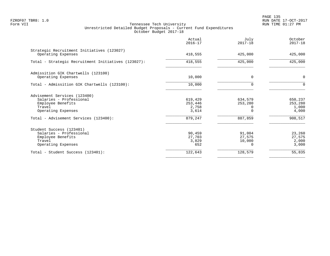PAGE 135 FZROF07 TBR8: 1.0 RUN DATE 17-OCT-2017

|                                                                                                              | Actual<br>$2016 - 17$                | July<br>$2017 - 18$                        | October<br>$2017 - 18$               |
|--------------------------------------------------------------------------------------------------------------|--------------------------------------|--------------------------------------------|--------------------------------------|
| Strategic Recruitment Initiatives (123027)<br>Operating Expenses                                             | 418,555                              | 425,000                                    | 425,000                              |
| Total - Strategic Recruitment Initiatives (123027):                                                          | 418,555                              | 425,000                                    | 425,000                              |
| Admissition GIK Chartwells (123100)<br>Operating Expenses                                                    | 10,000                               | $\Omega$                                   | $\mathbf 0$                          |
| Total - Admissition GIK Chartwells (123100):                                                                 | 10,000                               | 0                                          | $\mathbf 0$                          |
| Advisement Services (123400)<br>Salaries - Professional<br>Employee Benefits<br>Travel<br>Operating Expenses | 619,429<br>253,446<br>2,758<br>3,614 | 634,579<br>253,280<br>0<br>O               | 650,237<br>253,280<br>1,000<br>4,000 |
| Total - Advisement Services (123400):                                                                        | 879,247                              | 887,859                                    | 908,517                              |
| Student Success (123401)<br>Salaries - Professional<br>Employee Benefits<br>Travel<br>Operating Expenses     | 90,459<br>27,703<br>3,829<br>652     | 91,004<br>27,575<br>10,000<br><sup>n</sup> | 23,260<br>27,575<br>2,000<br>3,000   |
| Total - Student Success (123401):                                                                            | 122,643                              | 128,579                                    | 55,835                               |
|                                                                                                              |                                      |                                            |                                      |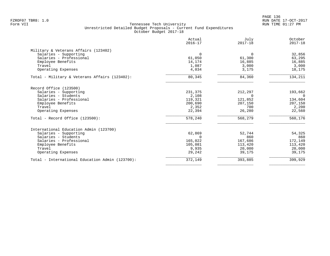|                                                 | Actual<br>$2016 - 17$ | July<br>$2017 - 18$ | October<br>$2017 - 18$ |
|-------------------------------------------------|-----------------------|---------------------|------------------------|
| Military & Veterans Affairs (123402)            |                       |                     |                        |
| Salaries - Supporting                           | $\mathbf 0$           | $\mathbf 0$         | 32,856                 |
| Salaries - Professional                         | 61,050                | 61,300              | 63,295                 |
| Employee Benefits                               | 14,174                | 16,885              | 16,885                 |
| Travel                                          | 1,087                 | 3,000               | 3,000                  |
| Operating Expenses                              | 4,034                 | 3,175               | 18,175                 |
| Total - Military & Veterans Affairs (123402):   | 80,345                | 84,360              | 134,211                |
| Record Office (123500)                          |                       |                     |                        |
| Salaries - Supporting                           | 231,375               | 212,297             | 193,662                |
| Salaries - Students                             | 2,108                 | $\Omega$            | $\Omega$               |
| Salaries - Professional                         | 119,321               | 121,852             | 134,604                |
| Employee Benefits                               | 200,690               | 207,150             | 207,150                |
| Travel                                          | 2,352                 | 700                 | 2,200                  |
| Operating Expenses                              | 22,394                | 26,280              | 22,560                 |
| Total - Record Office $(123500)$ :              | 578,240               | 568,279             | 560,176                |
| International Education Admin (123700)          |                       |                     |                        |
| Salaries - Supporting                           | 62,869                | 52,744              | 54,325                 |
| Salaries - Students                             | $\Omega$              | 860                 | 860                    |
| Salaries - Professional                         | 165,022               | 167,686             | 172,149                |
| Employee Benefits                               | 105,081               | 113,420             | 113,420                |
| Travel                                          | 9,935                 | 20,000              | 20,000                 |
| Operating Expenses                              | 29,242                | 39,175              | 39,175                 |
| Total - International Education Admin (123700): | 372,149               | 393,885             | 399,929                |
|                                                 |                       |                     |                        |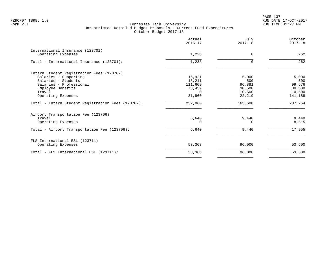PAGE 137 FZROF07 TBR8: 1.0 RUN DATE 17-OCT-2017

|                                                        | Actual<br>$2016 - 17$ | July<br>$2017 - 18$ | October<br>$2017 - 18$ |
|--------------------------------------------------------|-----------------------|---------------------|------------------------|
| International Insurance (123701)<br>Operating Expenses | 1,238                 | 0                   | 262                    |
| Total - International Insurance (123701):              | 1,238                 | $\Omega$            | 262                    |
| Intern Student Registration Fees (123702)              |                       |                     |                        |
| Salaries - Supporting                                  | 16,921                | 5,000               | 5,000                  |
| Salaries - Students                                    | 18,211                | 500                 | 500                    |
| Salaries - Professional                                | 111,609               | 96,881              | 99,576                 |
| Employee Benefits                                      | 73,459                | 30,500              | 30,500                 |
| Travel                                                 | $\Omega$              | 10,500              | 10,500                 |
| Operating Expenses                                     | 31,860                | 22,219              | 141,188                |
| Total - Intern Student Registration Fees (123702):     | 252,060               | 165,600             | 287,264                |
| Airport Transportation Fee (123706)                    |                       |                     |                        |
| Travel                                                 | 6,640                 | 9,440               | 9,440                  |
| Operating Expenses                                     |                       |                     | 8,515                  |
| Total - Airport Transportation Fee (123706):           | $6,640$               | 9,440               | 17,955                 |
| FLS International ESL (123711)                         |                       |                     |                        |
| Operating Expenses                                     | 53,368                | 96,000              | 53,500                 |
| Total - FLS International ESL (123711):                | 53,368                | 96,000              | 53,500                 |
|                                                        |                       |                     |                        |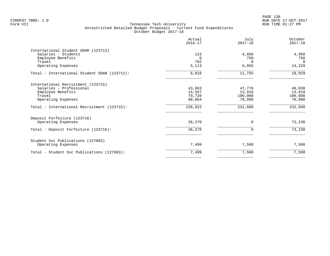|                                              | Actual<br>$2016 - 17$ | July<br>$2017 - 18$ | October<br>$2017 - 18$ |
|----------------------------------------------|-----------------------|---------------------|------------------------|
| International Student SOAR (123712)          |                       |                     |                        |
| Salaries - Students                          | 123                   | 4,950               | 4,950                  |
| Employee Benefits                            | $\Omega$              | 750                 | 750                    |
| Travel                                       | 782                   | $\Omega$            | $\Omega$               |
| Operating Expenses                           | 5,113                 | 6,055               | 14,229                 |
| Total - International Student SOAR (123712): | 6,018                 | 11,755              | 19,929                 |
| International Recruitment (123715)           |                       |                     |                        |
| Salaries - Professional                      | 43,863                | 47,776              | 49,030                 |
| Employee Benefits                            | 14,567                | 13,910              | 13,910                 |
| Travel                                       | 70,728                | 100,000             | 100,000                |
| Operating Expenses                           | 98,864                | 70,000              | 70,000                 |
| Total - International Recruitment (123715):  | 228,022               | 231,686             | 232,940                |
| Deposit Forfeiture (123716)                  |                       |                     |                        |
| Operating Expenses                           | 36,270                | $\mathbf 0$         | 73,230                 |
| Total - Deposit Forfeiture (123716):         | 36,270                | $\mathbf 0$         | 73,230                 |
| Student Svc Publications (127003)            |                       |                     |                        |
| Operating Expenses                           | 7,499                 | 7,500               | 7,500                  |
| Total - Student Svc Publications (127003):   | 7,499                 | 7,500               | 7,500                  |
|                                              |                       |                     |                        |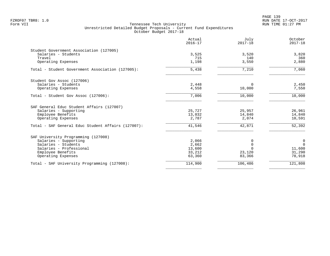|                                                    | Actual<br>$2016 - 17$ | July<br>$2017 - 18$ | October<br>$2017 - 18$ |
|----------------------------------------------------|-----------------------|---------------------|------------------------|
| Student Government Association (127005)            |                       |                     |                        |
| Salaries - Students                                | 3,525                 | 3,520               | 3,820                  |
| Travel                                             | 715                   | 140                 | 360                    |
| Operating Expenses                                 | 1,198                 | 3,550               | 2,880                  |
| Total - Student Government Association (127005):   | 5,438                 | 7,210               | 7,060                  |
| Student Gov Assoc (127006)                         |                       |                     |                        |
| Salaries - Students                                | 2,448                 | $\Omega$            | 2,450                  |
| Operating Expenses                                 | 4,558                 | 10,000              | 7,550                  |
| Total - Student Gov Assoc (127006):                | 7,006                 | 10,000              | 10,000                 |
| SAF General Educ Student Affairs (127007)          |                       |                     |                        |
| Salaries - Supporting                              | 25,727                | 25,957              | 26,961                 |
| Employee Benefits                                  | 13,032                | 14,840              | 14,840                 |
| Operating Expenses                                 | 2,787                 | 2,074               | 10,591                 |
| Total - SAF General Educ Student Affairs (127007): | 41,546                | 42,871              | 52,392                 |
| SAF University Programming (127008)                |                       |                     |                        |
| Salaries - Supporting                              | 2,066                 | 0                   | $\mathbf 0$            |
| Salaries - Students                                | 2,662                 | $\Omega$            | $\Omega$               |
| Salaries - Professional                            | 13,600                | $\cap$              | 11,600                 |
| Employee Benefits                                  | 33,212                | 23,120              | 31,290                 |
| Operating Expenses                                 | 63,360                | 83,366              | 78,918                 |
| Total - SAF University Programming (127008):       | 114,900               | 106,486             | 121,808                |
|                                                    |                       |                     |                        |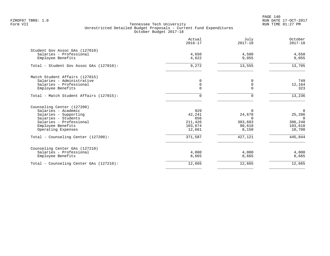PAGE 140 FZROF07 TBR8: 1.0 RUN DATE 17-OCT-2017

|                                                           | Actual<br>$2016 - 17$   | July<br>$2017 - 18$ | October<br>$2017 - 18$ |
|-----------------------------------------------------------|-------------------------|---------------------|------------------------|
| Student Gov Assoc GAs (127010)<br>Salaries - Professional | 4,650                   | 4,500               | 4,650                  |
| Employee Benefits                                         | 4,622                   | 9,055               | 9,055                  |
| Total - Student Gov Assoc GAs (127010):                   | 9,272                   | 13,555              | 13,705                 |
| Match Student Affairs (127015)                            |                         |                     |                        |
| Salaries - Administrative                                 | 0                       |                     | 749                    |
| Salaries - Professional<br>Employee Benefits              | $\mathbf 0$<br>$\Omega$ | $\Omega$            | 12,164<br>323          |
|                                                           |                         |                     |                        |
| Total - Match Student Affairs (127015):                   | $\Omega$                | O                   | 13,236                 |
| Counseling Center (127200)                                |                         |                     |                        |
| Salaries - Academic                                       | 929                     | 0                   | $\mathbf 0$            |
| Salaries - Supporting                                     | 42,241                  | 24,678              | 25,286                 |
| Salaries - Students<br>Salaries - Professional            | 656<br>211,426          | $\Omega$<br>303,683 | $\Omega$<br>306,248    |
| Employee Benefits                                         | 103,674                 | 90,610              | 103,610                |
| Operating Expenses                                        | 12,661                  | 8,150               | 10,700                 |
| Total - Counseling Center (127200):                       | 371,587                 | 427,121             | 445,844                |
| Counseling Center GAs (127210)                            |                         |                     |                        |
| Salaries - Professional                                   | 4,000                   | 4,000               | 4,000                  |
| Employee Benefits                                         | 8,665                   | 8,665               | 8,665                  |
| Total - Counseling Center GAs (127210):                   | 12,665                  | 12,665              | 12,665                 |
|                                                           |                         |                     |                        |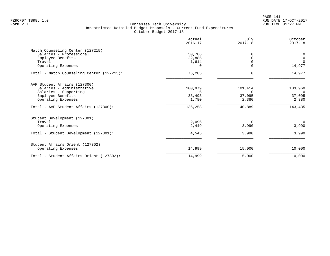|                                           | Actual<br>$2016 - 17$ | July<br>$2017 - 18$ | October<br>$2017 - 18$ |
|-------------------------------------------|-----------------------|---------------------|------------------------|
| Match Counseling Center (127215)          |                       |                     |                        |
| Salaries - Professional                   | 50,786                | $\Omega$            | $\mathbf 0$            |
| Employee Benefits                         | 22,885                | $\Omega$            | $\mathbf 0$            |
| Travel                                    | 1,614                 |                     | $\Omega$               |
| Operating Expenses                        | $\Omega$              | 0                   | 14,977                 |
| Total - Match Counseling Center (127215): | 75,285                | $\Omega$            | 14,977                 |
| AVP Student Affairs (127300)              |                       |                     |                        |
| Salaries - Administrative                 | 100,979               | 101,414             | 103,960                |
| Salaries - Supporting                     | 6                     |                     | $\Omega$               |
| Employee Benefits                         | 33,493                | 37,095              | 37,095                 |
| Operating Expenses                        | 1,780                 | 2,380               | 2,380                  |
| Total - AVP Student Affairs (127300):     | 136,258               | 140,889             | 143,435                |
| Student Development (127301)              |                       |                     |                        |
| Travel                                    | 2,096                 | $\Omega$            | $\overline{0}$         |
| Operating Expenses                        | 2,449                 | 3,990               | 3,990                  |
| Total - Student Development (127301):     | 4,545                 | 3,990               | 3,990                  |
| Student Affairs Orient (127302)           |                       |                     |                        |
| Operating Expenses                        | 14,999                | 15,000              | 10,000                 |
| Total - Student Affairs Orient (127302):  | 14,999                | 15,000              | 10,000                 |
|                                           |                       |                     |                        |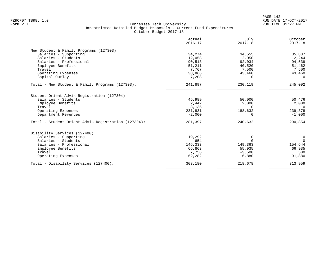|                                                     | Actual<br>$2016 - 17$ | July<br>$2017 - 18$ | October<br>$2017 - 18$ |
|-----------------------------------------------------|-----------------------|---------------------|------------------------|
| New Student & Family Programs (127303)              |                       |                     |                        |
| Salaries - Supporting                               | 34,274                | 34,555              | 35,887                 |
| Salaries - Students                                 | 12,058                | 12,050              | 12,244                 |
| Salaries - Professional                             | 90,513                | 92,034              | 94,539                 |
| Employee Benefits                                   | 51,211                | 40,520              | 51,462                 |
| Travel                                              | 7,767                 | 7,500               | 7,500                  |
| Operating Expenses                                  | 38,866                | 43,460              | 43,460                 |
| Capital Outlay                                      | 7,208                 | $\Omega$            | $\Omega$               |
| Total - New Student & Family Programs (127303):     | 241,897               | 230,119             | 245,092                |
| Student Orient Advis Registration (127304)          |                       |                     |                        |
| Salaries - Students                                 | 45,989                | 50,000              | 50,476                 |
| Employee Benefits                                   | 2,442                 | 2,000               | 2,000                  |
| Travel                                              | 3,135                 | $\Omega$            | $\overline{0}$         |
| Operating Expenses                                  | 231,831               | 188,632             | 239,378                |
| Department Revenues                                 | $-2,000$              | $\Omega$            | $-1,000$               |
| Total - Student Orient Advis Registration (127304): | 281,397               | 240,632             | 290,854                |
| Disability Services (127400)                        |                       |                     |                        |
| Salaries - Supporting                               | 19,292                | 0                   | 0                      |
| Salaries - Students                                 | 654                   | $\Omega$            | $\Omega$               |
| Salaries - Professional                             | 146,333               | 149,363             | 154,644                |
| Employee Benefits                                   | 66,863                | 55,935              | 66,935                 |
| Travel                                              | 7,756                 | $-3,500$            | 500                    |
| Operating Expenses                                  | 62,282                | 16,880              | 91,880                 |
| Total - Disability Services (127400):               | 303,180               | 218,678             | 313,959                |
|                                                     |                       |                     |                        |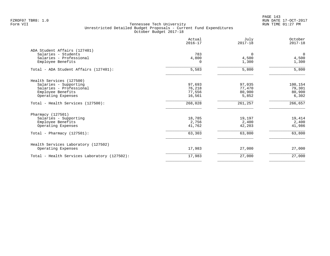PAGE 143 FZROF07 TBR8: 1.0 RUN DATE 17-OCT-2017

| Actual<br>$2016 - 17$ | July<br>$2017 - 18$                | October<br>$2017 - 18$ |
|-----------------------|------------------------------------|------------------------|
|                       |                                    |                        |
| 783                   | $\Omega$                           | $\Omega$               |
|                       | 4,500                              | 4,500                  |
| 0                     | 1,300                              | 1,300                  |
| 5,583                 | 5,800                              | 5,800                  |
|                       |                                    |                        |
| 97,693                | 97,035                             | 100,154                |
| 76,218                | 77,470                             | 79,301                 |
|                       | 80,900                             | 80,900                 |
| 16,561                | 5,852                              | 6,302                  |
| 268,028               | 261,257                            | 266,657                |
|                       |                                    |                        |
|                       |                                    | 19,414                 |
|                       |                                    | 2,400                  |
| 41,762                | 42,203                             | 41,986                 |
| 63,303                | 63,800                             | 63,800                 |
|                       |                                    |                        |
| 17,983                | 27,000                             | 27,000                 |
| 17,983                | 27,000                             | 27,000                 |
|                       | 4,800<br>77,556<br>18,785<br>2,756 | 19,197<br>2,400        |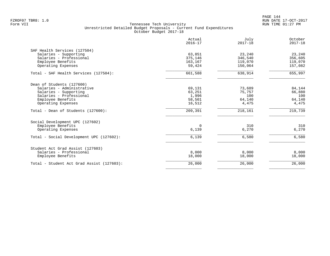PAGE 144 FZROF07 TBR8: 1.0 RUN DATE 17-OCT-2017

|                                           | Actual<br>$2016 - 17$ | July<br>$2017 - 18$ | October<br>$2017 - 18$ |
|-------------------------------------------|-----------------------|---------------------|------------------------|
| SAF Health Services (127504)              |                       |                     |                        |
| Salaries - Supporting                     | 63,851                | 23,240              | 23,240                 |
| Salaries - Professional                   | 375,146               | 346,540             | 356,605                |
| Employee Benefits                         | 163,167<br>59,424     | 119,070<br>150,064  | 119,070<br>157,082     |
| Operating Expenses                        |                       |                     |                        |
| Total - SAF Health Services (127504):     | 661,588               | 638,914             | 655,997                |
| Dean of Students (127600)                 |                       |                     |                        |
| Salaries - Administrative                 | 69,131                | 73,689              | 84,144                 |
| Salaries - Supporting                     | 63,251                | 75,757              | 66,880                 |
| Salaries - Professional                   | 1,996                 | 100                 | 100                    |
| Employee Benefits                         | 58,501                | 64,140              | 64,140                 |
| Operating Expenses                        | 16,512                | 4,475               | 4,475                  |
| Total - Dean of Students (127600):        | 209,391               | 218,161             | $\overline{219}$ , 739 |
| Social Development UPC (127602)           |                       |                     |                        |
| Employee Benefits                         | $\Omega$              | 310                 | 310                    |
| Operating Expenses                        | 6,139                 | 6,270               | 6,270                  |
| Total - Social Development UPC (127602):  | 6,139                 | 6,580               | 6,580                  |
| Student Act Grad Assist (127603)          |                       |                     |                        |
| Salaries - Professional                   | 8,000                 | 8,000               | 8,000                  |
| Employee Benefits                         | 18,000                | 18,000              | 18,000                 |
| Total - Student Act Grad Assist (127603): | 26,000                | 26,000              | 26,000                 |
|                                           |                       |                     |                        |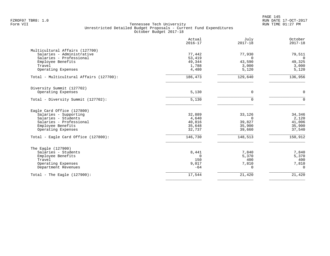|                                         | Actual<br>$2016 - 17$ | July<br>$2017 - 18$ | October<br>$2017 - 18$ |
|-----------------------------------------|-----------------------|---------------------|------------------------|
| Multicultural Affairs (127700)          |                       |                     |                        |
| Salaries - Administrative               | 77,442                | 77,930              | 79,511                 |
| Salaries - Professional                 | 53,419                | $\Omega$            | $\cap$                 |
| Employee Benefits                       | 49,344                | 43,590              | 49,325                 |
| Travel                                  | 1,788                 | 3,000               | 3,000                  |
| Operating Expenses                      | 4,480                 | 5,120               | 5,120                  |
| Total - Multicultural Affairs (127700): | 186,473               | 129,640             | 136,956                |
| Diversity Summit (127702)               |                       |                     |                        |
| Operating Expenses                      | 5,130                 | 0                   | $\mathbf 0$            |
| Total - Diversity Summit (127702):      | 5,130                 | $\Omega$            | $\Omega$               |
| Eagle Card Office (127800)              |                       |                     |                        |
| Salaries - Supporting                   | 32,889                | 33,126              | 34,346                 |
| Salaries - Students                     | 4,640                 | $\Omega$            | 2,120                  |
| Salaries - Professional                 | 40,816                | 39,827              | 41,006                 |
| Employee Benefits                       | 35,648                | 35,900              | 35,900                 |
| Operating Expenses                      | 32,737                | 39,660              | 37,540                 |
| Total - Eagle Card Office (127800):     | 146,730               | 148,513             | 150,912                |
| The Eagle (127900)                      |                       |                     |                        |
| Salaries - Students                     | 8,441                 | 7,840               | 7,840                  |
| Employee Benefits                       | $\Omega$              | 5,370               | 5,370                  |
| Travel                                  | 150                   | 400                 | 400                    |
| Operating Expenses                      | 9,017                 | 7,810               | 7,810                  |
| Department Revenues                     | $-64$                 | $\Omega$            | $\Omega$               |
| Total - The Eagle $(127900)$ :          | 17,544                | 21,420              | 21,420                 |
|                                         |                       |                     |                        |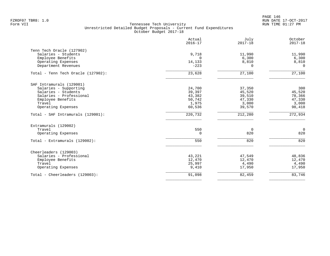PAGE 146 FZROF07 TBR8: 1.0 RUN DATE 17-OCT-2017

|                                    | Actual<br>$2016 - 17$ | July<br>$2017 - 18$ | October<br>$2017 - 18$ |
|------------------------------------|-----------------------|---------------------|------------------------|
| Tenn Tech Oracle (127902)          |                       |                     |                        |
| Salaries - Students                | 9,718                 | 11,990              | 11,990                 |
| Employee Benefits                  | $\Omega$              | 6,300               | 6,300                  |
| Operating Expenses                 | 14,133                | 8,810               | 8,810                  |
| Department Revenues                | $-223$                | $\Omega$            | $\Omega$               |
| Total - Tenn Tech Oracle (127902): | 23,628                | 27,100              | 27,100                 |
| SAF Intramurals (129001)           |                       |                     |                        |
| Salaries - Supporting              | 24,700                | 37,350              | 300                    |
| Salaries - Students                | 39,397                | 45,520              | 45,520                 |
| Salaries - Professional            | 43,382                | 39,510              | 78,366                 |
| Employee Benefits                  | 50,742                | 47,330              | 47,330                 |
| Travel                             | 1,975                 | 3,000               | 3,000                  |
| Operating Expenses                 | 60,536                | 39,570              | 98,418                 |
| Total - SAF Intramurals (129001):  | 220,732               | 212,280             | 272,934                |
| Extramurals (129002)               |                       |                     |                        |
| Travel                             | 550                   | 0                   | $\mathbf 0$            |
| Operating Expenses                 | $\Omega$              | 820                 | 820                    |
| Total - Extramurals (129002):      | 550                   | 820                 | 820                    |
| Cheerleaders (129003)              |                       |                     |                        |
| Salaries - Professional            | 43,221                | 47,549              | 48,836                 |
| Employee Benefits                  | 12,470                | 12,470              | 12,470                 |
| Travel                             | 25,997                | 4,490               | 4,490                  |
| Operating Expenses                 | 9,410                 | 17,950              | 17,950                 |
| Total - Cheerleaders (129003):     | 91,098                | 82,459              | 83,746                 |
|                                    |                       |                     |                        |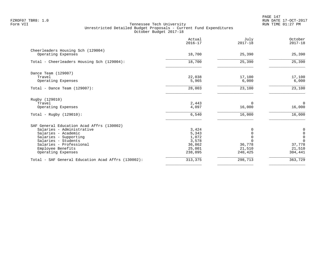PAGE 147 FZROF07 TBR8: 1.0 RUN DATE 17-OCT-2017

|                                                         | Actual<br>$2016 - 17$ | July<br>$2017 - 18$ | October<br>$2017 - 18$                     |
|---------------------------------------------------------|-----------------------|---------------------|--------------------------------------------|
| Cheerleaders Housing Sch (129004)<br>Operating Expenses | 18,700                | 25,390              | 25,390                                     |
| Total - Cheerleaders Housing Sch (129004):              | 18,700                | 25,390              | 25,390                                     |
|                                                         |                       |                     |                                            |
| Dance Team (129007)<br>Travel                           | 22,038                | 17,100              | 17,100                                     |
| Operating Expenses                                      | 5,965                 | 6,000               | 6,000                                      |
| Total - Dance Team $(129007)$ :                         | 28,003                | 23,100              | 23,100                                     |
| Rugby (129010)                                          |                       |                     |                                            |
| Travel                                                  | 2,443                 | $\Omega$            | $\Omega$                                   |
| Operating Expenses                                      | 4,097                 | 16,000              | 16,000                                     |
| Total - Rugby $(129010)$ :                              | 6,540                 | 16,000              | 16,000                                     |
| SAF General Education Acad Affrs (130002)               |                       |                     |                                            |
| Salaries - Administrative                               | 3,424                 |                     | $\begin{smallmatrix}0\\0\end{smallmatrix}$ |
| Salaries - Academic                                     | 5,343                 |                     | $\mathbf 0$                                |
| Salaries - Supporting<br>Salaries - Students            | 1,072<br>3,578        |                     | $\Omega$                                   |
| Salaries - Professional                                 | 36,862                | 36,778              | 37,778                                     |
| Employee Benefits                                       | 25,001                | 21,510              | 21,510                                     |
| Operating Expenses                                      | 238,095               | 240,425             | 304,441                                    |
| Total - SAF General Education Acad Affrs (130002):      | 313,375               | 298,713             | 363,729                                    |
|                                                         |                       |                     |                                            |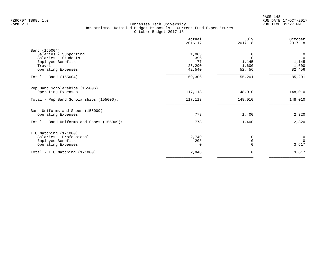| Actual<br>$2016 - 17$ | July<br>$2017 - 18$ | October<br>$2017 - 18$ |
|-----------------------|---------------------|------------------------|
|                       |                     |                        |
| 1,003                 | 0                   | $\mathbf 0$            |
| 396                   | $\Omega$            | $\mathbf 0$            |
| 77                    |                     | 1,145                  |
| 25,290                |                     | 1,600                  |
| 42,540                | 52,456              | 82,456                 |
| 69,306                | 55,201              | 85,201                 |
|                       |                     |                        |
| 117,113               | 148,010             | 148,010                |
| 117,113               | 148,010             | 148,010                |
|                       |                     |                        |
| 778                   | 1,400               | 2,320                  |
| 778                   | 1,400               | 2,320                  |
|                       |                     |                        |
|                       |                     | $\overline{0}$         |
|                       |                     | $\Omega$               |
| $\Omega$              |                     | 3,617                  |
| 2,948                 | 0                   | 3,617                  |
|                       | 2,740<br>208        | 1,145<br>1,600<br>0    |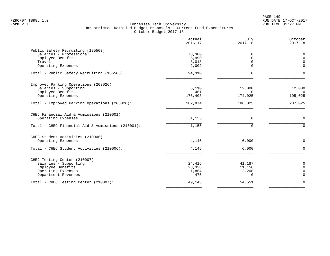|                                                                                                                         | Actual<br>$2016 - 17$               | July<br>$2017 - 18$                   | October<br>$2017 - 18$                |
|-------------------------------------------------------------------------------------------------------------------------|-------------------------------------|---------------------------------------|---------------------------------------|
| Public Safety Recruiting (185503)<br>Salaries - Professional<br>Employee Benefits<br>Travel<br>Operating Expenses       | 78,300<br>5,990<br>8,018<br>2,002   | O<br>$\Omega$<br>$\Omega$<br>$\Omega$ | 0<br>$\Omega$<br>$\Omega$<br>$\Omega$ |
| Total - Public Safety Recruiting (185503):                                                                              | 94,310                              | $\Omega$                              | $\Omega$                              |
| Improved Parking Operations (203026)<br>Salaries - Supporting<br>Employee Benefits<br>Operating Expenses                | 6,110<br>461<br>176,403             | 12,000<br>$\Omega$<br>174,025         | 12,000<br>$\overline{0}$<br>195,025   |
| Total - Improved Parking Operations (203026):                                                                           | 182,974                             | 186,025                               | 207,025                               |
| CHEC Financial Aid & Admissions (210001)<br>Operating Expenses<br>Total - CHEC Financial Aid & Admissions (210001):     | 1,155<br>1,155                      | $\Omega$<br>$\Omega$                  | $\Omega$<br>$\Omega$                  |
| CHEC Student Activities (210006)<br>Operating Expenses<br>Total - CHEC Student Activities (210006):                     | 4,145<br>4,145                      | 6,000<br>6,000                        | 0<br>$\mathbf 0$                      |
| CHEC Testing Center (210007)<br>Salaries - Supporting<br>Employee Benefits<br>Operating Expenses<br>Department Revenues | 24,416<br>23,338<br>1,864<br>$-475$ | 41,187<br>11,156<br>2,208<br>$\Omega$ | 0<br>$\Omega$<br>0<br>$\Omega$        |
| Total - CHEC Testing Center (210007):                                                                                   | 49,143                              | 54,551                                | $\Omega$                              |
|                                                                                                                         |                                     |                                       |                                       |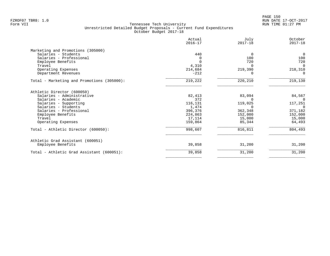|                                            | Actual<br>$2016 - 17$ | July<br>$2017 - 18$ | October<br>$2017 - 18$ |
|--------------------------------------------|-----------------------|---------------------|------------------------|
| Marketing and Promotions (305000)          |                       |                     |                        |
| Salaries - Students                        | 440                   | $\Omega$            | $\overline{0}$         |
| Salaries - Professional                    | $\Omega$              | 100                 | 100                    |
| Employee Benefits                          | $\Omega$              | 720                 | 720                    |
| Travel                                     | 4,310                 | $\Omega$            | $\Omega$               |
| Operating Expenses                         | 214,684               | 219,390             | 218,310                |
| Department Revenues                        | $-212$                | n                   | $\Omega$               |
| Total - Marketing and Promotions (305000): | 219,222               | 220,210             | 219,130                |
| Athletic Director (600050)                 |                       |                     |                        |
| Salaries - Administrative                  | 82,413                | 83,094              | 84,567                 |
| Salaries - Academic                        | 372                   |                     | $\Omega$               |
| Salaries - Supporting                      | 116,131               | 119,025             | 117,251                |
| Salaries - Students                        | 1,474                 | $\Omega$            | 0                      |
| Salaries - Professional                    | 396,376               | 362,348             | 371,182                |
| Employee Benefits                          | 224,863               | 152,000             | 152,000                |
| Travel                                     | 17,114                | 15,000              | 15,000                 |
| Operating Expenses                         | 159,864               | 85,344              | 64,493                 |
| Total - Athletic Director (600050):        | 998,607               | 816,811             | 804,493                |
| Athletic Grad Assistant (600051)           |                       |                     |                        |
| Employee Benefits                          | 39,858                | 31,200              | 31,200                 |
| Total - Athletic Grad Assistant (600051):  | 39,858                | 31,200              | 31,200                 |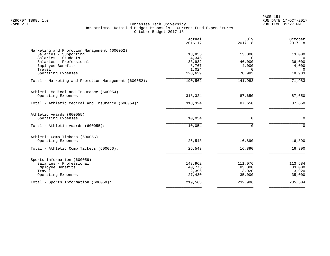PAGE 151 FZROF07 TBR8: 1.0 RUN DATE 17-OCT-2017

| Actual<br>$2016 - 17$ | July<br>$2017 - 18$                                                        | October<br>$2017 - 18$                                                          |
|-----------------------|----------------------------------------------------------------------------|---------------------------------------------------------------------------------|
|                       |                                                                            |                                                                                 |
| 13,855                | 13,000                                                                     | 13,000                                                                          |
|                       |                                                                            | $\overline{0}$                                                                  |
|                       |                                                                            | 36,000                                                                          |
|                       |                                                                            | 4,000                                                                           |
|                       |                                                                            | $\Omega$                                                                        |
|                       |                                                                            | 18,983                                                                          |
| 190,562               | 141,983                                                                    | 71,983                                                                          |
|                       |                                                                            |                                                                                 |
| 318,324               | 87,650                                                                     | 87,650                                                                          |
| 318,324               | 87,650                                                                     | 87,650                                                                          |
|                       |                                                                            |                                                                                 |
| 10,054                | $\mathbf 0$                                                                | $\mathbf 0$                                                                     |
| 10,054                | $\Omega$                                                                   | $\Omega$                                                                        |
|                       |                                                                            |                                                                                 |
| 26,543                | 16,890                                                                     | 16,890                                                                          |
| 26,543                | 16,890                                                                     | 16,890                                                                          |
|                       |                                                                            |                                                                                 |
|                       |                                                                            | 113,584                                                                         |
|                       |                                                                            | 83,000                                                                          |
|                       |                                                                            | 3,920                                                                           |
| 27,430                | 35,000                                                                     | 35,000                                                                          |
| 219,563               | 232,996                                                                    | 235,504                                                                         |
|                       | 4,345<br>33,932<br>8,767<br>1,024<br>128,639<br>148,962<br>40,775<br>2,396 | $\Omega$<br>46,000<br>4,000<br>$\Omega$<br>78,983<br>111,076<br>83,000<br>3,920 |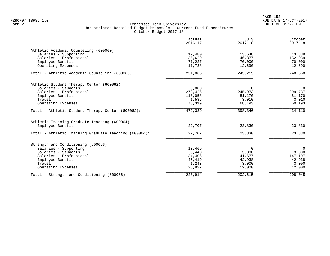|                                                       | Actual<br>$2016 - 17$ | July<br>$2017 - 18$ | October<br>$2017 - 18$ |
|-------------------------------------------------------|-----------------------|---------------------|------------------------|
| Athletic Academic Counseling (600060)                 |                       |                     |                        |
| Salaries - Supporting                                 | 12,480                | 13,648              | 13,889                 |
| Salaries - Professional                               | 135,620               | 146,877             | 152,089                |
| Employee Benefits<br>Operating Expenses               | 71,227<br>11,738      | 70,000<br>12,690    | 70,000<br>12,690       |
|                                                       |                       |                     |                        |
| Total - Athletic Academic Counseling (600060):        | 231,065               | 243,215             | 248,668                |
| Athletic Student Therapy Center (600062)              |                       |                     |                        |
| Salaries - Students                                   | 3,000                 | $\mathbf 0$         | $\mathbf 0$            |
| Salaries - Professional                               | 279,426               | 245,973             | 299,737                |
| Employee Benefits                                     | 110,058               | 81,170              | 81,170                 |
| Travel                                                | 1,586                 | 3,010               | 3,010                  |
| Operating Expenses                                    | 78,319                | 68,193              | 50,193                 |
| Total - Athletic Student Therapy Center (600062):     | 472,389               | 398,346             | 434,110                |
| Athletic Training Graduate Teaching (600064)          |                       |                     |                        |
| Employee Benefits                                     | 22,707                | 23,830              | 23,830                 |
| Total - Athletic Training Graduate Teaching (600064): | 22,707                | 23,830              | 23,830                 |
| Strength and Conditioning (600066)                    |                       |                     |                        |
| Salaries - Supporting                                 | 10,469                | $\Omega$            | $\mathbf 0$            |
| Salaries - Students                                   | 3,440                 | 3,000               | 3,000                  |
| Salaries - Professional                               | 134,406               | 141,677             | 147,107                |
| Employee Benefits                                     | 45,419                | 42,938              | 42,938                 |
| Travel                                                | 1,243                 | 3,000               | 3,000                  |
| Operating Expenses                                    | 25,937                | 12,000              | 12,000                 |
| Total - Strength and Conditioning (600066):           | 220,914               | 202,615             | 208,045                |
|                                                       |                       |                     |                        |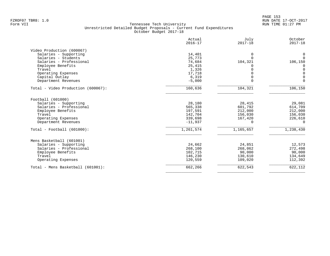|                                    | Actual<br>$2016 - 17$ | July<br>$2017 - 18$ | October<br>$2017 - 18$ |
|------------------------------------|-----------------------|---------------------|------------------------|
| Video Production (600067)          |                       |                     |                        |
| Salaries - Supporting              | 14,401                | $\Omega$            | 0                      |
| Salaries - Students                | 25,773                | $\Omega$            | $\Omega$               |
| Salaries - Professional            | 74,684                | 104,321             | 106,150                |
| Employee Benefits                  | 25,415                |                     | 0                      |
| Travel                             | 1,326                 |                     | $\Omega$               |
| Operating Expenses                 | 17,718                |                     | $\Omega$               |
| Capital Outlay                     | 6,319                 |                     | $\mathbf 0$            |
| Department Revenues                | $-5,000$              | $\Omega$            | $\mathbf 0$            |
| Total - Video Production (600067): | 160,636               | 104,321             | 106,150                |
| Football (601000)                  |                       |                     |                        |
| Salaries - Supporting              | 28,180                | 28,415              | 29,081                 |
| Salaries - Professional            | 565,338               | 601,792             | 614,709                |
| Employee Benefits                  | 197,591               | 212,000             | 212,000                |
| Travel                             | 142,704               | 156,030             | 156,030                |
| Operating Expenses                 | 339,698               | 167,420             | 226,610                |
| Department Revenues                | $-11,937$             | ∩                   | $\Omega$               |
| $Total - Football (601000):$       | 1,261,574             | 1,165,657           | 1,238,430              |
| Mens Basketball (601001)           |                       |                     |                        |
| Salaries - Supporting              | 24,662                | 24,851              | 12,573                 |
| Salaries - Professional            | 268,100               | 268,062             | 272,498                |
| Employee Benefits                  | 102,715               | 90,000              | 90,000                 |
| Travel                             | 146,230               | 130,610             | 134,649                |
| Operating Expenses                 | 120,559               | 109,020             | 112,392                |
| Total - Mens Basketball (601001):  | 662,266               | 622,543             | 622,112                |
|                                    |                       |                     |                        |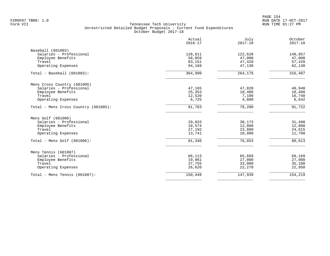|                                      | Actual<br>$2016 - 17$ | July<br>$2017 - 18$ | October<br>$2017 - 18$ |
|--------------------------------------|-----------------------|---------------------|------------------------|
| Baseball (601003)                    |                       |                     |                        |
| Salaries - Professional              | 128,811               | 122,628             | 149,857                |
| Employee Benefits                    | 58,859                | 47,000              | 47,000                 |
| Travel                               | 83,151                | 47,420              | 57,420                 |
| Operating Expenses                   | 94,169                | 47,130              | 62,130                 |
| $Total - Baseball (601003):$         | 364,990               | 264,178             | 316,407                |
| Mens Cross Country (601005)          |                       |                     |                        |
| Salaries - Professional              | 47,165                | 47,820              | 49,940                 |
| Employee Benefits                    | 25,353                | 18,400              | 18,400                 |
| Travel                               | 12,520                | 7,100               | 16,740                 |
| Operating Expenses                   | 6,725                 | 4,880               | 6,642                  |
| Total - Mens Cross Country (601005): | 91,763                | 78,200              | 91,722                 |
| Mens Golf (601006)                   |                       |                     |                        |
| Salaries - Professional              | 29,833                | 30,173              | 31,498                 |
| Employee Benefits                    | 10,574                | 12,800              | 12,800                 |
| Travel                               | 27,192                | 23,880              | 24,615                 |
| Operating Expenses                   | 13,741                | 10,000              | 11,700                 |
| Total - Mens Golf (601006):          | 81,340                | 76,853              | 80,613                 |
| Mens Tennis (601007)                 |                       |                     |                        |
| Salaries - Professional              | 66,113                | 65,669              | 69,169                 |
| Employee Benefits                    | 19,961                | 27,000              | 27,000                 |
| Travel                               | 37,755                | 33,000              | 35,100                 |
| Operating Expenses                   | 26,620                | 22,270              | 22,950                 |
| Total - Mens Tennis $(601007)$ :     | 150,449               | 147,939             | 154,219                |
|                                      |                       |                     |                        |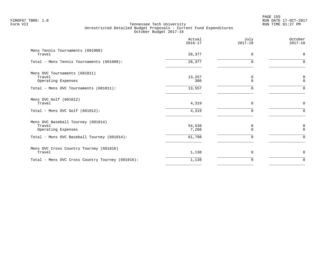|                                                                    | Actual<br>$2016 - 17$ | July<br>$2017 - 18$ | October<br>$2017 - 18$ |
|--------------------------------------------------------------------|-----------------------|---------------------|------------------------|
| Mens Tennis Tournaments (601008)<br>Travel                         | 28,377                | $\Omega$            | $\mathbf 0$            |
| Total - Mens Tennis Tournaments (601008):                          | 28, 377               | $\Omega$            | $\Omega$               |
| Mens OVC Tournaments (601011)<br>Travel<br>Operating Expenses      | 13,257<br>300         | 0<br>$\Omega$       | 0<br>$\mathbf 0$       |
| Total - Mens OVC Tournaments (601011):                             | 13,557                | O                   | $\Omega$               |
| Mens OVC Golf (601012)<br>Travel                                   | 4,319                 | $\Omega$            | $\mathbf 0$            |
| Total - Mens OVC Golf $(601012)$ :                                 | 4,319                 |                     | $\Omega$               |
| Mens OVC Baseball Tourney (601014)<br>Travel<br>Operating Expenses | 54,538<br>7,260       | 0<br>$\cap$         | 0<br>$\Omega$          |
| Total - Mens OVC Baseball Tourney (601014):                        | 61,798                | $\Omega$            | $\Omega$               |
| Mens OVC Cross Country Tourney (601016)<br>Travel                  | 1,138                 | $\Omega$            | $\mathbf 0$            |
| Total - Mens OVC Cross Country Tourney (601016):                   | 1,138                 | O                   | $\mathbf 0$            |
|                                                                    |                       |                     |                        |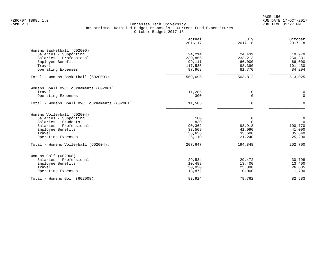|                                                | Actual<br>$2016 - 17$ | July<br>$2017 - 18$ | October<br>$2017 - 18$ |
|------------------------------------------------|-----------------------|---------------------|------------------------|
| Womens Basketball (602000)                     |                       |                     |                        |
| Salaries - Supporting                          | 24,214                | 24,439              | 10,970                 |
| Salaries - Professional                        | 230,866               | 233, 213            | 250,331                |
| Employee Benefits                              | 99,111                | 66,000              | 66,000                 |
| Travel                                         | 117,536               | 98,390              | 101,430                |
| Operating Expenses                             | 97,968                | 81,770              | 84,294                 |
| Total - Womens Basketball (602000):            | 569,695               | 503,812             | 513,025                |
| Womens Bball OVC Tournaments (602001)          |                       |                     |                        |
| Travel                                         | 11,285                | 0                   | 0                      |
| Operating Expenses                             | 300                   | $\Omega$            | $\mathbf 0$            |
| Total - Womens Bball OVC Tournaments (602001): | 11,585                | $\Omega$            | $\Omega$               |
| Womens Volleyball (602004)                     |                       |                     |                        |
| Salaries - Supporting                          | 180                   | 0                   | 0                      |
| Salaries - Students                            | 830                   | $\Omega$            | $\mathbf 0$            |
| Salaries - Professional                        | 90,362                | 98,918              | 100,770                |
| Employee Benefits                              | 33,509                | 41,090              | 41,090                 |
| Travel                                         | 56,656                | 33,600              | 35,640                 |
| Operating Expenses                             | 26,110                | 21,240              | 25,200                 |
| Total - Womens Volleyball (602004):            | 207,647               | 194,848             | 202,700                |
| Womens Golf (602008)                           |                       |                     |                        |
| Salaries - Professional                        | 29,534                | 29,472              | 30,798                 |
| Employee Benefits                              | 10,488                | 13,400              | 13,400                 |
| Travel                                         | 30,030                | 25,890              | 26,685                 |
| Operating Expenses                             | 13,872                | 10,000              | 11,700                 |
| Total - Womens Golf (602008):                  | 83,924                | 78,762              | 82,583                 |
|                                                |                       |                     |                        |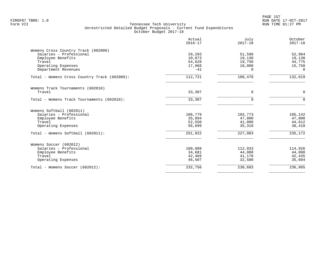|                                              | Actual<br>$2016 - 17$ | July<br>$2017 - 18$ | October<br>$2017 - 18$ |
|----------------------------------------------|-----------------------|---------------------|------------------------|
| Womens Cross Country Track (602009)          |                       |                     |                        |
| Salaries - Professional                      | 29,293                | 51,590              | 52,964                 |
| Employee Benefits                            | 10,873                | 19,130              | 19,130                 |
| Travel                                       | 54,628                | 19,750              | 44,775                 |
| Operating Expenses                           | 17,968                | 10,000              | 15,750                 |
| Department Revenues                          | $-41$                 | $\Omega$            | $\Omega$               |
| Total - Womens Cross Country Track (602009): | 112,721               | 100,470             | 132,619                |
| Womens Track Tournaments (602010)            |                       |                     |                        |
| Travel                                       | 33,307                | $\Omega$            | $\mathbf 0$            |
| Total - Womens Track Tournaments (602010):   | 33,307                | $\Omega$            | $\Omega$               |
| Womens Softball (602011)                     |                       |                     |                        |
| Salaries - Professional                      | 106,779               | 103,773             | 105,142                |
| Employee Benefits                            | 35,894                | 47,000              | 47,000                 |
| Travel                                       | 52,550                | 41,000              | 44,612                 |
| Operating Expenses                           | 56,699                | 35,310              | 38,418                 |
| Total - Womens Softball (602011):            | 251,922               | 227,083             | 235,172                |
| Womens Soccer (602012)                       |                       |                     |                        |
| Salaries - Professional                      | 109,099               | 112,933             | 114,926                |
| Employee Benefits                            | 34,681                | 44,000              | 44,000                 |
| Travel                                       | 42,469                | 41,170              | 42,435                 |
| Operating Expenses                           | 46,507                | 32,580              | 35,604                 |
| Total - Womens Soccer (602012):              | 232,756               | 230,683             | 236,965                |
|                                              |                       |                     |                        |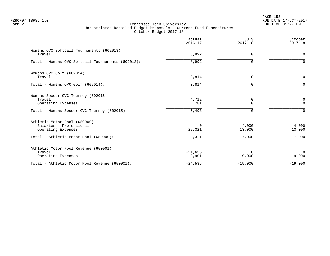PAGE 158 FZROF07 TBR8: 1.0 RUN DATE 17-OCT-2017

|                                                                                                                        | Actual<br>$2016 - 17$ | July<br>$2017 - 18$       | October<br>$2017 - 18$       |
|------------------------------------------------------------------------------------------------------------------------|-----------------------|---------------------------|------------------------------|
| Womens OVC Softball Tournaments (602013)<br>Travel                                                                     | 8,992                 | $\Omega$                  | $\mathbf 0$                  |
| Total - Womens OVC Softball Tournaments (602013):                                                                      | 8,992                 | $\Omega$                  | $\Omega$                     |
| Womens OVC Golf (602014)<br>Travel                                                                                     | 3,814                 | 0                         | $\mathbf 0$                  |
| Total - Womens OVC Golf (602014):                                                                                      | 3,814                 | $\Omega$                  | $\Omega$                     |
| Womens Soccer OVC Tourney (602015)<br>Travel<br>Operating Expenses<br>Total - Womens Soccer OVC Tourney (602015):      | 4,712<br>781<br>5,493 | 0<br>$\Omega$<br>$\Omega$ | 0<br>$\mathbf 0$<br>$\Omega$ |
| Athletic Motor Pool (650000)<br>Salaries - Professional<br>Operating Expenses<br>Total - Athletic Motor Pool (650000): | 0<br>22,321<br>22,321 | 4,000<br>13,000<br>17,000 | 4,000<br>13,000<br>17,000    |
| Athletic Motor Pool Revenue (650001)<br>Travel<br>Operating Expenses                                                   | $-21,635$<br>$-2,901$ | $\Omega$<br>$-19,000$     | $\Omega$<br>$-19,000$        |
| Total - Athletic Motor Pool Revenue (650001):                                                                          | $-24,536$             | $-19,000$                 | $-19,000$                    |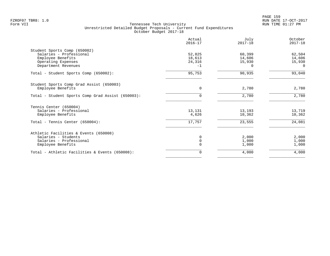| 52,825<br>18,613<br>24,316<br>$-1$<br>95,753<br>$\Omega$ | 60,399<br>14,606<br>15,930<br>$\Omega$<br>90,935 | 62,504<br>14,606<br>15,930<br>$\Omega$<br>93,040 |
|----------------------------------------------------------|--------------------------------------------------|--------------------------------------------------|
|                                                          |                                                  |                                                  |
|                                                          |                                                  |                                                  |
|                                                          |                                                  |                                                  |
|                                                          |                                                  |                                                  |
|                                                          |                                                  |                                                  |
|                                                          |                                                  |                                                  |
|                                                          |                                                  |                                                  |
|                                                          | 2,780                                            | 2,780                                            |
| $\Omega$                                                 | 2,780                                            | 2,780                                            |
|                                                          |                                                  |                                                  |
|                                                          |                                                  | 13,719                                           |
| 4,626                                                    | 10,362                                           | 10,362                                           |
| 17,757                                                   | 23,555                                           | 24,081                                           |
|                                                          |                                                  |                                                  |
|                                                          |                                                  | 2,000                                            |
|                                                          |                                                  | 1,000                                            |
|                                                          | 1,000                                            | 1,000                                            |
| 0                                                        | 4,000                                            | 4,000                                            |
|                                                          | 13,131<br><sup>0</sup>                           | 13,193<br>2,000<br>1,000                         |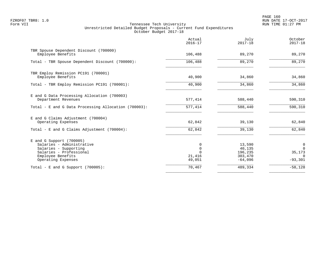PAGE 160 FZROF07 TBR8: 1.0 RUN DATE 17-OCT-2017

|                                                                                                                                                        | Actual<br>$2016 - 17$                | July<br>$2017 - 18$                                 | October<br>$2017 - 18$                                        |
|--------------------------------------------------------------------------------------------------------------------------------------------------------|--------------------------------------|-----------------------------------------------------|---------------------------------------------------------------|
| TBR Spouse Dependent Discount (700000)<br>Employee Benefits                                                                                            | 106,488                              | 89,270                                              | 89,270                                                        |
| Total - TBR Spouse Dependent Discount (700000):                                                                                                        | 106,488                              | 89,270                                              | 89,270                                                        |
| TBR Employ Remission PC191 (700001)<br>Employee Benefits                                                                                               | 40,900                               | 34,860                                              | 34,860                                                        |
| Total - TBR Employ Remission PC191 (700001):                                                                                                           | 40,900                               | 34,860                                              | 34,860                                                        |
| E and G Data Processing Allocation (700003)<br>Department Revenues                                                                                     | 577,414                              | 588,440                                             | 590,310                                                       |
| Total - E and G Data Processing Allocation (700003):                                                                                                   | $\overline{577,414}$                 | 588,440                                             | 590, 310                                                      |
| E and G Claims Adjustment (700004)<br>Operating Expenses                                                                                               | 62,842                               | 39,130                                              | 62,840                                                        |
| Total - E and G Claims Adjustment $(700004)$ :                                                                                                         | 62,842                               | 39,130                                              | 62,840                                                        |
| $E$ and G Support (700005)<br>Salaries - Administrative<br>Salaries - Supporting<br>Salaries - Professional<br>Employee Benefits<br>Operating Expenses | 0<br>$\mathbf 0$<br>21,416<br>49,051 | 13,590<br>40,135<br>196,235<br>303,470<br>$-64,096$ | $\overline{0}$<br>$\Omega$<br>35,173<br>$\Omega$<br>$-93,301$ |
| Total - E and G Support $(700005)$ :                                                                                                                   | 70,467                               | 489,334                                             | $-58,128$                                                     |
|                                                                                                                                                        |                                      |                                                     |                                                               |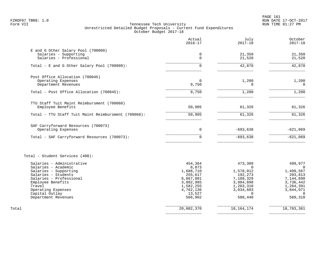PAGE 161 FZROF07 TBR8: 1.0 RUN DATE 17-OCT-2017

|                                                                 | Actual<br>$2016 - 17$  | July<br>$2017 - 18$    | October<br>$2017 - 18$ |
|-----------------------------------------------------------------|------------------------|------------------------|------------------------|
| E and G Other Salary Pool (700009)                              |                        |                        |                        |
| Salaries - Supporting                                           | 0                      | 21,350                 | 21,350                 |
| Salaries - Professional                                         | $\Omega$               | 21,520                 | 21,520                 |
| Total - E and G Other Salary Pool (700009):                     | $\Omega$               | 42,870                 | 42,870                 |
| Post Office Allocation (700045)                                 |                        |                        |                        |
| Operating Expenses                                              | 0                      | 1,200                  | 1,200                  |
| Department Revenues                                             | 9,750                  | 0                      | $\mathbf 0$            |
| Total - Post Office Allocation (700045):                        | 9,750                  | 1,200                  | 1,200                  |
|                                                                 |                        |                        |                        |
| TTU Staff Tuit Maint Reimbursment (700068)<br>Employee Benefits | 50,905                 | 61,326                 | 61,326                 |
| Total - TTU Staff Tuit Maint Reimbursment (700068):             | 50,905                 | 61,326                 | 61,326                 |
|                                                                 |                        |                        |                        |
| SAF Carryforward Resources (700073)                             |                        |                        |                        |
| Operating Expenses                                              | $\mathbf 0$            | $-693,638$             | $-621,069$             |
| Total - SAF Carryforward Resources (700073):                    | $\Omega$               | $-693,638$             | $-621,069$             |
| Total - Student Services (400):                                 |                        |                        |                        |
| Salaries - Administrative                                       | 454,364                | 473,309                | 499,977                |
| Salaries - Academic                                             | 8,873                  | $\Omega$               | $\Omega$               |
| Salaries - Supporting                                           | 1,688,710              | 1,578,012              | 1,499,567              |
| Salaries - Students                                             | 255,617                | 192,273                | 203,813                |
| Salaries - Professional                                         | 6,867,001              | 7,109,329              | 7,144,890              |
| Employee Benefits<br>Travel                                     | 3,882,985<br>1,582,255 | 3,984,898<br>1,203,310 | 3,736,442<br>1,264,391 |
| Operating Expenses                                              | 4,762,136              | 3,034,603              | 3,844,971              |
| Capital Outlay                                                  | 13,527                 | $\Omega$               | $\Omega$               |
| Department Revenues                                             | 566,902                | 588,440                | 589,310                |
| Total                                                           | 20,082,370             | 18, 164, 174           | 18,783,361             |
|                                                                 |                        |                        |                        |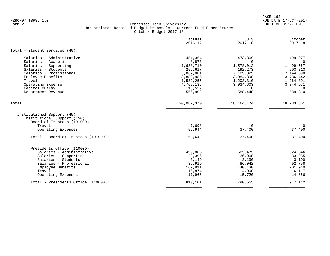PAGE 162 FZROF07 TBR8: 1.0 RUN DATE 17-OCT-2017

|                                                                                                                         | Actual<br>$2016 - 17$ | July<br>$2017 - 18$   | October<br>$2017 - 18$ |
|-------------------------------------------------------------------------------------------------------------------------|-----------------------|-----------------------|------------------------|
| Total - Student Services (40):                                                                                          |                       |                       |                        |
| Salaries - Administrative                                                                                               | 454,364               | 473,309               | 499,977                |
| Salaries - Academic<br>Salaries - Supporting                                                                            | 8,873<br>1,688,710    | $\Omega$<br>1,578,012 | $\Omega$<br>1,499,567  |
| Salaries - Students                                                                                                     | 255,617               | 192,273               | 203,813                |
| Salaries - Professional                                                                                                 | 6,867,001             | 7,109,329             | 7,144,890              |
| Employee Benefits                                                                                                       | 3,882,985             | 3,984,898             | 3,736,442              |
| Travel                                                                                                                  | 1,582,255             | 1,203,310             | 1,264,391              |
| Operating Expense                                                                                                       | 4,762,136             | 3,034,603             | 3,844,971              |
| Capital Outlay                                                                                                          | 13,527                | $\Omega$              | $\Omega$               |
| Department Revenues                                                                                                     | 566,902               | 588,440               | 589,310                |
| Total                                                                                                                   | 20,082,370            | 18, 164, 174          | 18,783,361             |
| Institutional Support (45)<br>Institutional Support (450)<br>Board of Trustees (101000)<br>Travel<br>Operating Expenses | 7,698<br>55,944       | $\Omega$<br>37,400    | $\Omega$<br>37,400     |
| Total - Board of Trustees (101000):                                                                                     | 63,642                | 37,400                | 37,400                 |
| Presidents Office (110000)                                                                                              |                       |                       |                        |
| Salaries - Administrative                                                                                               | 499,886               | 505,473               | 624,546                |
| Salaries - Supporting                                                                                                   | 23,396                | 36,000                | 33,935                 |
| Salaries - Students                                                                                                     | 3,149                 | 3,190                 | 3,190                  |
| Salaries - Professional                                                                                                 | 85,919                | 86,042                | 92,758                 |
| Employee Benefits                                                                                                       | 162,911               | 140,130               | 201,940                |
| Travel                                                                                                                  | 16,874                | 4,000                 | 6,117                  |
| Operating Expenses                                                                                                      | 17,966                | 15,720                | 14,656                 |
| Total - Presidents Office (110000):                                                                                     | 810,101               | 790,555               | 977,142                |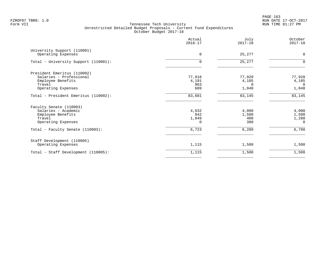PAGE 163 FZROF07 TBR8: 1.0 RUN DATE 17-OCT-2017

|                                                                                                             | Actual<br>$2016 - 17$             | July<br>$2017 - 18$                  | October<br>$2017 - 18$                     |
|-------------------------------------------------------------------------------------------------------------|-----------------------------------|--------------------------------------|--------------------------------------------|
| University Support (110001)<br>Operating Expenses                                                           | $\Omega$                          | 25,277                               | $\mathbf 0$                                |
| Total - University Support (110001):                                                                        | 0                                 | 25,277                               | $\Omega$                                   |
| President Emeritus (110002)<br>Salaries - Professional<br>Employee Benefits<br>Travel<br>Operating Expenses | 77,918<br>4,191<br>963<br>609     | 77,920<br>4,185<br>$\Omega$<br>1,040 | 77,920<br>4,185<br>$\overline{0}$<br>1,040 |
| Total - President Emeritus (110002):                                                                        | 83,681                            | 83,145                               | 83,145                                     |
| Faculty Senate (110003)<br>Salaries - Academic<br>Employee Benefits<br>Travel<br>Operating Expenses         | 4,032<br>842<br>1,849<br>$\Omega$ | 4,000<br>1,500<br>400<br>380         | 4,000<br>1,500<br>1,280<br>$\Omega$        |
| Total - Faculty Senate (110003):                                                                            | 6,723                             | 6,280                                | 6,780                                      |
| Staff Development (110005)<br>Operating Expenses                                                            | 1,115                             | 1,500                                | 1,500                                      |
| Total - Staff Development (110005):                                                                         | 1,115                             | 1,500                                | 1,500                                      |
|                                                                                                             |                                   |                                      |                                            |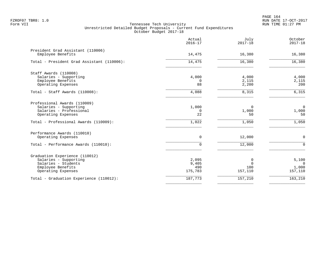PAGE 164 FZROF07 TBR8: 1.0 RUN DATE 17-OCT-2017

|                                                                                                                                                 | Actual<br>$2016 - 17$            | July<br>$2017 - 18$              | October<br>$2017 - 18$                |
|-------------------------------------------------------------------------------------------------------------------------------------------------|----------------------------------|----------------------------------|---------------------------------------|
| President Grad Assistant (110006)<br>Employee Benefits                                                                                          | 14,475                           | 16,380                           | 16,380                                |
| Total - President Grad Assistant (110006):                                                                                                      | 14,475                           | 16,380                           | 16,380                                |
| Staff Awards (110008)<br>Salaries - Supporting<br>Employee Benefits<br>Operating Expenses                                                       | 4,000<br>0<br>88                 | 4,000<br>2,115<br>2,200          | 4,000<br>2,115<br>200                 |
| Total - Staff Awards (110008):                                                                                                                  | 4,088                            | 8,315                            | 6,315                                 |
| Professional Awards (110009)<br>Salaries - Supporting<br>Salaries - Professional<br>Operating Expenses<br>Total - Professional Awards (110009): | 1,000<br>0<br>22<br>1,022        | $\Omega$<br>1,000<br>50<br>1,050 | $\mathbf 0$<br>1,000<br>50<br>1,050   |
| Performance Awards (110010)<br>Operating Expenses                                                                                               | 0                                | 12,000                           | $\mathbf 0$                           |
| Total - Performance Awards (110010):                                                                                                            | $\Omega$                         | 12,000                           | $\Omega$                              |
| Graduation Experience (110012)<br>Salaries - Supporting<br>Salaries - Students<br>Employee Benefits<br>Operating Expenses                       | 2,095<br>9,405<br>490<br>175,783 | 0<br>$\Omega$<br>100<br>157,110  | 5,100<br>$\Omega$<br>1,000<br>157,110 |
| Total - Graduation Experience (110012):                                                                                                         | 187,773                          | 157,210                          | 163,210                               |
|                                                                                                                                                 |                                  |                                  |                                       |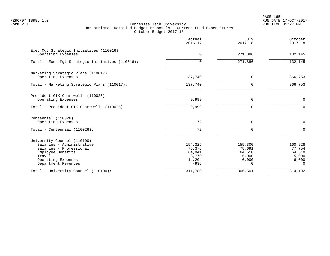PAGE 165 FZROF07 TBR8: 1.0 RUN DATE 17-OCT-2017

|                                                                                                                                                                 | Actual<br>$2016 - 17$                                    | July<br>$2017 - 18$                                | October<br>$2017 - 18$                                    |
|-----------------------------------------------------------------------------------------------------------------------------------------------------------------|----------------------------------------------------------|----------------------------------------------------|-----------------------------------------------------------|
| Exec Mgt Strategic Initiatives (110016)<br>Operating Expenses                                                                                                   | $\overline{0}$                                           | 271,886                                            | 132,145                                                   |
| Total - Exec Mgt Strategic Initiatives (110016):                                                                                                                | $\Omega$                                                 | 271,886                                            | 132,145                                                   |
| Marketing Strategic Plans (110017)<br>Operating Expenses                                                                                                        | 137,740                                                  | $\Omega$                                           | 866,753                                                   |
| Total - Marketing Strategic Plans (110017):                                                                                                                     | 137,740                                                  | O                                                  | 866,753                                                   |
| President GIK Chartwells (110025)<br>Operating Expenses                                                                                                         | 9,999                                                    | $\Omega$                                           | $\mathbf 0$                                               |
| Total - President GIK Chartwells (110025):                                                                                                                      | 9,999                                                    | O                                                  | $\Omega$                                                  |
| Centennial (110026)<br>Operating Expenses                                                                                                                       | 72                                                       | 0                                                  | $\mathbf 0$                                               |
| Total - Centennial $(110026)$ :                                                                                                                                 | 72                                                       | $\Omega$                                           | $\Omega$                                                  |
| University Counsel (110100)<br>Salaries - Administrative<br>Salaries - Professional<br>Employee Benefits<br>Travel<br>Operating Expenses<br>Department Revenues | 154,325<br>76,376<br>64,041<br>3,770<br>14,204<br>$-936$ | 155,300<br>75,691<br>64,510<br>5,000<br>6,000<br>0 | 160,928<br>77,754<br>64,510<br>5,000<br>6,000<br>$\Omega$ |
| Total - University Counsel (110100):                                                                                                                            | 311,780                                                  | 306,501                                            | 314,192                                                   |
|                                                                                                                                                                 |                                                          |                                                    |                                                           |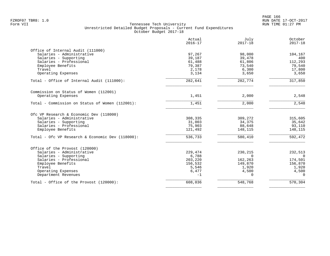| Actual<br>$2016 - 17$ | July<br>$2017 - 18$                                                                                                                               | October<br>$2017 - 18$                                                                                                                   |
|-----------------------|---------------------------------------------------------------------------------------------------------------------------------------------------|------------------------------------------------------------------------------------------------------------------------------------------|
|                       |                                                                                                                                                   |                                                                                                                                          |
|                       |                                                                                                                                                   | 104,167                                                                                                                                  |
|                       |                                                                                                                                                   | 400                                                                                                                                      |
|                       |                                                                                                                                                   | 112,293                                                                                                                                  |
|                       |                                                                                                                                                   | 79,540                                                                                                                                   |
|                       |                                                                                                                                                   | 17,800                                                                                                                                   |
|                       |                                                                                                                                                   | 3,650                                                                                                                                    |
| $\overline{282,641}$  | 282,774                                                                                                                                           | 317,850                                                                                                                                  |
|                       |                                                                                                                                                   |                                                                                                                                          |
| 1,451                 | 2,000                                                                                                                                             | 2,548                                                                                                                                    |
| 1,451                 | 2,000                                                                                                                                             | 2,548                                                                                                                                    |
|                       |                                                                                                                                                   |                                                                                                                                          |
|                       |                                                                                                                                                   | 315,605                                                                                                                                  |
|                       |                                                                                                                                                   | 35,642                                                                                                                                   |
|                       |                                                                                                                                                   | 93,110                                                                                                                                   |
| 121,492               | 148,115                                                                                                                                           | 148,115                                                                                                                                  |
| $\overline{536,733}$  | 580,410                                                                                                                                           | $\frac{1}{592,472}$                                                                                                                      |
|                       |                                                                                                                                                   |                                                                                                                                          |
|                       |                                                                                                                                                   | 232,513                                                                                                                                  |
|                       | $\Omega$                                                                                                                                          | $\Omega$                                                                                                                                 |
|                       |                                                                                                                                                   | 174,501                                                                                                                                  |
|                       |                                                                                                                                                   | 156,870                                                                                                                                  |
|                       |                                                                                                                                                   | 1,920                                                                                                                                    |
|                       |                                                                                                                                                   | 4,500                                                                                                                                    |
| $-1$                  | $\Omega$                                                                                                                                          | $\Omega$                                                                                                                                 |
| 608,036               | 548,768                                                                                                                                           | 570,304                                                                                                                                  |
|                       | 97,267<br>39,187<br>61,488<br>79,387<br>2,178<br>3,134<br>308,335<br>31,003<br>75,903<br>229,474<br>6,788<br>203,220<br>156,532<br>5,546<br>6,477 | 98,000<br>39,478<br>61,806<br>73,540<br>6,300<br>3,650<br>309,272<br>34,375<br>88,648<br>230,215<br>162,263<br>149,870<br>1,920<br>4,500 |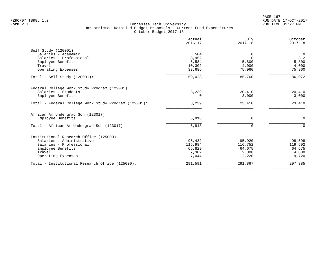PAGE 167 FZROF07 TBR8: 1.0 RUN DATE 17-OCT-2017

|                                                      | Actual<br>$2016 - 17$ | July<br>$2017 - 18$ | October<br>$2017 - 18$ |
|------------------------------------------------------|-----------------------|---------------------|------------------------|
| Self Study (120001)                                  |                       |                     |                        |
| Salaries - Academic                                  | 504                   | 0                   | $\overline{0}$         |
| Salaries - Professional                              | 8,952                 | $\Omega$            | 312                    |
| Employee Benefits                                    | 5,584                 | 5,800               | 5,800                  |
| Travel                                               | 10,302                | 4,000               | 4,000                  |
| Operating Expenses                                   | 33,686                | 75,960              | 75,960                 |
| Total - Self Study $(120001)$ :                      | 59,028                | 85,760              | 86,072                 |
| Federal College Work Study Program (122001)          |                       |                     |                        |
| Salaries - Students                                  | 3,239                 | 20,410              | 20,410                 |
| Employee Benefits                                    | 0                     | 3,000               | 3,000                  |
| Total - Federal College Work Study Program (122001): | 3,239                 | 23,410              | 23,410                 |
| African Am Undergrad Sch (123017)                    |                       |                     |                        |
| Employee Benefits                                    | 6,918                 | $\Omega$            | $\Omega$               |
| Total - African Am Undergrad Sch (123017):           | 6,918                 | $\Omega$            | $\Omega$               |
| Institutional Research Office (125000)               |                       |                     |                        |
| Salaries - Administrative                            | 95,432                | 95,920              | 98,598                 |
| Salaries - Professional                              | 115,984               | 116,752             | 119,592                |
| Employee Benefits                                    | 65,829                | 64,675              | 64,675                 |
| Travel                                               | 7,302                 | 2,300               | 4,800                  |
| Operating Expenses                                   | 7,044                 | 12,220              | 9,720                  |
| Total - Institutional Research Office (125000):      | 291,591               | 291,867             | 297,385                |
|                                                      |                       |                     |                        |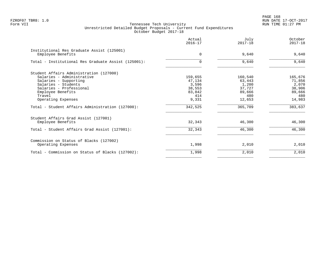PAGE 168 FZROF07 TBR8: 1.0 RUN DATE 17-OCT-2017

| Actual<br>$2016 - 17$      | July<br>$2017 - 18$        | October<br>$2017 - 18$               |
|----------------------------|----------------------------|--------------------------------------|
| $\Omega$                   | 9,640                      | 9,640                                |
| $\Omega$                   | 9,640                      | 9,640                                |
| 159,655<br>47,134<br>3,596 | 160,540<br>63,443<br>1,200 | 165,676<br>71,856<br>2,070<br>38,906 |
| 83,842<br>414<br>9,331     | 89,666<br>480<br>12,653    | 89,666<br>480<br>14,983              |
| 342,525                    | 365,709                    | 383,637                              |
| 32,343                     | 46,300                     | 46,300                               |
| 32,343                     | 46,300                     | 46,300                               |
| 1,998                      | 2,010                      | 2,010                                |
| 1,998                      | 2,010                      | 2,010                                |
|                            | 38,553                     | 37,727                               |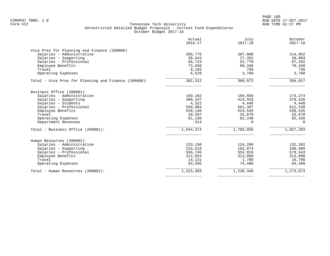|                                                      | Actual<br>$2016 - 17$ | July<br>$2017 - 18$ | October<br>$2017 - 18$ |
|------------------------------------------------------|-----------------------|---------------------|------------------------|
| Vice Pres for Planning and Finance (200000)          |                       |                     |                        |
| Salaries - Administrative                            | 205,775               | 207,000             | 214,962                |
| Salaries - Supporting                                | 30,543                | 27,352              | 28,003                 |
| Salaries - Professional                              | 56,723                | 52,770              | 67,202                 |
| Employee Benefits                                    | 73,550                | 69,340              | 79,340                 |
| Travel                                               | 9,192                 | 750                 | 750                    |
| Operating Expenses                                   | 6,529                 | 3,760               | 3,760                  |
| Total - Vice Pres for Planning and Finance (200000): | 382,312               | 360,972             | 394,017                |
| Business Office (200001)                             |                       |                     |                        |
| Salaries - Administrative                            | 169,162               | 169,850             | 174,274                |
| Salaries - Supporting                                | 490,347               | 414,918             | 379,426                |
| Salaries - Students                                  | 4,322                 | 4,448               | 4,448                  |
| Salaries - Professional                              | 559,984               | 561,397             | 621,530                |
| Employee Benefits                                    | 539,140               | 524,535             | 539,535                |
| Travel                                               | 20,597                | 25,670              | 25,670                 |
| Operating Expenses                                   | 61,136                | 82,240              | 82,320                 |
| Department Revenues                                  | $-314$                | $\Omega$            | $\Omega$               |
| Total - Business Office (200001):                    | 1,844,374             | 1,783,058           | 1,827,203              |
| Human Resources (200002)                             |                       |                     |                        |
| Salaries - Administrative                            | 123,150               | 124,200             | 132,362                |
| Salaries - Supporting                                | 215,518               | 163,874             | 168,409                |
| Salaries - Professional                              | 556,745               | 552,916             | 578,543                |
| Employee Benefits                                    | 312,854               | 313,090             | 313,090                |
| Travel                                               | 14,131                | 1,780               | 16,780                 |
| Operating Expenses                                   | 93,595                | 74,489              | 64,489                 |
| Total - Human Resources (200002):                    | 1,315,993             | 1,230,349           | 1,273,673              |
|                                                      |                       |                     |                        |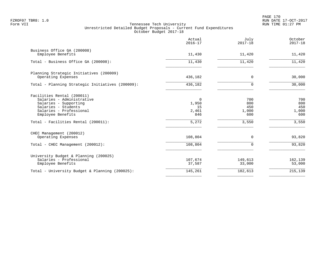PAGE 170 FZROF07 TBR8: 1.0 RUN DATE 17-OCT-2017

|                                                                                                                                                                                                | Actual<br>$2016 - 17$                     | July<br>$2017 - 18$                        | October<br>$2017 - 18$                     |
|------------------------------------------------------------------------------------------------------------------------------------------------------------------------------------------------|-------------------------------------------|--------------------------------------------|--------------------------------------------|
| Business Office GA (200008)<br>Employee Benefits                                                                                                                                               | 11,430                                    | 11,420                                     | 11,420                                     |
| Total - Business Office GA (200008):                                                                                                                                                           | 11,430                                    | 11,420                                     | 11,420                                     |
| Planning Strategic Initiatives (200009)<br>Operating Expenses                                                                                                                                  | 436,182                                   | 0                                          | 30,000                                     |
| Total - Planning Strategic Initiatives (200009):                                                                                                                                               | 436,182                                   | $\Omega$                                   | 30,000                                     |
| Facilities Rental (200011)<br>Salaries - Administrative<br>Salaries - Supporting<br>Salaries - Students<br>Salaries - Professional<br>Employee Benefits<br>Total - Facilities Rental (200011): | 0<br>1,950<br>15<br>2,461<br>846<br>5,272 | 700<br>800<br>450<br>1,000<br>600<br>3,550 | 700<br>800<br>450<br>1,000<br>600<br>3,550 |
| CHEC Management (200012)<br>Operating Expenses                                                                                                                                                 | 108,804                                   | 0                                          | 93,820                                     |
| Total - CHEC Management (200012):                                                                                                                                                              | 108,804                                   | 0                                          | 93,820                                     |
| University Budget & Planning (200025)<br>Salaries - Professional<br>Employee Benefits                                                                                                          | 107,674<br>37,587                         | 149,613<br>33,000                          | 162,139<br>53,000                          |
| Total - University Budget & Planning (200025):                                                                                                                                                 | 145,261                                   | 182,613                                    | 215,139                                    |
|                                                                                                                                                                                                |                                           |                                            |                                            |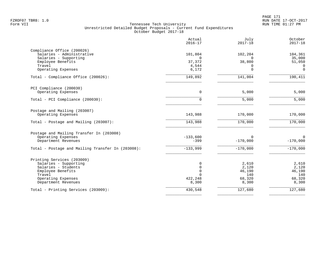PAGE 171 FZROF07 TBR8: 1.0 RUN DATE 17-OCT-2017

| Actual<br>$2016 - 17$ | July<br>$2017 - 18$                                                                                           | October<br>$2017 - 18$                                                                                            |
|-----------------------|---------------------------------------------------------------------------------------------------------------|-------------------------------------------------------------------------------------------------------------------|
|                       |                                                                                                               |                                                                                                                   |
|                       |                                                                                                               | 104,361<br>35,000                                                                                                 |
|                       |                                                                                                               | 51,050                                                                                                            |
|                       |                                                                                                               | $\Omega$                                                                                                          |
| 6,172                 | $\Omega$                                                                                                      | $\mathbf 0$                                                                                                       |
| 149,892               | 141,004                                                                                                       | 190,411                                                                                                           |
|                       |                                                                                                               |                                                                                                                   |
| $\Omega$              | 5,000                                                                                                         | 5,000                                                                                                             |
| 0                     | $\overline{5,000}$                                                                                            | 5,000                                                                                                             |
|                       |                                                                                                               |                                                                                                                   |
|                       |                                                                                                               | 170,000                                                                                                           |
| 143,988               | 170,000                                                                                                       | 170,000                                                                                                           |
|                       |                                                                                                               |                                                                                                                   |
| $-133,600$            | $\Omega$                                                                                                      | $\Omega$                                                                                                          |
|                       |                                                                                                               | $-170,000$                                                                                                        |
| $-133,999$            | $-170,000$                                                                                                    | $-170,000$                                                                                                        |
|                       |                                                                                                               |                                                                                                                   |
| 0                     | 2,610                                                                                                         | 2,610                                                                                                             |
|                       |                                                                                                               | 2,120                                                                                                             |
|                       |                                                                                                               | 46,190                                                                                                            |
|                       |                                                                                                               | 140<br>68,320                                                                                                     |
| 8,300                 | 8,300                                                                                                         | 8,300                                                                                                             |
| 430,548               |                                                                                                               | 127,680                                                                                                           |
|                       | 101,804<br>$\Omega$<br>37,372<br>4,544<br>143,988<br>$-399$<br>$\mathbf 0$<br>$\Omega$<br>$\Omega$<br>422,248 | 102,204<br>$\Omega$<br>38,800<br>$\Omega$<br>170,000<br>$-170,000$<br>2,120<br>46,190<br>140<br>68,320<br>127,680 |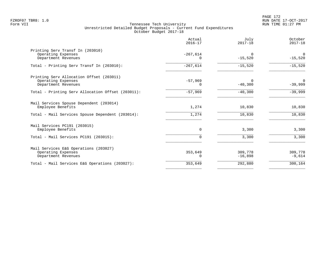|                                                                                       | Actual<br>$2016 - 17$  | July<br>$2017 - 18$   | October<br>$2017 - 18$ |
|---------------------------------------------------------------------------------------|------------------------|-----------------------|------------------------|
| Printing Serv Transf In (203010)<br>Operating Expenses<br>Department Revenues         | $-267,614$<br>$\Omega$ | $\Omega$<br>$-15,520$ | $\Omega$<br>$-15,520$  |
| Total - Printing Serv Transf In (203010):                                             | $-267,614$             | $-15,520$             | $-15,520$              |
| Printing Serv Allocation Offset (203011)<br>Operating Expenses<br>Department Revenues | $-57,969$<br>0         | $\Omega$<br>$-40,300$ | 0<br>$-39,999$         |
| Total - Printing Serv Allocation Offset (203011):                                     | $-57,969$              | $-40,300$             | $-39,999$              |
| Mail Services Spouse Dependent (203014)<br>Employee Benefits                          | 1,274                  | 10,830                | 10,830                 |
| Total - Mail Services Spouse Dependent (203014):                                      | 1,274                  | 10,830                | 10,830                 |
| Mail Services PC191 (203015)<br>Employee Benefits                                     | $\Omega$               | 3,300                 | 3,300                  |
| Total - Mail Services PC191 (203015):                                                 | 0                      | 3,300                 | 3,300                  |
| Mail Services E&G Operations (203027)<br>Operating Expenses<br>Department Revenues    | 353,649<br>0           | 309,778<br>$-16,898$  | 309,778<br>$-9,614$    |
| Total - Mail Services E&G Operations (203027):                                        | 353,649                | 292,880               | 300,164                |
|                                                                                       |                        |                       |                        |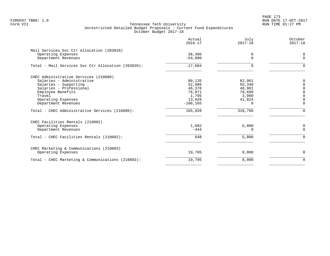PAGE 173 FZROF07 TBR8: 1.0 RUN DATE 17-OCT-2017

|                                                    | Actual<br>$2016 - 17$ | July<br>$2017 - 18$ | October<br>$2017 - 18$ |
|----------------------------------------------------|-----------------------|---------------------|------------------------|
| Mail Services Svc Ctr Allocation (203028)          |                       |                     |                        |
| Operating Expenses<br>Department Revenues          | 36,396<br>$-54,000$   | 0<br>$\Omega$       | 0<br>$\Omega$          |
| Total - Mail Services Svc Ctr Allocation (203028): | $-17,604$             |                     | $\Omega$               |
| CHEC Administrative Services (210000)              |                       |                     |                        |
| Salaries - Administrative                          | 80,135                | 82,961              | $\Omega$               |
| Salaries - Supporting                              | 52,986                | 55,340              | $\Omega$               |
| Salaries - Professional                            | 46,378                | 48,901              | $\Omega$               |
| Employee Benefits                                  | 76,871                | 78,680              | $\Omega$               |
| Travel                                             | 1,795                 | 3,000               | $\Omega$               |
| Operating Expenses<br>Department Revenues          | 13,928<br>$-106, 165$ | 41,824<br>$\Omega$  | 0<br>$\Omega$          |
|                                                    |                       |                     |                        |
| Total - CHEC Administrative Services (210000):     | 165,928               | 310,706             | $\Omega$               |
| CHEC Facilities Rentals (210002)                   |                       |                     |                        |
| Operating Expenses                                 | 1,092                 | 5,000               | 0                      |
| Department Revenues                                | $-444$                | $\Omega$            | $\Omega$               |
| Total - CHEC Facilities Rentals (210002):          | 648                   | 5,000               | $\Omega$               |
| CHEC Marketing & Communications (210003)           |                       |                     |                        |
| Operating Expenses                                 | 19,705                | 8,000               | 0                      |
| Total - CHEC Marketing & Communications (210003):  | 19,705                | 8,000               | $\Omega$               |
|                                                    |                       |                     |                        |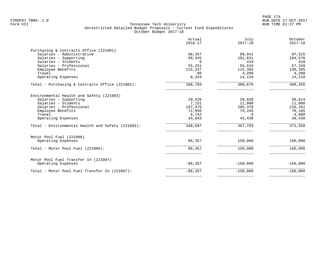| Actual<br>$2016 - 17$ | July<br>$2017 - 18$                                                                    | October<br>$2017 - 18$                                                                   |
|-----------------------|----------------------------------------------------------------------------------------|------------------------------------------------------------------------------------------|
|                       |                                                                                        |                                                                                          |
|                       |                                                                                        | 97,525                                                                                   |
|                       |                                                                                        | 104,576                                                                                  |
| $\Omega$              |                                                                                        | 410                                                                                      |
|                       | 55,619                                                                                 | 57,169                                                                                   |
| 115,337               | 115,365                                                                                | 130,365                                                                                  |
| 80                    | 4,200                                                                                  | 4,200                                                                                    |
| 8,334                 | 14,210                                                                                 | 14,210                                                                                   |
| 366,704               | 380,676                                                                                | 408,455                                                                                  |
|                       |                                                                                        |                                                                                          |
|                       |                                                                                        | 30,614                                                                                   |
|                       |                                                                                        | 11,000                                                                                   |
|                       |                                                                                        | 210,341                                                                                  |
|                       |                                                                                        | 78,165                                                                                   |
|                       |                                                                                        | 4,000                                                                                    |
| 34,843                | 43,430                                                                                 | 39,430                                                                                   |
|                       |                                                                                        | 373,550                                                                                  |
|                       |                                                                                        |                                                                                          |
|                       |                                                                                        |                                                                                          |
| 86,357                | 150,000                                                                                | 150,000                                                                                  |
| 86,357                | 150,000                                                                                | 150,000                                                                                  |
|                       |                                                                                        |                                                                                          |
| $-86, 357$            | $-150,000$                                                                             | $-150,000$                                                                               |
| $-86, 357$            | $-150,000$                                                                             | $-150,000$                                                                               |
|                       | 88,357<br>99,345<br>55,251<br>29,526<br>7,151<br>197,475<br>72,950<br>6,752<br>348,697 | 89,041<br>101,831<br>410<br>29,828<br>11,000<br>205,370<br>78,165<br>$\Omega$<br>367,793 |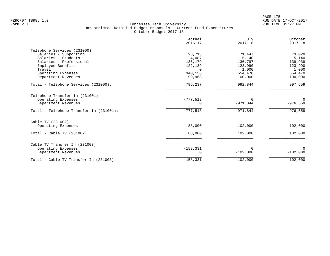PAGE 175 FZROF07 TBR8: 1.0 RUN DATE 17-OCT-2017

|                                         | Actual<br>$2016 - 17$ | July<br>$2017 - 18$ | October<br>$2017 - 18$ |
|-----------------------------------------|-----------------------|---------------------|------------------------|
| Telephone Services (231000)             |                       |                     |                        |
| Salaries - Supporting                   | 93,713                | 71,447              | 73,020                 |
| Salaries - Students                     | 4,087                 | 5,140               | 5,140                  |
| Salaries - Professional                 | 136,179               | 136,797             | 139,939                |
| Employee Benefits                       | 122,139               | 123,990             | 123,990                |
| Travel                                  |                       | 1,000               | 1,000                  |
| Operating Expenses                      | 340,156               | 554,470             | 554,470                |
| Department Revenues                     | 99,963                | 100,000             | 100,000                |
| Total - Telephone Services (231000):    | 796,237               | 992,844             | 997,559                |
| Telephone Transfer In (231001)          |                       |                     |                        |
| Operating Expenses                      | $-777,518$            | $\Omega$            | 0                      |
| Department Revenues                     | 0                     | $-971,844$          | $-976,559$             |
| Total - Telephone Transfer In (231001): | $-777,518$            | $-971,844$          | $-976,559$             |
| Cable TV (231002)                       |                       |                     |                        |
| Operating Expenses                      | 88,000                | 102,000             | 102,000                |
| Total - Cable TV $(231002)$ :           | 88,000                | 102,000             | 102,000                |
| Cable TV Transfer In (231003)           |                       |                     |                        |
| Operating Expenses                      | $-158, 331$           | O                   | $\Omega$               |
| Department Revenues                     | 0                     | $-102,000$          | $-102,000$             |
| Total - Cable TV Transfer In (231003):  | $-158,331$            | $-102,000$          | $-102,000$             |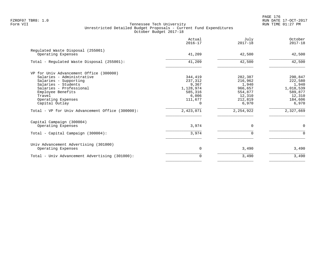PAGE 176 FZROF07 TBR8: 1.0 RUN DATE 17-OCT-2017

|                                                         | Actual<br>$2016 - 17$ | July<br>$2017 - 18$ | October<br>$2017 - 18$ |
|---------------------------------------------------------|-----------------------|---------------------|------------------------|
| Regulated Waste Disposal (255001)<br>Operating Expenses | 41,209                | 42,500              | 42,500                 |
| Total - Regulated Waste Disposal (255001):              | 41,209                | 42,500              | 42,500                 |
| VP for Univ Advancement Office (300000)                 |                       |                     |                        |
| Salaries - Administrative                               | 344,419               | 282,387             | 290,847                |
| Salaries - Supporting                                   | 237,312               | 216,962             | 222,580                |
| Salaries - Students                                     | 9,367                 | 1,940               | 1,940                  |
| Salaries - Professional                                 | 1,128,974             | 966,657             | 1,018,539              |
| Employee Benefits                                       | 585,316               | 554,877             | 589,877                |
| Travel                                                  | 6,006                 | 12,310              | 12,310                 |
| Operating Expenses<br>Capital Outlay                    | 111,677<br>$\Omega$   | 212,819<br>6,970    | 184,606<br>6,970       |
|                                                         |                       |                     |                        |
| Total - VP for Univ Advancement Office (300000):        | 2,423,071             | 2, 254, 922         | 2,327,669              |
| Capital Campaign (300004)                               |                       |                     |                        |
| Operating Expenses                                      | 3,974                 | 0                   | 0                      |
| Total - Capital Campaign (300004):                      | 3,974                 | $\Omega$            | $\Omega$               |
| Univ Advancement Advertising (301000)                   |                       |                     |                        |
| Operating Expenses                                      | 0                     | 3,490               | 3,490                  |
| Total - Univ Advancement Advertising (301000):          | 0                     | 3,490               | 3,490                  |
|                                                         |                       |                     |                        |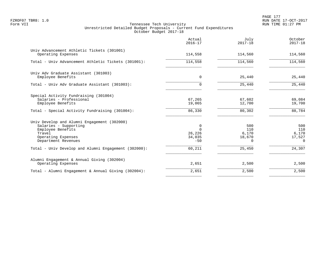|                                                                                                                                                  | Actual<br>$2016 - 17$                                | July<br>$2017 - 18$                       | October<br>$2017 - 18$                    |
|--------------------------------------------------------------------------------------------------------------------------------------------------|------------------------------------------------------|-------------------------------------------|-------------------------------------------|
| Univ Advancement Athletic Tickets (301001)<br>Operating Expenses                                                                                 | 114,558                                              | 114,560                                   | 114,560                                   |
| Total - Univ Advancement Athletic Tickets (301001):                                                                                              | 114,558                                              | 114,560                                   | 114,560                                   |
| Univ Adv Graduate Assistant (301003)<br>Employee Benefits                                                                                        | 0                                                    | 25,440                                    | 25,440                                    |
| Total - Univ Adv Graduate Assistant (301003):                                                                                                    | $\Omega$                                             | 25,440                                    | 25,440                                    |
| Special Activity Fundraising (301004)<br>Salaries - Professional<br>Employee Benefits                                                            | 67,265<br>19,065                                     | 67,602<br>12,700                          | 69,084<br>19,700                          |
| Total - Special Activity Fundraising (301004):                                                                                                   | 86,330                                               | 80,302                                    | 88,784                                    |
| Univ Develop and Alumni Engagement (302000)<br>Salaries - Supporting<br>Employee Benefits<br>Travel<br>Operating Expenses<br>Department Revenues | $\mathbf 0$<br>$\Omega$<br>26,226<br>34,035<br>$-50$ | 500<br>110<br>6,170<br>18,670<br>$\Omega$ | 500<br>110<br>6,170<br>17,527<br>$\Omega$ |
| Total - Univ Develop and Alumni Engagement (302000):                                                                                             | 60,211                                               | 25,450                                    | 24,307                                    |
| Alumni Engagement & Annual Giving (302004)<br>Operating Expenses                                                                                 | 2,651                                                | 2,500                                     | 2,500                                     |
| Total - Alumni Engagement & Annual Giving (302004):                                                                                              | 2,651                                                | 2,500                                     | 2,500                                     |
|                                                                                                                                                  |                                                      |                                           |                                           |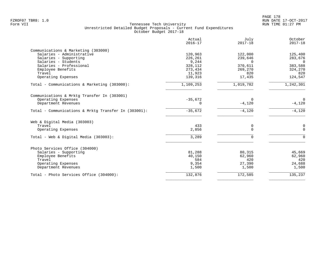|                                                      | Actual<br>$2016 - 17$ | July<br>$2017 - 18$ | October<br>$2017 - 18$ |
|------------------------------------------------------|-----------------------|---------------------|------------------------|
| Communications & Marketing (303000)                  |                       |                     |                        |
| Salaries - Administrative                            | 120,963               | 122,000             | 125,400                |
| Salaries - Supporting                                | 226,261               | 239,646             | 283,676                |
| Salaries - Students                                  | 9,244                 | $\Omega$            | $\Omega$               |
| Salaries - Professional                              | 328,112               | 370,611             | 383,588                |
| Employee Benefits                                    | 273,434               | 269,270             | 324,270                |
| Travel                                               | 11,923                | 820                 | 820                    |
| Operating Expenses                                   | 139,316               | 17,435              | 124,547                |
| Total - Communications & Marketing (303000):         | 1,109,253             | 1,019,782           | 1,242,301              |
| Communications & Mrktg Transfer In (303001)          |                       |                     |                        |
| Operating Expenses                                   | $-35,672$             | $\Omega$            | $\overline{0}$         |
| Department Revenues                                  | 0                     | $-4,120$            | $-4,120$               |
| Total - Communications & Mrktq Transfer In (303001): | $-35,672$             | $-4,120$            | $-4,120$               |
| Web & Digital Media (303003)                         |                       |                     |                        |
| Travel                                               | 433                   | 0                   | 0                      |
| Operating Expenses                                   | 2,856                 | $\Omega$            | $\Omega$               |
| Total - Web & Digital Media (303003):                | 3,289                 | $\Omega$            | $\Omega$               |
| Photo Services Office (304000)                       |                       |                     |                        |
| Salaries - Supporting                                | 81,288                | 80,315              | 45,669                 |
| Employee Benefits                                    | 40,150                | 62,960              | 62,960                 |
| Travel                                               | 584                   | 420                 | 420                    |
| Operating Expenses                                   | 9,354                 | 27,390              | 24,688                 |
| Department Revenues                                  | 1,500                 | 1,500               | 1,500                  |
| Total - Photo Services Office (304000):              | 132,876               | 172,585             | 135,237                |
|                                                      |                       |                     |                        |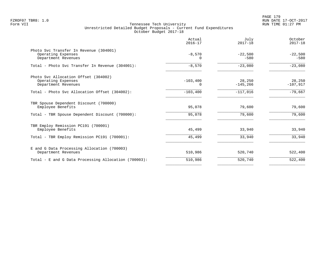|                                                                                                                                    | Actual<br>$2016 - 17$           | July<br>$2017 - 18$                 | October<br>$2017 - 18$            |
|------------------------------------------------------------------------------------------------------------------------------------|---------------------------------|-------------------------------------|-----------------------------------|
| Photo Svc Transfer In Revenue (304001)<br>Operating Expenses<br>Department Revenues                                                | $-8,570$<br>0                   | $-22,500$<br>$-580$                 | $-22,500$<br>$-580$               |
| Total - Photo Svc Transfer In Revenue (304001):                                                                                    | $-8,570$                        | $-23,080$                           | $-23,080$                         |
| Photo Svc Allocation Offset (304002)<br>Operating Expenses<br>Department Revenues<br>Total - Photo Svc Allocation Offset (304002): | $-103, 400$<br>0<br>$-103, 400$ | 28,250<br>$-145, 266$<br>$-117,016$ | 28,250<br>$-107,917$<br>$-79,667$ |
| TBR Spouse Dependent Discount (700000)<br>Employee Benefits                                                                        | 95,078                          | 79,600                              | 79,600                            |
| Total - TBR Spouse Dependent Discount (700000):                                                                                    | 95,078                          | 79,600                              | 79,600                            |
| TBR Employ Remission PC191 (700001)<br>Employee Benefits                                                                           | 45,499                          | 33,940                              | 33,940                            |
| Total - TBR Employ Remission PC191 (700001):                                                                                       | 45,499                          | 33,940                              | 33,940                            |
| E and G Data Processing Allocation (700003)<br>Department Revenues                                                                 | 510,986                         | 520,740                             | 522,400                           |
| Total - E and G Data Processing Allocation (700003):                                                                               | 510,986                         | 520,740                             | 522,400                           |
|                                                                                                                                    |                                 |                                     |                                   |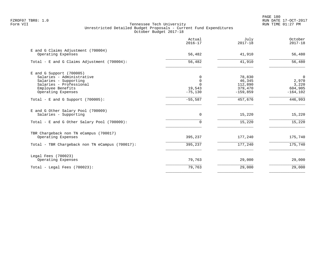|                                                                                                                                                        | Actual<br>$2016 - 17$                          | July<br>$2017 - 18$                                  | October<br>$2017 - 18$                                     |
|--------------------------------------------------------------------------------------------------------------------------------------------------------|------------------------------------------------|------------------------------------------------------|------------------------------------------------------------|
| E and G Claims Adjustment (700004)<br>Operating Expenses                                                                                               | 56,482                                         | 41,910                                               | 56,480                                                     |
| Total - E and G Claims Adjustment (700004):                                                                                                            | 56,482                                         | 41,910                                               | 56,480                                                     |
| $E$ and G Support (700005)<br>Salaries - Administrative<br>Salaries - Supporting<br>Salaries - Professional<br>Employee Benefits<br>Operating Expenses | $\Omega$<br>$\mathbf 0$<br>19,543<br>$-75,130$ | 78,830<br>46,345<br>112,890<br>379,470<br>$-159,859$ | $\overline{0}$<br>2,970<br>3,220<br>604,905<br>$-164, 102$ |
| Total - E and G Support $(700005)$ :                                                                                                                   | $-55,587$                                      | 457,676                                              | 446,993                                                    |
| E and G Other Salary Pool (700009)<br>Salaries - Supporting<br>Total - E and G Other Salary Pool (700009):                                             | 0<br>$\Omega$                                  | 15,220<br>15,220                                     | 15,220<br>15,220                                           |
| TBR Chargeback non TN eCampus (700017)<br>Operating Expenses<br>Total - TBR Chargeback non TN eCampus (700017):                                        | 395,237<br>395,237                             | 177,240<br>177,240                                   | 175,740<br>175,740                                         |
| Legal Fees (700023)<br>Operating Expenses                                                                                                              | 79,763                                         | 29,000                                               | 29,000                                                     |
| Total - Legal Fees $(700023)$ :                                                                                                                        | 79,763                                         | 29,000                                               | 29,000                                                     |
|                                                                                                                                                        |                                                |                                                      |                                                            |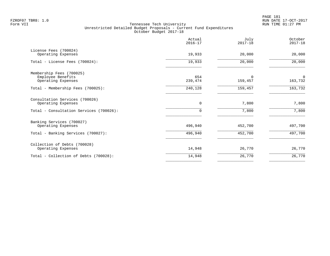PAGE 181 FZROF07 TBR8: 1.0 RUN DATE 17-OCT-2017

|                                                 | Actual<br>$2016 - 17$ | July<br>$2017 - 18$ | October<br>$2017 - 18$ |
|-------------------------------------------------|-----------------------|---------------------|------------------------|
| License Fees (700024)<br>Operating Expenses     | 19,933                | 20,000              | 20,000                 |
| Total - License Fees (700024):                  | 19,933                | 20,000              | 20,000                 |
| Membership Fees (700025)                        | 654                   | $\Omega$            | $\mathbf 0$            |
| Employee Benefits<br>Operating Expenses         | 239,474               | 159,457             | 163,732                |
| Total - Membership Fees (700025):               | 240,128               | 159,457             | 163,732                |
| Consultation Services (700026)                  | 0                     |                     |                        |
| Operating Expenses                              |                       | 7,800               | 7,800                  |
| Total - Consultation Services (700026):         | 0                     | 7,800               | 7,800                  |
| Banking Services (700027)<br>Operating Expenses | 496,940               | 452,700             | 497,700                |
| Total - Banking Services (700027):              | 496,940               | 452,700             | 497,700                |
| Collection of Debts (700028)                    |                       |                     |                        |
| Operating Expenses                              | 14,948                | 26,770              | 26,770                 |
| Total - Collection of Debts (700028):           | 14,948                | 26,770              | 26,770                 |
|                                                 |                       |                     |                        |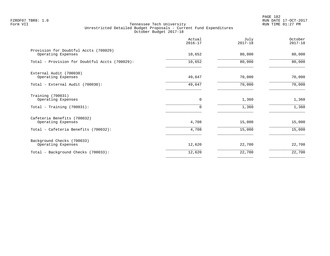PAGE 182 FZROF07 TBR8: 1.0 RUN DATE 17-OCT-2017

|                                                             | Actual<br>$2016 - 17$ | July<br>$2017 - 18$ | October<br>$2017 - 18$ |
|-------------------------------------------------------------|-----------------------|---------------------|------------------------|
| Provision for Doubtful Accts (700029)<br>Operating Expenses | 10,652                | 80,000              | 80,000                 |
| Total - Provision for Doubtful Accts (700029):              | 10,652                | 80,000              | 80,000                 |
| External Audit (700030)<br>Operating Expenses               | 49,647                | 70,000              | 70,000                 |
| Total - External Audit (700030):                            | 49,647                | 70,000              | 70,000                 |
| Training (700031)<br>Operating Expenses                     | 0<br>$\Omega$         | 1,360               | 1,360                  |
| Total - Training $(700031)$ :                               |                       | 1,360               | 1,360                  |
| Cafeteria Benefits (700032)<br>Operating Expenses           | 4,708                 | 15,000              | 15,000                 |
| Total - Cafeteria Benefits (700032):                        | 4,708                 | 15,000              | 15,000                 |
| Background Checks (700033)<br>Operating Expenses            | 12,620                | 22,700              | 22,700                 |
| Total - Background Checks (700033):                         | 12,620                | 22,700              | 22,700                 |
|                                                             |                       |                     |                        |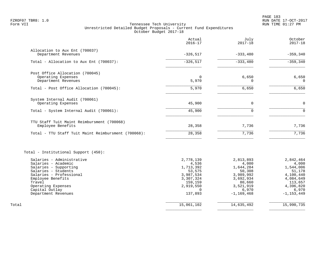PAGE 183 FZROF07 TBR8: 1.0 RUN DATE 17-OCT-2017

|                                                                                                                                                                                                                           | Actual<br>$2016 - 17$                                                                                              | July<br>$2017 - 18$                                                                                                   | October<br>$2017 - 18$                                                                                                 |
|---------------------------------------------------------------------------------------------------------------------------------------------------------------------------------------------------------------------------|--------------------------------------------------------------------------------------------------------------------|-----------------------------------------------------------------------------------------------------------------------|------------------------------------------------------------------------------------------------------------------------|
| Allocation to Aux Ent (700037)                                                                                                                                                                                            |                                                                                                                    |                                                                                                                       |                                                                                                                        |
| Department Revenues                                                                                                                                                                                                       | $-326, 517$                                                                                                        | $-333,480$                                                                                                            | $-359, 340$                                                                                                            |
| Total - Allocation to Aux Ent (700037):                                                                                                                                                                                   | $-326, 517$                                                                                                        | $-333,480$                                                                                                            | $-359,340$                                                                                                             |
| Post Office Allocation (700045)                                                                                                                                                                                           |                                                                                                                    |                                                                                                                       |                                                                                                                        |
| Operating Expenses<br>Department Revenues                                                                                                                                                                                 | 5,970                                                                                                              | 6,650<br>$\Omega$                                                                                                     | 6,650<br>$\Omega$                                                                                                      |
| Total - Post Office Allocation (700045):                                                                                                                                                                                  | 5,970                                                                                                              | 6,650                                                                                                                 | 6,650                                                                                                                  |
| System Internal Audit (700061)                                                                                                                                                                                            |                                                                                                                    |                                                                                                                       |                                                                                                                        |
| Operating Expenses                                                                                                                                                                                                        | 45,900                                                                                                             | $\Omega$                                                                                                              | $\mathbf 0$                                                                                                            |
| Total - System Internal Audit (700061):                                                                                                                                                                                   | 45,900                                                                                                             | $\Omega$                                                                                                              | $\mathbf 0$                                                                                                            |
| TTU Staff Tuit Maint Reimbursment (700068)                                                                                                                                                                                |                                                                                                                    |                                                                                                                       |                                                                                                                        |
| Employee Benefits                                                                                                                                                                                                         | 28,358                                                                                                             | 7,736                                                                                                                 | 7,736                                                                                                                  |
| Total - TTU Staff Tuit Maint Reimbursment (700068):                                                                                                                                                                       | 28,358                                                                                                             | 7,736                                                                                                                 | 7,736                                                                                                                  |
| Total - Institutional Support (450):                                                                                                                                                                                      |                                                                                                                    |                                                                                                                       |                                                                                                                        |
| Salaries - Administrative<br>Salaries - Academic<br>Salaries - Supporting<br>Salaries - Students<br>Salaries - Professional<br>Employee Benefits<br>Travel<br>Operating Expenses<br>Capital Outlay<br>Department Revenues | 2,778,139<br>4,536<br>1,713,392<br>53,575<br>3,987,534<br>3,307,324<br>159,159<br>2,919,550<br>$\Omega$<br>137,893 | 2,813,893<br>4,000<br>1,644,284<br>50,308<br>3,989,992<br>3,692,934<br>80,660<br>3,521,919<br>6,970<br>$-1, 169, 468$ | 2,842,464<br>4,000<br>1,544,006<br>51,178<br>4,100,440<br>4,084,649<br>113,657<br>4,396,820<br>6,970<br>$-1, 153, 449$ |
| Total                                                                                                                                                                                                                     | 15,061,102                                                                                                         | 14,635,492                                                                                                            | 15,990,735                                                                                                             |
|                                                                                                                                                                                                                           |                                                                                                                    |                                                                                                                       |                                                                                                                        |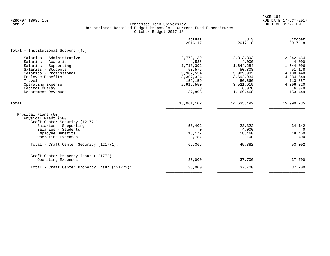PAGE 184 FZROF07 TBR8: 1.0 RUN DATE 17-OCT-2017

|                                                                                                                                                                                                                          | Actual<br>$2016 - 17$                                                                                              | July<br>$2017 - 18$                                                                                                   | October<br>$2017 - 18$                                                                                                 |
|--------------------------------------------------------------------------------------------------------------------------------------------------------------------------------------------------------------------------|--------------------------------------------------------------------------------------------------------------------|-----------------------------------------------------------------------------------------------------------------------|------------------------------------------------------------------------------------------------------------------------|
| Total - Institutional Support (45):                                                                                                                                                                                      |                                                                                                                    |                                                                                                                       |                                                                                                                        |
| Salaries - Administrative<br>Salaries - Academic<br>Salaries - Supporting<br>Salaries - Students<br>Salaries - Professional<br>Employee Benefits<br>Travel<br>Operating Expense<br>Capital Outlay<br>Department Revenues | 2,778,139<br>4,536<br>1,713,392<br>53,575<br>3,987,534<br>3,307,324<br>159,159<br>2,919,550<br>$\Omega$<br>137,893 | 2,813,893<br>4,000<br>1,644,284<br>50,308<br>3,989,992<br>3,692,934<br>80,660<br>3,521,919<br>6,970<br>$-1, 169, 468$ | 2,842,464<br>4,000<br>1,544,006<br>51,178<br>4,100,440<br>4,084,649<br>113,657<br>4,396,820<br>6,970<br>$-1, 153, 449$ |
| Total                                                                                                                                                                                                                    | 15,061,102                                                                                                         | 14,635,492                                                                                                            | 15,990,735                                                                                                             |
| Physical Plant (50)<br>Physical Plant (500)<br>Craft Center Security (121771)<br>Salaries - Supporting<br>Salaries - Students                                                                                            | 50,402<br>$\Omega$                                                                                                 | 23,322<br>4,000                                                                                                       | 34,142<br>$\Omega$                                                                                                     |
| Employee Benefits<br>Operating Expenses                                                                                                                                                                                  | 15,177<br>3,787                                                                                                    | 18,460<br>100                                                                                                         | 18,460<br>400                                                                                                          |
| Total - Craft Center Security (121771):                                                                                                                                                                                  | 69,366                                                                                                             | 45,882                                                                                                                | 53,002                                                                                                                 |
| Craft Center Property Insur (121772)<br>Operating Expenses                                                                                                                                                               | 36,000                                                                                                             | 37,700                                                                                                                | 37,700                                                                                                                 |
| Total - Craft Center Property Insur (121772):                                                                                                                                                                            | 36,000                                                                                                             | 37,700                                                                                                                | 37,700                                                                                                                 |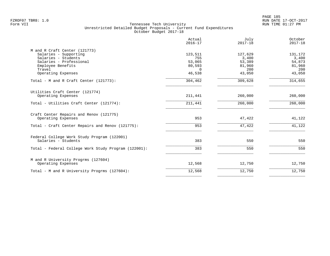PAGE 185 FZROF07 TBR8: 1.0 RUN DATE 17-OCT-2017

|                                                                                                                                         | Actual<br>$2016 - 17$                          | July<br>$2017 - 18$                         | October<br>$2017 - 18$                      |
|-----------------------------------------------------------------------------------------------------------------------------------------|------------------------------------------------|---------------------------------------------|---------------------------------------------|
| M and R Craft Center (121773)<br>Salaries - Supporting<br>Salaries - Students<br>Salaries - Professional<br>Employee Benefits<br>Travel | 123,511<br>755<br>53,065<br>80,593<br>$\Omega$ | 127,629<br>3,400<br>53,389<br>81,960<br>200 | 131,172<br>3,400<br>54,873<br>81,960<br>200 |
| Operating Expenses                                                                                                                      | 46,538                                         | 43,050                                      | 43,050                                      |
| Total - M and R Craft Center (121773):                                                                                                  | 304,462                                        | 309,628                                     | 314,655                                     |
| Utilities Craft Center (121774)<br>Operating Expenses                                                                                   | 211,441                                        | 260,000                                     | 260,000                                     |
| Total - Utilities Craft Center (121774):                                                                                                | 211,441                                        | 260,000                                     | 260,000                                     |
| Craft Center Repairs and Renov (121775)<br>Operating Expenses                                                                           | 953                                            | 47,422                                      | 41,122                                      |
| Total - Craft Center Repairs and Renov (121775):                                                                                        | 953                                            | 47,422                                      | 41,122                                      |
| Federal College Work Study Program (122001)<br>Salaries - Students                                                                      | 383                                            | 550                                         | 550                                         |
| Total - Federal College Work Study Program (122001):                                                                                    | 383                                            | 550                                         | 550                                         |
| M and R University Progrms (127604)<br>Operating Expenses                                                                               | 12,568                                         | 12,750                                      | 12,750                                      |
| Total - M and R University Progrms (127604):                                                                                            | 12,568                                         | 12,750                                      | 12,750                                      |
|                                                                                                                                         |                                                |                                             |                                             |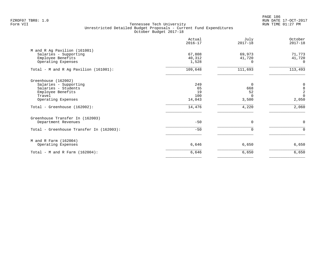PAGE 186 FZROF07 TBR8: 1.0 RUN DATE 17-OCT-2017

|                                          | Actual<br>$2016 - 17$ | July<br>$2017 - 18$ | October<br>$2017 - 18$                          |
|------------------------------------------|-----------------------|---------------------|-------------------------------------------------|
| M and R Ag Pavilion (161001)             |                       |                     |                                                 |
| Salaries - Supporting                    | 67,808                | 69,973              | 71,773                                          |
| Employee Benefits                        | 40,312                | 41,720              | 41,720                                          |
| Operating Expenses                       | 1,528                 | 0                   | 0                                               |
| Total - M and R Ag Pavilion (161001):    | 109,648               | 111,693             | 113,493                                         |
| Greenhouse (162002)                      |                       |                     |                                                 |
| Salaries - Supporting                    | 249                   | $\Omega$            |                                                 |
| Salaries - Students                      | 65                    | 668                 | $\begin{array}{c} 0 \\ 8 \\ 2 \\ 0 \end{array}$ |
| Employee Benefits                        | 19                    | 52                  |                                                 |
| Travel                                   | 100                   | $\Omega$            |                                                 |
| Operating Expenses                       | 14,043                | 3,500               | 2,050                                           |
| Total - Greenhouse (162002):             | 14,476                | 4,220               | 2,060                                           |
| Greenhouse Transfer In (162003)          |                       |                     |                                                 |
| Department Revenues                      | $-50$                 | $\Omega$            | $\mathbf 0$                                     |
| Total - Greenhouse Transfer In (162003): | $-50$                 | $\Omega$            | $\mathbf 0$                                     |
| M and R Farm (162004)                    |                       |                     |                                                 |
| Operating Expenses                       | 6,646                 | 6,650               | 6,650                                           |
| Total - M and R Farm $(162004)$ :        | 6,646                 | 6,650               | 6,650                                           |
|                                          |                       |                     |                                                 |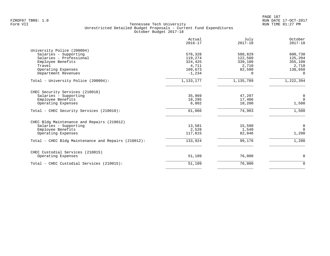|                                                     | Actual<br>$2016 - 17$ | July<br>$2017 - 18$ | October<br>$2017 - 18$ |
|-----------------------------------------------------|-----------------------|---------------------|------------------------|
| University Police (200004)                          |                       |                     |                        |
| Salaries - Supporting                               | 576,328               | 588,829             | 600,730                |
| Salaries - Professional                             | 119,274               | 122,560             | 125,204                |
| Employee Benefits                                   | 324,425               | 339,100             | 355,100                |
| Travel                                              | 4,711                 | 2,710               | 2,710                  |
| Operating Expenses                                  | 109,673               | 82,590              | 138,650                |
| Department Revenues                                 | $-1,234$              | O.                  | $\Omega$               |
| Total - University Police (200004):                 | 1,133,177             | 1,135,789           | 1,222,394              |
| CHEC Security Services (210010)                     |                       |                     |                        |
| Salaries - Supporting                               | 35,969                | 47,297              | $\mathbf 0$            |
| Employee Benefits                                   | 18,295                | 17,406              | $\overline{0}$         |
| Operating Expenses                                  | 6,802                 | 10,200              | 1,500                  |
| Total - CHEC Security Services (210010):            | 61,066                | 74,903              | 1,500                  |
| CHEC Bldg Maintenance and Repairs (210012)          |                       |                     |                        |
| Salaries - Supporting                               | 13,581                | 15,590              | $\mathbf 0$            |
| Employee Benefits                                   | 2,528                 | 1,540               | $\Omega$               |
| Operating Expenses                                  | 117,815               | 82,046              | 1,200                  |
| Total - CHEC Bldg Maintenance and Repairs (210012): | 133,924               | 99,176              | 1,200                  |
| CHEC Custodial Services (210015)                    |                       |                     |                        |
| Operating Expenses                                  | 51,109                | 76,000              | 0                      |
| Total - CHEC Custodial Services (210015):           | 51,109                | 76,000              | $\mathbf 0$            |
|                                                     |                       |                     |                        |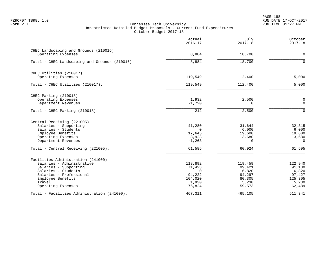PAGE 188 FZROF07 TBR8: 1.0 RUN DATE 17-OCT-2017

|                                                | Actual<br>$2016 - 17$ | July<br>$2017 - 18$ | October<br>$2017 - 18$ |
|------------------------------------------------|-----------------------|---------------------|------------------------|
| CHEC Landscaping and Grounds (210016)          |                       |                     |                        |
| Operating Expenses                             | 8,884                 | 18,700              | $\mathbf 0$            |
| Total - CHEC Landscaping and Grounds (210016): | 8,884                 | 18,700              | $\Omega$               |
| CHEC Utilities (210017)                        |                       |                     |                        |
| Operating Expenses                             | 119,549               | 112,400             | 5,000                  |
| Total - CHEC Utilities (210017):               | 119,549               | 112,400             | 5,000                  |
| CHEC Parking (210018)                          |                       |                     |                        |
| Operating Expenses                             | 1,932                 | 2,500               | $\mathbf 0$            |
| Department Revenues                            | $-1,720$              | $\Omega$            | $\Omega$               |
| Total - CHEC Parking (210018):                 | 212                   | 2,500               | $\Omega$               |
| Central Receiving (221005)                     |                       |                     |                        |
| Salaries - Supporting                          | 41,280                | 31,644              | 32,315                 |
| Salaries - Students<br>Employee Benefits       | $\Omega$<br>17,645    | 6,000<br>19,600     | 6,000<br>19,600        |
| Operating Expenses                             | 3,923                 | 3,680               | 3,680                  |
| Department Revenues                            | $-1, 263$             | $\Omega$            | $\Omega$               |
| Total - Central Receiving (221005):            | 61,585                | 60,924              | 61,595                 |
| Facilities Administration (241000)             |                       |                     |                        |
| Salaries - Administrative                      | 118,892               | 119,459             | 122,940                |
| Salaries - Supporting                          | 71,423                | 99,421              | 91,130                 |
| Salaries - Students                            | $\Omega$              | 6,820               | 6,820                  |
| Salaries - Professional<br>Employee Benefits   | 94,222<br>104,020     | 94,297<br>80,305    | 97,427<br>125,305      |
| Travel                                         | 1,930                 | 5,230               | 5,230                  |
| Operating Expenses                             | 76,824                | 59,573              | 62,489                 |
| Total - Facilities Administration (241000):    | 467,311               | 465,105             | 511,341                |
|                                                |                       |                     |                        |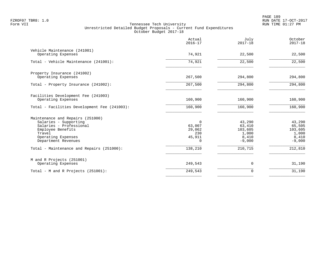|                                                                                                                                                                  | Actual<br>$2016 - 17$                              | July<br>$2017 - 18$                                       | October<br>$2017 - 18$                                    |
|------------------------------------------------------------------------------------------------------------------------------------------------------------------|----------------------------------------------------|-----------------------------------------------------------|-----------------------------------------------------------|
| Vehicle Maintenance (241001)<br>Operating Expenses                                                                                                               | 74,921                                             | 22,500                                                    | 22,500                                                    |
| Total - Vehicle Maintenance (241001):                                                                                                                            | 74,921                                             | 22,500                                                    | 22,500                                                    |
| Property Insurance (241002)<br>Operating Expenses                                                                                                                | 267,500                                            | 294,800                                                   | 294,800                                                   |
| Total - Property Insurance (241002):                                                                                                                             | 267,500                                            | 294,800                                                   | 294,800                                                   |
| Facilities Development Fee (241003)<br>Operating Expenses<br>Total - Facilities Development Fee (241003):                                                        | 160,900<br>160,900                                 | 160,900<br>160,900                                        | 160,900<br>160,900                                        |
| Maintenance and Repairs (251000)<br>Salaries - Supporting<br>Salaries - Professional<br>Employee Benefits<br>Travel<br>Operating Expenses<br>Department Revenues | $\Omega$<br>63,007<br>29,062<br>230<br>45,911<br>0 | 43,290<br>63,410<br>103,605<br>1,000<br>8,410<br>$-9,000$ | 43,290<br>65,505<br>103,605<br>1,000<br>8,410<br>$-9,000$ |
| Total - Maintenance and Repairs (251000):                                                                                                                        | 138,210                                            | 210,715                                                   | 212,810                                                   |
| M and R Projects (251001)<br>Operating Expenses                                                                                                                  | 249,543                                            | 0                                                         | 31,190                                                    |
| Total - M and R Projects $(251001)$ :                                                                                                                            | 249,543                                            | 0                                                         | 31,190                                                    |
|                                                                                                                                                                  |                                                    |                                                           |                                                           |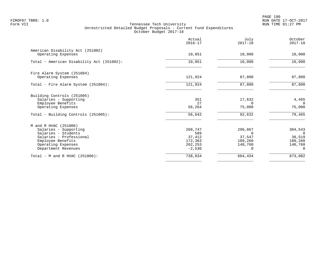PAGE 190 FZROF07 TBR8: 1.0 RUN DATE 17-OCT-2017

|                                                        | Actual<br>$2016 - 17$ | July<br>$2017 - 18$ | October<br>$2017 - 18$ |
|--------------------------------------------------------|-----------------------|---------------------|------------------------|
| American Disability Act (251002)<br>Operating Expenses | 10,051                | 10,000              | 10,000                 |
|                                                        |                       |                     |                        |
| Total - American Disability Act (251002):              | 10,051                | 10,000              | 10,000                 |
| Fire Alarm System (251004)                             |                       |                     |                        |
| Operating Expenses                                     | 121,924               | 87,800              | 87,800                 |
| Total - Fire Alarm System (251004):                    | 121,924               | 87,800              | 87,800                 |
| Building Controls (251005)                             |                       |                     |                        |
| Salaries - Supporting                                  | 351                   | 17,632              | 4,465                  |
| Employee Benefits                                      | 27                    | 0                   | $\Omega$               |
| Operating Expenses                                     | 56,264                | 75,000              | 75,000                 |
| Total - Building Controls (251005):                    | 56,642                | 92,632              | 79,465                 |
| M and R HVAC (251006)                                  |                       |                     |                        |
| Salaries - Supporting                                  | 268,747               | 296,867             | 304,543                |
| Salaries - Students                                    | 589                   | $\Omega$            | $\Omega$               |
| Salaries - Professional                                | 37,412                | 37,547              | 38,519                 |
| Employee Benefits                                      | 172,363               | 189,260             | 189,260                |
| Operating Expenses                                     | 262,253               | 140,760             | 140,760                |
| Department Revenues                                    | $-2,530$              |                     | $\Omega$               |
| Total - M and R HVAC (251006):                         | 738,834               | 664,434             | 673,082                |
|                                                        |                       |                     |                        |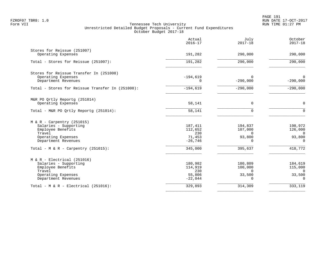PAGE 191 FZROF07 TBR8: 1.0 RUN DATE 17-OCT-2017

|                                                   | Actual<br>$2016 - 17$ | July<br>$2017 - 18$ | October<br>$2017 - 18$    |
|---------------------------------------------------|-----------------------|---------------------|---------------------------|
| Stores for Reissue (251007)<br>Operating Expenses | 191,282               | 290,000             | 290,000                   |
| Total - Stores for Reissue (251007):              | 191,282               | 290,000             | 290,000                   |
| Stores for Reissue Transfer In (251008)           |                       |                     |                           |
| Operating Expenses<br>Department Revenues         | $-194,619$<br>0       | 0<br>$-290,000$     | $\mathbf 0$<br>$-290,000$ |
| Total - Stores for Reissue Transfer In (251008):  | $-194,619$            | $-290,000$          | $-290,000$                |
| M&R PO Qrtly Reportg (251014)                     |                       |                     |                           |
| Operating Expenses                                | 58,141                | 0                   | $\Omega$                  |
| Total - M&R PO Ortly Reportq (251014):            | 58,141                | $\Omega$            | $\Omega$                  |
| $M & R - Carpentry (251015)$                      |                       |                     |                           |
| Salaries - Supporting<br>Employee Benefits        | 187,411<br>112,652    | 194,837<br>107,000  | 198,972<br>126,000        |
| Travel                                            | 230                   | $\Omega$            | $\Omega$                  |
| Operating Expenses<br>Department Revenues         | 71,453<br>$-26,746$   | 93,800<br>$\Omega$  | 93,800<br>$\Omega$        |
| Total - M & R - Carpentry (251015):               | 345,000               | 395,637             | 418,772                   |
| $M & R - Electrical (251016)$                     |                       |                     |                           |
| Salaries - Supporting                             | 180,982               | 180,809             | 184,619                   |
| Employee Benefits<br>Travel                       | 114,919<br>230        | 100,000<br>$\Omega$ | 115,000<br>$\Omega$       |
| Operating Expenses                                | 55,806                | 33,500              | 33,500                    |
| Department Revenues                               | $-22,044$             | $\Omega$            | $\Omega$                  |
| Total - M & R - Electrical (251016):              | 329,893               | 314,309             | 333,119                   |
|                                                   |                       |                     |                           |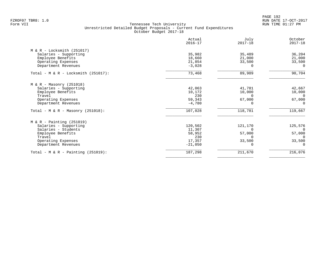PAGE 192 FZROF07 TBR8: 1.0 RUN DATE 17-OCT-2017

|                                        | Actual<br>$2016 - 17$ | July<br>$2017 - 18$ | October<br>$2017 - 18$ |
|----------------------------------------|-----------------------|---------------------|------------------------|
| $M & R - Locksmith (251017)$           |                       |                     |                        |
| Salaries - Supporting                  | 35,982                | 35,489              | 36,204                 |
| Employee Benefits                      | 18,660                | 21,000              | 21,000                 |
| Operating Expenses                     | 21,854                | 33,500              | 33,500                 |
| Department Revenues                    | $-3,028$              | $\Omega$            | $\Omega$               |
| Total - M & R - Locksmith $(251017)$ : | 73,468                | 89,989              | 90,704                 |
| $M & R - Masonry (251018)$             |                       |                     |                        |
| Salaries - Supporting                  | 42,063                | 41,781              | 42,667                 |
| Employee Benefits                      | 10,172                | 10,000              | 10,000                 |
| Travel                                 | 230                   | $\Omega$            | - 0                    |
| Operating Expenses                     | 59,343                | 67,000              | 67,000                 |
| Department Revenues                    | $-4,780$              |                     | $\Omega$               |
| Total - M & R - Masonry $(251018)$ :   | 107,028               | 118,781             | 119,667                |
| $M & R$ - Painting (251019)            |                       |                     |                        |
| Salaries - Supporting                  | 120,502               | 121,170             | 125,576                |
| Salaries - Students                    | 11,307                | $\Omega$            | $\overline{0}$         |
| Employee Benefits                      | 58,952                | 57,000              | 57,000                 |
| Travel                                 | 230                   |                     | $\Omega$               |
| Operating Expenses                     | 17,357                | 33,500              | 33,500                 |
| Department Revenues                    | $-21,050$             |                     | $\Omega$               |
| Total - M & R - Painting $(251019)$ :  | 187,298               | 211,670             | 216,076                |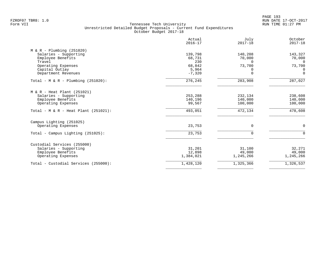|                                        | Actual<br>$2016 - 17$ | July<br>$2017 - 18$ | October<br>$2017 - 18$ |
|----------------------------------------|-----------------------|---------------------|------------------------|
| $M & R - Plumbing (251020)$            |                       |                     |                        |
| Salaries - Supporting                  | 139,798               | 140,208             | 143,327                |
| Employee Benefits                      | 68,731                | 70,000              | 70,000                 |
| Travel                                 | 230                   | $\Omega$            | $\Omega$               |
| Operating Expenses                     | 68,842                | 73,700              | 73,700                 |
| Capital Outlay                         | 5,964                 |                     | 0                      |
| Department Revenues                    | $-7,320$              | $\Omega$            | $\mathbf 0$            |
| Total - $M & R - Plumbing (251020)$ :  | 276,245               | 283,908             | 287,027                |
| $M & R - Heat Plant (251021)$          |                       |                     |                        |
| Salaries - Supporting                  | 253,288               | 232,134             | 238,608                |
| Employee Benefits                      | 140,196               | 140,000             | 140,000                |
| Operating Expenses                     | 99,567                | 100,000             | 100,000                |
| Total - $M & R$ - Heat Plant (251021): | 493,051               | 472,134             | 478,608                |
| Campus Lighting (251025)               |                       |                     |                        |
| Operating Expenses                     | 23,753                | $\Omega$            | 0                      |
| Total - Campus Lighting (251025):      | 23,753                | $\Omega$            | $\Omega$               |
| Custodial Services (255000)            |                       |                     |                        |
| Salaries - Supporting                  | 31,201                | 31,100              | 32,271                 |
| Employee Benefits                      | 12,898                | 49,000              | 49,000                 |
| Operating Expenses                     | 1,384,021             | 1,245,266           | 1,245,266              |
| Total - Custodial Services (255000):   | 1,428,120             | 1,325,366           | 1,326,537              |
|                                        |                       |                     |                        |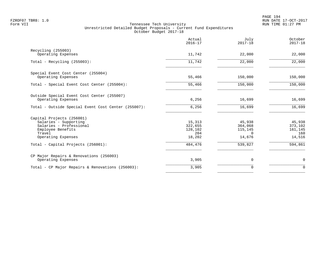|                                                                                                                                    | Actual<br>$2016 - 17$                         | July<br>$2017 - 18$                                | October<br>$2017 - 18$                        |
|------------------------------------------------------------------------------------------------------------------------------------|-----------------------------------------------|----------------------------------------------------|-----------------------------------------------|
| Recycling (255003)<br>Operating Expenses                                                                                           | 11,742                                        | 22,000                                             | 22,000                                        |
| Total - Recycling (255003):                                                                                                        | 11,742                                        | 22,000                                             | 22,000                                        |
| Special Event Cost Center (255004)<br>Operating Expenses                                                                           | 55,466                                        | 150,000                                            | 150,000                                       |
| Total - Special Event Cost Center (255004):                                                                                        | 55,466                                        | 150,000                                            | 150,000                                       |
| Outside Special Event Cost Center (255007)<br>Operating Expenses                                                                   | 6,256                                         | 16,699                                             | 16,699                                        |
| Total - Outside Special Event Cost Center (255007):                                                                                | 6,256                                         | 16,699                                             | 16,699                                        |
| Capital Projects (256001)<br>Salaries - Supporting<br>Salaries - Professional<br>Employee Benefits<br>Travel<br>Operating Expenses | 15,313<br>322,655<br>128,102<br>204<br>18,202 | 45,938<br>364,068<br>115,145<br>$\Omega$<br>14,676 | 45,938<br>373,102<br>161,145<br>160<br>14,516 |
| Total - Capital Projects (256001):                                                                                                 | 484,476                                       | 539,827                                            | 594,861                                       |
| CP Major Repairs & Renovations (256003)<br>Operating Expenses                                                                      | 3,905                                         | 0                                                  | $\mathbf 0$                                   |
| Total - CP Major Repairs & Renovations (256003):                                                                                   | 3,905                                         | $\Omega$                                           | $\Omega$                                      |
|                                                                                                                                    |                                               |                                                    |                                               |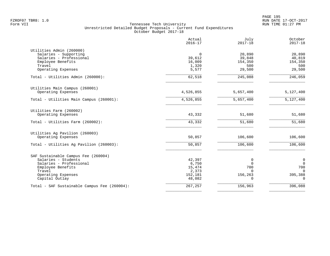PAGE 195 FZROF07 TBR8: 1.0 RUN DATE 17-OCT-2017

|                                              | Actual<br>$2016 - 17$ | July<br>$2017 - 18$ | October<br>$2017 - 18$ |
|----------------------------------------------|-----------------------|---------------------|------------------------|
| Utilities Admin (260000)                     |                       |                     |                        |
| Salaries - Supporting                        | 0                     | 20,890              | 20,890                 |
| Salaries - Professional                      | 39,612                | 39,848              | 40,819                 |
| Employee Benefits                            | 16,009                | 154,350             | 154,350                |
| Travel                                       | 1,320                 | 500                 | 500                    |
| Operating Expenses                           | 5,577                 | 29,500              | 29,500                 |
| Total - Utilities Admin (260000):            | 62,518                | 245,088             | 246,059                |
| Utilities Main Campus (260001)               |                       |                     |                        |
| Operating Expenses                           | 4,526,855             | 5,657,400           | 5,127,400              |
| Total - Utilities Main Campus (260001):      | 4,526,855             | 5,657,400           | 5,127,400              |
| Utilities Farm (260002)                      |                       |                     |                        |
| Operating Expenses                           | 43,332                | 51,680              | 51,680                 |
| Total - Utilities Farm (260002):             | 43,332                | 51,680              | 51,680                 |
| Utilities Ag Pavilion (260003)               |                       |                     |                        |
| Operating Expenses                           | 50,857                | 106,600             | 106,600                |
| Total - Utilities Aq Pavilion (260003):      | 50,857                | 106,600             | 106,600                |
| SAF Sustainable Campus Fee (260004)          |                       |                     |                        |
| Salaries - Students                          | 42,397                | 0                   | $\mathbf 0$            |
| Salaries - Professional                      | 6,750                 | $\Omega$            | $\Omega$               |
| Employee Benefits                            | 15,474                | 700                 | 700                    |
| Travel                                       | 2,373                 | $\Omega$            | $\Omega$               |
| Operating Expenses                           | 152,181               | 156,263             | 395,388                |
| Capital Outlay                               | 48,082                |                     | $\Omega$               |
| Total - SAF Sustainable Campus Fee (260004): | 267,257               | 156,963             | 396,088                |
|                                              |                       |                     |                        |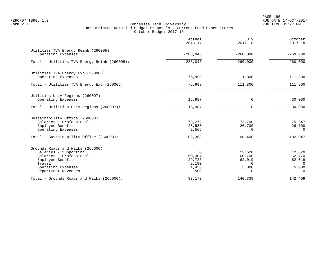PAGE 196 FZROF07 TBR8: 1.0 RUN DATE 17-OCT-2017

|                                                                                                                                                                  | Actual<br>$2016 - 17$                             | July<br>$2017 - 18$                                         | October<br>$2017 - 18$                                      |
|------------------------------------------------------------------------------------------------------------------------------------------------------------------|---------------------------------------------------|-------------------------------------------------------------|-------------------------------------------------------------|
| Utilities TVA Energy Reimb (260005)<br>Operating Expenses                                                                                                        | $-288,043$                                        | $-260,000$                                                  | $-260,000$                                                  |
| Total - Utilities TVA Energy Reimb (260005):                                                                                                                     | $-288,043$                                        | $-260,000$                                                  | $-260,000$                                                  |
| Utilities TVA Energy Exp (260006)<br>Operating Expenses                                                                                                          | 76,999                                            | 111,800                                                     | 111,800                                                     |
| Total - Utilities TVA Energy Exp (260006):                                                                                                                       | 76,999                                            | 111,800                                                     | 111,800                                                     |
| Utilities Univ Regions (260007)<br>Operating Expenses                                                                                                            | 15,987                                            | 0                                                           | 30,000                                                      |
| Total - Utilities Univ Regions (260007):                                                                                                                         | 15,987                                            | 0                                                           | 30,000                                                      |
| Sustainability Office (260008)<br>Salaries - Professional<br>Employee Benefits<br>Operating Expenses<br>Total - Sustainability Office (260008):                  | 73,272<br>26,530<br>2,566<br>102,368              | 73,700<br>26,700<br>$\Omega$<br>100,400                     | 75,347<br>26,700<br>$\Omega$<br>102,047                     |
|                                                                                                                                                                  |                                                   |                                                             |                                                             |
| Grounds Roads and Walks (265000)<br>Salaries - Supporting<br>Salaries - Professional<br>Employee Benefits<br>Travel<br>Operating Expenses<br>Department Revenues | 0<br>60,304<br>29,723<br>2,190<br>1,456<br>$-500$ | 12,620<br>60,700<br>62,019<br>$\Omega$<br>5,000<br>$\Omega$ | 12,620<br>62,770<br>62,019<br>$\Omega$<br>5,000<br>$\Omega$ |
| Total - Grounds Roads and Walks (265000):                                                                                                                        | 93,173                                            | 140,339                                                     | 142,409                                                     |
|                                                                                                                                                                  |                                                   |                                                             |                                                             |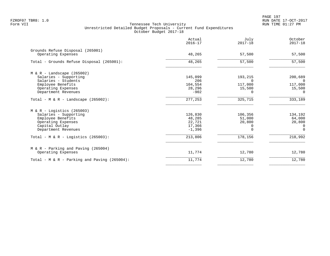PAGE 197 FZROF07 TBR8: 1.0 RUN DATE 17-OCT-2017

|                                                        | Actual<br>$2016 - 17$ | July<br>$2017 - 18$ | October<br>$2017 - 18$ |
|--------------------------------------------------------|-----------------------|---------------------|------------------------|
| Grounds Refuse Disposal (265001)<br>Operating Expenses | 48,265                | 57,500              | 57,500                 |
| Total - Grounds Refuse Disposal (265001):              | 48,265                | 57,500              | 57,500                 |
| $M & R -$ Landscape (265002)                           |                       |                     |                        |
| Salaries - Supporting<br>Salaries - Students           | 145,099<br>206        | 193,215<br>$\Omega$ | 200,689<br>0           |
| Employee Benefits<br>Operating Expenses                | 104,554<br>28,296     | 117,000<br>15,500   | 117,000<br>15,500      |
| Department Revenues                                    | $-902$                | $\Omega$            | $\Omega$               |
| Total - M & R - Landscape $(265002)$ :                 | 277,253               | 325,715             | 333,189                |
| $M & R -$ Logistics (265003)                           |                       |                     |                        |
| Salaries - Supporting                                  | 126,830               | 106,356             | 134,192                |
| Employee Benefits<br>Operating Expenses                | 48,285<br>22,721      | 51,000<br>20,800    | 64,000<br>20,800       |
| Capital Outlay                                         | 17,366                | $\Omega$            | $\Omega$               |
| Department Revenues                                    | $-1,396$              | $\Omega$            | $\Omega$               |
| Total - M & R - Logistics $(265003)$ :                 | 213,806               | 178,156             | 218,992                |
| $M & R - Parking$ and Paving (265004)                  |                       |                     |                        |
| Operating Expenses                                     | 11,774                | 12,780              | 12,780                 |
| Total - M & R - Parking and Paving (265004):           | 11,774                | 12,780              | 12,780                 |
|                                                        |                       |                     |                        |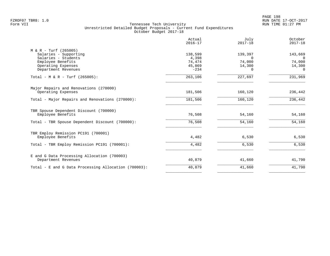PAGE 198 FZROF07 TBR8: 1.0 RUN DATE 17-OCT-2017

|                                                                                                                                           | Actual<br>$2016 - 17$                          | July<br>$2017 - 18$                          | October<br>$2017 - 18$                              |
|-------------------------------------------------------------------------------------------------------------------------------------------|------------------------------------------------|----------------------------------------------|-----------------------------------------------------|
| $M & R - Turf (265005)$<br>Salaries - Supporting<br>Salaries - Students<br>Employee Benefits<br>Operating Expenses<br>Department Revenues | 138,599<br>4,398<br>74,474<br>45,869<br>$-234$ | 139,397<br>$\Omega$<br>74,000<br>14,300<br>0 | 143,669<br>$\Omega$<br>74,000<br>14,300<br>$\Omega$ |
| Total - M & R - Turf (265005):                                                                                                            | 263,106                                        | 227,697                                      | 231,969                                             |
| Major Repairs and Renovations (270000)<br>Operating Expenses                                                                              | 181,506                                        | 160,120                                      | 236,442                                             |
| Total - Major Repairs and Renovations (270000):                                                                                           | 181,506                                        | 160,120                                      | 236,442                                             |
| TBR Spouse Dependent Discount (700000)<br>Employee Benefits                                                                               | 76,508                                         | 54,160                                       | 54,160                                              |
| Total - TBR Spouse Dependent Discount (700000):                                                                                           | 76,508                                         | 54,160                                       | 54,160                                              |
| TBR Employ Remission PC191 (700001)<br>Employee Benefits                                                                                  | 4,482                                          | 6,530                                        | 6,530                                               |
| Total - TBR Employ Remission PC191 (700001):                                                                                              | 4,482                                          | 6,530                                        | 6,530                                               |
| E and G Data Processing Allocation (700003)<br>Department Revenues                                                                        | 40,879                                         | 41,660                                       | 41,790                                              |
| Total - E and G Data Processing Allocation (700003):                                                                                      | 40,879                                         | 41,660                                       | 41,790                                              |
|                                                                                                                                           |                                                |                                              |                                                     |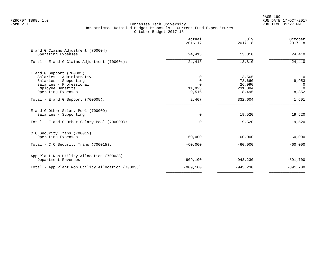|                                                                                                                                                        | Actual<br>$2016 - 17$                         | July<br>$2017 - 18$                              | October<br>$2017 - 18$                                |
|--------------------------------------------------------------------------------------------------------------------------------------------------------|-----------------------------------------------|--------------------------------------------------|-------------------------------------------------------|
| E and G Claims Adjustment (700004)<br>Operating Expenses                                                                                               | 24,413                                        | 13,810                                           | 24,410                                                |
| Total - E and G Claims Adjustment (700004):                                                                                                            | 24,413                                        | 13,810                                           | 24,410                                                |
| $E$ and G Support (700005)<br>Salaries - Administrative<br>Salaries - Supporting<br>Salaries - Professional<br>Employee Benefits<br>Operating Expenses | $\Omega$<br>$\mathbf 0$<br>11,923<br>$-9,516$ | 3,565<br>78,660<br>26,990<br>231,884<br>$-8,495$ | $\Omega$<br>9,953<br>$\Omega$<br>$\Omega$<br>$-8,352$ |
| Total - E and G Support $(700005)$ :                                                                                                                   | 2,407                                         | 332,604                                          | 1,601                                                 |
| E and G Other Salary Pool (700009)<br>Salaries - Supporting<br>Total - E and G Other Salary Pool (700009):                                             | 0<br>$\Omega$                                 | 19,520<br>19,520                                 | 19,520<br>19,520                                      |
| C C Security Trans (700015)<br>Operating Expenses                                                                                                      | $-60,000$                                     | $-60,000$                                        | $-60,000$                                             |
| Total - C C Security Trans (700015):                                                                                                                   | $-60,000$                                     | $-60,000$                                        | $-60,000$                                             |
| App Plant Non Utility Allocation (700038)<br>Department Revenues                                                                                       | $-909,100$                                    | $-943, 230$                                      | $-891,700$                                            |
| Total - App Plant Non Utility Allocation (700038):                                                                                                     | $-909,100$                                    | $-943,230$                                       | $-891,700$                                            |
|                                                                                                                                                        |                                               |                                                  |                                                       |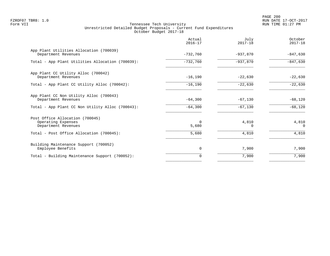PAGE 200 FZROF07 TBR8: 1.0 RUN DATE 17-OCT-2017

|                                                                              | Actual<br>$2016 - 17$ | July<br>$2017 - 18$ | October<br>$2017 - 18$ |
|------------------------------------------------------------------------------|-----------------------|---------------------|------------------------|
| App Plant Utilities Allocation (700039)<br>Department Revenues               | $-732,760$            | $-937,870$          | $-847,630$             |
| Total - App Plant Utilities Allocation (700039):                             | $-732,760$            | $-937,870$          | $-847,630$             |
| App Plant CC Utility Alloc (700042)<br>Department Revenues                   | $-16, 190$            | $-22,630$           | $-22,630$              |
| Total - App Plant CC Utility Alloc (700042):                                 | $-16, 190$            | $-22,630$           | $-22,630$              |
| App Plant CC Non Utility Alloc (700043)<br>Department Revenues               | $-64,300$             | $-67,130$           | $-68,120$              |
| Total - App Plant CC Non Utility Alloc (700043):                             | $-64,300$             | $-67,130$           | $-68,120$              |
| Post Office Allocation (700045)<br>Operating Expenses<br>Department Revenues | $\Omega$<br>5,680     | 4,810<br>$\Omega$   | 4,810<br>$\Omega$      |
| Total - Post Office Allocation (700045):                                     | 5,680                 | 4,810               | 4,810                  |
| Building Maintenance Support (700052)<br>Employee Benefits                   | 0                     | 7,900               | 7,900                  |
| Total - Building Maintenance Support (700052):                               | 0                     | 7,900               | 7,900                  |
|                                                                              |                       |                     |                        |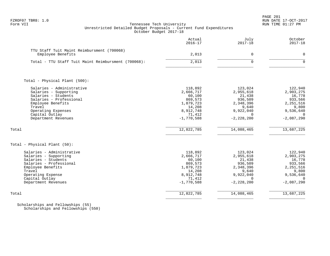# FZROF07 TBR8: 1.0 RUN DATE 17-OCT-2017 Tennessee Tech University Unrestricted Detailed Budget Proposals - Current Fund Expenditures October Budget 2017-18

|                                                                                                                                                                                                    | Actual<br>$2016 - 17$                                                                                   | July<br>$2017 - 18$                                                                                        | October<br>$2017 - 18$                                                                                     |
|----------------------------------------------------------------------------------------------------------------------------------------------------------------------------------------------------|---------------------------------------------------------------------------------------------------------|------------------------------------------------------------------------------------------------------------|------------------------------------------------------------------------------------------------------------|
| TTU Staff Tuit Maint Reimbursment (700068)<br>Employee Benefits                                                                                                                                    | 2,013                                                                                                   | $\mathbf 0$                                                                                                | $\Omega$                                                                                                   |
| Total - TTU Staff Tuit Maint Reimbursment (700068):                                                                                                                                                | 2,013                                                                                                   | $\Omega$                                                                                                   | $\Omega$                                                                                                   |
| Total - Physical Plant (500):                                                                                                                                                                      |                                                                                                         |                                                                                                            |                                                                                                            |
| Salaries - Administrative<br>Salaries - Supporting<br>Salaries - Students<br>Salaries - Professional<br>Employee Benefits<br>Travel<br>Operating Expenses<br>Capital Outlay<br>Department Revenues | 118,892<br>2,666,717<br>60,100<br>869,573<br>1,879,723<br>14,208<br>8,912,748<br>71,412<br>$-1,770,588$ | 123,024<br>2,955,618<br>21,438<br>936,509<br>2,348,396<br>9,640<br>9,922,040<br>$\Omega$<br>$-2, 228, 200$ | 122,940<br>2,903,275<br>16,778<br>933,566<br>2, 251, 516<br>9,800<br>9,536,640<br>$\Omega$<br>$-2,087,290$ |
| Total                                                                                                                                                                                              | 12,822,785                                                                                              | 14,088,465                                                                                                 | 13,687,225                                                                                                 |
| Total - Physical Plant (50):                                                                                                                                                                       |                                                                                                         |                                                                                                            |                                                                                                            |
| Salaries - Administrative<br>Salaries - Supporting<br>Salaries - Students<br>Salaries - Professional<br>Employee Benefits<br>Travel<br>Operating Expense<br>Capital Outlay<br>Department Revenues  | 118,892<br>2,666,717<br>60,100<br>869,573<br>1,879,723<br>14,208<br>8,912,748<br>71,412<br>$-1,770,588$ | 123,024<br>2,955,618<br>21,438<br>936,509<br>2,348,396<br>9,640<br>9,922,040<br>$\Omega$<br>$-2, 228, 200$ | 122,940<br>2,903,275<br>16,778<br>933,566<br>2,251,516<br>9,800<br>9,536,640<br>$\Omega$<br>$-2,087,290$   |
| Total                                                                                                                                                                                              | 12,822,785                                                                                              | 14,088,465                                                                                                 | 13,687,225                                                                                                 |

 Scholarships and Fellowships (55) Scholarships and Fellowships (550)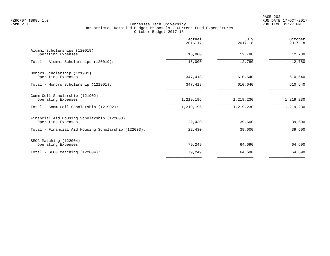|                                                                  | Actual<br>$2016 - 17$ | July<br>$2017 - 18$ | October<br>$2017 - 18$ |
|------------------------------------------------------------------|-----------------------|---------------------|------------------------|
| Alumni Scholarships (120019)<br>Operating Expenses               | 16,000                | 12,780              | 12,780                 |
| Total - Alumni Scholarships (120019):                            | 16,000                | 12,780              | 12,780                 |
| Honors Scholarship (121901)<br>Operating Expenses                | 347,418               | 610,640             | 610,640                |
| Total - Honors Scholarship (121901):                             | 347,418               | 610,640             | 610,640                |
| Comm Coll Scholarship (121902)<br>Operating Expenses             | 1,219,196             | 1,219,230           | 1,219,230              |
| Total - Comm Coll Scholarship (121902):                          | 1,219,196             | 1,219,230           | 1,219,230              |
| Financial Aid Housing Scholarship (122003)<br>Operating Expenses | 22,430                | 39,600              | 39,600                 |
| Total - Financial Aid Housing Scholarship (122003):              | 22,430                | 39,600              | 39,600                 |
| SEOG Matching (122004)<br>Operating Expenses                     | 79,249                | 64,690              | 64,690                 |
| Total - SEOG Matching (122004):                                  | 79,249                | 64,690              | 64,690                 |
|                                                                  |                       |                     |                        |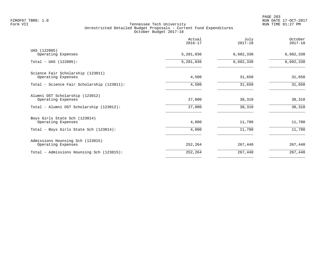|                                                         | Actual<br>$2016 - 17$ | July<br>$2017 - 18$ | October<br>$2017 - 18$ |
|---------------------------------------------------------|-----------------------|---------------------|------------------------|
| UAS (122005)<br>Operating Expenses                      | 5,281,036             | 6,602,330           | 6,602,330              |
| $Total - UAS (122005):$                                 | 5,281,036             | 6,602,330           | 6,602,330              |
| Science Fair Scholarship (123011)<br>Operating Expenses | 4,500                 | 31,650              | 31,650                 |
| Total - Science Fair Scholarship (123011):              | 4,500                 | 31,650              | 31,650                 |
| Alumni OST Scholarship (123012)<br>Operating Expenses   | 27,000                | 38,310              | 38,310                 |
| Total - Alumni OST Scholarship (123012):                | 27,000                | 38,310              | 38,310                 |
| Boys Girls State Sch (123014)<br>Operating Expenses     | 4,000                 | 11,780              | 11,780                 |
| Total - Boys Girls State Sch (123014):                  | 4,000                 | 11,780              | 11,780                 |
| Admissions Hounsing Sch (123015)<br>Operating Expenses  | 252,264               | 267,440             | 267,440                |
| Total - Admissions Hounsing Sch (123015):               | 252,264               | 267,440             | 267,440                |
|                                                         |                       |                     |                        |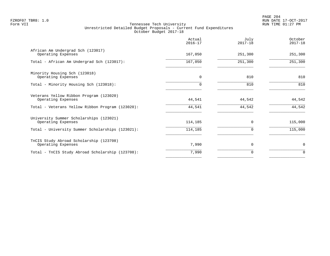|                                                               | Actual<br>$2016 - 17$ | July<br>$2017 - 18$ | October<br>$2017 - 18$ |
|---------------------------------------------------------------|-----------------------|---------------------|------------------------|
| African Am Undergrad Sch (123017)<br>Operating Expenses       | 167,050               | 251,300             | 251,300                |
| Total - African Am Undergrad Sch (123017):                    | 167,050               | 251,300             | 251,300                |
| Minority Housing Sch (123018)<br>Operating Expenses           | $\Omega$              | 810                 | 810                    |
| Total - Minority Housing Sch (123018):                        |                       | 810                 | 810                    |
| Veterans Yellow Ribbon Program (123020)<br>Operating Expenses | 44,541                | 44,542              | 44,542                 |
| Total - Veterans Yellow Ribbon Program (123020):              | 44,541                | 44,542              | 44,542                 |
| University Summer Scholarships (123021)<br>Operating Expenses | 114,185               | $\Omega$            | 115,000                |
| Total - University Summer Scholarships (123021):              | 114,185               | 0                   | 115,000                |
| TnCIS Study Abroad Scholarship (123708)<br>Operating Expenses | 7,990                 | $\Omega$            | 0                      |
| Total - TnCIS Study Abroad Scholarship (123708):              | 7,990                 | 0                   | $\Omega$               |
|                                                               |                       |                     |                        |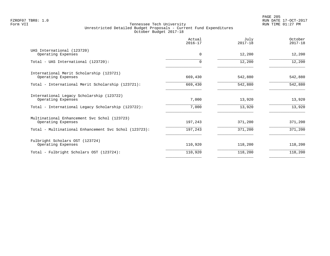PAGE 205 FZROF07 TBR8: 1.0 RUN DATE 17-OCT-2017

|                                                                    | Actual<br>$2016 - 17$ | July<br>$2017 - 18$ | October<br>$2017 - 18$ |
|--------------------------------------------------------------------|-----------------------|---------------------|------------------------|
| UAS International (123720)<br>Operating Expenses                   | $\Omega$              | 12,200              | 12,200                 |
| Total - UAS International (123720):                                | $\Omega$              | 12,200              | 12,200                 |
| International Merit Scholarship (123721)<br>Operating Expenses     | 669,430               | 542,880             | 542,880                |
| Total - International Merit Scholarship (123721):                  | 669,430               | 542,880             | 542,880                |
| International Legacy Scholarship (123722)<br>Operating Expenses    | 7,000                 | 13,920              | 13,920                 |
| Total - International Legacy Scholarship (123722):                 | 7,000                 | 13,920              | 13,920                 |
| Multinational Enhancement Svc Schol (123723)<br>Operating Expenses | 197,243               | 371,200             | 371,200                |
| Total - Multinational Enhancement Svc Schol (123723):              | 197,243               | 371,200             | 371,200                |
| Fulbright Scholars OST (123724)<br>Operating Expenses              | 110,920               | 118,200             | 118,200                |
| Total - Fulbright Scholars OST (123724):                           | 110,920               | 118,200             | 118,200                |
|                                                                    |                       |                     |                        |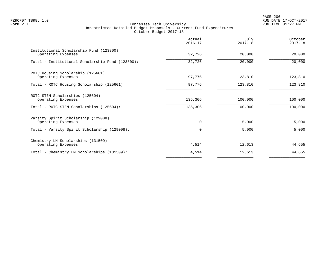PAGE 206 FZROF07 TBR8: 1.0 RUN DATE 17-OCT-2017

|                                                               | Actual<br>$2016 - 17$ | July<br>$2017 - 18$ | October<br>$2017 - 18$ |
|---------------------------------------------------------------|-----------------------|---------------------|------------------------|
| Institutional Scholarship Fund (123800)<br>Operating Expenses | 32,726                | 20,000              | 20,000                 |
| Total - Institutional Scholarship Fund (123800):              | 32,726                | 20,000              | 20,000                 |
| ROTC Housing Scholarship (125601)<br>Operating Expenses       | 97,776                | 123,810             | 123,810                |
| Total - ROTC Housing Scholarship (125601):                    | 97,776                | 123,810             | 123,810                |
| ROTC STEM Scholarships (125604)<br>Operating Expenses         | 135,306               | 100,000             | 100,000                |
| Total - ROTC STEM Scholarships (125604):                      | 135,306               | 100,000             | 100,000                |
| Varsity Spirit Scholarship (129008)<br>Operating Expenses     | $\mathbf 0$           | 5,000               | 5,000                  |
| Total - Varsity Spirit Scholarship (129008):                  | 0                     | 5,000               | 5,000                  |
| Chemistry LM Scholarships (131509)<br>Operating Expenses      | 4,514                 | 12,613              | 44,655                 |
| Total - Chemistry LM Scholarships (131509):                   | 4,514                 | 12,613              | 44,655                 |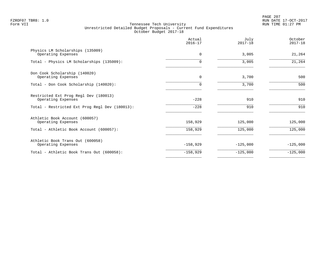PAGE 207 FZROF07 TBR8: 1.0 RUN DATE 17-OCT-2017

|                                                             | Actual<br>$2016 - 17$ | July<br>$2017 - 18$ | October<br>$2017 - 18$ |
|-------------------------------------------------------------|-----------------------|---------------------|------------------------|
| Physics LM Scholarships (135009)<br>Operating Expenses      | 0                     | 3,005               | 21,264                 |
| Total - Physics LM Scholarships (135009):                   | 0                     | 3,005               | 21,264                 |
| Don Cook Scholarship (140020)<br>Operating Expenses         | $\mathbf 0$           | 3,700               | 500                    |
| Total - Don Cook Scholarship (140020):                      | 0                     | 3,700               | 500                    |
| Restricted Ext Prog Regl Dev (180013)<br>Operating Expenses | $-228$                | 910                 | 910                    |
| Total - Restricted Ext Prog Regl Dev (180013):              | $-228$                | 910                 | 910                    |
| Athletic Book Account (600057)<br>Operating Expenses        | 158,929               | 125,000             | 125,000                |
| Total - Athletic Book Account (600057):                     | 158,929               | 125,000             | 125,000                |
| Athletic Book Trans Out (600058)<br>Operating Expenses      | $-158,929$            | $-125,000$          | $-125,000$             |
| Total - Athletic Book Trans Out (600058):                   | $-158,929$            | $-125,000$          | $-125,000$             |
|                                                             |                       |                     |                        |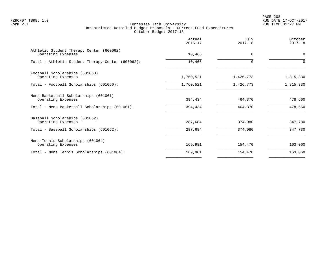PAGE 208 FZROF07 TBR8: 1.0 RUN DATE 17-OCT-2017

|                                                                | Actual<br>$2016 - 17$ | July<br>$2017 - 18$ | October<br>$2017 - 18$ |
|----------------------------------------------------------------|-----------------------|---------------------|------------------------|
| Athletic Student Therapy Center (600062)<br>Operating Expenses | 10,466                | $\Omega$            | 0                      |
| Total - Athletic Student Therapy Center (600062):              | 10,466                | 0                   | $\Omega$               |
| Football Scholarships (601060)<br>Operating Expenses           | 1,760,521             | 1,426,773           | 1,815,330              |
| Total - Football Scholarships (601060):                        | 1,760,521             | 1,426,773           | 1,815,330              |
| Mens Basketball Scholarships (601061)<br>Operating Expenses    | 394,434               | 464,370             | 478,660                |
| Total - Mens Basketball Scholarships (601061):                 | 394,434               | 464,370             | 478,660                |
| Baseball Scholarships (601062)<br>Operating Expenses           | 287,684               | 374,080             | 347,730                |
| Total - Baseball Scholarships (601062):                        | 287,684               | 374,080             | 347,730                |
| Mens Tennis Scholarships (601064)<br>Operating Expenses        | 169,981               | 154,470             | 163,060                |
| Total - Mens Tennis Scholarships (601064):                     | 169,981               | 154,470             | 163,060                |
|                                                                |                       |                     |                        |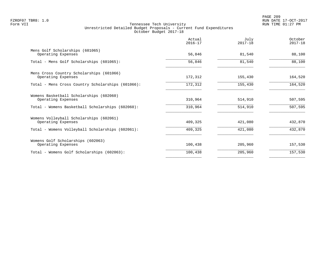| Actual<br>$2016 - 17$ | July<br>$2017 - 18$ | October<br>$2017 - 18$ |
|-----------------------|---------------------|------------------------|
| 56,846                | 81,540              | 88,100                 |
| 56,846                | 81,540              | 88,100                 |
| 172,312               | 155,430             | 164,520                |
| 172,312               | 155,430             | 164,520                |
| 310,964               | 514,910             | 507,595                |
| 310,964               | 514,910             | 507,595                |
| 409,325               | 421,080             | 432,870                |
| 409,325               | 421,080             | 432,870                |
| 100,438               | 205,960             | 157,530                |
| 100,438               | 205,960             | 157,530                |
|                       |                     |                        |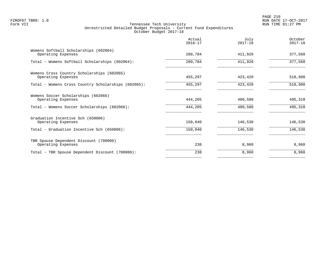|                                                                  | Actual<br>$2016 - 17$ | July<br>$2017 - 18$ | October<br>$2017 - 18$ |
|------------------------------------------------------------------|-----------------------|---------------------|------------------------|
| Womens Softball Scholarships (602064)<br>Operating Expenses      | 280,784               | 411,920             | 377,560                |
| Total - Womens Softball Scholarships (602064):                   | 280,784               | 411,920             | 377,560                |
| Womens Cross Country Scholarships (602065)<br>Operating Expenses | 455,297               | 423,420             | 518,980                |
| Total - Womens Cross Country Scholarships (602065):              | 455,297               | 423,420             | 518,980                |
| Womens Soccer Scholarships (602066)<br>Operating Expenses        | 444,205               | 480,580             | 495,310                |
| Total - Womens Soccer Scholarships (602066):                     | 444,205               | 480,580             | 495,310                |
| Graduation Incentive Sch (650006)<br>Operating Expenses          | 150,040               | 146,530             | 146,530                |
| Total - Graduation Incentive Sch (650006):                       | 150,040               | 146,530             | 146,530                |
| TBR Spouse Dependent Discount (700000)<br>Operating Expenses     | 238                   | 8,960               | 8,960                  |
| Total - TBR Spouse Dependent Discount (700000):                  | 238                   | 8,960               | 8,960                  |
|                                                                  |                       |                     |                        |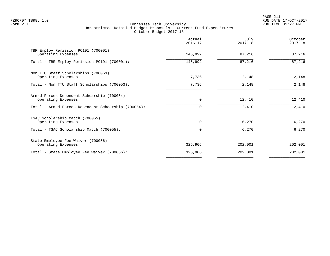PAGE 211 FZROF07 TBR8: 1.0 RUN DATE 17-OCT-2017

|                                                                  | Actual<br>$2016 - 17$ | July<br>$2017 - 18$ | October<br>$2017 - 18$ |
|------------------------------------------------------------------|-----------------------|---------------------|------------------------|
| TBR Employ Remission PC191 (700001)<br>Operating Expenses        | 145,992               | 87,216              | 87,216                 |
| Total - TBR Employ Remission PC191 (700001):                     | 145,992               | 87,216              | 87,216                 |
| Non TTU Staff Scholarships (700053)<br>Operating Expenses        | 7,736                 | 2,148               | 2,148                  |
| Total - Non TTU Staff Scholarships (700053):                     | 7,736                 | 2,148               | 2,148                  |
| Armed Forces Dependent Schoarship (700054)<br>Operating Expenses | $\mathbf 0$           | 12,410              | 12,410                 |
| Total - Armed Forces Dependent Schoarship (700054):              | $\Omega$              | 12,410              | 12,410                 |
| TSAC Scholarship Match (700055)<br>Operating Expenses            | $\mathbf 0$           | 6,270               | 6,270                  |
| Total - TSAC Scholarship Match (700055):                         |                       | 6,270               | 6,270                  |
| State Employee Fee Waiver (700056)<br>Operating Expenses         | 325,906               | 202,001             | 202,001                |
| Total - State Employee Fee Waiver (700056):                      | 325,906               | 202,001             | 202,001                |
|                                                                  |                       |                     |                        |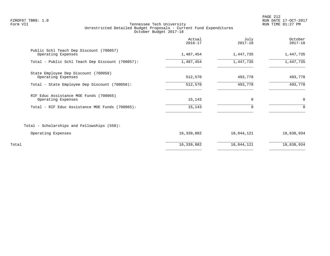PAGE 212 FZROF07 TBR8: 1.0 RUN DATE 17-OCT-2017

|                                                               | Actual<br>$2016 - 17$ | July<br>$2017 - 18$ | October<br>$2017 - 18$ |
|---------------------------------------------------------------|-----------------------|---------------------|------------------------|
| Public Schl Teach Dep Discount (700057)<br>Operating Expenses | 1,487,454             | 1,447,735           | 1,447,735              |
| Total - Public Schl Teach Dep Discount (700057):              | 1,487,454             | 1,447,735           | 1,447,735              |
| State Employee Dep Discount (700058)<br>Operating Expenses    | 512,570               | 493,778             | 493,778                |
| Total - State Employee Dep Discount (700058):                 | 512,570               | 493,778             | 493,778                |
| RIF Educ Assistance MOE Funds (700065)<br>Operating Expenses  | 15,143                | $\mathbf 0$         | 0                      |
| Total - RIF Educ Assistance MOE Funds (700065):               | 15,143                | $\Omega$            | $\Omega$               |
| Total - Scholarships and Fellowships (550):                   |                       |                     |                        |
| Operating Expenses                                            | 16,339,882            | 18,044,121          | 18,638,934             |
| Total                                                         | 16,339,882            | 18,044,121          | 18,638,934             |
|                                                               |                       |                     |                        |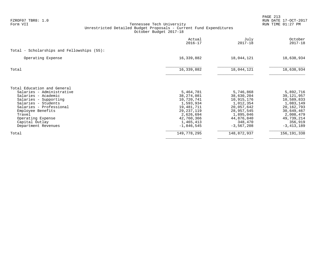| FZROF07 TBR8: 1.0<br>Form VII                | Tennessee Tech University                                                                    |                            |                          | PAGE 213<br>RUN DATE 17-OCT-2017<br>RUN TIME 01:27 PM |
|----------------------------------------------|----------------------------------------------------------------------------------------------|----------------------------|--------------------------|-------------------------------------------------------|
|                                              | Unrestricted Detailed Budget Proposals - Current Fund Expenditures<br>October Budget 2017-18 |                            |                          |                                                       |
|                                              |                                                                                              | Actual<br>$2016 - 17$      | July<br>$2017 - 18$      | October<br>$2017 - 18$                                |
| Total - Scholarships and Fellowships (55):   |                                                                                              |                            |                          |                                                       |
| Operating Expense                            |                                                                                              | 16,339,882                 | 18,044,121               | 18,638,934                                            |
| Total                                        |                                                                                              | 16,339,882                 | 18,044,121               | 18,638,934                                            |
| Total Education and General                  |                                                                                              |                            |                          |                                                       |
| Salaries - Administrative                    |                                                                                              | 5,464,781                  | 5,746,868                | 5,892,716                                             |
| Salaries - Academic<br>Salaries - Supporting |                                                                                              | 38, 274, 081<br>10,720,741 | 38,630,204<br>10,915,176 | 39, 121, 957<br>10,589,833                            |
| Salaries - Students                          |                                                                                              | 1,593,934                  | 1,012,354                | 1,083,149                                             |
| Salaries - Professional                      |                                                                                              | 19,481,711                 | 20,057,642               | 20, 162, 793                                          |
| Employee Benefits                            |                                                                                              | 29, 237, 119               | 28,957,545               | 30,649,467                                            |
| Travel                                       |                                                                                              | 2,626,694                  | 1,895,046                | 2,008,479                                             |
| Operating Expense                            |                                                                                              | 42,760,366                 | 44,876,840               | 49,739,214                                            |
| Capital Outlay<br>Department Revenues        |                                                                                              | 1,465,413<br>$-1,846,545$  | 348,470<br>$-3,567,208$  | 356,919<br>$-3, 413, 189$                             |
| Total                                        |                                                                                              | 149,778,295                | 148,872,937              | 156,191,338                                           |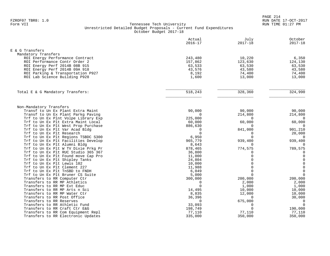|                                                                           | Actual<br>$2016 - 17$ | July<br>$2017 - 18$  | October<br>$2017 - 18$               |
|---------------------------------------------------------------------------|-----------------------|----------------------|--------------------------------------|
| E & G Transfers                                                           |                       |                      |                                      |
| Mandatory Transfers                                                       |                       |                      |                                      |
| ROI Energy Performance Contract                                           | 243,480               | 10,220               | 6,350                                |
| ROI Performance Contr Order 2                                             | 157,862               | 123,630              | 124,130                              |
| ROI Energy Perf 2014B 08B 915                                             | 63,533                | 63,530               | 63,530                               |
| ROI Energy Perf 2014B 09A 918                                             | 43,576                | 43,580               | 43,580                               |
| ROI Parking & Transportation P927                                         | 8,192                 | 74,400               | 74,400                               |
| ROI Lab Science Building P928                                             | 1,600                 | 13,000               | 13,000                               |
| Total E & G Mandatory Transfers:                                          | 518,243               | 328,360              | 324,990                              |
|                                                                           |                       |                      |                                      |
| Non-Mandatory Transfers                                                   |                       |                      |                                      |
| Transf to Un Ex Plant Extra Maint                                         | 90,000                | 90,000               | 90,000                               |
| Transf to Un Ex Plant Parkg Paving                                        | $\mathbf 0$           | 214,800<br>$\Omega$  | 214,800<br>$\overline{0}$            |
| Trf to Un Ex Plnt Volpe Library Exp<br>Trf to Un Ex Plt Extra Maint Local | 225,000<br>60,000     | 60,000               | 60,000                               |
| Trf to Un Ex Plt West Prop Purchase                                       | 886,630               | $\Omega$             | $\Omega$                             |
| Trf to Un Ex Plt Var Acad Bldg                                            | $\Omega$              | 841,000              | 901,210                              |
| Trf to Un Ex Plt Research                                                 | $\Omega$              | $\Omega$             | 20,000                               |
| Trf to Un Ex Plt Regions TSBDC S300                                       | 6,950                 | $\Omega$             | $\overline{0}$                       |
| Trf to Un Ex Plt Facilities Develop                                       | 965,779               | 939,400              | 939,400                              |
| Trf to Un Ex Plt Alumni Bldg                                              | 8,643                 | $\Omega$             | 0                                    |
| Trf to Un Ex Plt W TV Dixie Prkg Pr                                       | 878,465               | 774,575              | 789,575                              |
| Trf to Un Ex Plt RUC Studio 365 367                                       | 36,800                | $\Omega$             | $\mathbf 0$                          |
| Trf to Un Ex Plt Found move Cap Pro                                       | 11,000                | $\Omega$<br>$\Omega$ | $\mathbf 0$                          |
| Trf to Un Ex Plt Shipley Tanks<br>Trf to Un Ex Plt Lewis 102              | 24,804<br>10,000      | $\Omega$             | $\mathbb O$                          |
| Trf to Un Ex Plt Clement 227                                              | 11,988                | $\Omega$             | $\begin{matrix} 0 \\ 0 \end{matrix}$ |
| Trf to Un Ex Plt TnSBD to FNDH                                            | 6,049                 | $\Omega$             | $\mathsf 0$                          |
| Trf to Un Ex Plt Bruner CS Suite                                          | 5,000                 | $\Omega$             | $\overline{0}$                       |
| Transfers to RR Computer Ctr                                              | 300,000               | 200,000              | 200,000                              |
| Transfers to RR MP Athletics                                              | $\Omega$              | 2,000                | 2,000                                |
| Transfers to RR MP Ext Educ                                               | $\Omega$              | 1,000                | 1,000                                |
| Transfers to RR MP Arts n Sci                                             | 14,495                | 10,000               | 10,000                               |
| Transfers to RR MP Water Ctr                                              | 8,835                 | 12,000               | 10,000                               |
| Transfers to RR Post Office                                               | 36,396                | $\Omega$             | 30,000                               |
| Transfers to RR Reserves                                                  | $\mathbf 0$           | 675,000              | $\mathbf 0$                          |
| Transfers to RR Athletic Fund                                             | 33,093                | 0                    | $\mathbf 0$                          |
| Transfers to RR Craft Ctr E&G                                             | 198,749               | $\Omega$             | 190,000                              |
| Transfers to RR Com Equipment Repl<br>Transfers to RR Electronic Updates  | 77,110<br>335,000     | 77,110<br>350,000    | 77,110<br>350,000                    |
|                                                                           |                       |                      |                                      |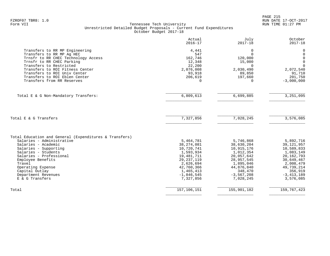|                                                                 | Actual<br>$2016 - 17$ | July<br>$2017 - 18$ | October<br>$2017 - 18$  |
|-----------------------------------------------------------------|-----------------------|---------------------|-------------------------|
| Transfers to RR MP Engineering                                  | 4,441                 | 0                   | 0                       |
| Transfers to RR MP Ag HEC                                       | 547                   | $\Omega$            | $\mathbf 0$             |
| Trnsfr to RR CHEC Technology Access                             | 162,746               | 120,000             | $\mathbf 0$             |
| Trnsfr to RR CHEC Parking                                       | 12,348                | 15,000              | $\mathbf 0$             |
| Transfers to Restricted                                         | 22,200                | $\Omega$            | $\Omega$                |
| Transfers to ROI Fitness Center<br>Transfers to ROI Univ Center | 2,076,008             | 2,030,490           | 2,072,540               |
| Transfers to ROI Eblen Center                                   | 93,918                | 89,850              | 91,710                  |
| Transfers from RR Reserves                                      | 206,619<br>$\Omega$   | 197,660<br>$\Omega$ | 201,750<br>$-3,000,000$ |
|                                                                 |                       |                     |                         |
| Total E & G Non-Mandatory Transfers:                            | 6,809,613             | 6,699,885           | 3, 251, 095             |
|                                                                 |                       |                     |                         |
| Total E & G Transfers                                           | 7,327,856             | 7,028,245           | 3,576,085               |
|                                                                 |                       |                     |                         |
| Total Education and General (Expenditures & Transfers)          |                       |                     |                         |
| Salaries - Administrative                                       | 5,464,781             | 5,746,868           | 5,892,716               |
| Salaries - Academic                                             | 38,274,081            | 38,630,204          | 39, 121, 957            |
| Salaries - Supporting                                           | 10,720,741            | 10,915,176          | 10,589,833              |
| Salaries - Students                                             | 1,593,934             | 1,012,354           | 1,083,149               |
| Salaries - Professional                                         | 19,481,711            | 20,057,642          | 20, 162, 793            |
| Employee Benefits                                               | 29, 237, 119          | 28,957,545          | 30,649,467              |
| Travel                                                          | 2,626,694             | 1,895,046           | 2,008,479               |
| Operating Expense                                               | 42,760,366            | 44,876,840          | 49,739,214              |
| Capital Outlay                                                  | 1,465,413             | 348,470             | 356,919                 |
| Department Revenues                                             | $-1,846,545$          | $-3,567,208$        | $-3, 413, 189$          |
| E & G Transfers                                                 | 7,327,856             | 7,028,245           | 3,576,085               |
| Total                                                           | 157,106,151           | 155,901,182         | 159, 767, 423           |
|                                                                 |                       |                     |                         |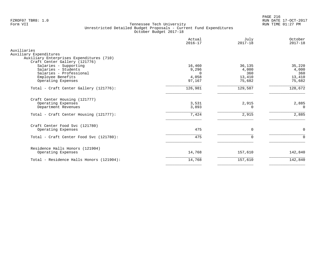PAGE 216 FZROF07 TBR8: 1.0 RUN DATE 17-OCT-2017

|                                                                                                                                                     | Actual<br>$2016 - 17$                          | July<br>$2017 - 18$                        | October<br>$2017 - 18$                     |
|-----------------------------------------------------------------------------------------------------------------------------------------------------|------------------------------------------------|--------------------------------------------|--------------------------------------------|
| Auxiliaries<br>Auxiliary Expenditures<br>Auxiliary Enterprises Expenditures (710)                                                                   |                                                |                                            |                                            |
| Craft Center Gallery (121776)<br>Salaries - Supporting<br>Salaries - Students<br>Salaries - Professional<br>Employee Benefits<br>Operating Expenses | 16,460<br>9,296<br>$\Omega$<br>4,058<br>97,167 | 36,135<br>4,000<br>360<br>13,410<br>75,682 | 35,220<br>4,000<br>360<br>13,410<br>75,682 |
| Total - Craft Center Gallery (121776):                                                                                                              | 126,981                                        | 129,587                                    | 128,672                                    |
| Craft Center Housing (121777)<br>Operating Expenses<br>Department Revenues<br>Total - Craft Center Housing (121777):                                | 3,531<br>3,893<br>7,424                        | 2,915<br>O<br>2,915                        | 2,885<br>$\Omega$<br>2,885                 |
| Craft Center Food Svc (121780)<br>Operating Expenses<br>Total - Craft Center Food Svc (121780):                                                     | 475<br>475                                     | $\mathbf 0$<br>$\Omega$                    | $\mathbf 0$<br>$\Omega$                    |
| Residence Halls Honors (121904)<br>Operating Expenses                                                                                               | 14,768                                         | 157,610                                    | 142,840                                    |
| Total - Residence Halls Honors (121904):                                                                                                            | 14,768                                         | 157,610                                    | 142,840                                    |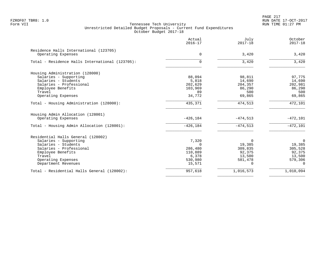PAGE 217 FZROF07 TBR8: 1.0 RUN DATE 17-OCT-2017

|                                                              | Actual<br>$2016 - 17$ | July<br>$2017 - 18$ | October<br>$2017 - 18$ |
|--------------------------------------------------------------|-----------------------|---------------------|------------------------|
| Residence Halls International (123705)<br>Operating Expenses | 0                     | 3,420               | 3,420                  |
| Total - Residence Halls International (123705):              | 0                     | 3,420               | 3,420                  |
| Housing Administration (128000)                              |                       |                     |                        |
| Salaries - Supporting                                        | 88,094                | 98,811              | 97,775                 |
| Salaries - Students                                          | 5,818                 | 14,690              | 14,690                 |
| Salaries - Professional                                      | 202,629               | 204,357             | 202,981                |
| Employee Benefits                                            | 103,969               | 86,290              | 86,290                 |
| Travel                                                       | 89                    | 500                 | 500                    |
| Operating Expenses                                           | 34,772                | 69,865              | 69,865                 |
| Total - Housing Administration (128000):                     | 435,371               | 474,513             | $\overline{472, 101}$  |
| Housing Admin Allocation (128001)                            |                       |                     |                        |
| Operating Expenses                                           | $-426, 184$           | $-474,513$          | $-472,101$             |
| Total - Housing Admin Allocation (128001):                   | $-426, 184$           | $-474,513$          | $-472,101$             |
| Residential Halls General (128002)                           |                       |                     |                        |
| Salaries - Supporting                                        | 7,320                 | 0                   | $\overline{0}$         |
| Salaries - Students                                          | $\Omega$              | 19,385              | 19,385                 |
| Salaries - Professional                                      | 286,480               | 309,835             | 305,528                |
| Employee Benefits                                            | 110,889               | 92,375              | 92,375                 |
| Travel                                                       | 6,378                 | 13,500              | 13,500                 |
| Operating Expenses                                           | 530,980               | 581,478             | 579,306                |
| Department Revenues                                          | 15,571                | 0                   | $\Omega$               |
| Total - Residential Halls General (128002):                  | 957,618               | 1,016,573           | 1,010,094              |
|                                                              |                       |                     |                        |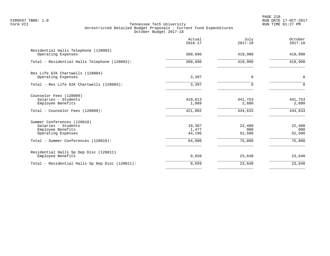PAGE 218 FZROF07 TBR8: 1.0 RUN DATE 17-OCT-2017

|                                                                                                         | Actual<br>$2016 - 17$       | July<br>$2017 - 18$         | October<br>$2017 - 18$      |
|---------------------------------------------------------------------------------------------------------|-----------------------------|-----------------------------|-----------------------------|
| Residential Halls Telephone (128003)<br>Operating Expenses                                              | 360,696                     | 419,900                     | 419,900                     |
| Total - Residential Halls Telephone (128003):                                                           | 360,696                     | 419,900                     | 419,900                     |
| Res Life GIK Chartwells (128004)<br>Operating Expenses                                                  | 3,397                       | 0                           | $\mathbf 0$                 |
| Total - Res Life GIK Chartwells (128004):                                                               | 3,397                       | U                           | $\Omega$                    |
| Counselor Fees (128009)<br>Salaries - Students<br>Employee Benefits<br>Total - Counselor Fees (128009): | 419,013<br>1,989<br>421,002 | 441,753<br>2,880<br>444,633 | 441,753<br>2,880<br>444,633 |
| Summer Conferences (128010)<br>Salaries - Students<br>Employee Benefits<br>Operating Expenses           | 19,307<br>1,477<br>44,196   | 22,400<br>900<br>52,500     | 22,400<br>900<br>52,500     |
| Total - Summer Conferences (128010):                                                                    | 64,980                      | 75,800                      | 75,800                      |
| Residential Halls Sp Dep Disc (128011)<br>Employee Benefits                                             | 9,659                       | 23,640                      | 23,640                      |
| Total - Residential Halls Sp Dep Disc (128011):                                                         | 9,659                       | 23,640                      | 23,640                      |
|                                                                                                         |                             |                             |                             |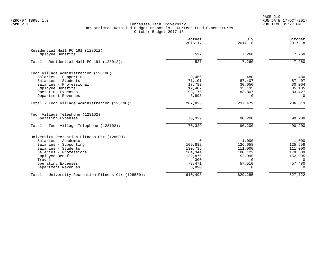PAGE 219 FZROF07 TBR8: 1.0 RUN DATE 17-OCT-2017

|                                                     | Actual<br>$2016 - 17$ | July<br>$2017 - 18$ | October<br>$2017 - 18$ |
|-----------------------------------------------------|-----------------------|---------------------|------------------------|
| Residential Hall PC 191 (128012)                    |                       |                     |                        |
| Employee Benefits                                   | 527                   | 7,260               | 7,260                  |
| Total - Residential Hall PC 191 (128012):           | 527                   | 7,260               | 7,260                  |
| Tech Village Administration (128100)                |                       |                     |                        |
| Salaries - Supporting                               | 9,466                 | 480                 | 480                    |
| Salaries - Students                                 | 71,101                | 87,407              | 87,407                 |
| Salaries - Professional                             | 17,783                | 30,650              | 30,064                 |
| Employee Benefits                                   | 12,407                | 35,135              | 35,135                 |
| Operating Expenses                                  | 93,175                | 83,807              | 83,427                 |
| Department Revenues                                 | 3,893                 | <sup>n</sup>        | $\Omega$               |
| Total - Tech Village Administration (128100):       | 207,825               | 237,479             | 236,513                |
| Tech Village Telephone (128102)                     |                       |                     |                        |
| Operating Expenses                                  | 70,329                | 90,200              | 90,200                 |
| Total - Tech Village Telephone (128102):            | 70,329                | 90,200              | 90,200                 |
| University Recreation Fitness Ctr (128500)          |                       |                     |                        |
| Salaries - Academic                                 | 0                     | 1,000               | 1,000                  |
| Salaries - Supporting                               | 109,882               | 126,658             | 125,658                |
| Salaries - Students                                 | 130,735               | 111,000             | 111,000                |
| Salaries - Professional                             | 164,344               | 180,122             | 179,589                |
| Employee Benefits                                   | 122,876               | 152,995             | 152,995                |
| Travel                                              | 300                   | $\Omega$            | $\Omega$               |
| Operating Expenses                                  | 78,471                | 57,510              | 57,480                 |
| Department Revenues                                 | 3,890                 | $\Omega$            | $\Omega$               |
| Total - University Recreation Fitness Ctr (128500): | 610,498               | 629,285             | 627,722                |
|                                                     |                       |                     |                        |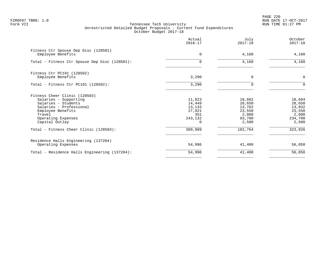PAGE 220 FZROF07 TBR8: 1.0 RUN DATE 17-OCT-2017

|                                                                                                                                                                                 | Actual<br>$2016 - 17$                                  | July<br>$2017 - 18$                                              | October<br>$2017 - 18$                                            |
|---------------------------------------------------------------------------------------------------------------------------------------------------------------------------------|--------------------------------------------------------|------------------------------------------------------------------|-------------------------------------------------------------------|
| Fitness Ctr Spouse Dep Disc (128501)<br>Employee Benefits                                                                                                                       | $\Omega$                                               | 4,160                                                            | 4,160                                                             |
| Total - Fitness Ctr Spouse Dep Disc (128501):                                                                                                                                   | $\Omega$                                               | 4,160                                                            | 4,160                                                             |
| Fitness Ctr PC191 (128502)<br>Employee Benefits                                                                                                                                 | 3,290                                                  | $\Omega$                                                         | $\mathbf 0$                                                       |
| Total - Fitness Ctr PC191 $(128502)$ :                                                                                                                                          | 3,290                                                  | $\mathbf 0$                                                      | $\Omega$                                                          |
| Fitness Cheer Clinic (128503)<br>Salaries - Supporting<br>Salaries - Students<br>Salaries - Professional<br>Employee Benefits<br>Travel<br>Operating Expenses<br>Capital Outlay | 11,823<br>14,449<br>13,133<br>27,021<br>351<br>243,132 | 18,602<br>28,650<br>13,762<br>23,550<br>2,000<br>93,700<br>2,500 | 18,694<br>28,650<br>13,832<br>23,550<br>2,000<br>234,700<br>2,500 |
| Total - Fitness Cheer Clinic (128503):                                                                                                                                          | 309,909                                                | 182,764                                                          | 323,926                                                           |
| Residence Halls Engineering (137204)<br>Operating Expenses                                                                                                                      | 54,996                                                 | 41,400                                                           | 56,050                                                            |
| Total - Residence Halls Engineering (137204):                                                                                                                                   | 54,996                                                 | 41,400                                                           | 56,050                                                            |
|                                                                                                                                                                                 |                                                        |                                                                  |                                                                   |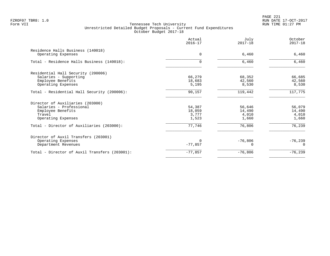PAGE 221 FZROF07 TBR8: 1.0 RUN DATE 17-OCT-2017

|                                                                                                                  | Actual<br>$2016 - 17$              | July<br>$2017 - 18$                | October<br>$2017 - 18$             |
|------------------------------------------------------------------------------------------------------------------|------------------------------------|------------------------------------|------------------------------------|
| Residence Halls Business (140018)<br>Operating Expenses                                                          | $\Omega$                           | 6,460                              | 6,460                              |
| Total - Residence Halls Business (140018):                                                                       | $\Omega$                           | 6,460                              | 6,460                              |
| Residential Hall Security (200006)<br>Salaries - Supporting<br>Employee Benefits<br>Operating Expenses           | 66,279<br>18,683<br>5,195          | 68,352<br>42,560<br>8,530          | 66,685<br>42,560<br>8,530          |
| Total - Residential Hall Security (200006):                                                                      | 90,157                             | 119,442                            | 117,775                            |
| Director of Auxiliaries (203000)<br>Salaries - Professional<br>Employee Benefits<br>Travel<br>Operating Expenses | 54,387<br>18,059<br>3,777<br>1,523 | 56,646<br>14,490<br>4,010<br>1,660 | 56,079<br>14,490<br>4,010<br>1,660 |
| Total - Director of Auxiliaries (203000):                                                                        | 77,746                             | 76,806                             | 76,239                             |
| Director of Auxil Transfers (203001)<br>Operating Expenses<br>Department Revenues                                | $-77,857$                          | $-76,806$                          | $-76,239$<br>$\Omega$              |
| Total - Director of Auxil Transfers (203001):                                                                    | $-77,857$                          | $-76,806$                          | $-76,239$                          |
|                                                                                                                  |                                    |                                    |                                    |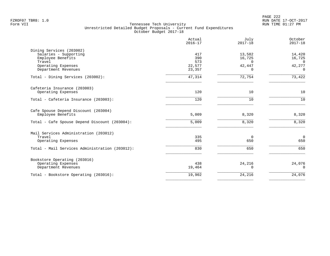PAGE 222 FZROF07 TBR8: 1.0 RUN DATE 17-OCT-2017

|                                                   | Actual<br>$2016 - 17$ | July<br>$2017 - 18$ | October<br>$2017 - 18$ |
|---------------------------------------------------|-----------------------|---------------------|------------------------|
| Dining Services (203002)<br>Salaries - Supporting | 417                   | 13,582              | 14,420                 |
| Employee Benefits                                 | 390                   | 16,725              | 16,725                 |
| Travel                                            | 573                   | $\Omega$            | $\Omega$               |
| Operating Expenses<br>Department Revenues         | 22,577<br>23,357      | 42,447<br>$\Omega$  | 42,277<br>$\Omega$     |
| Total - Dining Services (203002):                 | 47,314                | 72,754              | 73,422                 |
| Cafeteria Insurance (203003)                      |                       |                     |                        |
| Operating Expenses                                | 120                   | 10                  | 10                     |
| Total - Cafeteria Insurance (203003):             | 120                   | 10                  | 10                     |
| Cafe Spouse Depend Discount (203004)              |                       |                     |                        |
| Employee Benefits                                 | 5,009                 | 8,320               | 8,320                  |
| Total - Cafe Spouse Depend Discount (203004):     | 5,009                 | 8,320               | 8,320                  |
| Mail Services Administration (203012)             |                       |                     |                        |
| Travel                                            | 335<br>495            | 0<br>650            | $\mathbf 0$<br>650     |
| Operating Expenses                                |                       |                     |                        |
| Total - Mail Services Administration (203012):    | 830                   | 650                 | 650                    |
| Bookstore Operating (203016)                      |                       |                     |                        |
| Operating Expenses<br>Department Revenues         | 438<br>19,464         | 24,216<br>$\Omega$  | 24,076<br>$\Omega$     |
| Total - Bookstore Operating (203016):             | 19,902                | 24,216              | 24,076                 |
|                                                   |                       |                     |                        |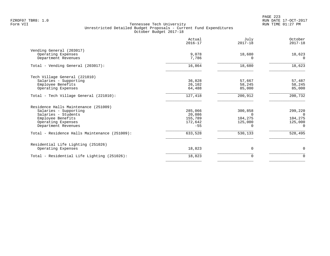PAGE 223 FZROF07 TBR8: 1.0 RUN DATE 17-OCT-2017

|                                               | Actual<br>$2016 - 17$ | July<br>$2017 - 18$ | October<br>$2017 - 18$ |
|-----------------------------------------------|-----------------------|---------------------|------------------------|
| Vending General (203017)                      |                       |                     |                        |
| Operating Expenses                            | 9,078                 | 18,680              | 18,623                 |
| Department Revenues                           | 7,786                 | $\Omega$            | $\Omega$               |
| Total - Vending General (203017):             | 16,864                | 18,680              | 18,623                 |
| Tech Village General (221010)                 |                       |                     |                        |
| Salaries - Supporting                         | 36,828                | 57,667              | 57,487                 |
| Employee Benefits                             | 26,102                | 58,245              | 58,245                 |
| Operating Expenses                            | 64,488                | 85,000              | 85,000                 |
| Total - Tech Village General (221010):        | 127,418               | 200,912             | 200,732                |
| Residence Halls Maintenance (251009)          |                       |                     |                        |
| Salaries - Supporting                         | 285,066               | 300,858             | 299,220                |
| Salaries - Students                           | 20,086                | $\Omega$            | $\Omega$               |
| Employee Benefits                             | 155,789               | 104,275             | 104,275                |
| Operating Expenses                            | 172,642               | 125,000             | 125,000                |
| Department Revenues                           | $-55$                 | 0                   | 0                      |
| Total - Residence Halls Maintenance (251009): | 633,528               | 530,133             | 528,495                |
| Residential Life Lighting (251026)            |                       |                     |                        |
| Operating Expenses                            | 18,823                | 0                   | $\mathbf 0$            |
| Total - Residential Life Lighting (251026):   | 18,823                | 0                   | $\mathbf 0$            |
|                                               |                       |                     |                        |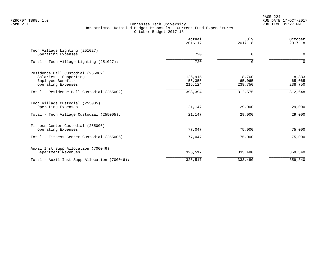PAGE 224 FZROF07 TBR8: 1.0 RUN DATE 17-OCT-2017

|                                              | Actual<br>$2016 - 17$ | July<br>$2017 - 18$ | October<br>$2017 - 18$ |
|----------------------------------------------|-----------------------|---------------------|------------------------|
| Tech Village Lighting (251027)               | 720                   | $\Omega$            | 0                      |
| Operating Expenses                           |                       |                     |                        |
| Total - Tech Village Lighting (251027):      | 720                   | $\Omega$            | $\Omega$               |
| Residence Hall Custodial (255002)            |                       |                     |                        |
| Salaries - Supporting                        | 126,915               | 8,760               | 8,833                  |
| Employee Benefits                            | 55,355                | 65,065              | 65,065                 |
| Operating Expenses                           | 216,124               | 238,750             | 238,750                |
| Total - Residence Hall Custodial (255002):   | 398,394               | 312,575             | 312,648                |
| Tech Village Custodial (255005)              |                       |                     |                        |
| Operating Expenses                           | 21,147                | 29,000              | 29,000                 |
| Total - Tech Village Custodial (255005):     | 21,147                | 29,000              | 29,000                 |
| Fitness Center Custodial (255006)            |                       |                     |                        |
| Operating Expenses                           | 77,047                | 75,000              | 75,000                 |
| Total - Fitness Center Custodial (255006):   | 77,047                | 75,000              | 75,000                 |
| Auxil Inst Supp Allocation (700046)          |                       |                     |                        |
| Department Revenues                          | 326,517               | 333,480             | 359,340                |
| Total - Auxil Inst Supp Allocation (700046): | 326,517               | 333,480             | 359,340                |
|                                              |                       |                     |                        |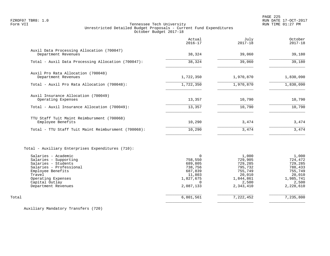PAGE 225 FZROF07 TBR8: 1.0 RUN DATE 17-OCT-2017

# Tennessee Tech University Unrestricted Detailed Budget Proposals - Current Fund Expenditures October Budget 2017-18

|                                                                                                                                                                                                                                                   | Actual<br>$2016 - 17$                                                                       | July<br>$2017 - 18$                                                                            | October<br>$2017 - 18$                                                                         |
|---------------------------------------------------------------------------------------------------------------------------------------------------------------------------------------------------------------------------------------------------|---------------------------------------------------------------------------------------------|------------------------------------------------------------------------------------------------|------------------------------------------------------------------------------------------------|
| Auxil Data Processing Allocation (700047)<br>Department Revenues                                                                                                                                                                                  | 38,324                                                                                      | 39,060                                                                                         | 39,180                                                                                         |
| Total - Auxil Data Processing Allocation (700047):                                                                                                                                                                                                | 38,324                                                                                      | 39,060                                                                                         | 39,180                                                                                         |
| Auxil Pro Rata Allocation (700048)                                                                                                                                                                                                                |                                                                                             |                                                                                                |                                                                                                |
| Department Revenues                                                                                                                                                                                                                               | 1,722,350                                                                                   | 1,970,870                                                                                      | 1,830,090                                                                                      |
| Total - Auxil Pro Rata Allocation (700048):                                                                                                                                                                                                       | 1,722,350                                                                                   | 1,970,870                                                                                      | 1,830,090                                                                                      |
| Auxil Insurance Allocation (700049)<br>Operating Expenses                                                                                                                                                                                         | 13,357                                                                                      | 10,790                                                                                         | 10,790                                                                                         |
| Total - Auxil Insurance Allocation (700049):                                                                                                                                                                                                      | 13,357                                                                                      | 10,790                                                                                         | 10,790                                                                                         |
| TTU Staff Tuit Maint Reimbursment (700068)<br>Employee Benefits                                                                                                                                                                                   | 10,290                                                                                      | 3,474                                                                                          | 3,474                                                                                          |
| Total - TTU Staff Tuit Maint Reimbursment (700068):                                                                                                                                                                                               | 10,290                                                                                      | 3,474                                                                                          | 3,474                                                                                          |
| Total - Auxiliary Enterprises Expenditures (710):<br>Salaries - Academic<br>Salaries - Supporting<br>Salaries - Students<br>Salaries - Professional<br>Employee Benefits<br>Travel<br>Operating Expenses<br>Capital Outlay<br>Department Revenues | 0<br>758,550<br>689,805<br>738,756<br>687,839<br>11,803<br>1,827,675<br>$\cap$<br>2,087,133 | 1,000<br>729,905<br>729,285<br>795,732<br>755,749<br>20,010<br>1,844,861<br>2,500<br>2,343,410 | 1,000<br>724,472<br>729,285<br>788,433<br>755,749<br>20,010<br>1,985,741<br>2,500<br>2,228,610 |
| Total                                                                                                                                                                                                                                             | 6,801,561                                                                                   | 7,222,452                                                                                      | 7,235,800                                                                                      |
|                                                                                                                                                                                                                                                   |                                                                                             |                                                                                                |                                                                                                |

Auxiliary Mandatory Transfers (720)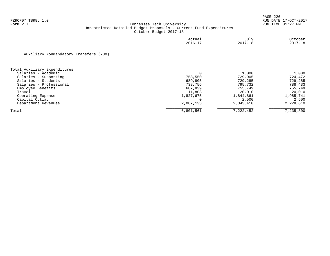|                                        | Actual<br>$2016 - 17$ | July<br>$2017 - 18$ | October<br>$2017 - 18$ |
|----------------------------------------|-----------------------|---------------------|------------------------|
| Auxiliary Nonmandatory Transfers (730) |                       |                     |                        |
| Total Auxiliary Expenditures           |                       |                     |                        |
| Salaries - Academic                    |                       | 1,000               | 1,000                  |
| Salaries - Supporting                  | 758,550               | 729,905             | 724,472                |
| Salaries - Students                    | 689,805               | 729,285             | 729,285                |
| Salaries - Professional                | 738,756               | 795,732             | 788,433                |
| Employee Benefits                      | 687,839               | 755,749             | 755,749                |
| Travel                                 | 11,803                | 20,010              | 20,010                 |
| Operating Expense                      | 1,827,675             | 1,844,861           | 1,985,741              |
| Capital Outlay                         |                       | 2,500               | 2,500                  |
| Department Revenues                    | 2,087,133             | 2,343,410           | 2,228,610              |
| Total                                  | 6,801,561             | 7,222,452           | 7,235,800              |
|                                        |                       |                     |                        |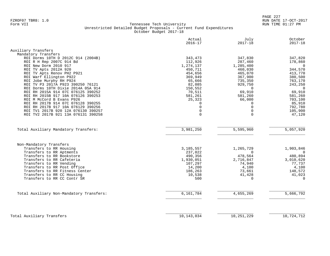PAGE 227 FZROF07 TBR8: 1.0 RUN DATE 17-OCT-2017

|                                                                                | Actual<br>$2016 - 17$  | July<br>$2017 - 18$   | October<br>$2017 - 18$ |
|--------------------------------------------------------------------------------|------------------------|-----------------------|------------------------|
| Auxiliary Transfers                                                            |                        |                       |                        |
| Mandatory Transfers                                                            |                        |                       |                        |
| ROI Dorms 10TH D 2012C 914 (2004B)                                             | 343,473                | 347,830               | 347,820                |
| ROI R H Rep 2007C 914 Bd                                                       | 112,926                | 287,460               | 178,860                |
| ROI New Dorm 2010 917                                                          | 1,274,137              | 1,285,400             | $\overline{0}$         |
| ROI TV Apts 2012A 920                                                          | 450,711                | 460,030               | 344,570                |
| ROI TV Apts Renov PH2 P921                                                     | 454,656                | 465,070               | 413,770                |
| ROI Warf Ellington P922                                                        | 369,949                | 367,900               | 380,500                |
| ROI Jobe Murphy RH P924                                                        | 65,666                 | 735,350               | 763,170                |
| ROI TV P3 2017A P923 390250 76121                                              | 82,085                 | 929,750               | 243,250                |
| ROI Dorms 10TH Dixie 2014A 05A 914                                             | 150,552                | $\mathbf 0$           | $\overline{0}$         |
| ROI RH 2015A 914 07C 076125 390252                                             | 70,511                 | 69,910                | 69,910                 |
| ROI RH 2015B 917 10A 076126 390253<br>ROI M McCord B Evans P926                | 581,261                | 581,260               | 581,260                |
| ROI RH 2017B 914 07C 076128 390255                                             | 25,323<br>0            | 66,000<br>$\Omega$    | 703,100                |
| ROI RH 2017B 917 10A 076129 390256                                             | $\mathbf 0$            | $\Omega$              | 85,910<br>792,780      |
| ROI TV1 2017B 920 12A 076130 390257                                            | $\mathbf 0$            | $\Omega$              | 105,900                |
| ROI TV2 2017B 921 13A 076131 390258                                            | $\mathbf 0$            | $\Omega$              | 47,120                 |
| Total Auxiliary Mandatory Transfers:                                           | 3,981,250              | 5,595,960             | 5,057,920              |
| Non-Mandatory Transfers<br>Transfers to RR Housing<br>Transfers to RR Aptments | 3, 185, 557<br>237,022 | 1,265,729<br>$\Omega$ | 1,903,846<br>0         |
| Transfers to RR Bookstore                                                      | 490,356                | 478,564               | 480,894                |
| Transfers to RR Cafeteria                                                      | 1,930,051              | 2,716,847             | 3,010,620              |
| Transfers to RR Vending                                                        | 107,297                | 74,940                | 77,737                 |
| Transfers to RR Post Office                                                    | 14,200                 | 4,100                 | 4,100                  |
| Transfers to RR Fitness Center                                                 | 186,263                | 73,661                | 148,572                |
| Transfers to RR CC Housing                                                     | 10,538                 | 41,428                | 41,023                 |
| Transfers to RR CC Contr SR                                                    | 500                    | $\Omega$              | $\Omega$               |
| Total Auxiliary Non-Mandatory Transfers:                                       | 6,161,784              | 4,655,269             | 5,666,792              |
|                                                                                |                        |                       |                        |
| Total Auxiliary Transfers                                                      | 10,143,034             | 10, 251, 229          | 10,724,712             |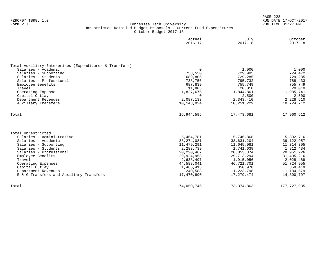|                                                                                                                                                                                                                                                                                            | Actual<br>$2016 - 17$                                                                                                                             | July<br>$2017 - 18$                                                                                                                                      | October<br>$2017 - 18$                                                                                                                                 |
|--------------------------------------------------------------------------------------------------------------------------------------------------------------------------------------------------------------------------------------------------------------------------------------------|---------------------------------------------------------------------------------------------------------------------------------------------------|----------------------------------------------------------------------------------------------------------------------------------------------------------|--------------------------------------------------------------------------------------------------------------------------------------------------------|
| Total Auxiliary Enterprises (Expenditures & Transfers)<br>Salaries - Academic<br>Salaries - Supporting<br>Salaries - Students<br>Salaries - Professional<br>Employee Benefits<br>Travel<br>Operating Expense<br>Capital Outlay<br>Department Revenues                                      | $\mathbf 0$<br>758,550<br>689,805<br>738,756<br>687,839<br>11,803<br>1,827,675<br>$\mathbf 0$<br>2,087,133                                        | 1,000<br>729,905<br>729,285<br>795,732<br>755,749<br>20,010<br>1,844,861<br>2,500<br>2,343,410                                                           | 1,000<br>724,472<br>729,285<br>788,433<br>755,749<br>20,010<br>1,985,741<br>2,500<br>2,228,610                                                         |
| Auxiliary Transfers                                                                                                                                                                                                                                                                        | 10,143,034                                                                                                                                        | 10,251,229                                                                                                                                               | 10,724,712                                                                                                                                             |
| Total                                                                                                                                                                                                                                                                                      | 16,944,595                                                                                                                                        | 17, 473, 681                                                                                                                                             | 17,960,512                                                                                                                                             |
| Total Unrestricted<br>Salaries - Administrative<br>Salaries - Academic<br>Salaries - Supporting<br>Salaries - Students<br>Salaries - Professional<br>Employee Benefits<br>Travel<br>Operating Expenses<br>Capital Outlay<br>Department Revenues<br>E & G Transfers and Auxiliary Transfers | 5,464,781<br>38, 274, 081<br>11,479,291<br>2,283,739<br>20,220,467<br>29,924,958<br>2,638,497<br>44,588,041<br>1,465,413<br>240,588<br>17,470,890 | 5,746,868<br>38,631,204<br>11,645,081<br>1,741,639<br>20,853,374<br>29, 713, 294<br>1,915,056<br>46,721,701<br>350,970<br>$-1, 223, 798$<br>17, 279, 474 | 5,892,716<br>39, 122, 957<br>11, 314, 305<br>1,812,434<br>20,951,226<br>31,405,216<br>2,028,489<br>51,724,955<br>359,419<br>$-1,184,579$<br>14,300,797 |
| Total                                                                                                                                                                                                                                                                                      | 174,050,746                                                                                                                                       | 173, 374, 863                                                                                                                                            | 177, 727, 935                                                                                                                                          |